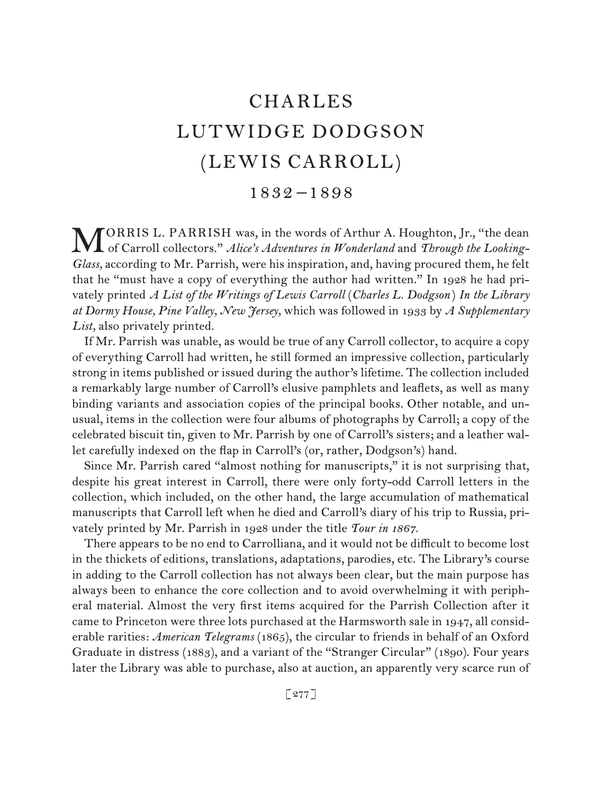# CHARLES LUTWIDGE DODGSON (LEWIS CARROLL)

### 1832 –1898

ORRIS L. PARRISH was, in the words of Arthur A. Houghton, Jr., "the dean **MORRIS L. PARRISH was, in the words of Arthur A. Houghton, Jr., "the dean**<br>of Carroll collectors." *Alice's Adventures in Wonderland* and *Through the Looking*-*Glass,* according to Mr. Parrish, were his inspiration, and, having procured them, he felt that he "must have a copy of everything the author had written." In 1928 he had privately printed *A List of the Writings of Lewis Carroll* (*Charles L. Dodgson* ) *In the Library at Dormy House, Pine Valley, New Jersey,* which was followed in 1933 by *A Supplementary List,* also privately printed.

If Mr. Parrish was unable, as would be true of any Carroll collector, to acquire a copy of everything Carroll had written, he still formed an impressive collection, particularly strong in items published or issued during the author's lifetime. The collection included a remarkably large number of Carroll's elusive pamphlets and leaflets, as well as many binding variants and association copies of the principal books. Other notable, and unusual, items in the collection were four albums of photographs by Carroll; a copy of the celebrated biscuit tin, given to Mr. Parrish by one of Carroll's sisters; and a leather wallet carefully indexed on the flap in Carroll's (or, rather, Dodgson's) hand.

Since Mr. Parrish cared "almost nothing for manuscripts," it is not surprising that, despite his great interest in Carroll, there were only forty-odd Carroll letters in the collection, which included, on the other hand, the large accumulation of mathematical manuscripts that Carroll left when he died and Carroll's diary of his trip to Russia, privately printed by Mr. Parrish in 1928 under the title *Tour in 1867.*

There appears to be no end to Carrolliana, and it would not be difficult to become lost in the thickets of editions, translations, adaptations, parodies, etc. The Library's course in adding to the Carroll collection has not always been clear, but the main purpose has always been to enhance the core collection and to avoid overwhelming it with peripheral material. Almost the very first items acquired for the Parrish Collection after it came to Princeton were three lots purchased at the Harmsworth sale in 1947, all considerable rarities: *American Telegrams* (1865), the circular to friends in behalf of an Oxford Graduate in distress (1883), and a variant of the "Stranger Circular" (1890). Four years later the Library was able to purchase, also at auction, an apparently very scarce run of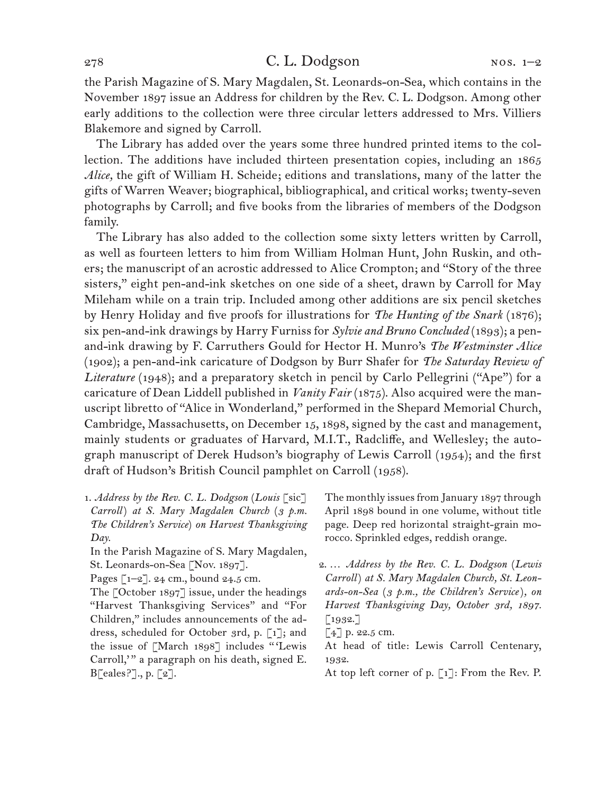the Parish Magazine of S. Mary Magdalen, St. Leonards-on-Sea, which contains in the November 1897 issue an Address for children by the Rev. C. L. Dodgson. Among other early additions to the collection were three circular letters addressed to Mrs. Villiers Blakemore and signed by Carroll.

The Library has added over the years some three hundred printed items to the collection. The additions have included thirteen presentation copies, including an 1865 *Alice,* the gift of William H. Scheide; editions and translations, many of the latter the gifts of Warren Weaver; biographical, bibliographical, and critical works; twenty-seven photographs by Carroll; and five books from the libraries of members of the Dodgson family.

The Library has also added to the collection some sixty letters written by Carroll, as well as fourteen letters to him from William Holman Hunt, John Ruskin, and others; the manuscript of an acrostic addressed to Alice Crompton; and "Story of the three sisters," eight pen-and-ink sketches on one side of a sheet, drawn by Carroll for May Mileham while on a train trip. Included among other additions are six pencil sketches by Henry Holiday and five proofs for illustrations for *The Hunting of the Snark* (1876); six pen-and-ink drawings by Harry Furniss for *Sylvie and Bruno Concluded* (1893); a penand-ink drawing by F. Carruthers Gould for Hector H. Munro's *The Westminster Alice*  (1902); a pen-and-ink caricature of Dodgson by Burr Shafer for *The Saturday Review of*  Literature (1948); and a preparatory sketch in pencil by Carlo Pellegrini ("Ape") for a caricature of Dean Liddell published in *Vanity Fair* (1875). Also acquired were the manuscript libretto of "Alice in Wonderland," performed in the Shepard Memorial Church, Cambridge, Massachusetts, on December 15, 1898, signed by the cast and management, mainly students or graduates of Harvard, M.I.T., Radcliffe, and Wellesley; the autograph manuscript of Derek Hudson's biography of Lewis Carroll (1954); and the first draft of Hudson's British Council pamphlet on Carroll (1958).

1. *Address by the Rev. C. L. Dodgson* (*Louis* [sic] *Carroll*) *at S. Mary Magdalen Church* (*3 p.m. The Children's Service*) *on Harvest Thanksgiving Day.*

In the Parish Magazine of S. Mary Magdalen, St. Leonards-on-Sea [Nov. 1897].

Pages [1-2]. 24 cm., bound 24.5 cm.

The [October 1897] issue, under the headings "Harvest Thanksgiving Services" and "For Children," includes announcements of the address, scheduled for October 3rd, p. [1]; and the issue of [March 1898] includes " 'Lewis Carroll," a paragraph on his death, signed E.  $B\lceil\text{eales?}\rceil, p. \lceil 2 \rceil.$ 

The monthly issues from January 1897 through April 1898 bound in one volume, without title page. Deep red horizontal straight-grain morocco. Sprinkled edges, reddish orange.

- 2. … *Address by the Rev. C. L. Dodgson* (*Lewis Carroll*) *at S. Mary Magdalen Church, St. Leonards-on-Sea* (*3 p.m., the Children's Service*)*, on Harvest Thanksgiving Day, October 3rd, 1897.*  $\lceil 1932. \rceil$
- $[4]$  p. 22.5 cm.

At head of title: Lewis Carroll Centenary, 1932.

At top left corner of p. [1]: From the Rev. P.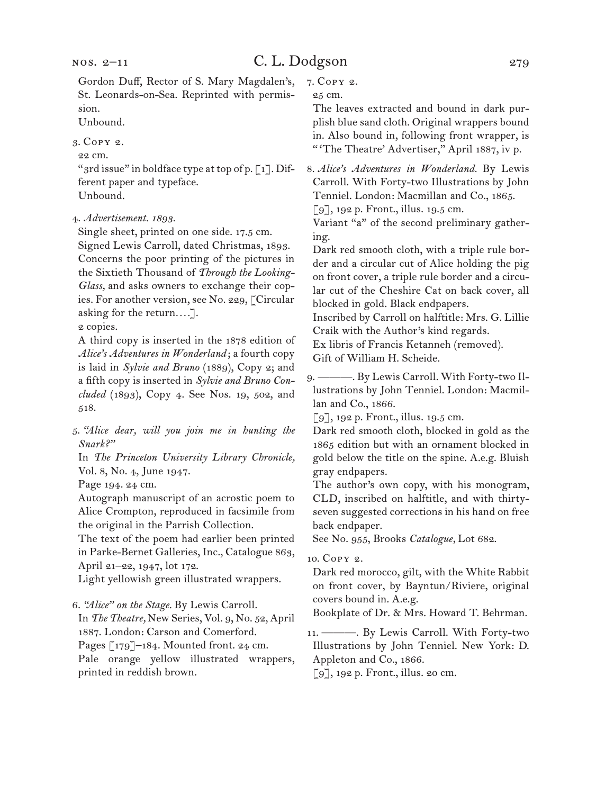Gordon Duff, Rector of S. Mary Magdalen's, St. Leonards-on-Sea. Reprinted with permission.

Unbound.

3. Copy 2.

22 cm.

"3rd issue" in boldface type at top of p. [1]. Different paper and typeface. Unbound.

4. *Advertisement. 1893.*

Single sheet, printed on one side. 17.5 cm.

Signed Lewis Carroll, dated Christmas, 1893. Concerns the poor printing of the pictures in the Sixtieth Thousand of *Through the Looking-Glass,* and asks owners to exchange their copies. For another version, see No. 229, [Circular asking for the return*. . . .*].

2 copies.

A third copy is inserted in the 1878 edition of *Alice's Adventures in Wonderland* ; a fourth copy is laid in *Sylvie and Bruno* (1889), Copy 2; and a fifth copy is inserted in *Sylvie and Bruno Concluded* (1893), Copy 4. See Nos. 19, 502, and 518.

5. *"Alice dear, will you join me in hunting the Snark?"*

In *The Princeton University Library Chronicle,*  Vol. 8, No. 4, June 1947.

Page 194. 24 cm.

Autograph manuscript of an acrostic poem to Alice Crompton, reproduced in facsimile from the original in the Parrish Collection.

The text of the poem had earlier been printed in Parke-Bernet Galleries, Inc., Catalogue 863, April 21–22, 1947, lot 172.

Light yellowish green illustrated wrappers.

6. *"Alice" on the Stage.* By Lewis Carroll.

In *The Theatre,* New Series, Vol. 9, No. 52, April 1887. London: Carson and Comerford.

Pages [179]–184. Mounted front. 24 cm.

Pale orange yellow illustrated wrappers, printed in reddish brown.

7. Copy 2.

25 cm.

The leaves extracted and bound in dark purplish blue sand cloth. Original wrappers bound in. Also bound in, following front wrapper, is " 'The Theatre' Advertiser," April 1887, iv p.

8. *Alice's Adventures in Wonderland.* By Lewis Carroll. With Forty-two Illustrations by John Tenniel. London: Macmillan and Co., 1865. [9], 192 p. Front., illus. 19.5 cm.

Variant "a" of the second preliminary gather-

ing. Dark red smooth cloth, with a triple rule border and a circular cut of Alice holding the pig on front cover, a triple rule border and a circular cut of the Cheshire Cat on back cover, all blocked in gold. Black endpapers.

Inscribed by Carroll on halftitle: Mrs. G. Lillie Craik with the Author's kind regards.

Ex libris of Francis Ketanneh (removed).

Gift of William H. Scheide.

9. ———. By Lewis Carroll. With Forty-two Illustrations by John Tenniel. London: Macmillan and Co., 1866.

[9], 192 p. Front., illus. 19.5 cm.

Dark red smooth cloth, blocked in gold as the 1865 edition but with an ornament blocked in gold below the title on the spine. A.e.g. Bluish gray endpapers.

The author's own copy, with his monogram, CLD, inscribed on halftitle, and with thirtyseven suggested corrections in his hand on free back endpaper.

See No. 955, Brooks *Catalogue,* Lot 682.

10. Copy 2.

Dark red morocco, gilt, with the White Rabbit on front cover, by Bayntun/Riviere, original covers bound in. A.e.g.

Bookplate of Dr. & Mrs. Howard T. Behrman.

11. ———. By Lewis Carroll. With Forty-two Illustrations by John Tenniel. New York: D. Appleton and Co., 1866.

[9], 192 p. Front., illus. 20 cm.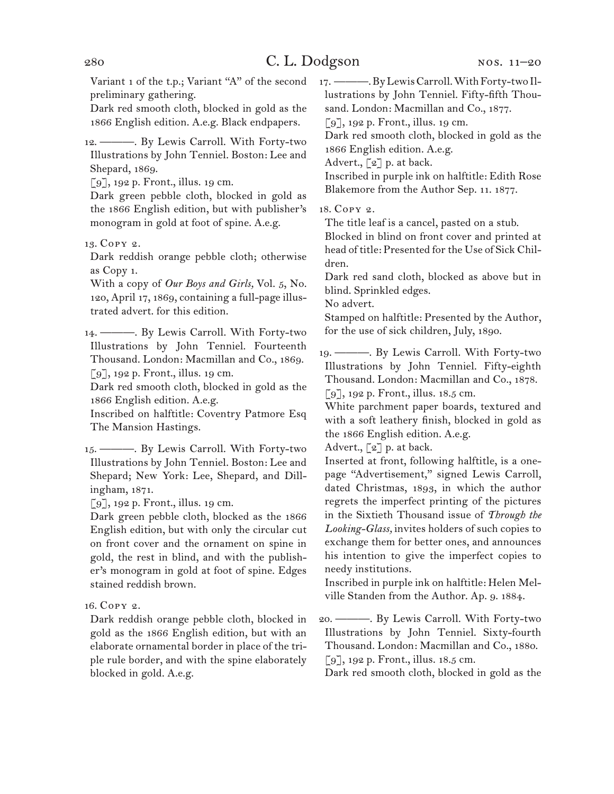Variant 1 of the t.p.; Variant "A" of the second preliminary gathering.

Dark red smooth cloth, blocked in gold as the 1866 English edition. A.e.g. Black endpapers.

12. ———. By Lewis Carroll. With Forty-two Illustrations by John Tenniel. Boston: Lee and Shepard, 1869.

[9], 192 p. Front., illus. 19 cm.

Dark green pebble cloth, blocked in gold as the 1866 English edition, but with publisher's monogram in gold at foot of spine. A.e.g.

13. Copy 2.

Dark reddish orange pebble cloth; otherwise as Copy 1.

With a copy of *Our Boys and Girls,* Vol. 5, No. 120, April 17, 1869, containing a full-page illustrated advert. for this edition.

14. ———. By Lewis Carroll. With Forty-two Illustrations by John Tenniel. Fourteenth Thousand. London: Macmillan and Co., 1869.  $\lceil 9 \rceil$ , 192 p. Front., illus. 19 cm.

Dark red smooth cloth, blocked in gold as the 1866 English edition. A.e.g.

Inscribed on halftitle: Coventry Patmore Esq The Mansion Hastings.

15. ———. By Lewis Carroll. With Forty-two Illustrations by John Tenniel. Boston: Lee and Shepard; New York: Lee, Shepard, and Dillingham, 1871.

[9], 192 p. Front., illus. 19 cm.

Dark green pebble cloth, blocked as the 1866 English edition, but with only the circular cut on front cover and the ornament on spine in gold, the rest in blind, and with the publisher's monogram in gold at foot of spine. Edges stained reddish brown.

16. Copy 2.

Dark reddish orange pebble cloth, blocked in gold as the 1866 English edition, but with an elaborate ornamental border in place of the triple rule border, and with the spine elaborately blocked in gold. A.e.g.

17. ———. By Lewis Carroll. With Forty-two Illustrations by John Tenniel. Fifty-fifth Thousand. London: Macmillan and Co., 1877.

[9], 192 p. Front., illus. 19 cm.

Dark red smooth cloth, blocked in gold as the

1866 English edition. A.e.g.

Advert.,  $\lceil 2 \rceil$  p. at back.

Inscribed in purple ink on halftitle: Edith Rose Blakemore from the Author Sep. 11. 1877.

18. Copy 2.

The title leaf is a cancel, pasted on a stub.

Blocked in blind on front cover and printed at head of title: Presented for the Use of Sick Children.

Dark red sand cloth, blocked as above but in blind. Sprinkled edges.

No advert.

Stamped on halftitle: Presented by the Author, for the use of sick children, July, 1890.

19. ———. By Lewis Carroll. With Forty-two Illustrations by John Tenniel. Fifty-eighth Thousand. London: Macmillan and Co., 1878. [9], 192 p. Front., illus. 18.5 cm.

White parchment paper boards, textured and with a soft leathery finish, blocked in gold as the 1866 English edition. A.e.g.

Advert.,  $\lceil 2 \rceil$  p. at back.

Inserted at front, following halftitle, is a onepage "Advertisement," signed Lewis Carroll, dated Christmas, 1893, in which the author regrets the imperfect printing of the pictures in the Sixtieth Thousand issue of *Through the Looking-Glass,* invites holders of such copies to exchange them for better ones, and announces his intention to give the imperfect copies to needy institutions.

Inscribed in purple ink on halftitle: Helen Melville Standen from the Author. Ap. 9. 1884.

20. ———. By Lewis Carroll. With Forty-two Illustrations by John Tenniel. Sixty-fourth Thousand. London: Macmillan and Co., 1880. [9], 192 p. Front., illus. 18.5 cm.

Dark red smooth cloth, blocked in gold as the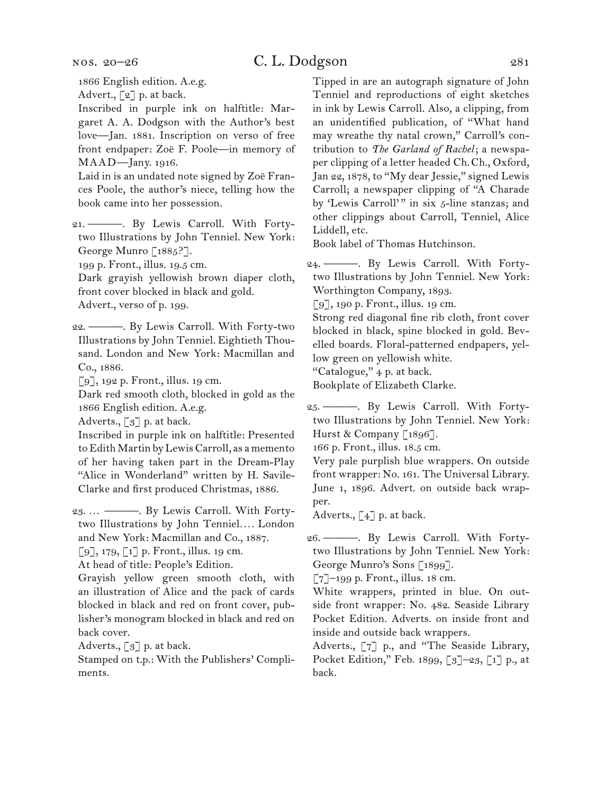nos. 20–26

### C. L. Dodgson 281

1866 English edition. A.e.g.

Advert., [2] p. at back.

Inscribed in purple ink on halftitle: Margaret A. A. Dodgson with the Author's best love—Jan. 1881. Inscription on verso of free front endpaper: Zoë F. Poole—in memory of MAAD—Jany. 1916.

Laid in is an undated note signed by Zoë Frances Poole, the author's niece, telling how the book came into her possession.

21. ———. By Lewis Carroll. With Fortytwo Illustrations by John Tenniel. New York: George Munro [1885?].

199 p. Front., illus. 19.5 cm.

Dark grayish yellowish brown diaper cloth, front cover blocked in black and gold. Advert., verso of p. 199.

22. ———. By Lewis Carroll. With Forty-two Illustrations by John Tenniel. Eightieth Thousand. London and New York: Macmillan and Co., 1886.

[9], 192 p. Front., illus. 19 cm.

Dark red smooth cloth, blocked in gold as the 1866 English edition. A.e.g.

Adverts., [3] p. at back.

Inscribed in purple ink on halftitle: Presented to Edith Martin by Lewis Carroll, as a memento of her having taken part in the Dream-Play "Alice in Wonderland" written by H. Savile-Clarke and first produced Christmas, 1886.

23. … ———. By Lewis Carroll. With Fortytwo Illustrations by John Tenniel*. . . .* London and New York: Macmillan and Co., 1887.

 $\lbrack 9 \rbrack$ , 179,  $\lbrack 1 \rbrack$  p. Front., illus. 19 cm.

At head of title: People's Edition.

Grayish yellow green smooth cloth, with an illustration of Alice and the pack of cards blocked in black and red on front cover, publisher's monogram blocked in black and red on back cover.

Adverts.,  $\lceil 3 \rceil$  p. at back.

Stamped on t.p.: With the Publishers' Compliments.

Tipped in are an autograph signature of John Tenniel and reproductions of eight sketches in ink by Lewis Carroll. Also, a clipping, from an unidentified publication, of "What hand may wreathe thy natal crown," Carroll's contribution to *The Garland of Rachel*; a newspaper clipping of a letter headed Ch.Ch., Oxford, Jan 22, 1878, to "My dear Jessie," signed Lewis Carroll; a newspaper clipping of "A Charade by 'Lewis Carroll'" in six 5-line stanzas; and other clippings about Carroll, Tenniel, Alice Liddell, etc.

Book label of Thomas Hutchinson.

24. ———. By Lewis Carroll. With Fortytwo Illustrations by John Tenniel. New York: Worthington Company, 1893.

[9], 190 p. Front., illus. 19 cm.

Strong red diagonal fine rib cloth, front cover blocked in black, spine blocked in gold. Bevelled boards. Floral-patterned endpapers, yellow green on yellowish white.

"Catalogue," 4 p. at back.

Bookplate of Elizabeth Clarke.

25. ———. By Lewis Carroll. With Fortytwo Illustrations by John Tenniel. New York: Hurst & Company [1896].

166 p. Front., illus. 18.5 cm.

Very pale purplish blue wrappers. On outside front wrapper: No. 161. The Universal Library. June 1, 1896. Advert. on outside back wrapper.

Adverts.,  $\left[\begin{smallmatrix} 4 \end{smallmatrix}\right]$  p. at back.

26. ———. By Lewis Carroll. With Fortytwo Illustrations by John Tenniel. New York: George Munro's Sons [1899].

[7]–199 p. Front., illus. 18 cm.

White wrappers, printed in blue. On outside front wrapper: No. 482. Seaside Library Pocket Edition. Adverts. on inside front and inside and outside back wrappers.

Adverts., [7] p., and "The Seaside Library, Pocket Edition," Feb. 1899, [3]–23, [1] p., at back.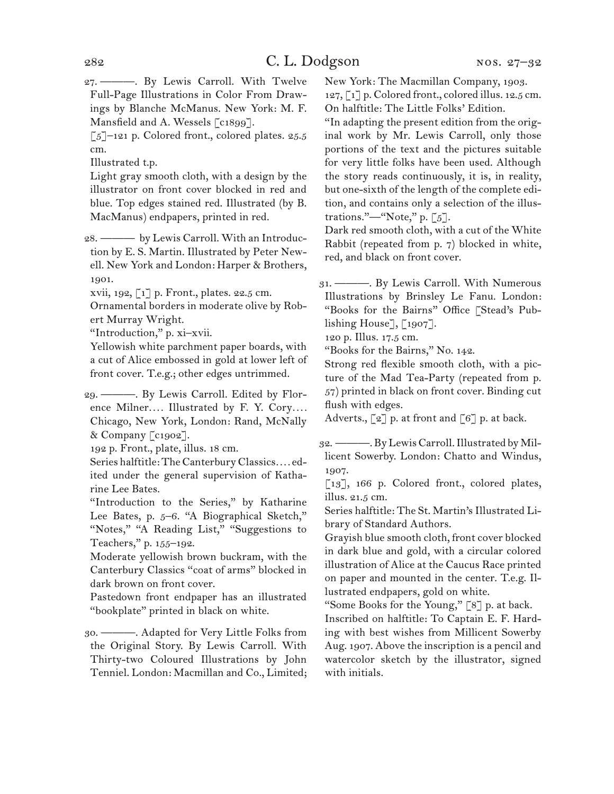27. ———. By Lewis Carroll. With Twelve Full-Page Illustrations in Color From Drawings by Blanche McManus. New York: M. F. Mansfield and A. Wessels [c1899].

 $\lceil 5 \rceil$ –121 p. Colored front., colored plates. 25.5 cm.

Illustrated t.p.

Light gray smooth cloth, with a design by the illustrator on front cover blocked in red and blue. Top edges stained red. Illustrated (by B. MacManus) endpapers, printed in red.

28. ——— by Lewis Carroll. With an Introduction by E. S. Martin. Illustrated by Peter Newell. New York and London: Harper & Brothers, 1901.

xvii, 192, [1] p. Front., plates. 22.5 cm.

Ornamental borders in moderate olive by Robert Murray Wright.

"Introduction," p. xi–xvii.

Yellowish white parchment paper boards, with a cut of Alice embossed in gold at lower left of front cover. T.e.g.; other edges untrimmed.

29. ———. By Lewis Carroll. Edited by Florence Milner*. . . .* Illustrated by F. Y. Cory*. . . .* Chicago, New York, London: Rand, McNally & Company [c1902].

192 p. Front., plate, illus. 18 cm.

Series halftitle: The Canterbury Classics*. . . .* edited under the general supervision of Katharine Lee Bates.

"Introduction to the Series," by Katharine Lee Bates, p. 5-6. "A Biographical Sketch," "Notes," "A Reading List," "Suggestions to Teachers," p. 155–192.

Moderate yellowish brown buckram, with the Canterbury Classics "coat of arms" blocked in dark brown on front cover.

Pastedown front endpaper has an illustrated "bookplate" printed in black on white.

30. ———. Adapted for Very Little Folks from the Original Story. By Lewis Carroll. With Thirty-two Coloured Illustrations by John Tenniel. London: Macmillan and Co., Limited; New York: The Macmillan Company, 1903.

127,  $\lceil 1 \rceil$  p. Colored front., colored illus. 12.5 cm. On halftitle: The Little Folks' Edition.

"In adapting the present edition from the original work by Mr. Lewis Carroll, only those portions of the text and the pictures suitable for very little folks have been used. Although the story reads continuously, it is, in reality, but one-sixth of the length of the complete edition, and contains only a selection of the illustrations."—"Note," p.  $[5]$ .

Dark red smooth cloth, with a cut of the White Rabbit (repeated from p. 7) blocked in white, red, and black on front cover.

31. ———. By Lewis Carroll. With Numerous Illustrations by Brinsley Le Fanu. London: "Books for the Bairns" Office [Stead's Publishing House], [1907].

120 p. Illus. 17.5 cm.

"Books for the Bairns," No. 142.

Strong red flexible smooth cloth, with a picture of the Mad Tea-Party (repeated from p. 57) printed in black on front cover. Binding cut flush with edges.

Adverts., [2] p. at front and [6] p. at back.

32. ———. By Lewis Carroll. Illustrated by Millicent Sowerby. London: Chatto and Windus, 1907.

[13], 166 p. Colored front., colored plates, illus. 21.5 cm.

Series halftitle: The St. Martin's Illustrated Library of Standard Authors.

Grayish blue smooth cloth, front cover blocked in dark blue and gold, with a circular colored illustration of Alice at the Caucus Race printed on paper and mounted in the center. T.e.g. Illustrated endpapers, gold on white.

"Some Books for the Young," [8] p. at back.

Inscribed on halftitle: To Captain E. F. Harding with best wishes from Millicent Sowerby Aug. 1907. Above the inscription is a pencil and watercolor sketch by the illustrator, signed with initials.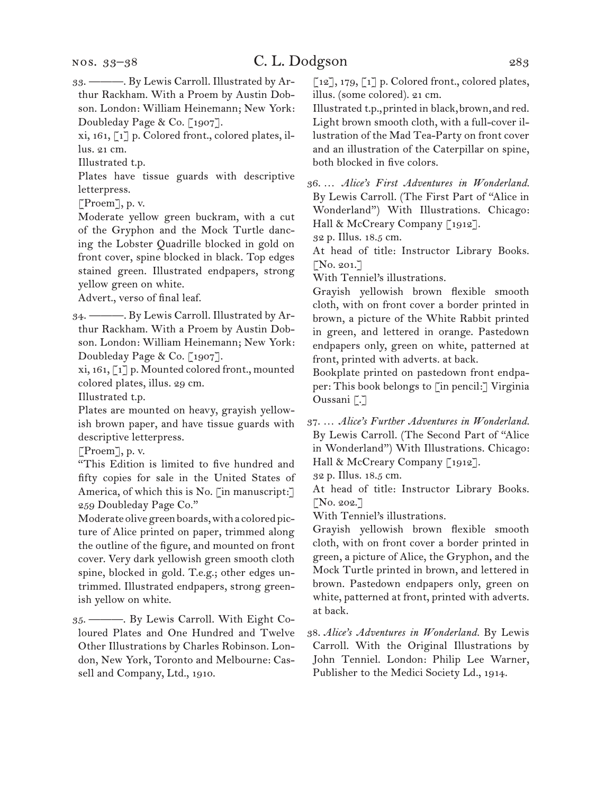33. ———. By Lewis Carroll. Illustrated by Arthur Rackham. With a Proem by Austin Dobson. London: William Heinemann; New York: Doubleday Page & Co. [1907].

xi, 161, [1] p. Colored front., colored plates, illus. 21 cm.

Illustrated t.p.

Plates have tissue guards with descriptive letterpress.

[Proem], p. v.

Moderate yellow green buckram, with a cut of the Gryphon and the Mock Turtle dancing the Lobster Quadrille blocked in gold on front cover, spine blocked in black. Top edges stained green. Illustrated endpapers, strong yellow green on white.

Advert., verso of final leaf.

34. ———. By Lewis Carroll. Illustrated by Arthur Rackham. With a Proem by Austin Dobson. London: William Heinemann; New York: Doubleday Page & Co. [1907].

xi, 161, [1] p. Mounted colored front., mounted colored plates, illus. 29 cm.

Illustrated t.p.

Plates are mounted on heavy, grayish yellowish brown paper, and have tissue guards with descriptive letterpress.

[Proem], p. v.

"This Edition is limited to five hundred and fifty copies for sale in the United States of America, of which this is No. [in manuscript:] 259 Doubleday Page Co."

Moderate olive green boards, with a colored picture of Alice printed on paper, trimmed along the outline of the figure, and mounted on front cover. Very dark yellowish green smooth cloth spine, blocked in gold. T.e.g.; other edges untrimmed. Illustrated endpapers, strong greenish yellow on white.

35. ———. By Lewis Carroll. With Eight Coloured Plates and One Hundred and Twelve Other Illustrations by Charles Robinson. London, New York, Toronto and Melbourne: Cassell and Company, Ltd., 1910.

[12], 179, [1] p. Colored front., colored plates, illus. (some colored). 21 cm.

Illustrated t.p., printed in black, brown, and red. Light brown smooth cloth, with a full-cover illustration of the Mad Tea-Party on front cover and an illustration of the Caterpillar on spine, both blocked in five colors.

36. … *Alice's First Adventures in Wonderland.*  By Lewis Carroll. (The First Part of "Alice in Wonderland") With Illustrations. Chicago: Hall & McCreary Company [1912].

32 p. Illus. 18.5 cm.

At head of title: Instructor Library Books. [No. 201.]

With Tenniel's illustrations.

Grayish yellowish brown flexible smooth cloth, with on front cover a border printed in brown, a picture of the White Rabbit printed in green, and lettered in orange. Pastedown endpapers only, green on white, patterned at front, printed with adverts. at back.

Bookplate printed on pastedown front endpaper: This book belongs to [in pencil:] Virginia Oussani [.]

37. … *Alice's Further Adventures in Wonderland.* By Lewis Carroll. (The Second Part of "Alice in Wonderland") With Illustrations. Chicago: Hall & McCreary Company [1912].

32 p. Illus. 18.5 cm.

At head of title: Instructor Library Books.  $[N_0. 202.]$ 

With Tenniel's illustrations.

Grayish yellowish brown flexible smooth cloth, with on front cover a border printed in green, a picture of Alice, the Gryphon, and the Mock Turtle printed in brown, and lettered in brown. Pastedown endpapers only, green on white, patterned at front, printed with adverts. at back.

38. *Alice's Adventures in Wonderland.* By Lewis Carroll. With the Original Illustrations by John Tenniel. London: Philip Lee Warner, Publisher to the Medici Society Ld., 1914.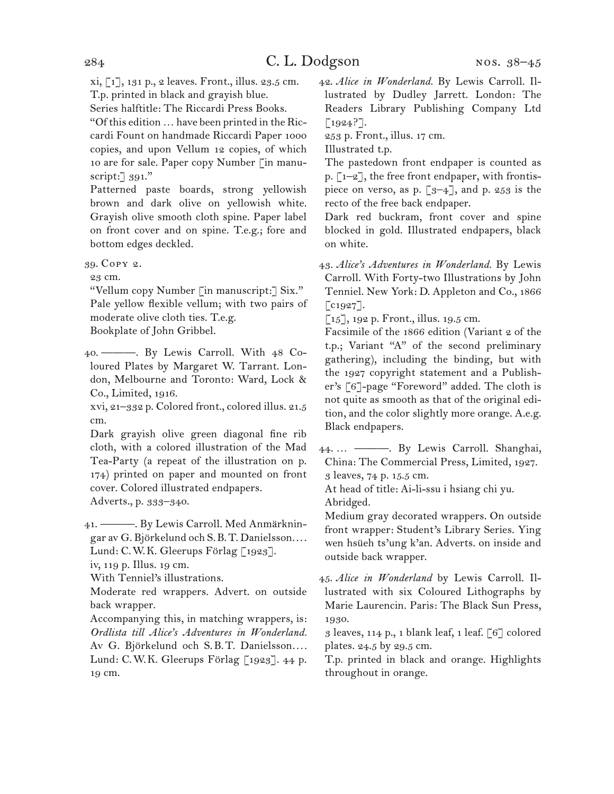xi, [1], 131 p., 2 leaves. Front., illus. 23.5 cm. T.p. printed in black and grayish blue.

Series halftitle: The Riccardi Press Books.

"Of this edition … have been printed in the Riccardi Fount on handmade Riccardi Paper 1000 copies, and upon Vellum 12 copies, of which 10 are for sale. Paper copy Number [in manuscript:] 391."

Patterned paste boards, strong yellowish brown and dark olive on yellowish white. Grayish olive smooth cloth spine. Paper label on front cover and on spine. T.e.g.; fore and bottom edges deckled.

39. Copy 2.

23 cm.

"Vellum copy Number [in manuscript:] Six." Pale yellow flexible vellum; with two pairs of moderate olive cloth ties. T.e.g.

Bookplate of John Gribbel.

40. ———. By Lewis Carroll. With 48 Coloured Plates by Margaret W. Tarrant. London, Melbourne and Toronto: Ward, Lock & Co., Limited, 1916.

xvi, 21–332 p. Colored front., colored illus. 21.5 cm.

Dark grayish olive green diagonal fine rib cloth, with a colored illustration of the Mad Tea-Party (a repeat of the illustration on p. 174) printed on paper and mounted on front cover. Colored illustrated endpapers. Adverts., p. 333–340.

41. ———. By Lewis Carroll. Med Anmärkningar av G. Björkelund och S.B.T. Danielsson. . . . Lund: C.W.K. Gleerups Förlag [1923].

iv, 119 p. Illus. 19 cm.

With Tenniel's illustrations.

Moderate red wrappers. Advert. on outside back wrapper.

Accompanying this, in matching wrappers, is: *Ordlista till Alice's Adventures in Wonderland.* Av G. Björkelund och S.B.T. Danielsson.... Lund: C.W.K. Gleerups Förlag [1923]. 44 p. 19 cm.

42. *Alice in Wonderland.* By Lewis Carroll. Illustrated by Dudley Jarrett. London: The Readers Library Publishing Company Ltd  $[1924?$ ].

253 p. Front., illus. 17 cm.

Illustrated t.p.

The pastedown front endpaper is counted as p. [1–2], the free front endpaper, with frontispiece on verso, as p.  $\lceil 3-4 \rceil$ , and p. 253 is the recto of the free back endpaper.

Dark red buckram, front cover and spine blocked in gold. Illustrated endpapers, black on white.

43. *Alice's Adventures in Wonderland.* By Lewis Carroll. With Forty-two Illustrations by John Tenniel. New York: D. Appleton and Co., 1866  $\lceil$  c1927].

 $\lceil 15 \rceil$ , 192 p. Front., illus. 19.5 cm.

Facsimile of the 1866 edition (Variant 2 of the t.p.; Variant "A" of the second preliminary gathering), including the binding, but with the 1927 copyright statement and a Publisher's [6]-page "Foreword" added. The cloth is not quite as smooth as that of the original edition, and the color slightly more orange. A.e.g. Black endpapers.

44. … ———. By Lewis Carroll. Shanghai, China: The Commercial Press, Limited, 1927. 3 leaves, 74 p. 15.5 cm.

At head of title: Ai-li-ssu i hsiang chi yu. Abridged.

Medium gray decorated wrappers. On outside front wrapper: Student's Library Series. Ying wen hsüeh ts'ung k'an. Adverts. on inside and outside back wrapper.

45. *Alice in Wonderland* by Lewis Carroll. Illustrated with six Coloured Lithographs by Marie Laurencin. Paris: The Black Sun Press, 1930.

3 leaves, 114 p., 1 blank leaf, 1 leaf. [6] colored plates. 24.5 by 29.5 cm.

T.p. printed in black and orange. Highlights throughout in orange.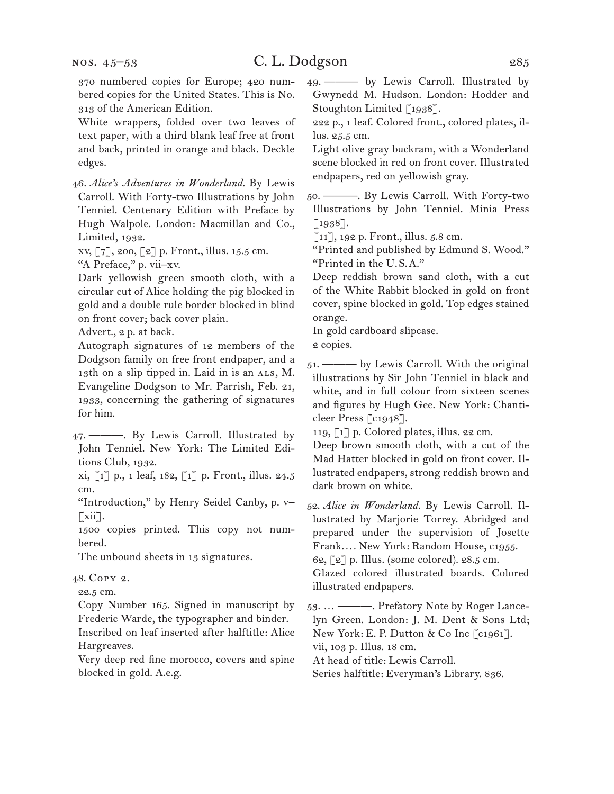370 numbered copies for Europe; 420 numbered copies for the United States. This is No. 313 of the American Edition.

White wrappers, folded over two leaves of text paper, with a third blank leaf free at front and back, printed in orange and black. Deckle edges.

46. *Alice's Adventures in Wonderland.* By Lewis Carroll. With Forty-two Illustrations by John Tenniel. Centenary Edition with Preface by Hugh Walpole. London: Macmillan and Co., Limited, 1932.

xv, [7], 200, [2] p. Front., illus. 15.5 cm.

"A Preface," p. vii–xv.

Dark yellowish green smooth cloth, with a circular cut of Alice holding the pig blocked in gold and a double rule border blocked in blind on front cover; back cover plain.

Advert., 2 p. at back.

Autograph signatures of 12 members of the Dodgson family on free front endpaper, and a 13th on a slip tipped in. Laid in is an ALS, M. Evangeline Dodgson to Mr. Parrish, Feb. 21, 1933, concerning the gathering of signatures for him.

47. ———. By Lewis Carroll. Illustrated by John Tenniel. New York: The Limited Editions Club, 1932.

xi, [1] p., 1 leaf, 182, [1] p. Front., illus. 24.5 cm.

"Introduction," by Henry Seidel Canby, p. v–  $\lceil xii \rceil$ .

1500 copies printed. This copy not numbered.

The unbound sheets in 13 signatures.

#### 48. Copy 2.

22.5 cm.

Copy Number 165. Signed in manuscript by Frederic Warde, the typographer and binder. Inscribed on leaf inserted after halftitle: Alice Hargreaves.

Very deep red fine morocco, covers and spine blocked in gold. A.e.g.

49. ——— by Lewis Carroll. Illustrated by Gwynedd M. Hudson. London: Hodder and Stoughton Limited [1938].

222 p., 1 leaf. Colored front., colored plates, illus. 25.5 cm.

Light olive gray buckram, with a Wonderland scene blocked in red on front cover. Illustrated endpapers, red on yellowish gray.

50. ———. By Lewis Carroll. With Forty-two Illustrations by John Tenniel. Minia Press [1938].

[11], 192 p. Front., illus. 5.8 cm.

"Printed and published by Edmund S. Wood." "Printed in the U.S.A."

Deep reddish brown sand cloth, with a cut of the White Rabbit blocked in gold on front cover, spine blocked in gold. Top edges stained orange.

In gold cardboard slipcase.

2 copies.

51. ——— by Lewis Carroll. With the original illustrations by Sir John Tenniel in black and white, and in full colour from sixteen scenes and figures by Hugh Gee. New York: Chanticleer Press [c1948].

119, [1] p. Colored plates, illus. 22 cm.

Deep brown smooth cloth, with a cut of the Mad Hatter blocked in gold on front cover. Illustrated endpapers, strong reddish brown and dark brown on white.

52. *Alice in Wonderland.* By Lewis Carroll. Illustrated by Marjorie Torrey. Abridged and prepared under the supervision of Josette Frank*. . . .* New York: Random House, c1955. 62, [2] p. Illus. (some colored). 28.5 cm. Glazed colored illustrated boards. Colored illustrated endpapers.

53. … ———. Prefatory Note by Roger Lancelyn Green. London: J. M. Dent & Sons Ltd; New York: E. P. Dutton & Co Inc [c1961]. vii, 103 p. Illus. 18 cm.

At head of title: Lewis Carroll.

Series halftitle: Everyman's Library. 836.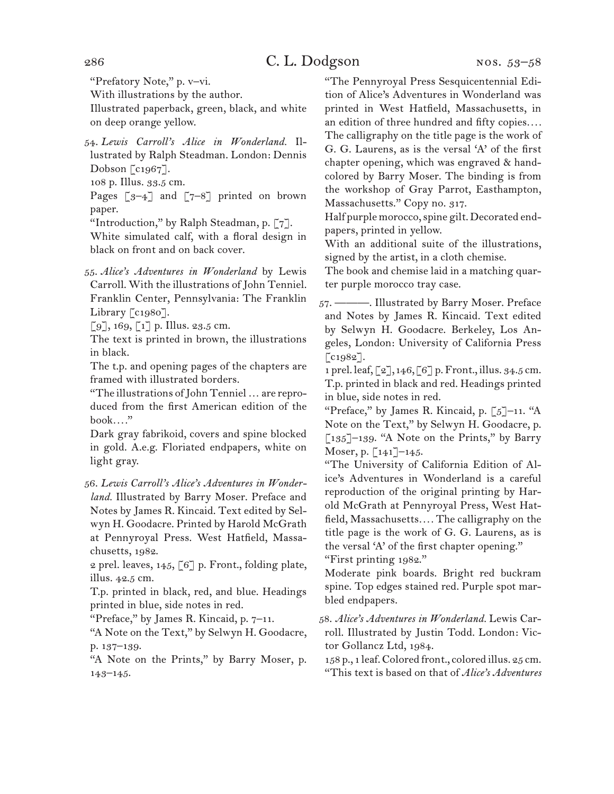"Prefatory Note," p. v–vi.

With illustrations by the author.

Illustrated paperback, green, black, and white on deep orange yellow.

54. *Lewis Carroll's Alice in Wonderland.* Illustrated by Ralph Steadman. London: Dennis Dobson  $\lceil c_1 967 \rceil$ .

108 p. Illus. 33.5 cm.

Pages  $\begin{bmatrix} 3-4 \end{bmatrix}$  and  $\begin{bmatrix} 7-8 \end{bmatrix}$  printed on brown paper.

"Introduction," by Ralph Steadman, p. [7].

White simulated calf, with a floral design in black on front and on back cover.

55. *Alice's Adventures in Wonderland* by Lewis Carroll. With the illustrations of John Tenniel. Franklin Center, Pennsylvania: The Franklin Library [c1980].

 $[9]$ , 169,  $[1]$  p. Illus. 23.5 cm.

The text is printed in brown, the illustrations in black.

The t.p. and opening pages of the chapters are framed with illustrated borders.

"The illustrations of John Tenniel … are reproduced from the first American edition of the book*. . . .*"

Dark gray fabrikoid, covers and spine blocked in gold. A.e.g. Floriated endpapers, white on light gray.

56. *Lewis Carroll's Alice's Adventures in Wonderland.* Illustrated by Barry Moser. Preface and Notes by James R. Kincaid. Text edited by Selwyn H. Goodacre. Printed by Harold McGrath at Pennyroyal Press. West Hatfield, Massachusetts, 1982.

2 prel. leaves,  $145$ ,  $\lceil 6 \rceil$  p. Front., folding plate, illus. 42.5 cm.

T.p. printed in black, red, and blue. Headings printed in blue, side notes in red.

"Preface," by James R. Kincaid, p. 7–11.

"A Note on the Text," by Selwyn H. Goodacre, p. 137–139.

"A Note on the Prints," by Barry Moser, p. 143–145.

"The Pennyroyal Press Sesquicentennial Edition of Alice's Adventures in Wonderland was printed in West Hatfield, Massachusetts, in an edition of three hundred and fifty copies*. . . .* The calligraphy on the title page is the work of G. G. Laurens, as is the versal 'A' of the first chapter opening, which was engraved & handcolored by Barry Moser. The binding is from the workshop of Gray Parrot, Easthampton, Massachusetts." Copy no. 317.

Half purple morocco, spine gilt. Decorated endpapers, printed in yellow.

With an additional suite of the illustrations, signed by the artist, in a cloth chemise.

The book and chemise laid in a matching quarter purple morocco tray case.

57. ———. Illustrated by Barry Moser. Preface and Notes by James R. Kincaid. Text edited by Selwyn H. Goodacre. Berkeley, Los Angeles, London: University of California Press  $\lceil$  c1982].

1 prel. leaf, [2], 146, [6] p. Front., illus. 34.5 cm. T.p. printed in black and red. Headings printed in blue, side notes in red.

"Preface," by James R. Kincaid, p.  $\lceil 5 \rceil$ –11. "A Note on the Text," by Selwyn H. Goodacre, p.  $\lceil 135 \rceil$ –139. "A Note on the Prints," by Barry Moser, p. [141]–145.

"The University of California Edition of Alice's Adventures in Wonderland is a careful reproduction of the original printing by Harold McGrath at Pennyroyal Press, West Hatfield, Massachusetts*. . . .* The calligraphy on the title page is the work of G. G. Laurens, as is the versal 'A' of the first chapter opening." "First printing 1982."

Moderate pink boards. Bright red buckram spine. Top edges stained red. Purple spot marbled endpapers.

58. *Alice's Adventures in Wonderland.* Lewis Carroll. Illustrated by Justin Todd. London: Victor Gollancz Ltd, 1984.

158 p., 1 leaf. Colored front., colored illus. 25 cm. "This text is based on that of *Alice's Adventures*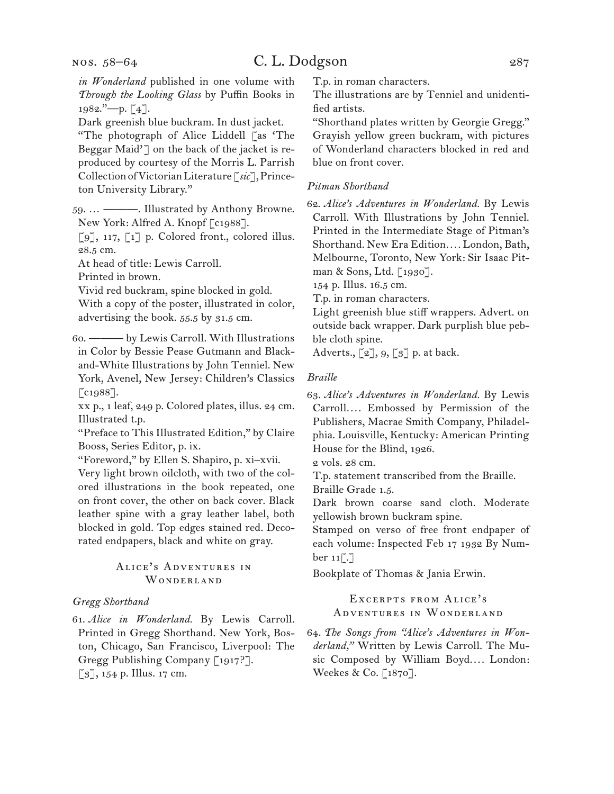*in Wonderland* published in one volume with *Through the Looking Glass* by Puffin Books in 1982."—p. [4].

Dark greenish blue buckram. In dust jacket.

"The photograph of Alice Liddell [as 'The Beggar Maid'] on the back of the jacket is reproduced by courtesy of the Morris L. Parrish Collection of Victorian Literature [*sic*], Princeton University Library."

59. … ———. Illustrated by Anthony Browne. New York: Alfred A. Knopf [c1988].

[9], 117, [1] p. Colored front., colored illus. 28.5 cm.

At head of title: Lewis Carroll.

Printed in brown.

Vivid red buckram, spine blocked in gold.

With a copy of the poster, illustrated in color, advertising the book. 55.5 by 31.5 cm.

60. ——— by Lewis Carroll. With Illustrations in Color by Bessie Pease Gutmann and Blackand-White Illustrations by John Tenniel. New York, Avenel, New Jersey: Children's Classics [c1988].

xx p., 1 leaf, 249 p. Colored plates, illus. 24 cm. Illustrated t.p.

"Preface to This Illustrated Edition," by Claire Booss, Series Editor, p. ix.

"Foreword," by Ellen S. Shapiro, p. xi–xvii.

Very light brown oilcloth, with two of the colored illustrations in the book repeated, one on front cover, the other on back cover. Black leather spine with a gray leather label, both blocked in gold. Top edges stained red. Decorated endpapers, black and white on gray.

#### Alice's Adventures in WONDERLAND

#### *Gregg Shorthand*

61. *Alice in Wonderland.* By Lewis Carroll. Printed in Gregg Shorthand. New York, Boston, Chicago, San Francisco, Liverpool: The Gregg Publishing Company [1917?]. [3], 154 p. Illus. 17 cm.

T.p. in roman characters.

The illustrations are by Tenniel and unidentified artists.

"Shorthand plates written by Georgie Gregg." Grayish yellow green buckram, with pictures of Wonderland characters blocked in red and blue on front cover.

#### *Pitman Shorthand*

62. *Alice's Adventures in Wonderland.* By Lewis Carroll. With Illustrations by John Tenniel. Printed in the Intermediate Stage of Pitman's Shorthand. New Era Edition*. . . .* London, Bath, Melbourne, Toronto, New York: Sir Isaac Pitman & Sons, Ltd. [1930].

154 p. Illus. 16.5 cm.

T.p. in roman characters.

Light greenish blue stiff wrappers. Advert. on outside back wrapper. Dark purplish blue pebble cloth spine.

Adverts.,  $\lbrack 2 \rbrack$ ,  $9, \lbrack 3 \rbrack$  p. at back.

#### *Braille*

63. *Alice's Adventures in Wonderland.* By Lewis Carroll*. . . .* Embossed by Permission of the Publishers, Macrae Smith Company, Philadelphia. Louisville, Kentucky: American Printing House for the Blind, 1926.

2 vols. 28 cm.

T.p. statement transcribed from the Braille. Braille Grade 1.5.

Dark brown coarse sand cloth. Moderate yellowish brown buckram spine.

Stamped on verso of free front endpaper of each volume: Inspected Feb 17 1932 By Number  $11$ [.]

Bookplate of Thomas & Jania Erwin.

#### Excerpts from Alice's Adventures in Wonderland

64. *The Songs from "Alice's Adventures in Wonderland,"* Written by Lewis Carroll. The Music Composed by William Boyd.... London: Weekes & Co. [1870].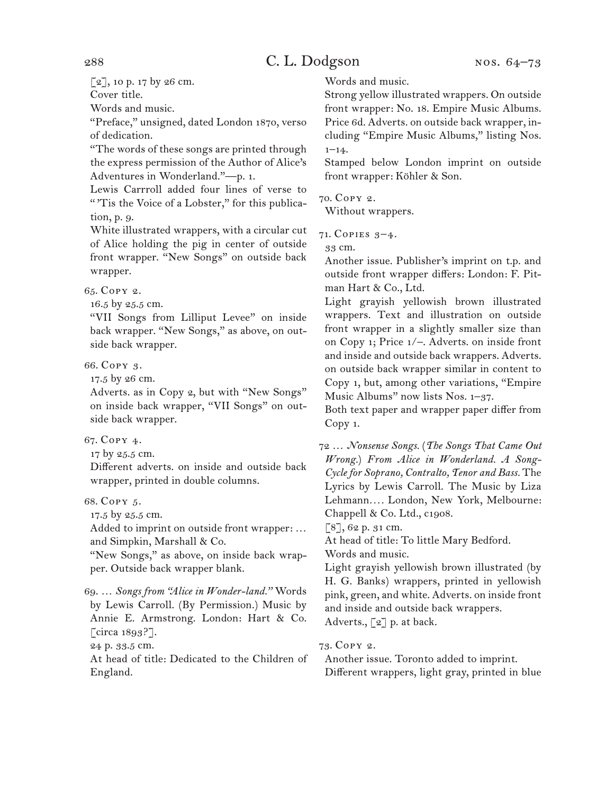$[2]$ , 10 p. 17 by 26 cm.

Cover title.

Words and music.

"Preface," unsigned, dated London 1870, verso of dedication.

"The words of these songs are printed through the express permission of the Author of Alice's Adventures in Wonderland."—p. 1.

Lewis Carrroll added four lines of verse to "'Tis the Voice of a Lobster," for this publication, p. 9.

White illustrated wrappers, with a circular cut of Alice holding the pig in center of outside front wrapper. "New Songs" on outside back wrapper.

65. Copy 2.

16.5 by 25.5 cm.

"VII Songs from Lilliput Levee" on inside back wrapper. "New Songs," as above, on outside back wrapper.

66. Copy 3.

17.5 by 26 cm.

Adverts. as in Copy 2, but with "New Songs" on inside back wrapper, "VII Songs" on outside back wrapper.

67. Copy 4.

17 by 25.5 cm.

Different adverts. on inside and outside back wrapper, printed in double columns.

68. Copy 5.

17.5 by 25.5 cm.

Added to imprint on outside front wrapper: … and Simpkin, Marshall & Co.

"New Songs," as above, on inside back wrapper. Outside back wrapper blank.

69. … *Songs from "Alice in Wonder-land."* Words by Lewis Carroll. (By Permission.) Music by Annie E. Armstrong. London: Hart & Co. [circa 1893?].

24 p. 33.5 cm.

At head of title: Dedicated to the Children of England.

Words and music.

Strong yellow illustrated wrappers. On outside front wrapper: No. 18. Empire Music Albums. Price 6d. Adverts. on outside back wrapper, including "Empire Music Albums," listing Nos.  $1 - 14.$ 

Stamped below London imprint on outside front wrapper: Köhler & Son.

70. Copy 2.

Without wrappers.

71. Copies 3–4.

33 cm.

Another issue. Publisher's imprint on t.p. and outside front wrapper differs: London: F. Pitman Hart & Co., Ltd.

Light grayish yellowish brown illustrated wrappers. Text and illustration on outside front wrapper in a slightly smaller size than on Copy 1; Price 1/–. Adverts. on inside front and inside and outside back wrappers. Adverts. on outside back wrapper similar in content to Copy 1, but, among other variations, "Empire Music Albums" now lists Nos. 1–37.

Both text paper and wrapper paper differ from Copy 1.

72 … *Nonsense Songs.* (*The Songs That Came Out Wrong.*) *From Alice in Wonderland. A Song-Cycle for Soprano, Contralto, Tenor and Bass.* The Lyrics by Lewis Carroll. The Music by Liza Lehmann*. . . .* London, New York, Melbourne: Chappell & Co. Ltd., c1908.

[8], 62 p. 31 cm.

At head of title: To little Mary Bedford. Words and music.

Light grayish yellowish brown illustrated (by H. G. Banks) wrappers, printed in yellowish pink, green, and white. Adverts. on inside front and inside and outside back wrappers. Adverts., [2] p. at back.

73. Copy 2.

Another issue. Toronto added to imprint. Different wrappers, light gray, printed in blue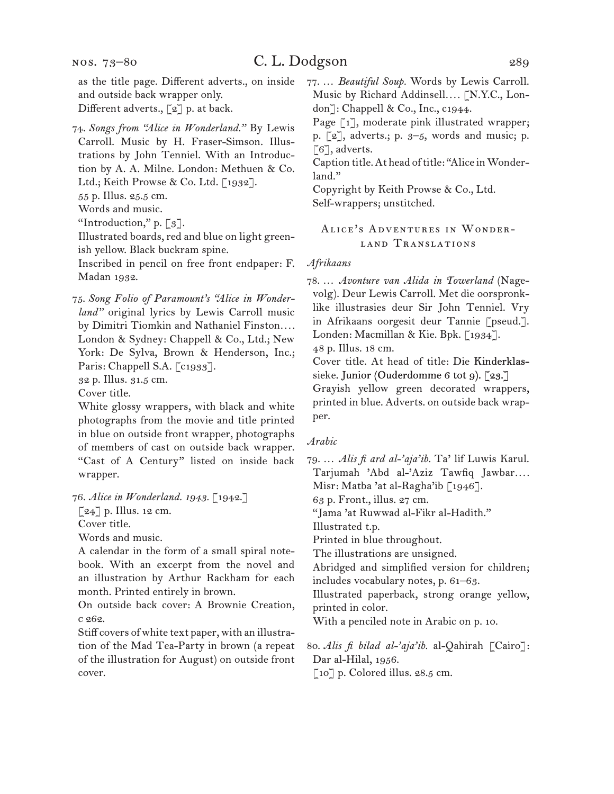and outside back wrapper only. Different adverts., [2] p. at back.

74. *Songs from "Alice in Wonderland."* By Lewis Carroll. Music by H. Fraser-Simson. Illustrations by John Tenniel. With an Introduction by A. A. Milne. London: Methuen & Co. Ltd.; Keith Prowse & Co. Ltd. [1932].

55 p. Illus. 25.5 cm.

Words and music.

"Introduction," p.  $\lceil 3 \rceil$ .

Illustrated boards, red and blue on light greenish yellow. Black buckram spine.

Inscribed in pencil on free front endpaper: F. Madan 1932.

75. *Song Folio of Paramount's "Alice in Wonderland"* original lyrics by Lewis Carroll music by Dimitri Tiomkin and Nathaniel Finston*. . . .* London & Sydney: Chappell & Co., Ltd.; New York: De Sylva, Brown & Henderson, Inc.; Paris: Chappell S.A. [c1933].

32 p. Illus. 31.5 cm.

Cover title.

White glossy wrappers, with black and white photographs from the movie and title printed in blue on outside front wrapper, photographs of members of cast on outside back wrapper. "Cast of A Century" listed on inside back wrapper.

76. *Alice in Wonderland. 1943.* [1942.]

 $\left[\begin{matrix} 24 \end{matrix}\right]$  p. Illus. 12 cm.

Cover title.

Words and music.

A calendar in the form of a small spiral notebook. With an excerpt from the novel and an illustration by Arthur Rackham for each month. Printed entirely in brown.

On outside back cover: A Brownie Creation, c 262.

Stiff covers of white text paper, with an illustration of the Mad Tea-Party in brown (a repeat of the illustration for August) on outside front cover.

77. … *Beautiful Soup.* Words by Lewis Carroll. Music by Richard Addinsell*. . . .* [N.Y.C., London]: Chappell & Co., Inc., c1944.

Page [1], moderate pink illustrated wrapper; p. [2], adverts.; p. 3–5, words and music; p. [6], adverts.

Caption title. At head of title: "Alice in Wonderland."

Copyright by Keith Prowse & Co., Ltd. Self-wrappers; unstitched.

#### Alice's Adventures in Wonderland Translations

#### *Afrikaans*

78. … *Avonture van Alida in Towerland* (Nagevolg). Deur Lewis Carroll. Met die oorspronklike illustrasies deur Sir John Tenniel. Vry in Afrikaans oorgesit deur Tannie [pseud.]. Londen: Macmillan & Kie. Bpk. [1934]. 48 p. Illus. 18 cm.

Cover title. At head of title: Die Kinderklassieke. Junior (Ouderdomme 6 tot 9). [23.]

Grayish yellow green decorated wrappers, printed in blue. Adverts. on outside back wrapper.

#### *Arabic*

79. … *Alis fi ard al-'aja'ib.* Ta' lif Luwis Karul. Tarjumah 'Abd al-'Aziz Tawfiq Jawbar*. . . .* Misr: Matba 'at al-Ragha'ib [1946].

63 p. Front., illus. 27 cm.

"Jama 'at Ruwwad al-Fikr al-Hadith."

Illustrated t.p.

Printed in blue throughout.

The illustrations are unsigned.

Abridged and simplified version for children;

includes vocabulary notes, p. 61–63.

Illustrated paperback, strong orange yellow, printed in color.

With a penciled note in Arabic on p. 10.

80. *Alis fi bilad al-'aja'ib.* al-Qahirah [Cairo]: Dar al-Hilal, 1956.

[10] p. Colored illus. 28.5 cm.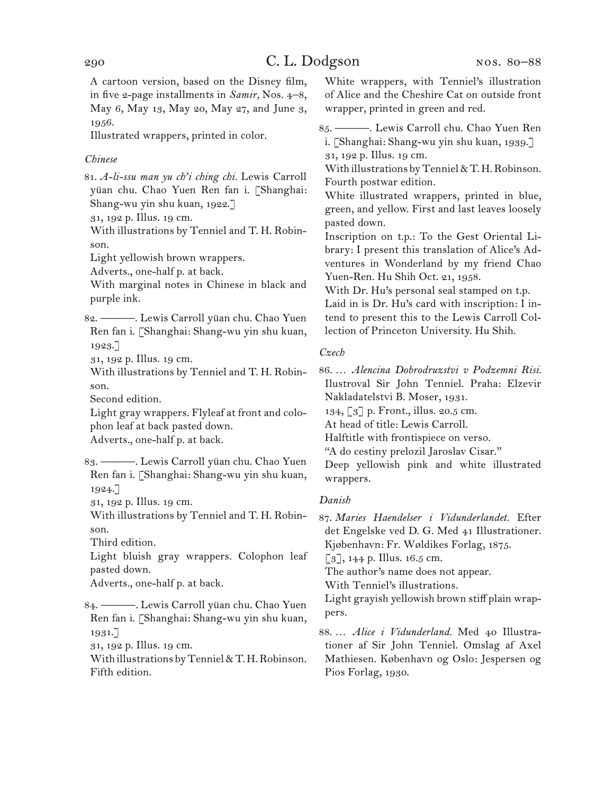A cartoon version, based on the Disney film, in five 2-page installments in *Samir,* Nos. 4–8, May 6, May 13, May 20, May 27, and June 3, 1956.

Illustrated wrappers, printed in color.

#### *Chinese*

81. *A-li-ssu man yu ch'i ching chi.* Lewis Carroll yüan chu. Chao Yuen Ren fan i. [Shanghai: Shang-wu yin shu kuan, 1922.]

31, 192 p. Illus. 19 cm.

With illustrations by Tenniel and T. H. Robinson.

Light yellowish brown wrappers.

Adverts., one-half p. at back.

With marginal notes in Chinese in black and purple ink.

82. ———. Lewis Carroll yüan chu. Chao Yuen Ren fan i. [Shanghai: Shang-wu yin shu kuan, 1923.]

31, 192 p. Illus. 19 cm.

With illustrations by Tenniel and T. H. Robinson.

Second edition.

Light gray wrappers. Flyleaf at front and colophon leaf at back pasted down.

Adverts., one-half p. at back.

83. ———. Lewis Carroll yüan chu. Chao Yuen Ren fan i. [Shanghai: Shang-wu yin shu kuan, 1924.]

31, 192 p. Illus. 19 cm.

With illustrations by Tenniel and T. H. Robinson.

Third edition.

Light bluish gray wrappers. Colophon leaf pasted down.

Adverts., one-half p. at back.

84. ———. Lewis Carroll yüan chu. Chao Yuen Ren fan i. [Shanghai: Shang-wu yin shu kuan, 1931.]

31, 192 p. Illus. 19 cm.

With illustrations by Tenniel & T. H. Robinson. Fifth edition.

White wrappers, with Tenniel's illustration of Alice and the Cheshire Cat on outside front wrapper, printed in green and red.

85. ———. Lewis Carroll chu. Chao Yuen Ren i. [Shanghai: Shang-wu yin shu kuan, 1939.]

31, 192 p. Illus. 19 cm.

With illustrations by Tenniel & T. H. Robinson. Fourth postwar edition.

White illustrated wrappers, printed in blue, green, and yellow. First and last leaves loosely pasted down.

Inscription on t.p.: To the Gest Oriental Library: I present this translation of Alice's Adventures in Wonderland by my friend Chao Yuen-Ren. Hu Shih Oct. 21, 1958.

With Dr. Hu's personal seal stamped on t.p.

Laid in is Dr. Hu's card with inscription: I intend to present this to the Lewis Carroll Collection of Princeton University. Hu Shih.

#### *Czech*

86. … *Alencina Dobrodruzstvi v Podzemni Risi.* Ilustroval Sir John Tenniel. Praha: Elzevir Nakladatelstvi B. Moser, 1931.

134, [3] p. Front., illus. 20.5 cm.

At head of title: Lewis Carroll.

Halftitle with frontispiece on verso.

"A do cestiny prelozil Jaroslav Cisar."

Deep yellowish pink and white illustrated wrappers.

#### *Danish*

87. *Maries Haendelser i Vidunderlandet.* Efter det Engelske ved D. G. Med 41 Illustrationer. Kjøbenhavn: Fr. Wøldikes Forlag, 1875.

 $\lceil 3 \rceil$ , 144 p. Illus. 16.5 cm.

The author's name does not appear.

With Tenniel's illustrations.

Light grayish yellowish brown stiff plain wrappers.

88. … *Alice i Vidunderland.* Med 40 Illustrationer af Sir John Tenniel. Omslag af Axel Mathiesen. København og Oslo: Jespersen og Pios Forlag, 1930.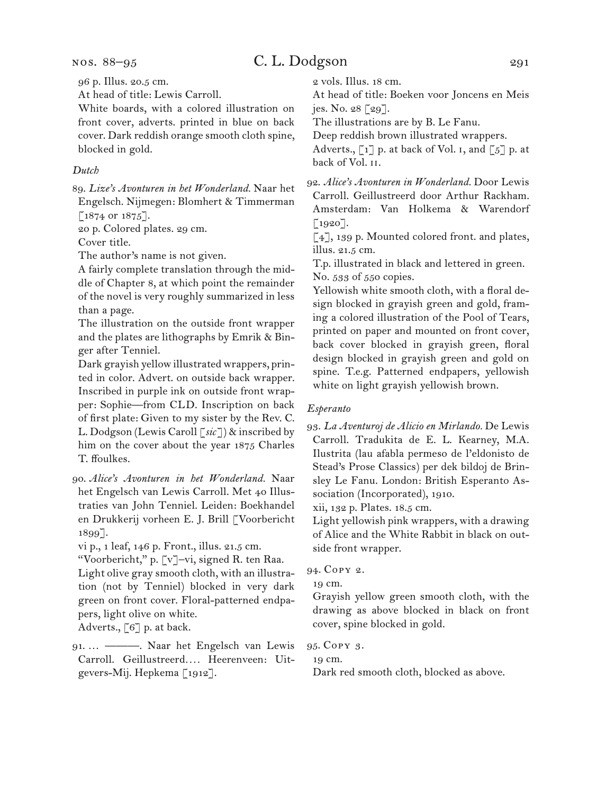96 p. Illus. 20.5 cm.

At head of title: Lewis Carroll.

White boards, with a colored illustration on front cover, adverts. printed in blue on back cover. Dark reddish orange smooth cloth spine, blocked in gold.

#### *Dutch*

89. *Lize's Avonturen in het Wonderland.* Naar het Engelsch. Nijmegen: Blomhert & Timmerman [1874 or 1875].

20 p. Colored plates. 29 cm.

Cover title.

The author's name is not given.

A fairly complete translation through the middle of Chapter 8, at which point the remainder of the novel is very roughly summarized in less than a page.

The illustration on the outside front wrapper and the plates are lithographs by Emrik & Binger after Tenniel.

Dark grayish yellow illustrated wrappers, printed in color. Advert. on outside back wrapper. Inscribed in purple ink on outside front wrapper: Sophie—from CLD. Inscription on back of first plate: Given to my sister by the Rev. C. L. Dodgson (Lewis Caroll [*sic*]) & inscribed by him on the cover about the year 1875 Charles T. ffoulkes.

90. *Alice's Avonturen in het Wonderland.* Naar het Engelsch van Lewis Carroll. Met 40 Illustraties van John Tenniel. Leiden: Boekhandel en Drukkerij vorheen E. J. Brill [Voorbericht 1899].

vi p., 1 leaf, 146 p. Front., illus. 21.5 cm.

"Voorbericht," p. [v]–vi, signed R. ten Raa. Light olive gray smooth cloth, with an illustration (not by Tenniel) blocked in very dark green on front cover. Floral-patterned endpapers, light olive on white. Adverts., [6] p. at back.

91. … ———. Naar het Engelsch van Lewis Carroll. Geillustreerd*. . . .* Heerenveen: Uitgevers-Mij. Hepkema [1912].

2 vols. Illus. 18 cm.

At head of title: Boeken voor Joncens en Meis jes. No. 28 [29].

The illustrations are by B. Le Fanu.

Deep reddish brown illustrated wrappers.

Adverts.,  $\lceil 1 \rceil$  p. at back of Vol. 1, and  $\lceil 5 \rceil$  p. at back of Vol. ii.

92. *Alice's Avonturen in Wonderland.* Door Lewis Carroll. Geillustreerd door Arthur Rackham. Amsterdam: Van Holkema & Warendorf  $[1920]$ .

[4], 139 p. Mounted colored front. and plates, illus. 21.5 cm.

T.p. illustrated in black and lettered in green. No. 533 of 550 copies.

Yellowish white smooth cloth, with a floral design blocked in grayish green and gold, framing a colored illustration of the Pool of Tears, printed on paper and mounted on front cover, back cover blocked in grayish green, floral design blocked in grayish green and gold on spine. T.e.g. Patterned endpapers, yellowish white on light grayish yellowish brown.

#### *Esperanto*

93. *La Aventuroj de Alicio en Mirlando.* De Lewis Carroll. Tradukita de E. L. Kearney, M.A. Ilustrita (lau afabla permeso de l'eldonisto de Stead's Prose Classics) per dek bildoj de Brinsley Le Fanu. London: British Esperanto Association (Incorporated), 1910.

xii, 132 p. Plates. 18.5 cm.

Light yellowish pink wrappers, with a drawing of Alice and the White Rabbit in black on outside front wrapper.

94. Copy 2.

19 cm.

Grayish yellow green smooth cloth, with the drawing as above blocked in black on front cover, spine blocked in gold.

95. Copy 3.

19 cm.

Dark red smooth cloth, blocked as above.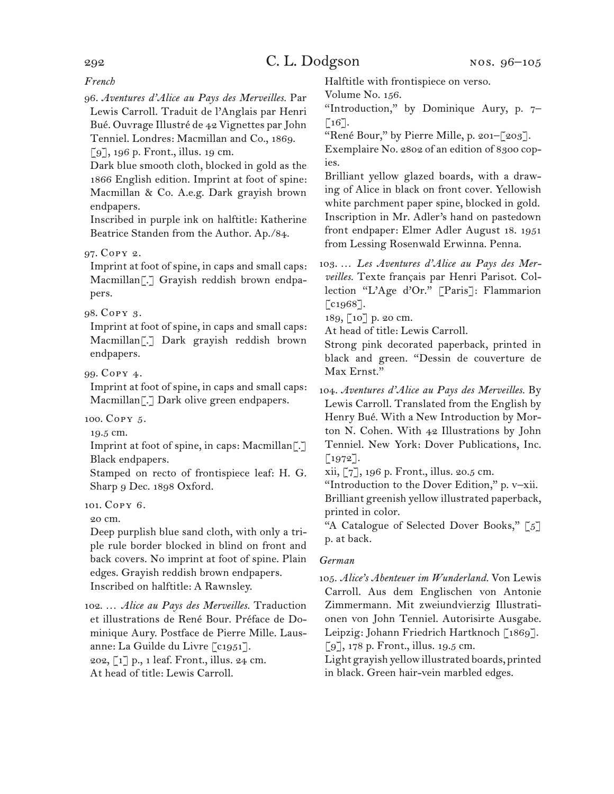*French*

96. *Aventures d'Alice au Pays des Merveilles.* Par Lewis Carroll. Traduit de l'Anglais par Henri Bué. Ouvrage Illustré de 42 Vignettes par John Tenniel. Londres: Macmillan and Co., 1869.

[9], 196 p. Front., illus. 19 cm.

Dark blue smooth cloth, blocked in gold as the 1866 English edition. Imprint at foot of spine: Macmillan & Co. A.e.g. Dark grayish brown endpapers.

Inscribed in purple ink on halftitle: Katherine Beatrice Standen from the Author. Ap./84.

97. Copy 2.

Imprint at foot of spine, in caps and small caps: Macmillan[.] Grayish reddish brown endpapers.

#### 98. Copy 3.

Imprint at foot of spine, in caps and small caps: Macmillan[.] Dark grayish reddish brown endpapers.

99. Copy 4.

Imprint at foot of spine, in caps and small caps: Macmillan<sup>[.]</sup> Dark olive green endpapers.

100. Copy 5.

19.5 cm.

Imprint at foot of spine, in caps: Macmillan[.] Black endpapers.

Stamped on recto of frontispiece leaf: H. G. Sharp 9 Dec. 1898 Oxford.

101. Copy 6.

20 cm.

Deep purplish blue sand cloth, with only a triple rule border blocked in blind on front and back covers. No imprint at foot of spine. Plain edges. Grayish reddish brown endpapers. Inscribed on halftitle: A Rawnsley.

102. … *Alice au Pays des Merveilles.* Traduction et illustrations de René Bour. Préface de Dominique Aury. Postface de Pierre Mille. Lausanne: La Guilde du Livre [c1951]. 202, [1] p., 1 leaf. Front., illus. 24 cm. At head of title: Lewis Carroll.

Halftitle with frontispiece on verso.

Volume No. 156.

"Introduction," by Dominique Aury, p. 7–  $\lceil 16 \rceil$ .

"René Bour," by Pierre Mille, p. 201–[203].

Exemplaire No. 2802 of an edition of 8300 copies.

Brilliant yellow glazed boards, with a drawing of Alice in black on front cover. Yellowish white parchment paper spine, blocked in gold. Inscription in Mr. Adler's hand on pastedown front endpaper: Elmer Adler August 18. 1951 from Lessing Rosenwald Erwinna. Penna.

103. … *Les Aventures d'Alice au Pays des Merveilles.* Texte français par Henri Parisot. Collection "L'Age d'Or." [Paris]: Flammarion [c<sub>1968</sub>].

189, [10] p. 20 cm.

At head of title: Lewis Carroll.

Strong pink decorated paperback, printed in black and green. "Dessin de couverture de Max Ernst."

104. *Aventures d'Alice au Pays des Merveilles.* By Lewis Carroll. Translated from the English by Henry Bué. With a New Introduction by Morton N. Cohen. With 42 Illustrations by John Tenniel. New York: Dover Publications, Inc.  $\lceil 1972 \rceil$ .

xii, [7], 196 p. Front., illus. 20.5 cm.

"Introduction to the Dover Edition," p. v–xii. Brilliant greenish yellow illustrated paperback, printed in color.

"A Catalogue of Selected Dover Books," [5] p. at back.

#### *German*

105. *Alice's Abenteuer im Wunderland.* Von Lewis Carroll. Aus dem Englischen von Antonie Zimmermann. Mit zweiundvierzig Illustrationen von John Tenniel. Autorisirte Ausgabe. Leipzig: Johann Friedrich Hartknoch [1869]. [9], 178 p. Front., illus. 19.5 cm.

Light grayish yellow illustrated boards, printed in black. Green hair-vein marbled edges.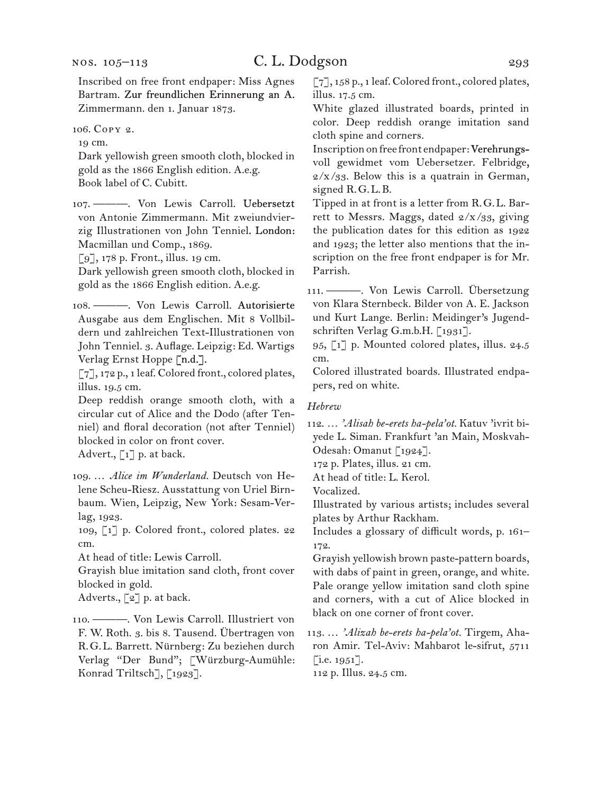Inscribed on free front endpaper: Miss Agnes Bartram. Zur freundlichen Erinnerung an A. Zimmermann. den 1. Januar 1873.

#### 106. Copy 2.

19 cm.

Dark yellowish green smooth cloth, blocked in gold as the 1866 English edition. A.e.g. Book label of C. Cubitt.

107. ———. Von Lewis Carroll. Uebersetzt von Antonie Zimmermann. Mit zweiundvierzig Illustrationen von John Tenniel. London: Macmillan und Comp., 1869.

[9], 178 p. Front., illus. 19 cm.

Dark yellowish green smooth cloth, blocked in gold as the 1866 English edition. A.e.g.

108. ———. Von Lewis Carroll. Autorisierte Ausgabe aus dem Englischen. Mit 8 Vollbildern und zahlreichen Text-Illustrationen von John Tenniel. 3. Auflage. Leipzig: Ed. Wartigs Verlag Ernst Hoppe [n.d.].

[7], 172 p., 1 leaf. Colored front., colored plates, illus. 19.5 cm.

Deep reddish orange smooth cloth, with a circular cut of Alice and the Dodo (after Tenniel) and floral decoration (not after Tenniel) blocked in color on front cover.

Advert.,  $\lceil 1 \rceil$  p. at back.

109. … *Alice im Wunderland.* Deutsch von Helene Scheu-Riesz. Ausstattung von Uriel Birnbaum. Wien, Leipzig, New York: Sesam-Verlag, 1923.

109, [1] p. Colored front., colored plates. 22 cm.

At head of title: Lewis Carroll.

Grayish blue imitation sand cloth, front cover blocked in gold.

Adverts., [2] p. at back.

110. ———. Von Lewis Carroll. Illustriert von F. W. Roth. 3. bis 8. Tausend. Übertragen von R.G.L. Barrett. Nürnberg: Zu beziehen durch Verlag "Der Bund"; [Würzburg-Aumühle: Konrad Triltsch<sup>7</sup>, [1923].

[7], 158 p., 1 leaf. Colored front., colored plates, illus. 17.5 cm.

White glazed illustrated boards, printed in color. Deep reddish orange imitation sand cloth spine and corners.

Inscription on free front endpaper: Verehrungsvoll gewidmet vom Uebersetzer. Felbridge,  $2/x/33$ . Below this is a quatrain in German, signed R.G.L.B.

Tipped in at front is a letter from R.G.L. Barrett to Messrs. Maggs, dated  $2/x/g_3$ , giving the publication dates for this edition as 1922 and 1923; the letter also mentions that the inscription on the free front endpaper is for Mr. Parrish.

111. ———. Von Lewis Carroll. Übersetzung von Klara Sternbeck. Bilder von A. E. Jackson und Kurt Lange. Berlin: Meidinger's Jugendschriften Verlag G.m.b.H. [1931].

95, [1] p. Mounted colored plates, illus. 24.5 cm.

Colored illustrated boards. Illustrated endpapers, red on white.

#### *Hebrew*

112. … *'Alisah be-erets ha-pela'ot.* Katuv 'ivrit biyede L. Siman. Frankfurt 'an Main, Moskvah-Odesah: Omanut [1924].

172 p. Plates, illus. 21 cm.

At head of title: L. Kerol.

Vocalized.

Illustrated by various artists; includes several plates by Arthur Rackham.

Includes a glossary of difficult words, p. 161– 172.

Grayish yellowish brown paste-pattern boards, with dabs of paint in green, orange, and white. Pale orange yellow imitation sand cloth spine and corners, with a cut of Alice blocked in black on one corner of front cover.

113. … *'Alizah be-erets ha-pela'ot.* Tirgem, Aharon Amir. Tel-Aviv: Mahbarot le-sifrut, 5711  $[i.e. 1951].$ 

112 p. Illus. 24.5 cm.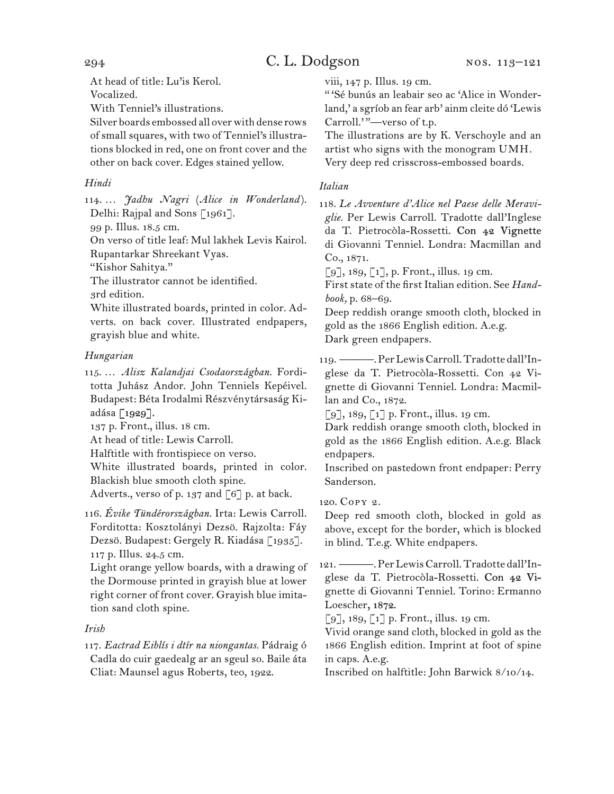At head of title: Lu'is Kerol.

Vocalized.

With Tenniel's illustrations.

Silver boards embossed all over with dense rows of small squares, with two of Tenniel's illustrations blocked in red, one on front cover and the other on back cover. Edges stained yellow.

### *Hindi*

114. … *Jadhu Nagri* (*Alice in Wonderland* ). Delhi: Rajpal and Sons [1961].

99 p. Illus. 18.5 cm.

On verso of title leaf: Mul lakhek Levis Kairol. Rupantarkar Shreekant Vyas.

"Kishor Sahitya."

The illustrator cannot be identified.

3rd edition.

White illustrated boards, printed in color. Adverts. on back cover. Illustrated endpapers, grayish blue and white.

### *Hungarian*

115. … *Alisz Kalandjai Csodaországban.* Forditotta Juhász Andor. John Tenniels Kepéivel. Budapest: Béta Irodalmi Részvénytársaság Kiadása [1929].

137 p. Front., illus. 18 cm.

At head of title: Lewis Carroll.

Halftitle with frontispiece on verso.

White illustrated boards, printed in color. Blackish blue smooth cloth spine.

Adverts., verso of p. 137 and [6] p. at back.

116. *Évike Tündérországban.* Irta: Lewis Carroll. Forditotta: Kosztolányi Dezsö. Rajzolta: Fáy Dezsö. Budapest: Gergely R. Kiadása [1935]. 117 p. Illus. 24.5 cm.

Light orange yellow boards, with a drawing of the Dormouse printed in grayish blue at lower right corner of front cover. Grayish blue imitation sand cloth spine.

### *Irish*

117. *Eactrad Eiblís i dtír na niongantas.* Pádraig ó Cadla do cuir gaedealg ar an sgeul so. Baile áta Cliat: Maunsel agus Roberts, teo, 1922.

viii, 147 p. Illus. 19 cm.

" 'Sé bunús an leabair seo ac 'Alice in Wonderland,' a sgríob an fear arb' ainm cleite dó 'Lewis Carroll.'"-verso of t.p.

The illustrations are by K. Verschoyle and an artist who signs with the monogram UMH. Very deep red crisscross-embossed boards.

### *Italian*

118. *Le Avventure d'Alice nel Paese delle Meraviglie.* Per Lewis Carroll. Tradotte dall'Inglese da T. Pietrocòla-Rossetti. Con 42 Vignette di Giovanni Tenniel. Londra: Macmillan and Co., 1871.

 $[9]$ , 189,  $[1]$ , p. Front., illus. 19 cm.

First state of the first Italian edition. See *Handbook,* p. 68–69.

Deep reddish orange smooth cloth, blocked in gold as the 1866 English edition. A.e.g. Dark green endpapers.

119. ———. Per Lewis Carroll. Tradotte dall'Inglese da T. Pietrocòla-Rossetti. Con 42 Vignette di Giovanni Tenniel. Londra: Macmillan and Co., 1872.

 $\lceil 9 \rceil$ , 189,  $\lceil 1 \rceil$  p. Front., illus. 19 cm.

Dark reddish orange smooth cloth, blocked in gold as the 1866 English edition. A.e.g. Black endpapers.

Inscribed on pastedown front endpaper: Perry Sanderson.

120. Copy 2.

Deep red smooth cloth, blocked in gold as above, except for the border, which is blocked in blind. T.e.g. White endpapers.

121. ———. Per Lewis Carroll. Tradotte dall'Inglese da T. Pietrocòla-Rossetti. Con 42 Vignette di Giovanni Tenniel. Torino: Ermanno Loescher, 1872.

[9], 189, [1] p. Front., illus. 19 cm.

Vivid orange sand cloth, blocked in gold as the 1866 English edition. Imprint at foot of spine in caps. A.e.g.

Inscribed on halftitle: John Barwick 8/10/14.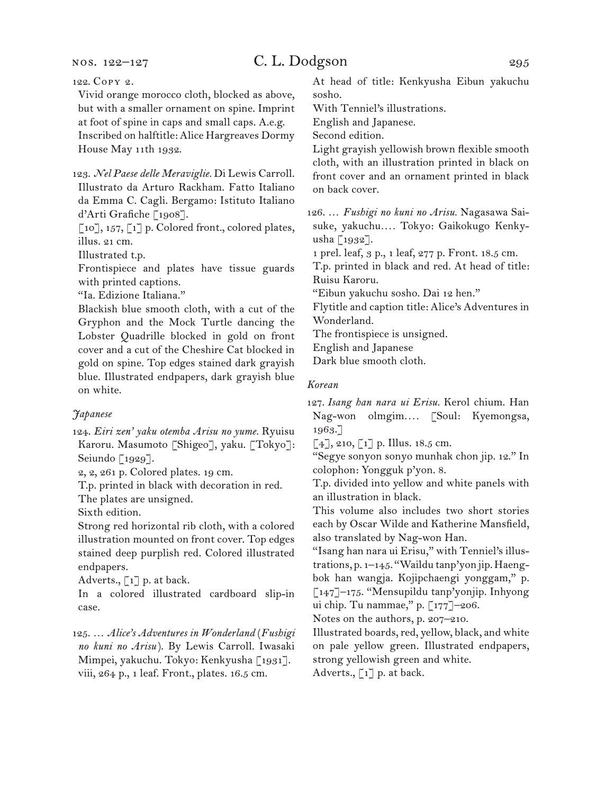nos. 122–127

122. Copy 2.

Vivid orange morocco cloth, blocked as above, but with a smaller ornament on spine. Imprint at foot of spine in caps and small caps. A.e.g. Inscribed on halftitle: Alice Hargreaves Dormy House May 11th 1932.

123. *Nel Paese delle Meraviglie.* Di Lewis Carroll. Illustrato da Arturo Rackham. Fatto Italiano da Emma C. Cagli. Bergamo: Istituto Italiano d'Arti Grafiche [1908].

[10], 157, [1] p. Colored front., colored plates, illus. 21 cm.

Illustrated t.p.

Frontispiece and plates have tissue guards with printed captions.

"Ia. Edizione Italiana."

Blackish blue smooth cloth, with a cut of the Gryphon and the Mock Turtle dancing the Lobster Quadrille blocked in gold on front cover and a cut of the Cheshire Cat blocked in gold on spine. Top edges stained dark grayish blue. Illustrated endpapers, dark grayish blue on white.

#### *Japanese*

124. *Eiri zen' yaku otemba Arisu no yume.* Ryuisu Karoru. Masumoto [Shigeo], yaku. [Tokyo]: Seiundo [1929].

2, 2, 261 p. Colored plates. 19 cm.

T.p. printed in black with decoration in red.

The plates are unsigned.

Sixth edition.

Strong red horizontal rib cloth, with a colored illustration mounted on front cover. Top edges stained deep purplish red. Colored illustrated endpapers.

Adverts., [1] p. at back.

In a colored illustrated cardboard slip-in case.

125. … *Alice's Adventures in Wonderland* (*Fushigi no kuni no Arisu* ). By Lewis Carroll. Iwasaki Mimpei, yakuchu. Tokyo: Kenkyusha [1931]. viii, 264 p., 1 leaf. Front., plates. 16.5 cm.

At head of title: Kenkyusha Eibun yakuchu sosho.

With Tenniel's illustrations.

English and Japanese.

Second edition.

Light grayish yellowish brown flexible smooth cloth, with an illustration printed in black on front cover and an ornament printed in black on back cover.

126. … *Fushigi no kuni no Arisu.* Nagasawa Saisuke, yakuchu*. . . .* Tokyo: Gaikokugo Kenkyusha [1932].

1 prel. leaf, 3 p., 1 leaf, 277 p. Front. 18.5 cm.

T.p. printed in black and red. At head of title: Ruisu Karoru.

"Eibun yakuchu sosho. Dai 12 hen."

Flytitle and caption title: Alice's Adventures in Wonderland.

The frontispiece is unsigned.

English and Japanese

Dark blue smooth cloth.

#### *Korean*

127. *Isang han nara ui Erisu.* Kerol chium. Han Nag-won olmgim*. . . .* [Soul: Kyemongsa, 1963.]

 $[4]$ , 210,  $[1]$  p. Illus. 18.5 cm.

"Segye sonyon sonyo munhak chon jip. 12." In colophon: Yongguk p'yon. 8.

T.p. divided into yellow and white panels with an illustration in black.

This volume also includes two short stories each by Oscar Wilde and Katherine Mansfield, also translated by Nag-won Han.

"Isang han nara ui Erisu," with Tenniel's illustrations, p. 1–145. "Waildu tanp'yon jip. Haengbok han wangja. Kojipchaengi yonggam," p. [147]–175. "Mensupildu tanp'yonjip. Inhyong ui chip. Tu nammae," p. [177]–206.

Notes on the authors, p. 207–210.

Illustrated boards, red, yellow, black, and white on pale yellow green. Illustrated endpapers, strong yellowish green and white. Adverts., [1] p. at back.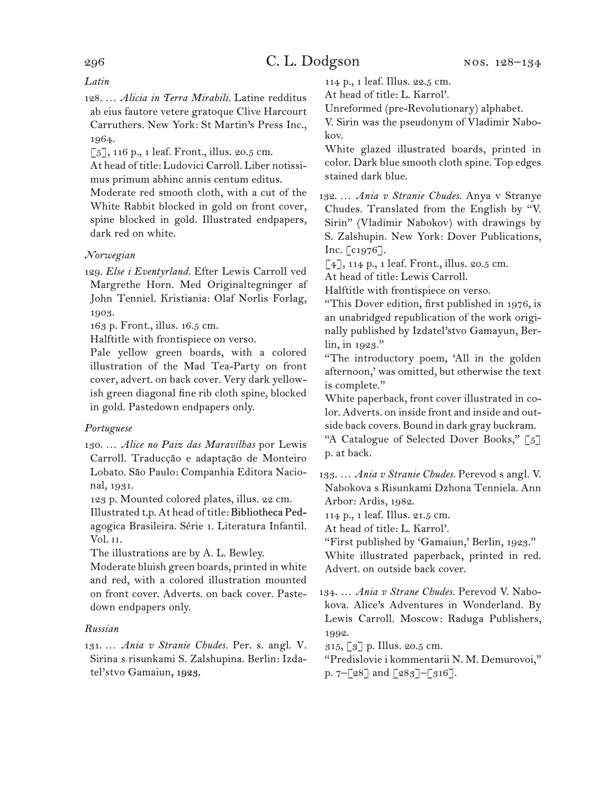#### *Latin*

128. … *Alicia in Terra Mirabili.* Latine redditus ab eius fautore vetere gratoque Clive Harcourt Carruthers. New York: St Martin's Press Inc., 1964.

[5], 116 p., 1 leaf. Front., illus. 20.5 cm.

At head of title: Ludovici Carroll. Liber notissimus primum abhinc annis centum editus.

Moderate red smooth cloth, with a cut of the White Rabbit blocked in gold on front cover, spine blocked in gold. Illustrated endpapers, dark red on white.

#### *Norwegian*

129. *Else i Eventyrland.* Efter Lewis Carroll ved Margrethe Horn. Med Originaltegninger af John Tenniel. Kristiania: Olaf Norlis Forlag, 1903.

163 p. Front., illus. 16.5 cm.

Halftitle with frontispiece on verso.

Pale yellow green boards, with a colored illustration of the Mad Tea-Party on front cover, advert. on back cover. Very dark yellowish green diagonal fine rib cloth spine, blocked in gold. Pastedown endpapers only.

#### *Portuguese*

130. … *Alice no Paiz das Maravilhas* por Lewis Carroll. Traducção e adaptação de Monteiro Lobato. São Paulo: Companhia Editora Nacional, 1931.

123 p. Mounted colored plates, illus. 22 cm. Illustrated t.p. At head of title: Bibliotheca Pedagogica Brasileira. Série 1. Literatura Infantil. Vol. ii.

The illustrations are by A. L. Bewley.

Moderate bluish green boards, printed in white and red, with a colored illustration mounted on front cover. Adverts. on back cover. Pastedown endpapers only.

#### *Russian*

131. … *Ania v Stranie Chudes.* Per. s. angl. V. Sirina s risunkami S. Zalshupina. Berlin: Izdatel'stvo Gamaiun, 1923.

114 p., 1 leaf. Illus. 22.5 cm.

At head of title: L. Karrol'.

Unreformed (pre-Revolutionary) alphabet.

V. Sirin was the pseudonym of Vladimir Nabokov.

White glazed illustrated boards, printed in color. Dark blue smooth cloth spine. Top edges stained dark blue.

132. … *Ania v Stranie Chudes.* Anya v Stranye Chudes. Translated from the English by "V. Sirin" (Vladimir Nabokov) with drawings by S. Zalshupin. New York: Dover Publications, Inc. [c1976].

 $[4]$ , 114 p., 1 leaf. Front., illus. 20.5 cm.

At head of title: Lewis Carroll.

Halftitle with frontispiece on verso.

"This Dover edition, first published in 1976, is an unabridged republication of the work originally published by Izdatel'stvo Gamayun, Berlin, in 1923."

"The introductory poem, 'All in the golden afternoon,' was omitted, but otherwise the text is complete."

White paperback, front cover illustrated in color. Adverts. on inside front and inside and outside back covers. Bound in dark gray buckram.

"A Catalogue of Selected Dover Books," [5] p. at back.

133. … *Ania v Stranie Chudes.* Perevod s angl. V. Nabokova s Risunkami Dzhona Tenniela. Ann Arbor: Ardis, 1982.

114 p., 1 leaf. Illus. 21.5 cm.

At head of title: L. Karrol'.

"First published by 'Gamaiun,' Berlin, 1923." White illustrated paperback, printed in red. Advert. on outside back cover.

134. … *Ania v Strane Chudes.* Perevod V. Nabokova. Alice's Adventures in Wonderland. By Lewis Carroll. Moscow: Raduga Publishers, 1992.

315, [3] p. Illus. 20.5 cm.

"Predislovie i kommentarii N. M. Demurovoi," p. 7–[28] and [283]–[316].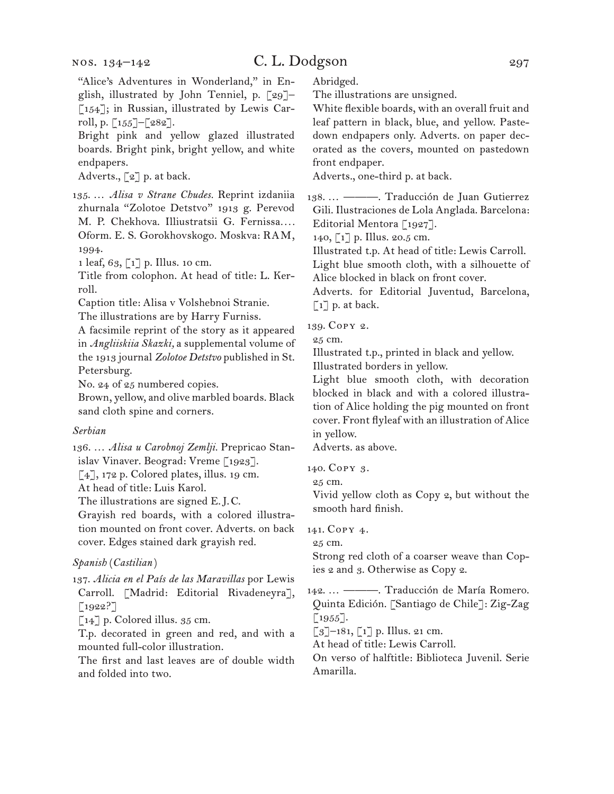## C. L. Dodgson 297

"Alice's Adventures in Wonderland," in English, illustrated by John Tenniel, p. [29]– [154]; in Russian, illustrated by Lewis Carroll, p.  $\lceil 155 \rceil - \lceil 282 \rceil$ .

Bright pink and yellow glazed illustrated boards. Bright pink, bright yellow, and white endpapers.

Adverts., [2] p. at back.

135. … *Alisa v Strane Chudes.* Reprint izdaniia zhurnala "Zolotoe Detstvo" 1913 g. Perevod M. P. Chekhova. Illiustratsii G. Fernissa*. . . .* Oform. E. S. Gorokhovskogo. Moskva: RAM, 1994.

1 leaf, 63, [1] p. Illus. 10 cm.

Title from colophon. At head of title: L. Kerroll.

Caption title: Alisa v Volshebnoi Stranie.

The illustrations are by Harry Furniss.

A facsimile reprint of the story as it appeared in *Angliiskiia Skazki,* a supplemental volume of the 1913 journal *Zolotoe Detstvo* published in St. Petersburg.

No. 24 of 25 numbered copies.

Brown, yellow, and olive marbled boards. Black sand cloth spine and corners.

#### *Serbian*

136. … *Alisa u Carobnoj Zemlji.* Prepricao Stanislav Vinaver. Beograd: Vreme [1923].

 $\lceil 4 \rceil$ , 172 p. Colored plates, illus. 19 cm.

At head of title: Luis Karol.

The illustrations are signed E.J.C.

Grayish red boards, with a colored illustration mounted on front cover. Adverts. on back cover. Edges stained dark grayish red.

### *Spanish* (*Castilian* )

137. *Alicia en el País de las Maravillas* por Lewis Carroll. [Madrid: Editorial Rivadeneyra],  $[1922?]$ 

 $\lceil 14 \rceil$  p. Colored illus. 35 cm.

T.p. decorated in green and red, and with a mounted full-color illustration.

The first and last leaves are of double width and folded into two.

Abridged.

The illustrations are unsigned.

White flexible boards, with an overall fruit and leaf pattern in black, blue, and yellow. Pastedown endpapers only. Adverts. on paper decorated as the covers, mounted on pastedown front endpaper.

Adverts., one-third p. at back.

138. … ———. Traducción de Juan Gutierrez Gili. Ilustraciones de Lola Anglada. Barcelona: Editorial Mentora [1927].

140, [1] p. Illus. 20.5 cm.

Illustrated t.p. At head of title: Lewis Carroll.

Light blue smooth cloth, with a silhouette of Alice blocked in black on front cover.

Adverts. for Editorial Juventud, Barcelona,

 $\lceil 1 \rceil$  p. at back.

139. Copy 2.

25 cm.

Illustrated t.p., printed in black and yellow.

Illustrated borders in yellow.

Light blue smooth cloth, with decoration blocked in black and with a colored illustration of Alice holding the pig mounted on front cover. Front flyleaf with an illustration of Alice in yellow.

Adverts. as above.

140. Copy 3.

25 cm.

Vivid yellow cloth as Copy 2, but without the smooth hard finish.

141. Copy 4.

25 cm.

Strong red cloth of a coarser weave than Copies 2 and 3. Otherwise as Copy 2.

142. … ———. Traducción de María Romero. Quinta Edición. [Santiago de Chile]: Zig-Zag  $\lbrack 1955\rbrack.$ 

 $\lceil 3 \rceil$ –181,  $\lceil 1 \rceil$  p. Illus. 21 cm.

At head of title: Lewis Carroll.

On verso of halftitle: Biblioteca Juvenil. Serie Amarilla.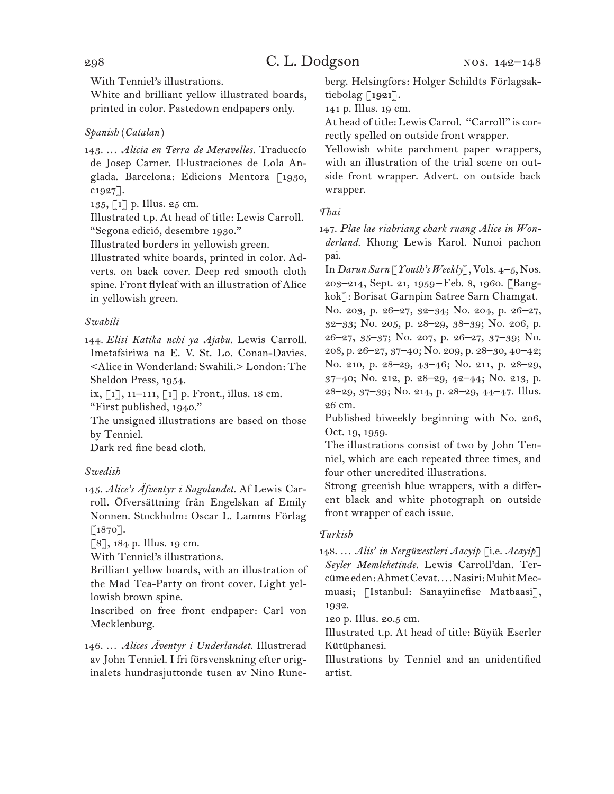With Tenniel's illustrations.

White and brilliant yellow illustrated boards, printed in color. Pastedown endpapers only.

#### *Spanish* (*Catalan* )

143. … *Alicia en Terra de Meravelles.* Traduccío de Josep Carner. Il. lustraciones de Lola Anglada. Barcelona: Edicions Mentora [1930,  $c1927$ ].

135, [1] p. Illus. 25 cm.

Illustrated t.p. At head of title: Lewis Carroll. "Segona edició, desembre 1930."

Illustrated borders in yellowish green.

Illustrated white boards, printed in color. Adverts. on back cover. Deep red smooth cloth spine. Front flyleaf with an illustration of Alice in yellowish green.

#### *Swahili*

144. *Elisi Katika nchi ya Ajabu.* Lewis Carroll. Imetafsiriwa na E. V. St. Lo. Conan-Davies. <Alice in Wonderland: Swahili.> London: The Sheldon Press, 1954.

ix, [1], 11–111, [1] p. Front., illus. 18 cm.

"First published, 1940."

The unsigned illustrations are based on those by Tenniel.

Dark red fine bead cloth.

#### *Swedish*

145. *Alice's Äfventyr i Sagolandet.* Af Lewis Carroll. Öfversättning från Engelskan af Emily Nonnen. Stockholm: Oscar L. Lamms Förlag  $[1870]$ .

 $[8]$ , 184 p. Illus. 19 cm.

With Tenniel's illustrations.

Brilliant yellow boards, with an illustration of the Mad Tea-Party on front cover. Light yellowish brown spine.

Inscribed on free front endpaper: Carl von Mecklenburg.

146. … *Alices Äventyr i Underlandet.* Illustrerad av John Tenniel. I fri försvenskning efter originalets hundrasjuttonde tusen av Nino Runeberg. Helsingfors: Holger Schildts Förlagsaktiebolag [1921].

141 p. Illus. 19 cm.

At head of title: Lewis Carrol. "Carroll" is correctly spelled on outside front wrapper.

Yellowish white parchment paper wrappers, with an illustration of the trial scene on outside front wrapper. Advert. on outside back wrapper.

#### *Thai*

147. *Plae lae riabriang chark ruang Alice in Wonderland.* Khong Lewis Karol. Nunoi pachon pai.

In *Darun Sarn* [*Youth's Weekly*], Vols. 4–5, Nos. 203–214, Sept. 21, 1959–Feb. 8, 1960. [Bangkok]: Borisat Garnpim Satree Sarn Chamgat. No. 203, p. 26–27, 32–34; No. 204, p. 26–27, 32–33; No. 205, p. 28–29, 38–39; No. 206, p. 26–27, 35–37; No. 207, p. 26–27, 37–39; No. 208, p. 26–27, 37–40; No. 209, p. 28–30, 40–42; No. 210, p. 28–29, 43–46; No. 211, p. 28–29, 37–40; No. 212, p. 28–29, 42–44; No. 213, p. 28–29, 37–39; No. 214, p. 28–29, 44–47. Illus. 26 cm.

Published biweekly beginning with No. 206, Oct. 19, 1959.

The illustrations consist of two by John Tenniel, which are each repeated three times, and four other uncredited illustrations.

Strong greenish blue wrappers, with a different black and white photograph on outside front wrapper of each issue.

#### *Turkish*

148. … *Alis' in Sergüzestleri Aacyip* [i.e. *Acayip*] *Seyler Memleketinde.* Lewis Carroll'dan. Tercüme eden: Ahmet Cevat*. . . .* Nasiri: Muhit Mecmuasi; [Istanbul: Sanayiinefise Matbaasi], 1932.

120 p. Illus. 20.5 cm.

Illustrated t.p. At head of title: Büyük Eserler Kütüphanesi.

Illustrations by Tenniel and an unidentified artist.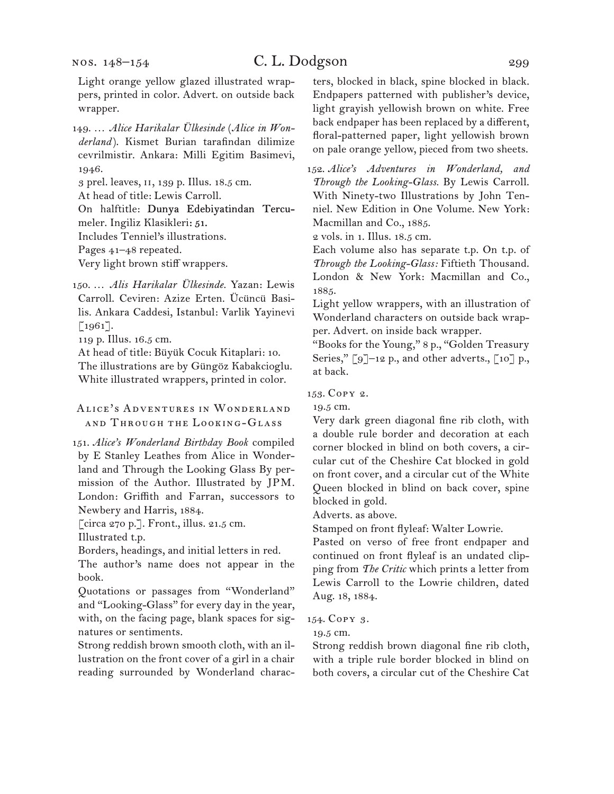### C. L. Dodgson 299

Light orange yellow glazed illustrated wrappers, printed in color. Advert. on outside back wrapper.

149. … *Alice Harikalar Ülkesinde* (*Alice in Wonderland* ). Kismet Burian tarafindan dilimize cevrilmistir. Ankara: Milli Egitim Basimevi, 1946.

3 prel. leaves, ii, 139 p. Illus. 18.5 cm.

At head of title: Lewis Carroll.

On halftitle: Dunya Edebiyatindan Tercumeler. Ingiliz Klasikleri: 51.

Includes Tenniel's illustrations.

Pages 41–48 repeated.

Very light brown stiff wrappers.

150. … *Alis Harikalar Ülkesinde.* Yazan: Lewis Carroll. Ceviren: Azize Erten. Ücüncü Basilis. Ankara Caddesi, Istanbul: Varlik Yayinevi [1961].

119 p. Illus. 16.5 cm.

At head of title: Büyük Cocuk Kitaplari: 10. The illustrations are by Güngöz Kabakcioglu. White illustrated wrappers, printed in color.

Alice's Adventures in Wonderland and Through the Looking-Glass

151. *Alice's Wonderland Birthday Book* compiled by E Stanley Leathes from Alice in Wonderland and Through the Looking Glass By permission of the Author. Illustrated by JPM. London: Griffith and Farran, successors to Newbery and Harris, 1884.

[circa 270 p.]. Front., illus. 21.5 cm.

Illustrated t.p.

Borders, headings, and initial letters in red.

The author's name does not appear in the book.

Quotations or passages from "Wonderland" and "Looking-Glass" for every day in the year, with, on the facing page, blank spaces for signatures or sentiments.

Strong reddish brown smooth cloth, with an illustration on the front cover of a girl in a chair reading surrounded by Wonderland characters, blocked in black, spine blocked in black. Endpapers patterned with publisher's device, light grayish yellowish brown on white. Free back endpaper has been replaced by a different, floral-patterned paper, light yellowish brown on pale orange yellow, pieced from two sheets.

152. *Alice's Adventures in Wonderland, and Through the Looking-Glass.* By Lewis Carroll. With Ninety-two Illustrations by John Tenniel. New Edition in One Volume. New York: Macmillan and Co., 1885.

2 vols. in 1. Illus. 18.5 cm.

Each volume also has separate t.p. On t.p. of *Through the Looking-Glass:* Fiftieth Thousand. London & New York: Macmillan and Co., 1885.

Light yellow wrappers, with an illustration of Wonderland characters on outside back wrapper. Advert. on inside back wrapper.

"Books for the Young," 8 p., "Golden Treasury Series," [9]-12 p., and other adverts., [10] p., at back.

153. Copy 2.

19.5 cm.

Very dark green diagonal fine rib cloth, with a double rule border and decoration at each corner blocked in blind on both covers, a circular cut of the Cheshire Cat blocked in gold on front cover, and a circular cut of the White Queen blocked in blind on back cover, spine blocked in gold.

Adverts. as above.

Stamped on front flyleaf: Walter Lowrie.

Pasted on verso of free front endpaper and continued on front flyleaf is an undated clipping from *The Critic* which prints a letter from Lewis Carroll to the Lowrie children, dated Aug. 18, 1884.

#### 154. Copy 3.

19.5 cm.

Strong reddish brown diagonal fine rib cloth, with a triple rule border blocked in blind on both covers, a circular cut of the Cheshire Cat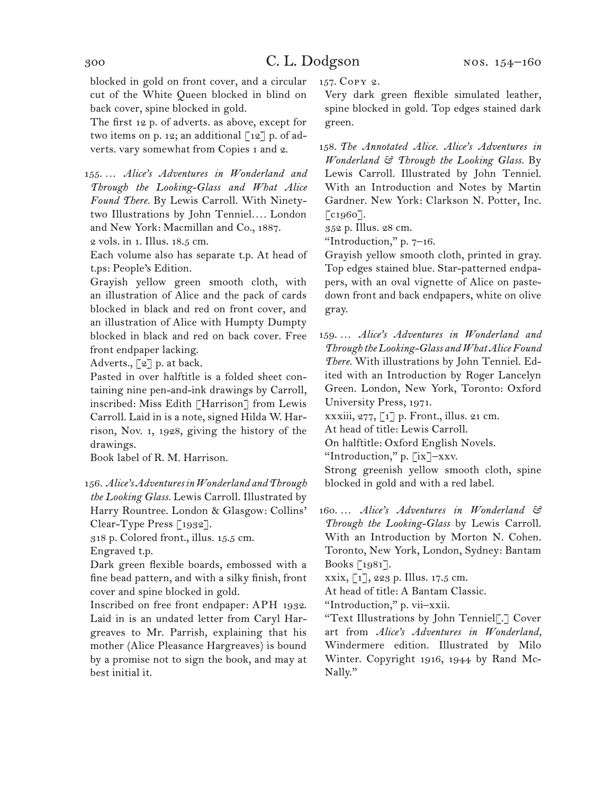blocked in gold on front cover, and a circular cut of the White Queen blocked in blind on back cover, spine blocked in gold.

The first 12 p. of adverts. as above, except for two items on p. 12; an additional  $\lceil 12 \rceil$  p. of adverts. vary somewhat from Copies 1 and 2.

155. … *Alice's Adventures in Wonderland and Through the Looking-Glass and What Alice Found There.* By Lewis Carroll. With Ninetytwo Illustrations by John Tenniel*. . . .* London and New York: Macmillan and Co., 1887. 2 vols. in 1. Illus. 18.5 cm.

Each volume also has separate t.p. At head of t.ps: People's Edition.

Grayish yellow green smooth cloth, with an illustration of Alice and the pack of cards blocked in black and red on front cover, and an illustration of Alice with Humpty Dumpty blocked in black and red on back cover. Free front endpaper lacking.

Adverts., [2] p. at back.

Pasted in over halftitle is a folded sheet containing nine pen-and-ink drawings by Carroll, inscribed: Miss Edith [Harrison] from Lewis Carroll. Laid in is a note, signed Hilda W. Harrison, Nov. 1, 1928, giving the history of the drawings.

Book label of R. M. Harrison.

156. *Alice's Adventures in Wonderland and Through the Looking Glass.* Lewis Carroll. Illustrated by Harry Rountree. London & Glasgow: Collins' Clear-Type Press [1932].

318 p. Colored front., illus. 15.5 cm.

Engraved t.p.

Dark green flexible boards, embossed with a fine bead pattern, and with a silky finish, front cover and spine blocked in gold.

Inscribed on free front endpaper: APH 1932. Laid in is an undated letter from Caryl Hargreaves to Mr. Parrish, explaining that his mother (Alice Pleasance Hargreaves) is bound by a promise not to sign the book, and may at best initial it.

157. Copy 2.

Very dark green flexible simulated leather, spine blocked in gold. Top edges stained dark green.

158. *The Annotated Alice. Alice's Adventures in Wonderland & Through the Looking Glass.* By Lewis Carroll. Illustrated by John Tenniel. With an Introduction and Notes by Martin Gardner. New York: Clarkson N. Potter, Inc. [c<sub>1960</sub>].

352 p. Illus. 28 cm.

"Introduction,"  $p. 7-16$ .

Grayish yellow smooth cloth, printed in gray. Top edges stained blue. Star-patterned endpapers, with an oval vignette of Alice on pastedown front and back endpapers, white on olive gray.

159. … *Alice's Adventures in Wonderland and Through the Looking-Glass and What Alice Found There.* With illustrations by John Tenniel. Edited with an Introduction by Roger Lancelyn Green. London, New York, Toronto: Oxford University Press, 1971.

xxxiii, 277, [1] p. Front., illus. 21 cm.

At head of title: Lewis Carroll.

On halftitle: Oxford English Novels.

"Introduction," p. [ix]–xxv.

Strong greenish yellow smooth cloth, spine blocked in gold and with a red label.

160. … *Alice's Adventures in Wonderland & Through the Looking-Glass* by Lewis Carroll. With an Introduction by Morton N. Cohen. Toronto, New York, London, Sydney: Bantam Books [1981].

xxix, [1], 223 p. Illus. 17.5 cm.

At head of title: A Bantam Classic.

"Introduction," p. vii–xxii.

"Text Illustrations by John Tenniel[.] Cover art from *Alice's Adventures in Wonderland,*  Windermere edition. Illustrated by Milo Winter. Copyright 1916, 1944 by Rand Mc-Nally."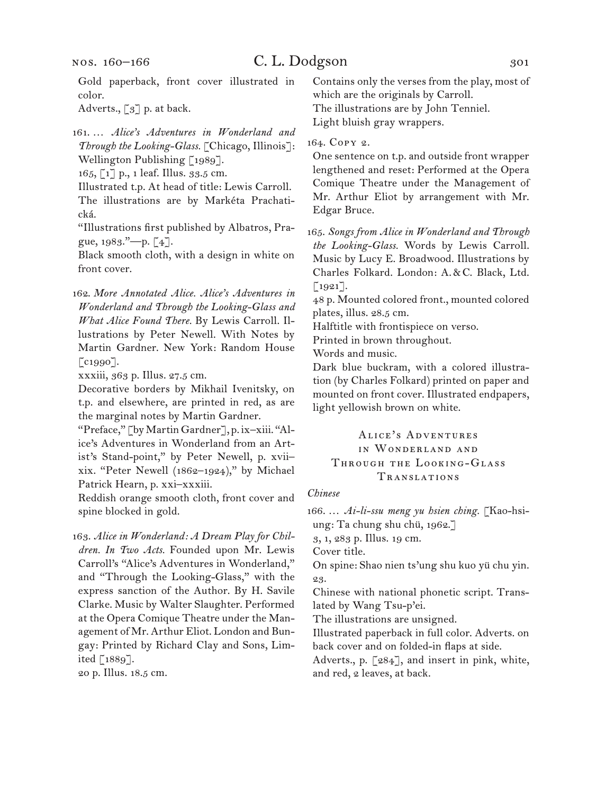nos. 160–166

### C. L. Dodgson 301

Gold paperback, front cover illustrated in color.

Adverts., [3] p. at back.

161. … *Alice's Adventures in Wonderland and Through the Looking-Glass.* [Chicago, Illinois]: Wellington Publishing [1989].

165, [1] p., 1 leaf. Illus. 33.5 cm.

Illustrated t.p. At head of title: Lewis Carroll.

The illustrations are by Markéta Prachatická.

"Illustrations first published by Albatros, Prague, 1983."—p. [4].

Black smooth cloth, with a design in white on front cover.

162. *More Annotated Alice. Alice's Adventures in Wonderland and Through the Looking-Glass and What Alice Found There.* By Lewis Carroll. Illustrations by Peter Newell. With Notes by Martin Gardner. New York: Random House  $\lceil$ c1990].

xxxiii, 363 p. Illus. 27.5 cm.

Decorative borders by Mikhail Ivenitsky, on t.p. and elsewhere, are printed in red, as are the marginal notes by Martin Gardner.

"Preface," [by Martin Gardner], p. ix–xiii. "Alice's Adventures in Wonderland from an Artist's Stand-point," by Peter Newell, p. xvii– xix. "Peter Newell (1862–1924)," by Michael Patrick Hearn, p. xxi–xxxiii.

Reddish orange smooth cloth, front cover and spine blocked in gold.

163. *Alice in Wonderland: A Dream Play for Children. In Two Acts.* Founded upon Mr. Lewis Carroll's "Alice's Adventures in Wonderland," and "Through the Looking-Glass," with the express sanction of the Author. By H. Savile Clarke. Music by Walter Slaughter. Performed at the Opera Comique Theatre under the Management of Mr. Arthur Eliot. London and Bungay: Printed by Richard Clay and Sons, Limited [1889].

20 p. Illus. 18.5 cm.

Contains only the verses from the play, most of which are the originals by Carroll. The illustrations are by John Tenniel. Light bluish gray wrappers.

164. Copy 2.

One sentence on t.p. and outside front wrapper lengthened and reset: Performed at the Opera Comique Theatre under the Management of Mr. Arthur Eliot by arrangement with Mr. Edgar Bruce.

165. *Songs from Alice in Wonderland and Through the Looking-Glass.* Words by Lewis Carroll. Music by Lucy E. Broadwood. Illustrations by Charles Folkard. London: A.&C. Black, Ltd. [1921].

48 p. Mounted colored front., mounted colored plates, illus. 28.5 cm.

Halftitle with frontispiece on verso.

Printed in brown throughout.

Words and music.

Dark blue buckram, with a colored illustration (by Charles Folkard) printed on paper and mounted on front cover. Illustrated endpapers, light yellowish brown on white.

### Alice's Adventures in Wonderland and Through the Looking-Glass Translations

#### *Chinese*

166. … *Ai-li-ssu meng yu hsien ching.* [Kao-hsiung: Ta chung shu chü, 1962.]

3, 1, 283 p. Illus. 19 cm.

Cover title.

On spine: Shao nien ts'ung shu kuo yü chu yin. 23.

Chinese with national phonetic script. Translated by Wang Tsu-p'ei.

The illustrations are unsigned.

Illustrated paperback in full color. Adverts. on back cover and on folded-in flaps at side.

Adverts., p. [284], and insert in pink, white, and red, 2 leaves, at back.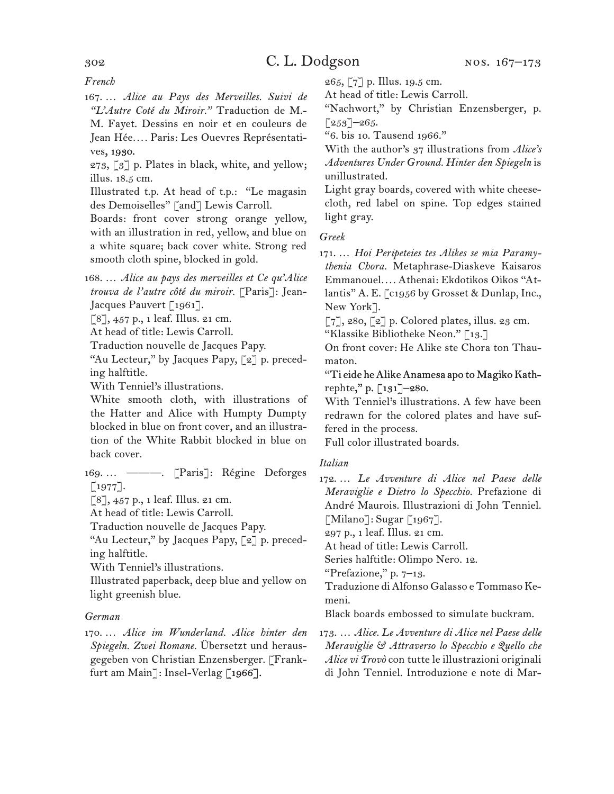*French*

167. … *Alice au Pays des Merveilles. Suivi de "L'Autre Coté du Miroir."* Traduction de M.- M. Fayet. Dessins en noir et en couleurs de Jean Hée*. . . .* Paris: Les Ouevres Représentati-

ves, 1930.

273, [3] p. Plates in black, white, and yellow; illus. 18.5 cm.

Illustrated t.p. At head of t.p.: "Le magasin des Demoiselles" [and] Lewis Carroll.

Boards: front cover strong orange yellow, with an illustration in red, yellow, and blue on a white square; back cover white. Strong red smooth cloth spine, blocked in gold.

168. … *Alice au pays des merveilles et Ce qu'Alice trouva de l'autre côté du miroir.* [Paris]: Jean-Jacques Pauvert [1961].

[8], 457 p., 1 leaf. Illus. 21 cm.

At head of title: Lewis Carroll.

Traduction nouvelle de Jacques Papy.

"Au Lecteur," by Jacques Papy, [2] p. preceding halftitle.

With Tenniel's illustrations.

White smooth cloth, with illustrations of the Hatter and Alice with Humpty Dumpty blocked in blue on front cover, and an illustration of the White Rabbit blocked in blue on back cover.

169. … ———. [Paris]: Régine Deforges  $[1977]$ .

[8], 457 p., 1 leaf. Illus. 21 cm.

At head of title: Lewis Carroll.

Traduction nouvelle de Jacques Papy.

"Au Lecteur," by Jacques Papy, [2] p. preceding halftitle.

With Tenniel's illustrations.

Illustrated paperback, deep blue and yellow on light greenish blue.

#### *German*

170. … *Alice im Wunderland. Alice hinter den Spiegeln. Zwei Romane.* Übersetzt und herausgegeben von Christian Enzensberger. [Frankfurt am Main]: Insel-Verlag [1966].

265, [7] p. Illus. 19.5 cm. At head of title: Lewis Carroll.

"Nachwort," by Christian Enzensberger, p.  $[253]$ –265.

"6. bis 10. Tausend 1966."

With the author's 37 illustrations from *Alice's Adventures Under Ground. Hinter den Spiegeln* is unillustrated.

Light gray boards, covered with white cheesecloth, red label on spine. Top edges stained light gray.

*Greek*

171. … *Hoi Peripeteies tes Alikes se mia Paramythenia Chora.* Metaphrase-Diaskeve Kaisaros Emmanouel*. . . .* Athenai: Ekdotikos Oikos "Atlantis" A. E. [c1956 by Grosset & Dunlap, Inc., New York].

 $\lceil 7 \rceil$ , 280,  $\lceil 2 \rceil$  p. Colored plates, illus. 23 cm.

"Klassike Bibliotheke Neon." [13.]

On front cover: He Alike ste Chora ton Thaumaton.

"Ti eide he Alike Anamesa apo to Magiko Kathrephte," p. [131]–280.

With Tenniel's illustrations. A few have been redrawn for the colored plates and have suffered in the process.

Full color illustrated boards.

#### *Italian*

172. … *Le Avventure di Alice nel Paese delle Meraviglie e Dietro lo Specchio.* Prefazione di André Maurois. Illustrazioni di John Tenniel. [Milano]: Sugar [1967].

297 p., 1 leaf. Illus. 21 cm. At head of title: Lewis Carroll.

Series halftitle: Olimpo Nero. 12.

"Prefazione," p. 7–13.

Traduzione di Alfonso Galasso e Tommaso Kemeni.

Black boards embossed to simulate buckram.

173. … *Alice. Le Avventure di Alice nel Paese delle Meraviglie & Attraverso lo Specchio e Quello che Alice vi Trovò* con tutte le illustrazioni originali di John Tenniel. Introduzione e note di Mar-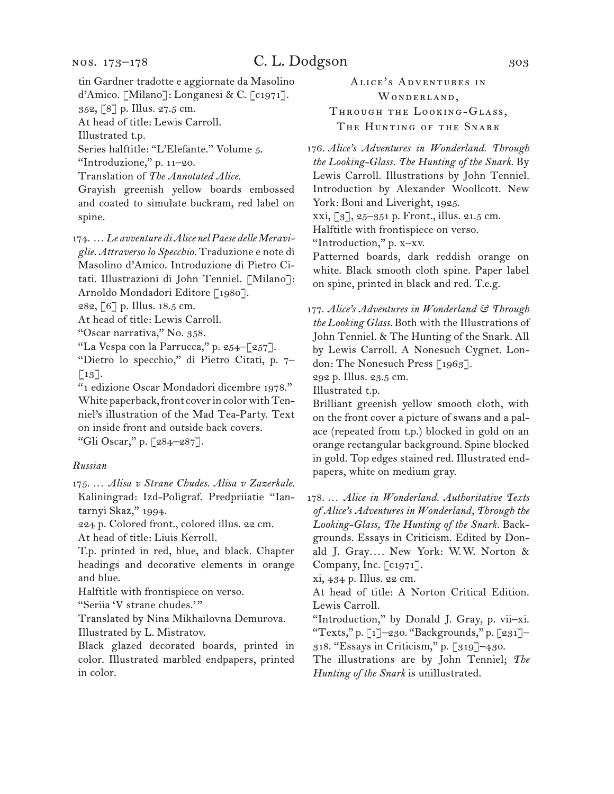tin Gardner tradotte e aggiornate da Masolino d'Amico. [Milano]: Longanesi & C. [c1971]. 352, [8] p. Illus. 27.5 cm.

At head of title: Lewis Carroll.

Illustrated t.p.

Series halftitle: "L'Elefante." Volume 5.

"Introduzione," p. 11–20.

Translation of *The Annotated Alice.*

Grayish greenish yellow boards embossed and coated to simulate buckram, red label on spine.

174. … *Le avventure di Alice nel Paese delle Meraviglie. Attraverso lo Specchio.* Traduzione e note di Masolino d'Amico. Introduzione di Pietro Citati. Illustrazioni di John Tenniel. [Milano]: Arnoldo Mondadori Editore [1980].

282, [6] p. Illus. 18.5 cm.

At head of title: Lewis Carroll.

"Oscar narrativa," No. 358.

"La Vespa con la Parrucca," p. 254–[257].

"Dietro lo specchio," di Pietro Citati, p. 7–  $\lceil 13 \rceil$ .

"1 edizione Oscar Mondadori dicembre 1978." White paperback, front cover in color with Tenniel's illustration of the Mad Tea-Party. Text on inside front and outside back covers.

"Gli Oscar," p. [284–287].

#### *Russian*

175. … *Alisa v Strane Chudes. Alisa v Zazerkale.*  Kaliningrad: Izd-Poligraf. Predpriiatie "Iantarnyi Skaz," 1994.

224 p. Colored front., colored illus. 22 cm.

At head of title: Liuis Kerroll.

T.p. printed in red, blue, and black. Chapter headings and decorative elements in orange and blue.

Halftitle with frontispiece on verso.

"Seriia 'V strane chudes.'"

Translated by Nina Mikhailovna Demurova. Illustrated by L. Mistratov.

Black glazed decorated boards, printed in color. Illustrated marbled endpapers, printed in color.

Alice's Adventures in WONDERLAND, Through the Looking-Glass, THE HUNTING OF THE SNARK

176. *Alice's Adventures in Wonderland. Through the Looking-Glass. The Hunting of the Snark.* By Lewis Carroll. Illustrations by John Tenniel. Introduction by Alexander Woollcott. New York: Boni and Liveright, 1925. xxi, [3], 25–351 p. Front., illus. 21.5 cm. Halftitle with frontispiece on verso. "Introduction," p. x–xv. Patterned boards, dark reddish orange on white. Black smooth cloth spine. Paper label on spine, printed in black and red. T.e.g.

177. *Alice's Adventures in Wonderland & Through the Looking Glass.* Both with the Illustrations of John Tenniel. & The Hunting of the Snark. All by Lewis Carroll. A Nonesuch Cygnet. London: The Nonesuch Press [1963].

292 p. Illus. 23.5 cm.

Illustrated t.p.

Brilliant greenish yellow smooth cloth, with on the front cover a picture of swans and a palace (repeated from t.p.) blocked in gold on an orange rectangular background. Spine blocked in gold. Top edges stained red. Illustrated endpapers, white on medium gray.

178. … *Alice in Wonderland. Authoritative Texts of Alice's Adventures in Wonderland, Through the Looking-Glass, The Hunting of the Snark.* Backgrounds. Essays in Criticism. Edited by Donald J. Gray*. . . .* New York: W.W. Norton & Company, Inc. [c1971].

xi, 434 p. Illus. 22 cm.

At head of title: A Norton Critical Edition. Lewis Carroll.

"Introduction," by Donald J. Gray, p. vii–xi. "Texts," p. [1]–230. "Backgrounds," p. [231]– 318. "Essays in Criticism," p. [319]–430.

The illustrations are by John Tenniel; *The Hunting of the Snark* is unillustrated.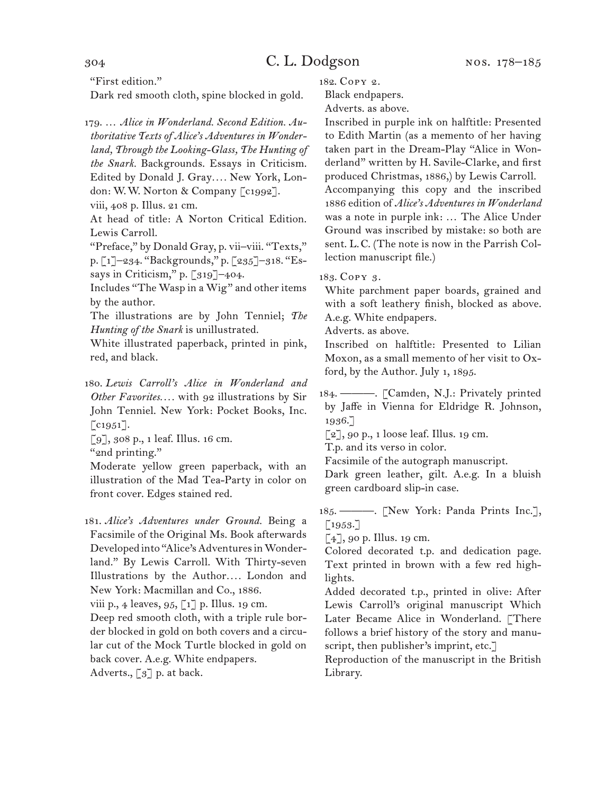### 304 C. L. Dodgson

"First edition."

Dark red smooth cloth, spine blocked in gold.

179. … *Alice in Wonderland. Second Edition. Authoritative Texts of Alice's Adventures in Wonderland, Through the Looking-Glass, The Hunting of the Snark.* Backgrounds. Essays in Criticism. Edited by Donald J. Gray*. . . .* New York, London: W.W. Norton & Company [c1992].

viii, 408 p. Illus. 21 cm.

At head of title: A Norton Critical Edition. Lewis Carroll.

"Preface," by Donald Gray, p. vii–viii. "Texts," p. [1]–234. "Backgrounds," p. [235]–318. "Essays in Criticism," p. [319]-404.

Includes "The Wasp in a Wig" and other items by the author.

The illustrations are by John Tenniel; *The Hunting of the Snark* is unillustrated.

White illustrated paperback, printed in pink, red, and black.

180. *Lewis Carroll's Alice in Wonderland and Other Favorites. . . .* with 92 illustrations by Sir John Tenniel. New York: Pocket Books, Inc. [c<sub>1951</sub>].

[9], 308 p., 1 leaf. Illus. 16 cm.

"2nd printing."

Moderate yellow green paperback, with an illustration of the Mad Tea-Party in color on front cover. Edges stained red.

181. *Alice's Adventures under Ground.* Being a Facsimile of the Original Ms. Book afterwards Developed into "Alice's Adventures in Wonderland." By Lewis Carroll. With Thirty-seven Illustrations by the Author*. . . .* London and New York: Macmillan and Co., 1886.

viii p., 4 leaves, 95, [1] p. Illus. 19 cm.

Deep red smooth cloth, with a triple rule border blocked in gold on both covers and a circular cut of the Mock Turtle blocked in gold on back cover. A.e.g. White endpapers.

Adverts.,  $\lceil 3 \rceil$  p. at back.

182. Copy 2.

Black endpapers.

Adverts. as above.

Inscribed in purple ink on halftitle: Presented to Edith Martin (as a memento of her having taken part in the Dream-Play "Alice in Wonderland" written by H. Savile-Clarke, and first produced Christmas, 1886,) by Lewis Carroll. Accompanying this copy and the inscribed 1886 edition of *Alice's Adventures in Wonderland*  was a note in purple ink: … The Alice Under Ground was inscribed by mistake: so both are sent. L.C. (The note is now in the Parrish Collection manuscript file.)

183. Copy 3.

White parchment paper boards, grained and with a soft leathery finish, blocked as above. A.e.g. White endpapers.

Adverts. as above.

Inscribed on halftitle: Presented to Lilian Moxon, as a small memento of her visit to Oxford, by the Author. July 1, 1895.

184. ———. [Camden, N.J.: Privately printed by Jaffe in Vienna for Eldridge R. Johnson, 1936.]

[2], 90 p., 1 loose leaf. Illus. 19 cm.

T.p. and its verso in color.

Facsimile of the autograph manuscript.

Dark green leather, gilt. A.e.g. In a bluish green cardboard slip-in case.

185. ———. [New York: Panda Prints Inc.], [1953.]

 $[4]$ , 90 p. Illus. 19 cm.

Colored decorated t.p. and dedication page. Text printed in brown with a few red highlights.

Added decorated t.p., printed in olive: After Lewis Carroll's original manuscript Which Later Became Alice in Wonderland. [There follows a brief history of the story and manuscript, then publisher's imprint, etc.]

Reproduction of the manuscript in the British Library.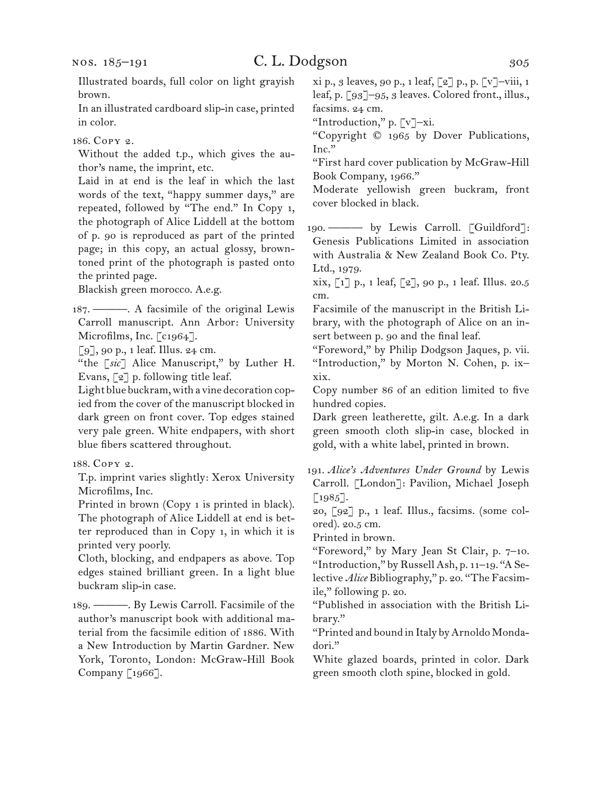### C. L. Dodgson 305

In an illustrated cardboard slip-in case, printed in color.

186. Copy 2.

Without the added t.p., which gives the author's name, the imprint, etc.

Laid in at end is the leaf in which the last words of the text, "happy summer days," are repeated, followed by "The end." In Copy 1, the photograph of Alice Liddell at the bottom of p. 90 is reproduced as part of the printed page; in this copy, an actual glossy, browntoned print of the photograph is pasted onto the printed page.

Blackish green morocco. A.e.g.

187. ———. A facsimile of the original Lewis Carroll manuscript. Ann Arbor: University Microfilms, Inc. [c1964].

[9], 90 p., 1 leaf. Illus. 24 cm.

"the [*sic*] Alice Manuscript," by Luther H. Evans, [2] p. following title leaf.

Light blue buckram, with a vine decoration copied from the cover of the manuscript blocked in dark green on front cover. Top edges stained very pale green. White endpapers, with short blue fibers scattered throughout.

188. Copy 2.

T.p. imprint varies slightly: Xerox University Microfilms, Inc.

Printed in brown (Copy 1 is printed in black). The photograph of Alice Liddell at end is better reproduced than in Copy 1, in which it is printed very poorly.

Cloth, blocking, and endpapers as above. Top edges stained brilliant green. In a light blue buckram slip-in case.

189. ———. By Lewis Carroll. Facsimile of the author's manuscript book with additional material from the facsimile edition of 1886. With a New Introduction by Martin Gardner. New York, Toronto, London: McGraw-Hill Book Company [1966].

xi p., 3 leaves, 90 p., 1 leaf, [2] p., p. [v]–viii, 1 leaf, p. [93]–95, 3 leaves. Colored front., illus., facsims. 24 cm.

"Introduction," p. [v]–xi.

"Copyright © 1965 by Dover Publications, Inc."

"First hard cover publication by McGraw-Hill Book Company, 1966."

Moderate yellowish green buckram, front cover blocked in black.

190. ——— by Lewis Carroll. [Guildford]: Genesis Publications Limited in association with Australia & New Zealand Book Co. Pty. Ltd., 1979.

xix, [1] p., 1 leaf, [2], 90 p., 1 leaf. Illus. 20.5 cm.

Facsimile of the manuscript in the British Library, with the photograph of Alice on an insert between p. 90 and the final leaf.

"Foreword," by Philip Dodgson Jaques, p. vii. "Introduction," by Morton N. Cohen, p. ix– xix.

Copy number 86 of an edition limited to five hundred copies.

Dark green leatherette, gilt. A.e.g. In a dark green smooth cloth slip-in case, blocked in gold, with a white label, printed in brown.

191. *Alice's Adventures Under Ground* by Lewis Carroll. [London]: Pavilion, Michael Joseph  $[1985]$ .

20, [92] p., 1 leaf. Illus., facsims. (some colored). 20.5 cm.

Printed in brown.

"Foreword," by Mary Jean St Clair, p. 7–10. "Introduction," by Russell Ash, p. 11–19. "A Selective *Alice* Bibliography," p. 20. "The Facsimile," following p. 20.

"Published in association with the British Library."

"Printed and bound in Italy by Arnoldo Mondadori."

White glazed boards, printed in color. Dark green smooth cloth spine, blocked in gold.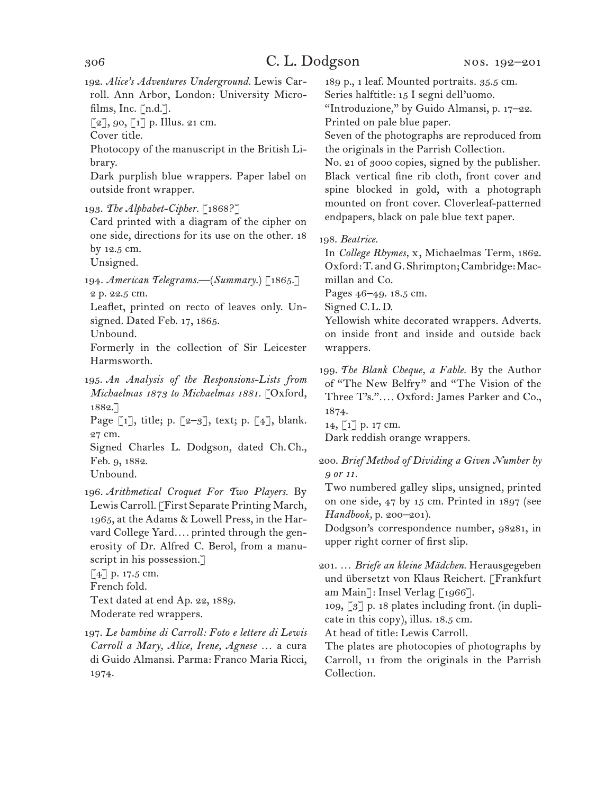192. *Alice's Adventures Underground.* Lewis Carroll. Ann Arbor, London: University Microfilms, Inc.  $[n.d.]$ .

 $[2]$ , 90,  $[1]$  p. Illus. 21 cm.

Cover title.

Photocopy of the manuscript in the British Library.

Dark purplish blue wrappers. Paper label on outside front wrapper.

193. *The Alphabet-Cipher.* [1868?]

Card printed with a diagram of the cipher on one side, directions for its use on the other. 18 by 12.5 cm.

Unsigned.

194. *American Telegrams.—*(*Summary*.) [1865.] 2 p. 22.5 cm.

Leaflet, printed on recto of leaves only. Unsigned. Dated Feb. 17, 1865.

Unbound.

Formerly in the collection of Sir Leicester Harmsworth.

195. *An Analysis of the Responsions-Lists from Michaelmas 1873 to Michaelmas 1881.* [Oxford, 1882.]

Page  $\lceil 1 \rceil$ , title; p.  $\lceil 2-3 \rceil$ , text; p.  $\lceil 4 \rceil$ , blank. 27 cm.

Signed Charles L. Dodgson, dated Ch.Ch., Feb. 9, 1882.

Unbound.

196. *Arithmetical Croquet For Two Players.* By Lewis Carroll. [First Separate Printing March, 1965, at the Adams & Lowell Press, in the Harvard College Yard*. . . .* printed through the generosity of Dr. Alfred C. Berol, from a manuscript in his possession.]

[4] p. 17.5 cm.

French fold.

Text dated at end Ap. 22, 1889.

Moderate red wrappers.

197. *Le bambine di Carroll: Foto e lettere di Lewis Carroll a Mary, Alice, Irene, Agnese* … a cura di Guido Almansi. Parma: Franco Maria Ricci, 1974.

189 p., 1 leaf. Mounted portraits. 35.5 cm. Series halftitle: 15 I segni dell'uomo.

"Introduzione," by Guido Almansi, p. 17–22. Printed on pale blue paper.

Seven of the photographs are reproduced from the originals in the Parrish Collection.

No. 21 of 3000 copies, signed by the publisher. Black vertical fine rib cloth, front cover and spine blocked in gold, with a photograph mounted on front cover. Cloverleaf-patterned endpapers, black on pale blue text paper.

198. *Beatrice.*

In *College Rhymes,* x, Michaelmas Term, 1862. Oxford: T. and G. Shrimpton; Cambridge: Macmillan and Co.

Pages 46–49. 18.5 cm.

Signed C.L.D.

Yellowish white decorated wrappers. Adverts. on inside front and inside and outside back wrappers.

199. *The Blank Cheque, a Fable.* By the Author of "The New Belfry" and "The Vision of the Three T's."*. . . .* Oxford: James Parker and Co., 1874.

14, [1] p. 17 cm.

Dark reddish orange wrappers.

200. *Brief Method of Dividing a Given Number by 9 or 11.*

Two numbered galley slips, unsigned, printed on one side, 47 by 15 cm. Printed in 1897 (see *Handbook,* p. 200–201).

Dodgson's correspondence number, 98281, in upper right corner of first slip.

201. … *Briefe an kleine Mädchen.* Herausgegeben und übersetzt von Klaus Reichert. [Frankfurt am Main]: Insel Verlag [1966].

109,  $\lceil 3 \rceil$  p. 18 plates including front. (in duplicate in this copy), illus. 18.5 cm.

At head of title: Lewis Carroll.

The plates are photocopies of photographs by Carroll, 11 from the originals in the Parrish Collection.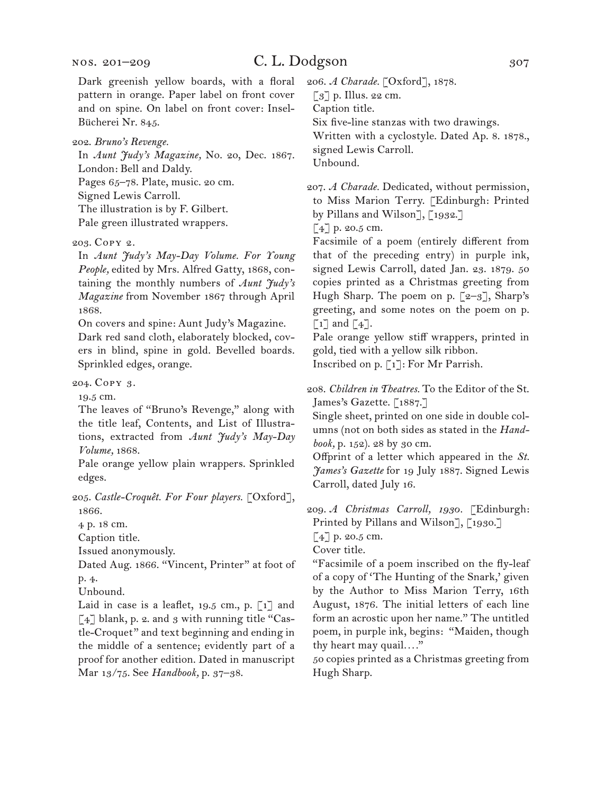Dark greenish yellow boards, with a floral pattern in orange. Paper label on front cover and on spine. On label on front cover: Insel-Bücherei Nr. 845.

202. *Bruno's Revenge.*

In *Aunt Judy's Magazine,* No. 20, Dec. 1867. London: Bell and Daldy. Pages 65–78. Plate, music. 20 cm. Signed Lewis Carroll. The illustration is by F. Gilbert. Pale green illustrated wrappers.

#### 203. Copy 2.

In *Aunt Judy's May-Day Volume. For Young People,* edited by Mrs. Alfred Gatty, 1868, containing the monthly numbers of *Aunt Judy's Magazine* from November 1867 through April 1868.

On covers and spine: Aunt Judy's Magazine.

Dark red sand cloth, elaborately blocked, covers in blind, spine in gold. Bevelled boards. Sprinkled edges, orange.

204. Copy 3.

19.5 cm.

The leaves of "Bruno's Revenge," along with the title leaf, Contents, and List of Illustrations, extracted from *Aunt Judy's May-Day Volume,* 1868.

Pale orange yellow plain wrappers. Sprinkled edges.

205. *Castle-Croquêt. For Four players.* [Oxford], 1866.

4 p. 18 cm.

Caption title.

Issued anonymously.

Dated Aug. 1866. "Vincent, Printer" at foot of p. 4.

Unbound.

Laid in case is a leaflet, 19.5 cm., p.  $\lbrack 1 \rbrack$  and  $\lceil 4 \rceil$  blank, p. 2. and 3 with running title "Castle-Croquet" and text beginning and ending in the middle of a sentence; evidently part of a proof for another edition. Dated in manuscript Mar 13/75. See *Handbook,* p. 37–38.

206. *A Charade.* [Oxford], 1878.

 $\lceil 3 \rceil$  p. Illus. 22 cm.

Caption title.

Six five-line stanzas with two drawings.

Written with a cyclostyle. Dated Ap. 8. 1878., signed Lewis Carroll.

Unbound.

207. *A Charade.* Dedicated, without permission, to Miss Marion Terry. [Edinburgh: Printed by Pillans and Wilson], [1932.]

 $\lbrack 4 \rbrack$  p. 20.5 cm.

Facsimile of a poem (entirely different from that of the preceding entry) in purple ink, signed Lewis Carroll, dated Jan. 23. 1879. 50 copies printed as a Christmas greeting from Hugh Sharp. The poem on p.  $[2-3]$ , Sharp's greeting, and some notes on the poem on p.  $\lceil 1 \rceil$  and  $\lceil 4 \rceil$ .

Pale orange yellow stiff wrappers, printed in gold, tied with a yellow silk ribbon.

Inscribed on p. [1]: For Mr Parrish.

208. *Children in Theatres.* To the Editor of the St. James's Gazette. [1887.]

Single sheet, printed on one side in double columns (not on both sides as stated in the *Handbook,* p. 152). 28 by 30 cm.

Offprint of a letter which appeared in the *St. James's Gazette* for 19 July 1887. Signed Lewis Carroll, dated July 16.

209. *A Christmas Carroll, 1930.* [Edinburgh: Printed by Pillans and Wilson], [1930.] [4] p. 20.5 cm.

Cover title.

"Facsimile of a poem inscribed on the fly-leaf of a copy of 'The Hunting of the Snark,' given by the Author to Miss Marion Terry, 16th August, 1876. The initial letters of each line form an acrostic upon her name." The untitled poem, in purple ink, begins: "Maiden, though thy heart may quail*. . . .*"

50 copies printed as a Christmas greeting from Hugh Sharp.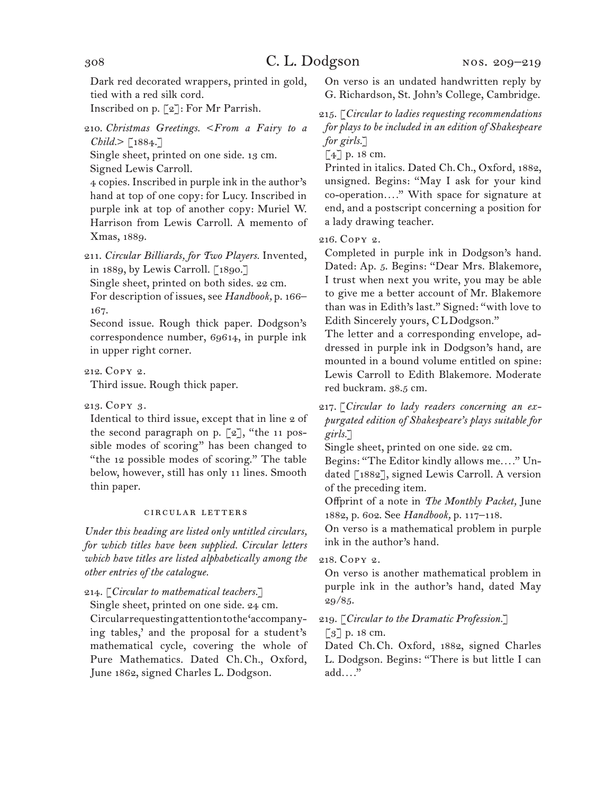Dark red decorated wrappers, printed in gold, tied with a red silk cord.

Inscribed on p. [2]: For Mr Parrish.

210. *Christmas Greetings.* <*From a Fairy to a*   $Child$   $\lceil 1884 \rceil$ 

Single sheet, printed on one side. 13 cm. Signed Lewis Carroll.

4 copies. Inscribed in purple ink in the author's hand at top of one copy: for Lucy. Inscribed in purple ink at top of another copy: Muriel W. Harrison from Lewis Carroll. A memento of

Xmas, 1889.

211. *Circular Billiards, for Two Players.* Invented, in 1889, by Lewis Carroll. [1890.]

Single sheet, printed on both sides. 22 cm.

For description of issues, see *Handbook,* p. 166– 167.

Second issue. Rough thick paper. Dodgson's correspondence number, 69614, in purple ink in upper right corner.

212. Copy 2.

Third issue. Rough thick paper.

213. Copy 3.

Identical to third issue, except that in line 2 of the second paragraph on p.  $[2]$ , "the 11 possible modes of scoring" has been changed to "the 12 possible modes of scoring." The table below, however, still has only 11 lines. Smooth thin paper.

#### circular letters

*Under this heading are listed only untitled circulars, for which titles have been supplied. Circular letters which have titles are listed alphabetically among the other entries of the catalogue.*

214. [*Circular to mathematical teachers.*]

Single sheet, printed on one side. 24 cm.

Circular requesting attention to the 'accompanying tables,' and the proposal for a student's mathematical cycle, covering the whole of Pure Mathematics. Dated Ch.Ch., Oxford, June 1862, signed Charles L. Dodgson.

On verso is an undated handwritten reply by G. Richardson, St. John's College, Cambridge.

215. [*Circular to ladies requesting recommendations for plays to be included in an edition of Shakespeare for girls.*]

[4] p. 18 cm.

Printed in italics. Dated Ch.Ch., Oxford, 1882, unsigned. Begins: "May I ask for your kind co-operation*. . . .*" With space for signature at end, and a postscript concerning a position for a lady drawing teacher.

216. Copy 2.

Completed in purple ink in Dodgson's hand. Dated: Ap. 5. Begins: "Dear Mrs. Blakemore, I trust when next you write, you may be able to give me a better account of Mr. Blakemore than was in Edith's last." Signed: "with love to Edith Sincerely yours, CLDodgson."

The letter and a corresponding envelope, addressed in purple ink in Dodgson's hand, are mounted in a bound volume entitled on spine: Lewis Carroll to Edith Blakemore. Moderate red buckram. 38.5 cm.

217. [*Circular to lady readers concerning an expurgated edition of Shakespeare's plays suitable for girls.*]

Single sheet, printed on one side. 22 cm.

Begins: "The Editor kindly allows me*. . . .*" Undated [1882], signed Lewis Carroll. A version of the preceding item.

Offprint of a note in *The Monthly Packet,* June 1882, p. 602. See *Handbook,* p. 117–118.

On verso is a mathematical problem in purple ink in the author's hand.

218. Copy 2.

On verso is another mathematical problem in purple ink in the author's hand, dated May 29/85.

219. [*Circular to the Dramatic Profession.*]

[3] p. 18 cm.

Dated Ch.Ch. Oxford, 1882, signed Charles L. Dodgson. Begins: "There is but little I can add*. . . .*"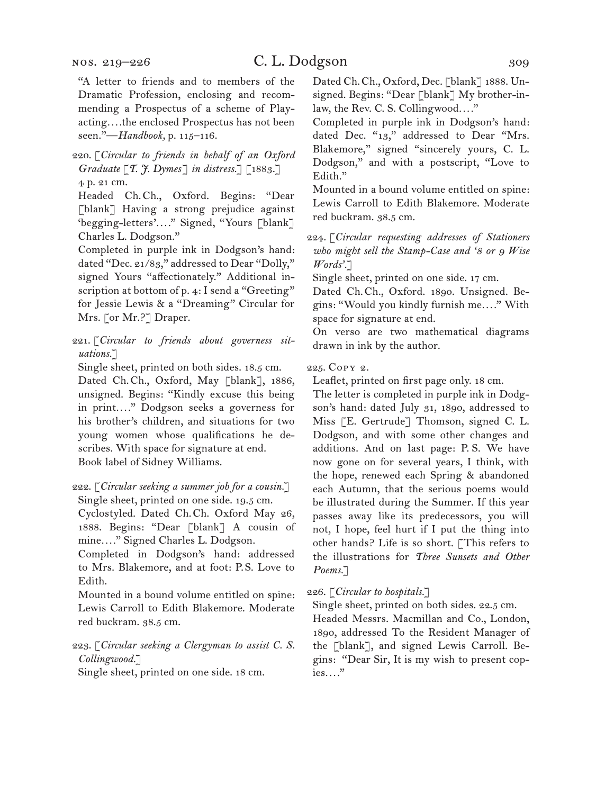"A letter to friends and to members of the Dramatic Profession, enclosing and recommending a Prospectus of a scheme of Playacting*. . . .*the enclosed Prospectus has not been seen."—*Handbook,* p. 115–116.

#### 220. [*Circular to friends in behalf of an Oxford Graduate* [*T. J. Dymes*] *in distress.*] [1883.] 4 p. 21 cm.

Headed Ch.Ch., Oxford. Begins: "Dear [blank] Having a strong prejudice against 'begging-letters'*. . . .*" Signed, "Yours [blank] Charles L. Dodgson."

Completed in purple ink in Dodgson's hand: dated "Dec. 21/83," addressed to Dear "Dolly," signed Yours "affectionately." Additional inscription at bottom of p. 4: I send a "Greeting" for Jessie Lewis & a "Dreaming" Circular for Mrs. [or Mr.?] Draper.

221. [*Circular to friends about governess situations.*]

Single sheet, printed on both sides. 18.5 cm.

Dated Ch.Ch., Oxford, May [blank], 1886, unsigned. Begins: "Kindly excuse this being in print*. . . .*" Dodgson seeks a governess for his brother's children, and situations for two young women whose qualifications he describes. With space for signature at end. Book label of Sidney Williams.

222. [*Circular seeking a summer job for a cousin.*] Single sheet, printed on one side. 19.5 cm.

Cyclostyled. Dated Ch.Ch. Oxford May 26, 1888. Begins: "Dear [blank] A cousin of mine*. . . .*" Signed Charles L. Dodgson.

Completed in Dodgson's hand: addressed to Mrs. Blakemore, and at foot: P.S. Love to Edith.

Mounted in a bound volume entitled on spine: Lewis Carroll to Edith Blakemore. Moderate red buckram. 38.5 cm.

223. [*Circular seeking a Clergyman to assist C. S. Collingwood.*]

Single sheet, printed on one side. 18 cm.

Dated Ch. Ch., Oxford, Dec. [blank] 1888. Unsigned. Begins: "Dear [blank] My brother-inlaw, the Rev. C. S. Collingwood*. . . .*"

Completed in purple ink in Dodgson's hand: dated Dec. "13," addressed to Dear "Mrs. Blakemore," signed "sincerely yours, C. L. Dodgson," and with a postscript, "Love to Edith."

Mounted in a bound volume entitled on spine: Lewis Carroll to Edith Blakemore. Moderate red buckram. 38.5 cm.

224. [*Circular requesting addresses of Stationers who might sell the Stamp-Case and '8 or 9 Wise Words'.*]

Single sheet, printed on one side. 17 cm.

Dated Ch.Ch., Oxford. 1890. Unsigned. Begins: "Would you kindly furnish me*. . . .*" With space for signature at end.

On verso are two mathematical diagrams drawn in ink by the author.

#### 225. Copy 2.

Leaflet, printed on first page only. 18 cm.

The letter is completed in purple ink in Dodgson's hand: dated July 31, 1890, addressed to Miss [E. Gertrude] Thomson, signed C. L. Dodgson, and with some other changes and additions. And on last page: P. S. We have now gone on for several years, I think, with the hope, renewed each Spring & abandoned each Autumn, that the serious poems would be illustrated during the Summer. If this year passes away like its predecessors, you will not, I hope, feel hurt if I put the thing into other hands? Life is so short. [This refers to the illustrations for *Three Sunsets and Other Poems.*]

226. [*Circular to hospitals.*]

Single sheet, printed on both sides. 22.5 cm.

Headed Messrs. Macmillan and Co., London, 1890, addressed To the Resident Manager of the [blank], and signed Lewis Carroll. Begins: "Dear Sir, It is my wish to present copies*. . . .*"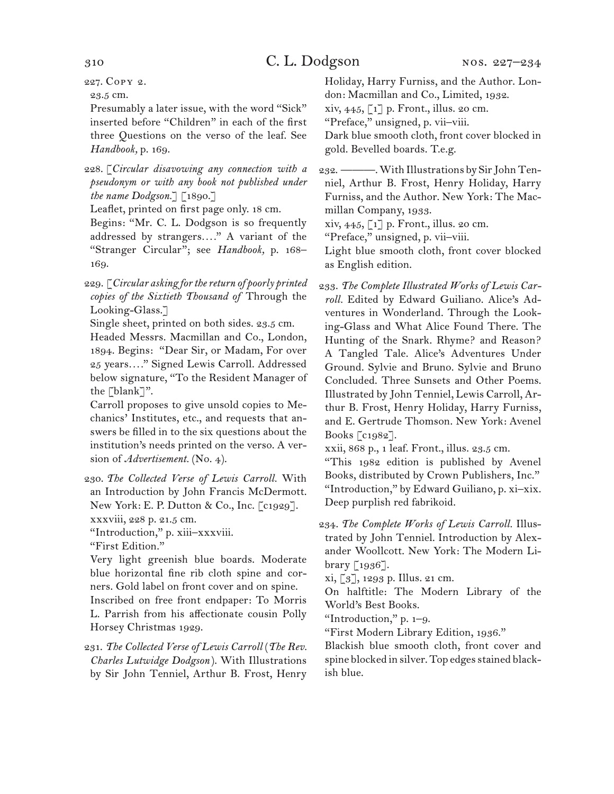227. Copy 2.

23.5 cm.

Presumably a later issue, with the word "Sick" inserted before "Children" in each of the first three Questions on the verso of the leaf. See *Handbook,* p. 169.

228. [*Circular disavowing any connection with a pseudonym or with any book not published under the name Dodgson.*] [1890.]

Leaflet, printed on first page only. 18 cm.

Begins: "Mr. C. L. Dodgson is so frequently addressed by strangers*. . . .*" A variant of the "Stranger Circular"; see *Handbook,* p. 168– 169.

229. [*Circular asking for the return of poorly printed copies of the Sixtieth Thousand of* Through the Looking-Glass.]

Single sheet, printed on both sides. 23.5 cm.

Headed Messrs. Macmillan and Co., London, 1894. Begins: "Dear Sir, or Madam, For over 25 years*. . . .*" Signed Lewis Carroll. Addressed below signature, "To the Resident Manager of the [blank]".

Carroll proposes to give unsold copies to Mechanics' Institutes, etc., and requests that answers be filled in to the six questions about the institution's needs printed on the verso. A version of *Advertisement*. (No. 4).

230. *The Collected Verse of Lewis Carroll.* With an Introduction by John Francis McDermott. New York: E. P. Dutton & Co., Inc. [c1929]. xxxviii, 228 p. 21.5 cm.

"Introduction," p. xiii–xxxviii.

"First Edition."

Very light greenish blue boards. Moderate blue horizontal fine rib cloth spine and corners. Gold label on front cover and on spine.

Inscribed on free front endpaper: To Morris L. Parrish from his affectionate cousin Polly Horsey Christmas 1929.

231. *The Collected Verse of Lewis Carroll* (*The Rev. Charles Lutwidge Dodgson* ). With Illustrations by Sir John Tenniel, Arthur B. Frost, Henry Holiday, Harry Furniss, and the Author. London: Macmillan and Co., Limited, 1932.

xiv, 445, [1] p. Front., illus. 20 cm. "Preface," unsigned, p. vii–viii.

Dark blue smooth cloth, front cover blocked in gold. Bevelled boards. T.e.g.

232. ———. With Illustrations by Sir John Tenniel, Arthur B. Frost, Henry Holiday, Harry Furniss, and the Author. New York: The Macmillan Company, 1933.

xiv, 445, [1] p. Front., illus. 20 cm.

"Preface," unsigned, p. vii–viii.

Light blue smooth cloth, front cover blocked as English edition.

233. *The Complete Illustrated Works of Lewis Carroll.* Edited by Edward Guiliano. Alice's Adventures in Wonderland. Through the Looking-Glass and What Alice Found There. The Hunting of the Snark. Rhyme? and Reason? A Tangled Tale. Alice's Adventures Under Ground. Sylvie and Bruno. Sylvie and Bruno Concluded. Three Sunsets and Other Poems. Illustrated by John Tenniel, Lewis Carroll, Arthur B. Frost, Henry Holiday, Harry Furniss, and E. Gertrude Thomson. New York: Avenel Books [c1982].

xxii, 868 p., 1 leaf. Front., illus. 23.5 cm.

"This 1982 edition is published by Avenel Books, distributed by Crown Publishers, Inc." "Introduction," by Edward Guiliano, p. xi–xix. Deep purplish red fabrikoid.

234. *The Complete Works of Lewis Carroll.* Illustrated by John Tenniel. Introduction by Alexander Woollcott. New York: The Modern Library [1936].

xi, [3], 1293 p. Illus. 21 cm.

On halftitle: The Modern Library of the World's Best Books.

"Introduction," p. 1–9.

"First Modern Library Edition, 1936."

Blackish blue smooth cloth, front cover and spine blocked in silver. Top edges stained blackish blue.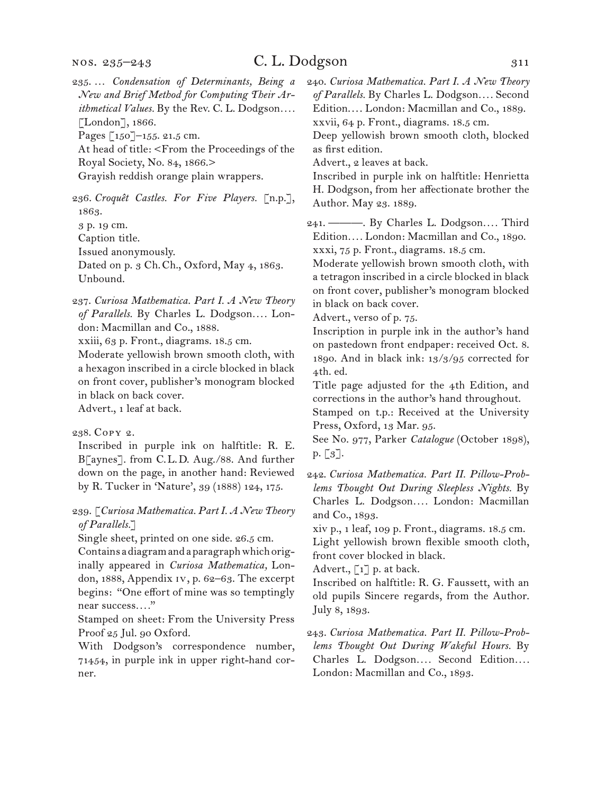235. … *Condensation of Determinants, Being a New and Brief Method for Computing Their Arithmetical Values.* By the Rev. C. L. Dodgson*. . . .* [London], 1866.

Pages [150]–155. 21.5 cm.

At head of title: <From the Proceedings of the Royal Society, No. 84, 1866.>

Grayish reddish orange plain wrappers.

236. *Croquêt Castles. For Five Players.* [n.p.], 1863.

3 p. 19 cm.

Caption title.

Issued anonymously.

Dated on p. 3 Ch.Ch., Oxford, May 4, 1863. Unbound.

237. *Curiosa Mathematica. Part I. A New Theory of Parallels.* By Charles L. Dodgson*. . . .* London: Macmillan and Co., 1888.

xxiii, 63 p. Front., diagrams. 18.5 cm.

Moderate yellowish brown smooth cloth, with a hexagon inscribed in a circle blocked in black on front cover, publisher's monogram blocked in black on back cover. Advert., 1 leaf at back.

238. Copy 2.

Inscribed in purple ink on halftitle: R. E. B[aynes]. from C.L.D. Aug./88. And further down on the page, in another hand: Reviewed by R. Tucker in 'Nature', 39 (1888) 124, 175.

239. [*Curiosa Mathematica. Part I. A New Theory of Parallels.*]

Single sheet, printed on one side. 26.5 cm.

Contains a diagram and a paragraph which originally appeared in *Curiosa Mathematica,* London, 1888, Appendix iv, p. 62–63. The excerpt begins: "One effort of mine was so temptingly near success*. . . .*"

Stamped on sheet: From the University Press Proof 25 Jul. 90 Oxford.

With Dodgson's correspondence number, 71454, in purple ink in upper right-hand corner.

240. *Curiosa Mathematica. Part I. A New Theory of Parallels.* By Charles L. Dodgson*. . . .* Second Edition.... London: Macmillan and Co., 1889. xxvii, 64 p. Front., diagrams. 18.5 cm.

Deep yellowish brown smooth cloth, blocked as first edition.

Advert., 2 leaves at back.

Inscribed in purple ink on halftitle: Henrietta H. Dodgson, from her affectionate brother the Author. May 23. 1889.

241. ———. By Charles L. Dodgson*. . . .* Third Edition*. . . .* London: Macmillan and Co., 1890. xxxi, 75 p. Front., diagrams. 18.5 cm.

Moderate yellowish brown smooth cloth, with a tetragon inscribed in a circle blocked in black on front cover, publisher's monogram blocked in black on back cover.

Advert., verso of p. 75.

Inscription in purple ink in the author's hand on pastedown front endpaper: received Oct. 8. 1890. And in black ink: 13/3/95 corrected for 4th. ed.

Title page adjusted for the 4th Edition, and corrections in the author's hand throughout.

Stamped on t.p.: Received at the University Press, Oxford, 13 Mar. 95.

See No. 977, Parker *Catalogue* (October 1898),  $p. [3]$ .

xiv p., 1 leaf, 109 p. Front., diagrams. 18.5 cm. Light yellowish brown flexible smooth cloth, front cover blocked in black.

Advert.,  $\begin{bmatrix} 1 \end{bmatrix}$  p. at back.

Inscribed on halftitle: R. G. Faussett, with an old pupils Sincere regards, from the Author. July 8, 1893.

243. *Curiosa Mathematica. Part II. Pillow-Problems Thought Out During Wakeful Hours.* By Charles L. Dodgson*. . . .* Second Edition*. . . .* London: Macmillan and Co., 1893.

<sup>242.</sup> *Curiosa Mathematica. Part II. Pillow-Problems Thought Out During Sleepless Nights.* By Charles L. Dodgson*. . . .* London: Macmillan and Co., 1893.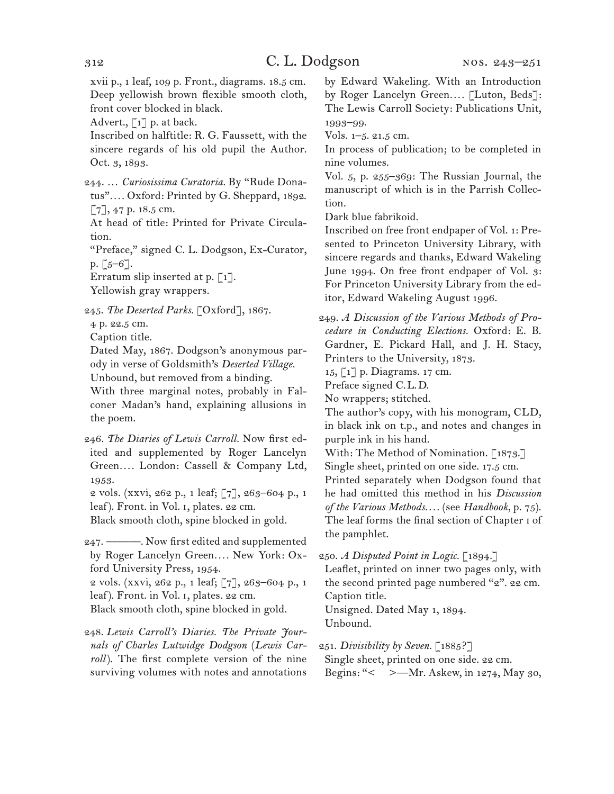xvii p., 1 leaf, 109 p. Front., diagrams. 18.5 cm. Deep yellowish brown flexible smooth cloth, front cover blocked in black.

Advert.,  $\lceil 1 \rceil$  p. at back.

Inscribed on halftitle: R. G. Faussett, with the sincere regards of his old pupil the Author. Oct. 3, 1893.

244. … *Curiosissima Curatoria.* By "Rude Donatus"*. . . .* Oxford: Printed by G. Sheppard, 1892. [7], 47 p. 18.5 cm.

At head of title: Printed for Private Circulation.

"Preface," signed C. L. Dodgson, Ex-Curator,  $p. [5 - 6].$ 

Erratum slip inserted at p. [1]. Yellowish gray wrappers.

245. *The Deserted Parks.* [Oxford], 1867.

4 p. 22.5 cm.

Caption title.

Dated May, 1867. Dodgson's anonymous parody in verse of Goldsmith's *Deserted Village.* Unbound, but removed from a binding.

With three marginal notes, probably in Falconer Madan's hand, explaining allusions in the poem.

246. *The Diaries of Lewis Carroll.* Now first edited and supplemented by Roger Lancelyn Green*. . . .* London: Cassell & Company Ltd, 1953.

2 vols. (xxvi, 262 p., 1 leaf; [7], 263–604 p., 1 leaf). Front. in Vol. i, plates. 22 cm.

Black smooth cloth, spine blocked in gold.

247. ———. Now first edited and supplemented by Roger Lancelyn Green*. . . .* New York: Oxford University Press, 1954.

2 vols. (xxvi, 262 p., 1 leaf; [7], 263–604 p., 1 leaf). Front. in Vol. i, plates. 22 cm.

Black smooth cloth, spine blocked in gold.

248. *Lewis Carroll's Diaries. The Private Journals of Charles Lutwidge Dodgson* (*Lewis Carroll*). The first complete version of the nine surviving volumes with notes and annotations

by Edward Wakeling. With an Introduction by Roger Lancelyn Green*. . . .* [Luton, Beds]: The Lewis Carroll Society: Publications Unit, 1993–99.

Vols. 1–5. 21.5 cm.

In process of publication; to be completed in nine volumes.

Vol. 5, p. 255–369: The Russian Journal, the manuscript of which is in the Parrish Collection.

Dark blue fabrikoid.

Inscribed on free front endpaper of Vol. 1: Presented to Princeton University Library, with sincere regards and thanks, Edward Wakeling June 1994. On free front endpaper of Vol. 3: For Princeton University Library from the editor, Edward Wakeling August 1996.

249. *A Discussion of the Various Methods of Procedure in Conducting Elections.* Oxford: E. B. Gardner, E. Pickard Hall, and J. H. Stacy, Printers to the University, 1873.

15, [1] p. Diagrams. 17 cm.

Preface signed C.L.D.

No wrappers; stitched.

The author's copy, with his monogram, CLD, in black ink on t.p., and notes and changes in purple ink in his hand.

With: The Method of Nomination. [1873.] Single sheet, printed on one side. 17.5 cm.

Printed separately when Dodgson found that he had omitted this method in his *Discussion of the Various Methods. . . .* (see *Handbook,* p. 75). The leaf forms the final section of Chapter i of the pamphlet.

250. *A Disputed Point in Logic.* [1894.]

Leaflet, printed on inner two pages only, with the second printed page numbered "2". 22 cm. Caption title.

Unsigned. Dated May 1, 1894. Unbound.

251. *Divisibility by Seven.* [1885?]

Single sheet, printed on one side. 22 cm. Begins: "< >—Mr. Askew, in 1274, May 30,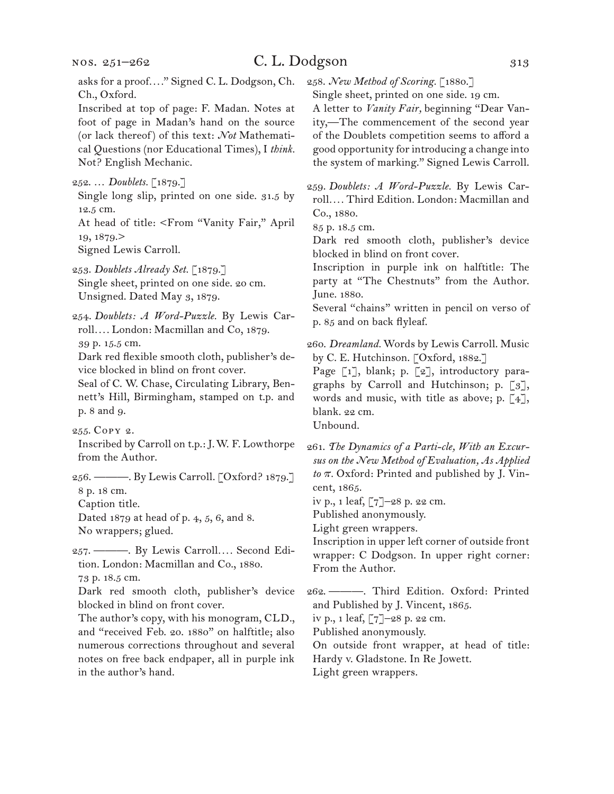# C. L. Dodgson 313

asks for a proof*. . . .*" Signed C. L. Dodgson, Ch. Ch., Oxford.

Inscribed at top of page: F. Madan. Notes at foot of page in Madan's hand on the source (or lack thereof) of this text: *Not* Mathematical Questions (nor Educational Times), I *think.*  Not? English Mechanic.

Single long slip, printed on one side. 31.5 by 12.5 cm.

At head of title: <From "Vanity Fair," April 19, 1879.>

Signed Lewis Carroll.

253. *Doublets Already Set.* [1879.] Single sheet, printed on one side. 20 cm. Unsigned. Dated May 3, 1879.

254. *Doublets: A Word-Puzzle.* By Lewis Carroll*. . . .* London: Macmillan and Co, 1879. 39 p. 15.5 cm.

Dark red flexible smooth cloth, publisher's device blocked in blind on front cover.

Seal of C. W. Chase, Circulating Library, Bennett's Hill, Birmingham, stamped on t.p. and p. 8 and 9.

Inscribed by Carroll on t.p.: J.W. F. Lowthorpe from the Author.

256. ———. By Lewis Carroll. [Oxford? 1879.] 8 p. 18 cm.

Caption title.

Dated 1879 at head of p. 4, 5, 6, and 8. No wrappers; glued.

257. ———. By Lewis Carroll*. . . .* Second Edition. London: Macmillan and Co., 1880. 73 p. 18.5 cm.

Dark red smooth cloth, publisher's device blocked in blind on front cover.

The author's copy, with his monogram, CLD., and "received Feb. 20. 1880" on halftitle; also numerous corrections throughout and several notes on free back endpaper, all in purple ink in the author's hand.

258. *New Method of Scoring.* [1880.]

Single sheet, printed on one side. 19 cm.

A letter to *Vanity Fair,* beginning "Dear Vanity,—The commencement of the second year of the Doublets competition seems to afford a good opportunity for introducing a change into the system of marking." Signed Lewis Carroll.

259. *Doublets: A Word-Puzzle.* By Lewis Carroll*. . . .* Third Edition. London: Macmillan and Co., 1880.

85 p. 18.5 cm.

Dark red smooth cloth, publisher's device blocked in blind on front cover.

Inscription in purple ink on halftitle: The party at "The Chestnuts" from the Author. June. 1880.

Several "chains" written in pencil on verso of p. 85 and on back flyleaf.

260. *Dreamland.* Words by Lewis Carroll. Music by C. E. Hutchinson. [Oxford, 1882.]

Page [1], blank; p. [2], introductory paragraphs by Carroll and Hutchinson; p. [3], words and music, with title as above; p.  $\lceil 4 \rceil$ , blank. 22 cm. Unbound.

261. *The Dynamics of a Parti-cle, With an Excursus on the New Method of Evaluation, As Applied*   $to \pi$ . Oxford: Printed and published by J. Vincent, 1865.

iv p., 1 leaf, [7]–28 p. 22 cm.

Published anonymously.

Light green wrappers.

Inscription in upper left corner of outside front wrapper: C Dodgson. In upper right corner: From the Author.

262. ———. Third Edition. Oxford: Printed and Published by J. Vincent, 1865.

iv p., 1 leaf, [7]–28 p. 22 cm.

Published anonymously.

On outside front wrapper, at head of title: Hardy v. Gladstone. In Re Jowett.

Light green wrappers.

<sup>252. …</sup> *Doublets.* [1879.]

<sup>255.</sup> Copy 2.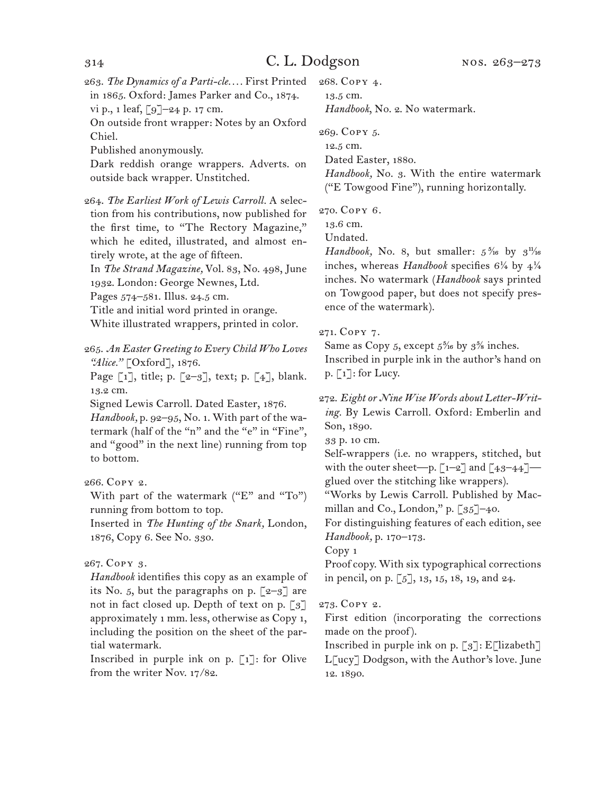263. *The Dynamics of a Parti-cle. . . .* First Printed in 1865. Oxford: James Parker and Co., 1874. vi p., 1 leaf, [9]–24 p. 17 cm.

On outside front wrapper: Notes by an Oxford Chiel.

Published anonymously.

Dark reddish orange wrappers. Adverts. on outside back wrapper. Unstitched.

264. *The Earliest Work of Lewis Carroll.* A selection from his contributions, now published for the first time, to "The Rectory Magazine," which he edited, illustrated, and almost entirely wrote, at the age of fifteen. In *The Strand Magazine,* Vol. 83, No. 498, June 1932. London: George Newnes, Ltd. Pages 574–581. Illus. 24.5 cm. Title and initial word printed in orange. White illustrated wrappers, printed in color.

265. *An Easter Greeting to Every Child Who Loves "Alice."* [Oxford], 1876.

Page  $\lceil 1 \rceil$ , title; p.  $\lceil 2-3 \rceil$ , text; p.  $\lceil 4 \rceil$ , blank. 13.2 cm.

Signed Lewis Carroll. Dated Easter, 1876.

*Handbook,* p. 92–95, No. 1. With part of the watermark (half of the "n" and the "e" in "Fine", and "good" in the next line) running from top to bottom.

266. Copy 2.

With part of the watermark ("E" and "To") running from bottom to top.

Inserted in *The Hunting of the Snark,* London, 1876, Copy 6. See No. 330.

267. Copy 3.

*Handbook* identifies this copy as an example of its No. 5, but the paragraphs on p.  $\lceil 2-3 \rceil$  are not in fact closed up. Depth of text on p. [3] approximately 1 mm. less, otherwise as Copy 1, including the position on the sheet of the partial watermark.

Inscribed in purple ink on p.  $\lceil 1 \rceil$ : for Olive from the writer Nov. 17/82.

268. Copy 4. 13.5 cm. *Handbook*, No. 2. No watermark.

269. Copy 5.

12.5 cm. Dated Easter, 1880.

*Handbook,* No. 3. With the entire watermark ("E Towgood Fine"), running horizontally.

270. Copy 6.

13.6 cm.

Undated.

*Handbook*, No. 8, but smaller:  $5\frac{5}{16}$  by  $3\frac{1}{16}$ inches, whereas *Handbook* specifies 6¼ by 4¼ inches. No watermark (*Handbook* says printed on Towgood paper, but does not specify presence of the watermark).

## 271. Copy 7.

Same as Copy 5, except  $5\frac{5}{16}$  by  $3\frac{5}{8}$  inches. Inscribed in purple ink in the author's hand on p. [1]: for Lucy.

272. *Eight or Nine Wise Words about Letter-Writing.* By Lewis Carroll. Oxford: Emberlin and Son, 1890.

33 p. 10 cm.

Self-wrappers (i.e. no wrappers, stitched, but with the outer sheet—p.  $\lceil 1-2 \rceil$  and  $\lceil 43-44 \rceil$  glued over the stitching like wrappers).

"Works by Lewis Carroll. Published by Macmillan and Co., London," p. [35]-40.

For distinguishing features of each edition, see *Handbook,* p. 170–173.

Copy 1

Proof copy. With six typographical corrections in pencil, on p. [5], 13, 15, 18, 19, and 24.

273. Copy 2.

First edition (incorporating the corrections made on the proof).

Inscribed in purple ink on p.  $\lceil 3 \rceil$ : E $\lceil$ lizabeth $\rceil$ L[ucy] Dodgson, with the Author's love. June 12. 1890.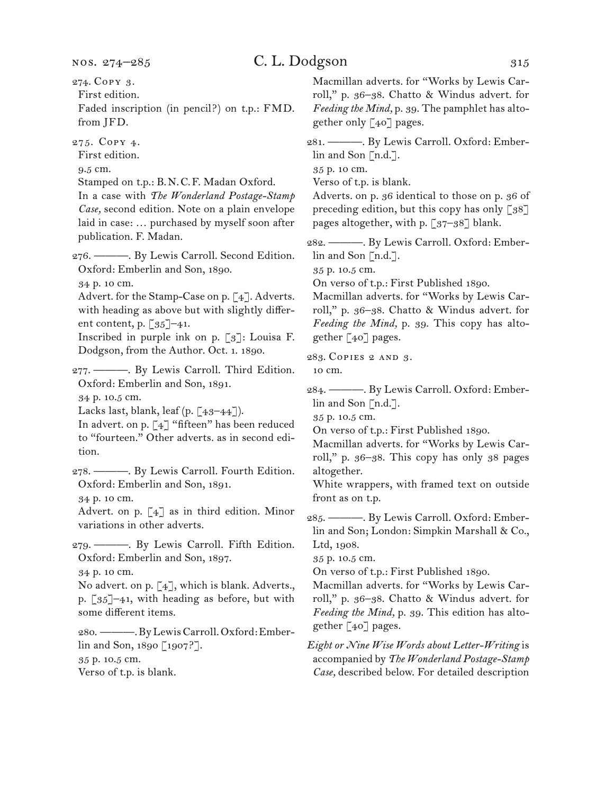# C. L. Dodgson 315

First edition. Faded inscription (in pencil?) on t.p.: FMD. from JFD.

275. Copy 4.

First edition.

9.5 cm.

Stamped on t.p.: B.N.C.F. Madan Oxford.

In a case with *The Wonderland Postage-Stamp Case,* second edition. Note on a plain envelope laid in case: … purchased by myself soon after publication. F. Madan.

276. ———. By Lewis Carroll. Second Edition. Oxford: Emberlin and Son, 1890.

34 p. 10 cm.

Advert. for the Stamp-Case on p. [4]. Adverts. with heading as above but with slightly different content, p.  $\left[35\right]-41$ .

Inscribed in purple ink on p. [3]: Louisa F. Dodgson, from the Author. Oct. 1. 1890.

277. ———. By Lewis Carroll. Third Edition. Oxford: Emberlin and Son, 1891.

34 p. 10.5 cm.

Lacks last, blank, leaf (p. [43-44]).

In advert. on p. [4] "fifteen" has been reduced to "fourteen." Other adverts. as in second edition.

278. ———. By Lewis Carroll. Fourth Edition. Oxford: Emberlin and Son, 1891.

34 p. 10 cm.

Advert. on p. [4] as in third edition. Minor variations in other adverts.

279. ———. By Lewis Carroll. Fifth Edition. Oxford: Emberlin and Son, 1897. 34 p. 10 cm.

No advert. on p. [4], which is blank. Adverts., p. [35]–41, with heading as before, but with some different items.

280. ———. By Lewis Carroll. Oxford: Emberlin and Son, 1890 [1907?]. 35 p. 10.5 cm.

Verso of t.p. is blank.

Macmillan adverts. for "Works by Lewis Carroll," p. 36–38. Chatto & Windus advert. for *Feeding the Mind,* p. 39. The pamphlet has altogether only  $\lceil 40 \rceil$  pages.

281. ———. By Lewis Carroll. Oxford: Emberlin and Son [n.d.].

35 p. 10 cm.

Verso of t.p. is blank.

Adverts. on p. 36 identical to those on p. 36 of preceding edition, but this copy has only  $\lceil 38 \rceil$ pages altogether, with p. [37–38] blank.

282. ———. By Lewis Carroll. Oxford: Emberlin and Son [n.d.].

35 p. 10.5 cm.

On verso of t.p.: First Published 1890.

Macmillan adverts. for "Works by Lewis Carroll," p. 36–38. Chatto & Windus advert. for *Feeding the Mind,* p. 39. This copy has altogether [40] pages.

283. Copies 2 and 3.

10 cm.

284. ———. By Lewis Carroll. Oxford: Emberlin and Son [n.d.].

35 p. 10.5 cm.

On verso of t.p.: First Published 1890.

Macmillan adverts. for "Works by Lewis Carroll," p. 36–38. This copy has only 38 pages altogether.

White wrappers, with framed text on outside front as on t.p.

285. ———. By Lewis Carroll. Oxford: Emberlin and Son; London: Simpkin Marshall & Co., Ltd, 1908.

35 p. 10.5 cm.

On verso of t.p.: First Published 1890.

Macmillan adverts. for "Works by Lewis Carroll," p. 36–38. Chatto & Windus advert. for *Feeding the Mind,* p. 39. This edition has altogether [40] pages.

*Eight or Nine Wise Words about Letter-Writing* is accompanied by *The Wonderland Postage-Stamp Case,* described below. For detailed description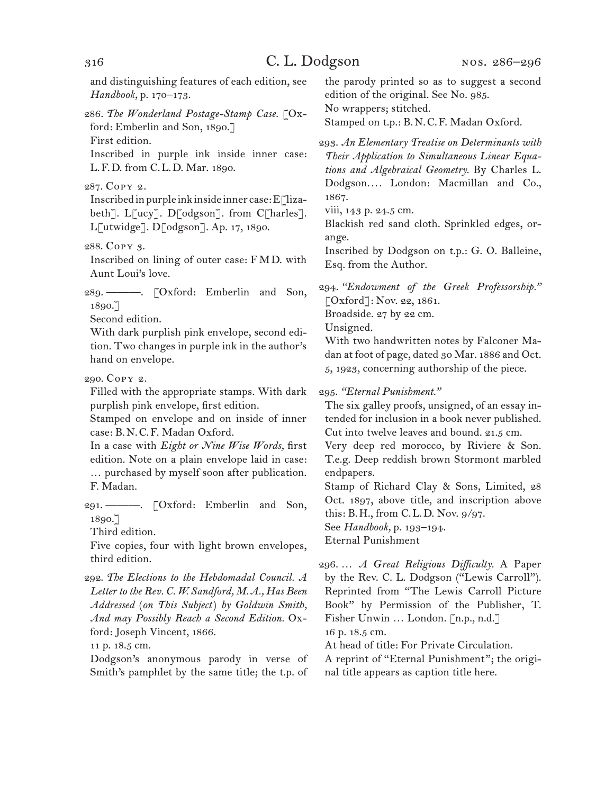and distinguishing features of each edition, see *Handbook,* p. 170–173.

286. *The Wonderland Postage-Stamp Case.* [Oxford: Emberlin and Son, 1890.] First edition.

Inscribed in purple ink inside inner case: L.F.D. from C.L.D. Mar. 1890.

287. Copy 2.

Inscribed in purple ink inside inner case:  $E$ [lizabeth]. L[ucy]. D[odgson]. from C[harles]. L[utwidge]. D[odgson]. Ap. 17, 1890.

Inscribed on lining of outer case: FMD. with Aunt Loui's love.

289. ———. [Oxford: Emberlin and Son, 1890.]

Second edition.

With dark purplish pink envelope, second edition. Two changes in purple ink in the author's hand on envelope.

290. Copy 2.

Filled with the appropriate stamps. With dark purplish pink envelope, first edition.

Stamped on envelope and on inside of inner case: B.N.C.F. Madan Oxford.

In a case with *Eight or Nine Wise Words,* first edition. Note on a plain envelope laid in case: … purchased by myself soon after publication. F. Madan.

291. ———. [Oxford: Emberlin and Son, 1890.]

Third edition.

Five copies, four with light brown envelopes, third edition.

292. *The Elections to the Hebdomadal Council. A Letter to the Rev. C. W. Sandford, M.A., Has Been Addressed* (*on This Subject*) *by Goldwin Smith, And may Possibly Reach a Second Edition.* Oxford: Joseph Vincent, 1866.

11 p. 18.5 cm.

Dodgson's anonymous parody in verse of Smith's pamphlet by the same title; the t.p. of the parody printed so as to suggest a second edition of the original. See No. 985. No wrappers; stitched.

Stamped on t.p.: B.N.C.F. Madan Oxford.

293. *An Elementary Treatise on Determinants with Their Application to Simultaneous Linear Equations and Algebraical Geometry.* By Charles L. Dodgson*. . . .* London: Macmillan and Co., 1867.

viii, 143 p. 24.5 cm.

Blackish red sand cloth. Sprinkled edges, orange.

Inscribed by Dodgson on t.p.: G. O. Balleine, Esq. from the Author.

294. *"Endowment of the Greek Professorship."*  [Oxford]: Nov. 22, 1861.

Broadside. 27 by 22 cm.

Unsigned.

With two handwritten notes by Falconer Madan at foot of page, dated 30 Mar. 1886 and Oct. 5, 1923, concerning authorship of the piece.

295. *"Eternal Punishment."*

The six galley proofs, unsigned, of an essay intended for inclusion in a book never published. Cut into twelve leaves and bound. 21.5 cm.

Very deep red morocco, by Riviere & Son. T.e.g. Deep reddish brown Stormont marbled endpapers.

Stamp of Richard Clay & Sons, Limited, 28 Oct. 1897, above title, and inscription above this: B.H., from C.L.D. Nov. 9/97.

See *Handbook,* p. 193–194.

Eternal Punishment

296. … *A Great Religious Difficulty.* A Paper by the Rev. C. L. Dodgson ("Lewis Carroll"). Reprinted from "The Lewis Carroll Picture Book" by Permission of the Publisher, T. Fisher Unwin … London. [n.p., n.d.] 16 p. 18.5 cm.

At head of title: For Private Circulation. A reprint of "Eternal Punishment"; the original title appears as caption title here.

<sup>288.</sup> Copy 3.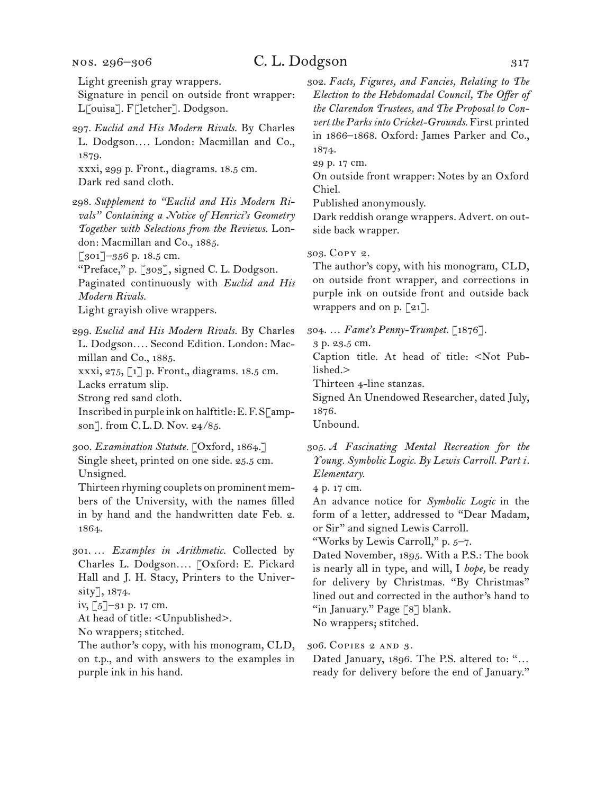#### nos. 296–306

# C. L. Dodgson 317

Light greenish gray wrappers.

Signature in pencil on outside front wrapper: L[ouisa]. F[letcher]. Dodgson.

297. *Euclid and His Modern Rivals.* By Charles L. Dodgson*. . . .* London: Macmillan and Co., 1879. xxxi, 299 p. Front., diagrams. 18.5 cm.

Dark red sand cloth.

298. *Supplement to "Euclid and His Modern Rivals" Containing a Notice of Henrici's Geometry Together with Selections from the Reviews.* London: Macmillan and Co., 1885.

[301]-356 p. 18.5 cm.

"Preface," p. [303], signed C. L. Dodgson.

Paginated continuously with *Euclid and His Modern Rivals.*

Light grayish olive wrappers.

299. *Euclid and His Modern Rivals.* By Charles L. Dodgson*. . . .* Second Edition. London: Macmillan and Co., 1885. xxxi, 275, [1] p. Front., diagrams. 18.5 cm.

Lacks erratum slip.

Strong red sand cloth.

Inscribed in purple ink on halftitle: E. F. S[ampson]. from C.L.D. Nov. 24/85.

300. *Examination Statute.* [Oxford, 1864.] Single sheet, printed on one side. 25.5 cm. Unsigned.

Thirteen rhyming couplets on prominent members of the University, with the names filled in by hand and the handwritten date Feb. 2. 1864.

301. … *Examples in Arithmetic.* Collected by Charles L. Dodgson*. . . .* [Oxford: E. Pickard Hall and J. H. Stacy, Printers to the University], 1874.

At head of title: <Unpublished>.

No wrappers; stitched.

The author's copy, with his monogram, CLD, on t.p., and with answers to the examples in purple ink in his hand.

302. *Facts, Figures, and Fancies, Relating to The Election to the Hebdomadal Council, The Offer of the Clarendon Trustees, and The Proposal to Convert the Parks into Cricket-Grounds.* First printed in 1866–1868. Oxford: James Parker and Co., 1874.

29 p. 17 cm.

On outside front wrapper: Notes by an Oxford Chiel.

Published anonymously.

Dark reddish orange wrappers. Advert. on outside back wrapper.

303. Copy 2.

The author's copy, with his monogram, CLD, on outside front wrapper, and corrections in purple ink on outside front and outside back wrappers and on p.  $\lceil 21 \rceil$ .

304. … *Fame's Penny-Trumpet.* [1876].

3 p. 23.5 cm.

Caption title. At head of title: <Not Published.>

Thirteen 4-line stanzas.

Signed An Unendowed Researcher, dated July, 1876.

Unbound.

305. *A Fascinating Mental Recreation for the Young. Symbolic Logic. By Lewis Carroll. Part i. Elementary.*

4 p. 17 cm.

An advance notice for *Symbolic Logic* in the form of a letter, addressed to "Dear Madam, or Sir" and signed Lewis Carroll.

"Works by Lewis Carroll," p. 5–7.

Dated November, 1895. With a P.S.: The book is nearly all in type, and will, I *hope,* be ready for delivery by Christmas. "By Christmas" lined out and corrected in the author's hand to "in January." Page [8] blank. No wrappers; stitched.

306. Copies 2 and 3.

Dated January, 1896. The P.S. altered to: "… ready for delivery before the end of January."

iv, [5]–31 p. 17 cm.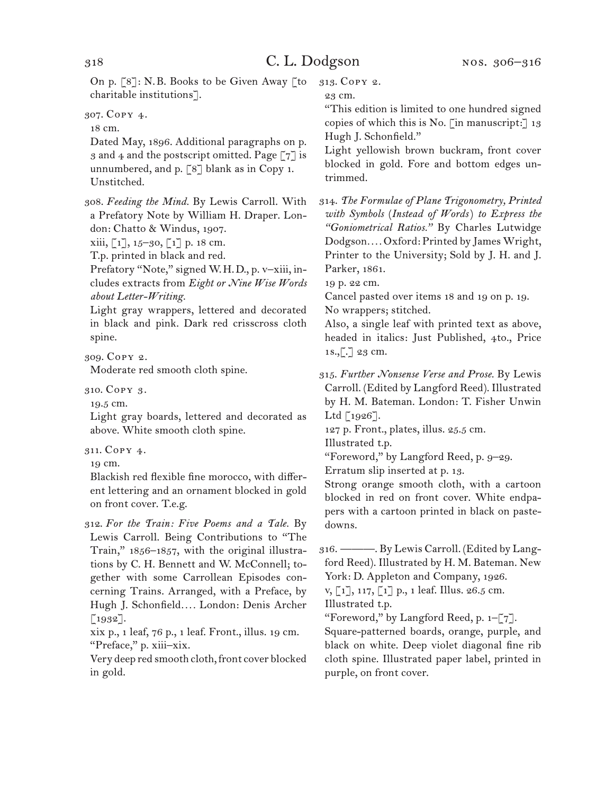On p. [8]: N.B. Books to be Given Away [to charitable institutions].

307. Copy 4.

18 cm.

Dated May, 1896. Additional paragraphs on p. 3 and 4 and the postscript omitted. Page  $\lceil 7 \rceil$  is unnumbered, and p. [8] blank as in Copy 1. Unstitched.

308. *Feeding the Mind.* By Lewis Carroll. With a Prefatory Note by William H. Draper. London: Chatto & Windus, 1907.

xiii, [1], 15–30, [1] p. 18 cm.

T.p. printed in black and red.

Prefatory "Note," signed W.H.D., p. v–xiii, includes extracts from *Eight or Nine Wise Words about Letter-Writing.*

Light gray wrappers, lettered and decorated in black and pink. Dark red crisscross cloth spine.

309. Copy 2.

Moderate red smooth cloth spine.

310. Copy 3.

19.5 cm.

Light gray boards, lettered and decorated as above. White smooth cloth spine.

311. Copy 4.

19 cm.

Blackish red flexible fine morocco, with different lettering and an ornament blocked in gold on front cover. T.e.g.

312. *For the Train: Five Poems and a Tale.* By Lewis Carroll. Being Contributions to "The Train," 1856–1857, with the original illustrations by C. H. Bennett and W. McConnell; together with some Carrollean Episodes concerning Trains. Arranged, with a Preface, by Hugh J. Schonfield*. . . .* London: Denis Archer  $[1932]$ .

xix p., 1 leaf, 76 p., 1 leaf. Front., illus. 19 cm. "Preface," p. xiii–xix.

Very deep red smooth cloth, front cover blocked in gold.

313. Copy 2.

23 cm.

"This edition is limited to one hundred signed copies of which this is No. [in manuscript:] 13 Hugh J. Schonfield."

Light yellowish brown buckram, front cover blocked in gold. Fore and bottom edges untrimmed.

314. *The Formulae of Plane Trigonometry, Printed with Symbols* (*Instead of Words*) *to Express the "Goniometrical Ratios."* By Charles Lutwidge Dodgson*. . . .* Oxford: Printed by James Wright, Printer to the University; Sold by J. H. and J. Parker, 1861.

19 p. 22 cm.

Cancel pasted over items 18 and 19 on p. 19. No wrappers; stitched.

Also, a single leaf with printed text as above, headed in italics: Just Published, 4to., Price 1s.,[.] 23 cm.

315. *Further Nonsense Verse and Prose.* By Lewis Carroll. (Edited by Langford Reed). Illustrated by H. M. Bateman. London: T. Fisher Unwin Ltd  $\lceil 1926 \rceil$ .

127 p. Front., plates, illus. 25.5 cm.

Illustrated t.p.

"Foreword," by Langford Reed, p. 9–29.

Erratum slip inserted at p. 13.

Strong orange smooth cloth, with a cartoon blocked in red on front cover. White endpapers with a cartoon printed in black on pastedowns.

316. ———. By Lewis Carroll. (Edited by Langford Reed). Illustrated by H. M. Bateman. New York: D. Appleton and Company, 1926.

v, [1], 117, [1] p., 1 leaf. Illus. 26.5 cm.

Illustrated t.p.

"Foreword," by Langford Reed, p.  $1-[7]$ .

Square-patterned boards, orange, purple, and black on white. Deep violet diagonal fine rib cloth spine. Illustrated paper label, printed in purple, on front cover.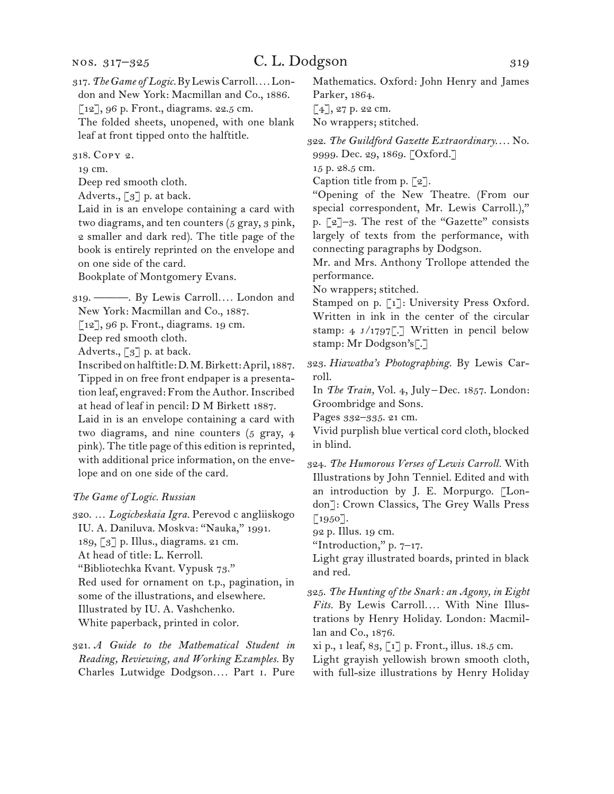317. *The Game of Logic.* By Lewis Carroll*. . . .* London and New York: Macmillan and Co., 1886.

[12], 96 p. Front., diagrams. 22.5 cm.

The folded sheets, unopened, with one blank leaf at front tipped onto the halftitle.

318. Copy 2.

19 cm.

Deep red smooth cloth.

Adverts., [3] p. at back.

Laid in is an envelope containing a card with two diagrams, and ten counters (5 gray, 3 pink, 2 smaller and dark red). The title page of the book is entirely reprinted on the envelope and on one side of the card.

Bookplate of Montgomery Evans.

319. ———. By Lewis Carroll*. . . .* London and

New York: Macmillan and Co., 1887.

[12], 96 p. Front., diagrams. 19 cm.

Deep red smooth cloth.

Adverts.,  $\lceil 3 \rceil$  p. at back.

Inscribed on halftitle: D. M. Birkett: April, 1887. Tipped in on free front endpaper is a presentation leaf, engraved: From the Author. Inscribed at head of leaf in pencil: D M Birkett 1887.

Laid in is an envelope containing a card with two diagrams, and nine counters (5 gray, 4 pink). The title page of this edition is reprinted, with additional price information, on the envelope and on one side of the card.

#### *The Game of Logic. Russian*

320. … *Logicheskaia Igra.* Perevod c angliiskogo IU. A. Daniluva. Moskva: "Nauka," 1991. 189, [3] p. Illus., diagrams. 21 cm. At head of title: L. Kerroll. "Bibliotechka Kvant. Vypusk 73." Red used for ornament on t.p., pagination, in some of the illustrations, and elsewhere. Illustrated by IU. A. Vashchenko. White paperback, printed in color.

321. *A Guide to the Mathematical Student in Reading, Reviewing, and Working Examples.* By Charles Lutwidge Dodgson*. . . .* Part i. Pure

Mathematics. Oxford: John Henry and James Parker, 1864.  $[4]$ , 27 p. 22 cm.

No wrappers; stitched.

322. *The Guildford Gazette Extraordinary. . . .* No. 9999. Dec. 29, 1869. [Oxford.]

15 p. 28.5 cm.

Caption title from p. [2].

"Opening of the New Theatre. (From our special correspondent, Mr. Lewis Carroll.)," p. [2]–3. The rest of the "Gazette" consists largely of texts from the performance, with connecting paragraphs by Dodgson.

Mr. and Mrs. Anthony Trollope attended the performance.

No wrappers; stitched.

Stamped on p. [1]: University Press Oxford. Written in ink in the center of the circular stamp: 4 J/1797[.] Written in pencil below stamp: Mr Dodgson's[.]

323. *Hiawatha's Photographing.* By Lewis Carroll.

In *The Train,* Vol. 4, July–Dec. 1857. London: Groombridge and Sons.

Pages 332–335. 21 cm.

Vivid purplish blue vertical cord cloth, blocked in blind.

324. *The Humorous Verses of Lewis Carroll.* With Illustrations by John Tenniel. Edited and with an introduction by J. E. Morpurgo. [London]: Crown Classics, The Grey Walls Press [1950].

92 p. Illus. 19 cm.

"Introduction," p. 7–17.

Light gray illustrated boards, printed in black and red.

325. *The Hunting of the Snark: an Agony, in Eight Fits.* By Lewis Carroll*. . . .* With Nine Illustrations by Henry Holiday. London: Macmillan and Co., 1876.

xi p., 1 leaf, 83, [1] p. Front., illus. 18.5 cm. Light grayish yellowish brown smooth cloth, with full-size illustrations by Henry Holiday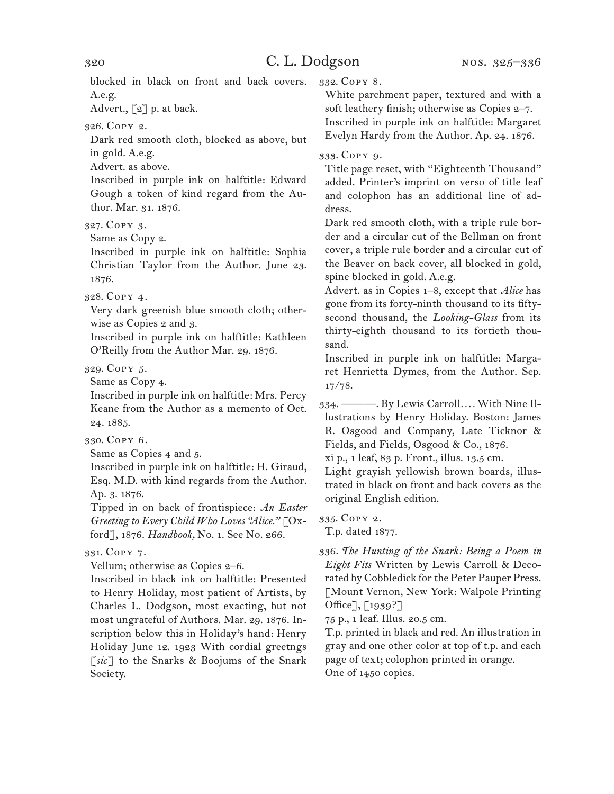blocked in black on front and back covers. A.e.g.

Advert.,  $\lbrack 2 \rbrack$  p. at back.

326. Copy 2.

Dark red smooth cloth, blocked as above, but in gold. A.e.g.

Advert. as above.

Inscribed in purple ink on halftitle: Edward Gough a token of kind regard from the Author. Mar. 31. 1876.

327. Copy 3.

Same as Copy 2.

Inscribed in purple ink on halftitle: Sophia Christian Taylor from the Author. June 23. 1876.

328. Copy 4.

Very dark greenish blue smooth cloth; otherwise as Copies 2 and 3.

Inscribed in purple ink on halftitle: Kathleen O'Reilly from the Author Mar. 29. 1876.

329. Copy 5.

Same as Copy 4.

Inscribed in purple ink on halftitle: Mrs. Percy Keane from the Author as a memento of Oct. 24. 1885.

330. Copy 6.

Same as Copies 4 and 5.

Inscribed in purple ink on halftitle: H. Giraud, Esq. M.D. with kind regards from the Author. Ap. 3. 1876.

Tipped in on back of frontispiece: *An Easter Greeting to Every Child Who Loves "Alice."* [Oxford], 1876. *Handbook,* No. 1. See No. 266.

331. Copy 7.

Vellum; otherwise as Copies 2–6.

Inscribed in black ink on halftitle: Presented to Henry Holiday, most patient of Artists, by Charles L. Dodgson, most exacting, but not most ungrateful of Authors. Mar. 29. 1876. Inscription below this in Holiday's hand: Henry Holiday June 12. 1923 With cordial greetngs [*sic*] to the Snarks & Boojums of the Snark Society.

332. Copy 8.

White parchment paper, textured and with a soft leathery finish; otherwise as Copies 2-7. Inscribed in purple ink on halftitle: Margaret Evelyn Hardy from the Author. Ap. 24. 1876.

#### 333. Copy 9.

Title page reset, with "Eighteenth Thousand" added. Printer's imprint on verso of title leaf and colophon has an additional line of address.

Dark red smooth cloth, with a triple rule border and a circular cut of the Bellman on front cover, a triple rule border and a circular cut of the Beaver on back cover, all blocked in gold, spine blocked in gold. A.e.g.

Advert. as in Copies 1–8, except that *Alice* has gone from its forty-ninth thousand to its fiftysecond thousand, the *Looking-Glass* from its thirty-eighth thousand to its fortieth thousand.

Inscribed in purple ink on halftitle: Margaret Henrietta Dymes, from the Author. Sep. 17/78.

334. ———. By Lewis Carroll*. . . .* With Nine Illustrations by Henry Holiday. Boston: James R. Osgood and Company, Late Ticknor & Fields, and Fields, Osgood & Co., 1876.

xi p., 1 leaf, 83 p. Front., illus. 13.5 cm.

Light grayish yellowish brown boards, illustrated in black on front and back covers as the original English edition.

335. Copy 2. T.p. dated 1877.

336. *The Hunting of the Snark: Being a Poem in Eight Fits* Written by Lewis Carroll & Decorated by Cobbledick for the Peter Pauper Press. [Mount Vernon, New York: Walpole Printing Office], [1939?]

75 p., 1 leaf. Illus. 20.5 cm.

T.p. printed in black and red. An illustration in gray and one other color at top of t.p. and each page of text; colophon printed in orange. One of 1450 copies.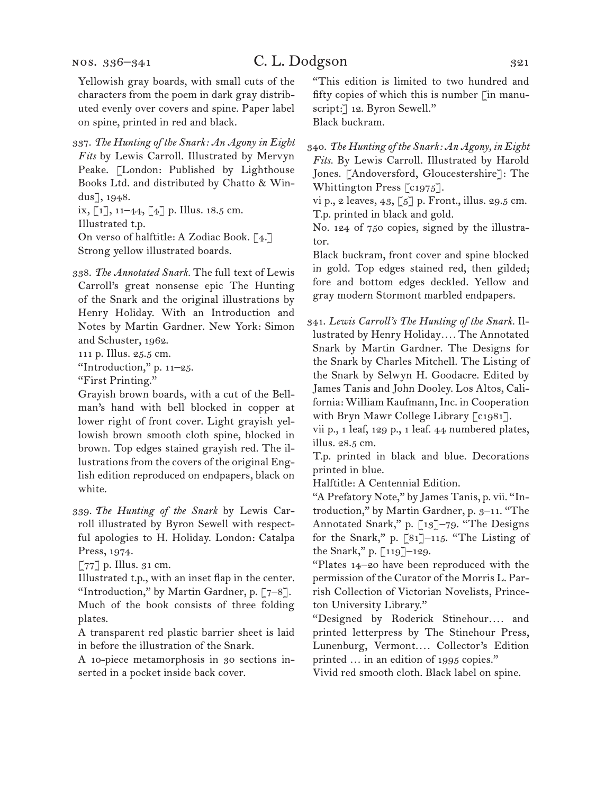nos. 336–341

Yellowish gray boards, with small cuts of the characters from the poem in dark gray distributed evenly over covers and spine. Paper label on spine, printed in red and black.

337. *The Hunting of the Snark: An Agony in Eight Fits* by Lewis Carroll. Illustrated by Mervyn Peake. [London: Published by Lighthouse Books Ltd. and distributed by Chatto & Windus], 1948.

ix, [1], 11–44, [4] p. Illus. 18.5 cm. Illustrated t.p. On verso of halftitle: A Zodiac Book. [4.] Strong yellow illustrated boards.

338. *The Annotated Snark.* The full text of Lewis Carroll's great nonsense epic The Hunting of the Snark and the original illustrations by Henry Holiday. With an Introduction and Notes by Martin Gardner. New York: Simon and Schuster, 1962.

111 p. Illus. 25.5 cm.

"Introduction," p. 11–25.

"First Printing."

Grayish brown boards, with a cut of the Bellman's hand with bell blocked in copper at lower right of front cover. Light grayish yellowish brown smooth cloth spine, blocked in brown. Top edges stained grayish red. The illustrations from the covers of the original English edition reproduced on endpapers, black on white.

339. *The Hunting of the Snark* by Lewis Carroll illustrated by Byron Sewell with respectful apologies to H. Holiday. London: Catalpa Press, 1974.

 $\lceil 77 \rceil$  p. Illus. 31 cm.

Illustrated t.p., with an inset flap in the center. "Introduction," by Martin Gardner, p.  $[7-8]$ . Much of the book consists of three folding plates.

A transparent red plastic barrier sheet is laid in before the illustration of the Snark.

A 10-piece metamorphosis in 30 sections inserted in a pocket inside back cover.

"This edition is limited to two hundred and fifty copies of which this is number  $\lceil$  in manuscript:] 12. Byron Sewell." Black buckram.

340. *The Hunting of the Snark: An Agony, in Eight Fits.* By Lewis Carroll. Illustrated by Harold Jones. [Andoversford, Gloucestershire]: The Whittington Press [c1975].

vi p., 2 leaves, 43, [5] p. Front., illus. 29.5 cm. T.p. printed in black and gold.

No. 124 of 750 copies, signed by the illustrator.

Black buckram, front cover and spine blocked in gold. Top edges stained red, then gilded; fore and bottom edges deckled. Yellow and gray modern Stormont marbled endpapers.

341. *Lewis Carroll's The Hunting of the Snark.* Illustrated by Henry Holiday*. . . .* The Annotated Snark by Martin Gardner. The Designs for the Snark by Charles Mitchell. The Listing of the Snark by Selwyn H. Goodacre. Edited by James Tanis and John Dooley. Los Altos, California: William Kaufmann, Inc. in Cooperation with Bryn Mawr College Library [c1981].

vii p., 1 leaf, 129 p., 1 leaf. 44 numbered plates, illus. 28.5 cm.

T.p. printed in black and blue. Decorations printed in blue.

Halftitle: A Centennial Edition.

"A Prefatory Note," by James Tanis, p. vii. "Introduction," by Martin Gardner, p. 3–11. "The Annotated Snark," p. [13]-79. "The Designs for the Snark," p. [81]–115. "The Listing of the Snark," p. [119]–129.

"Plates 14–20 have been reproduced with the permission of the Curator of the Morris L. Parrish Collection of Victorian Novelists, Princeton University Library."

"Designed by Roderick Stinehour.... and printed letterpress by The Stinehour Press, Lunenburg, Vermont*. . . .* Collector's Edition printed … in an edition of 1995 copies."

Vivid red smooth cloth. Black label on spine.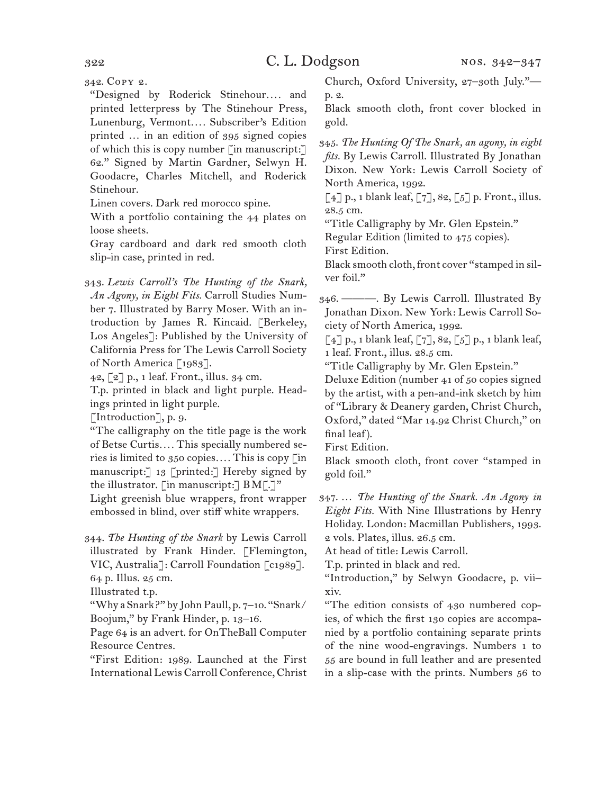342. Copy 2.

"Designed by Roderick Stinehour*. . . .* and printed letterpress by The Stinehour Press, Lunenburg, Vermont*. . . .* Subscriber's Edition printed … in an edition of 395 signed copies of which this is copy number [in manuscript:] 62." Signed by Martin Gardner, Selwyn H. Goodacre, Charles Mitchell, and Roderick Stinehour.

Linen covers. Dark red morocco spine.

With a portfolio containing the 44 plates on loose sheets.

Gray cardboard and dark red smooth cloth slip-in case, printed in red.

343. *Lewis Carroll's The Hunting of the Snark, An Agony, in Eight Fits.* Carroll Studies Number 7. Illustrated by Barry Moser. With an introduction by James R. Kincaid. [Berkeley, Los Angeles]: Published by the University of California Press for The Lewis Carroll Society of North America [1983].

42, [2] p., 1 leaf. Front., illus. 34 cm.

T.p. printed in black and light purple. Headings printed in light purple.

[Introduction], p. 9.

"The calligraphy on the title page is the work of Betse Curtis*. . . .* This specially numbered series is limited to 350 copies*. . . .* This is copy [in manuscript:] 13 [printed:] Hereby signed by the illustrator. [in manuscript:]  $BM[\cdot]''$ 

Light greenish blue wrappers, front wrapper embossed in blind, over stiff white wrappers.

344. *The Hunting of the Snark* by Lewis Carroll illustrated by Frank Hinder. [Flemington, VIC, Australia]: Carroll Foundation [c1989]. 64 p. Illus. 25 cm.

Illustrated t.p.

"Why a Snark?" by John Paull, p. 7–10. "Snark/ Boojum," by Frank Hinder, p. 13–16.

Page 64 is an advert. for OnTheBall Computer Resource Centres.

"First Edition: 1989. Launched at the First International Lewis Carroll Conference, Christ

Church, Oxford University, 27–30th July." p. 2.

Black smooth cloth, front cover blocked in gold.

345. *The Hunting Of The Snark, an agony, in eight fits.* By Lewis Carroll. Illustrated By Jonathan Dixon. New York: Lewis Carroll Society of North America, 1992.

 $\lceil 4 \rceil$  p., 1 blank leaf,  $\lceil 7 \rceil$ , 82,  $\lceil 5 \rceil$  p. Front., illus. 28.5 cm.

"Title Calligraphy by Mr. Glen Epstein."

Regular Edition (limited to 475 copies).

First Edition.

Black smooth cloth, front cover "stamped in silver foil."

346. ———. By Lewis Carroll. Illustrated By Jonathan Dixon. New York: Lewis Carroll Society of North America, 1992.

 $\lceil 4 \rceil$  p., 1 blank leaf,  $\lceil 7 \rceil$ , 82,  $\lceil 5 \rceil$  p., 1 blank leaf, 1 leaf. Front., illus. 28.5 cm.

"Title Calligraphy by Mr. Glen Epstein."

Deluxe Edition (number 41 of 50 copies signed by the artist, with a pen-and-ink sketch by him of "Library & Deanery garden, Christ Church, Oxford," dated "Mar 14.92 Christ Church," on final leaf).

First Edition.

Black smooth cloth, front cover "stamped in gold foil."

347. … *The Hunting of the Snark. An Agony in Eight Fits.* With Nine Illustrations by Henry Holiday. London: Macmillan Publishers, 1993. 2 vols. Plates, illus. 26.5 cm.

At head of title: Lewis Carroll.

T.p. printed in black and red.

"Introduction," by Selwyn Goodacre, p. vii– xiv.

"The edition consists of 430 numbered copies, of which the first 130 copies are accompanied by a portfolio containing separate prints of the nine wood-engravings. Numbers 1 to 55 are bound in full leather and are presented in a slip-case with the prints. Numbers 56 to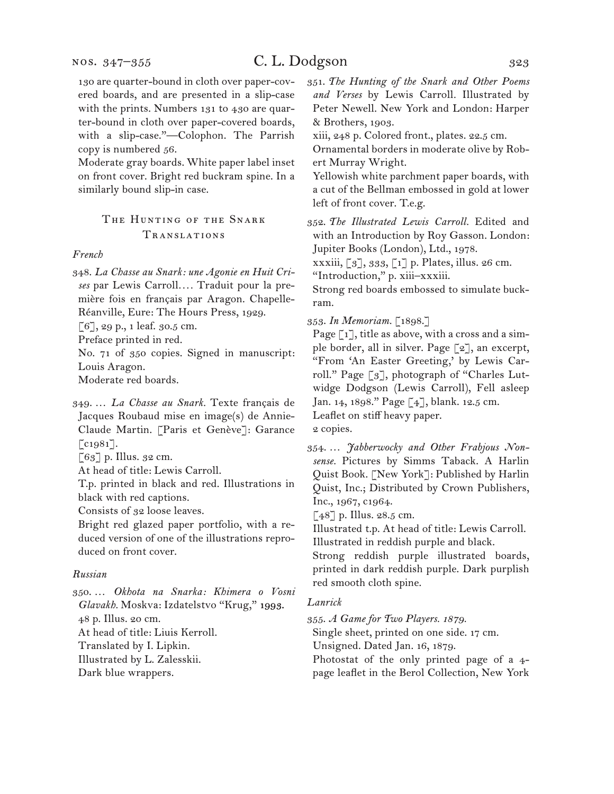Moderate gray boards. White paper label inset on front cover. Bright red buckram spine. In a similarly bound slip-in case.

## THE HUNTING OF THE SNARK Translations

#### *French*

348. *La Chasse au Snark: une Agonie en Huit Crises* par Lewis Carroll*. . . .* Traduit pour la première fois en français par Aragon. Chapelle-Réanville, Eure: The Hours Press, 1929.

[6], 29 p., 1 leaf. 30.5 cm.

Preface printed in red.

No. 71 of 350 copies. Signed in manuscript: Louis Aragon.

Moderate red boards.

349. … *La Chasse au Snark.* Texte français de Jacques Roubaud mise en image(s) de Annie-Claude Martin. [Paris et Genève]: Garance  $\lceil c_{1981} \rceil$ .

 $\lceil 63 \rceil$  p. Illus. 32 cm.

At head of title: Lewis Carroll.

T.p. printed in black and red. Illustrations in black with red captions.

Consists of 32 loose leaves.

Bright red glazed paper portfolio, with a reduced version of one of the illustrations reproduced on front cover.

#### *Russian*

350. … *Okhota na Snarka: Khimera o Vosni Glavakh.* Moskva: Izdatelstvo "Krug," 1993. 48 p. Illus. 20 cm. At head of title: Liuis Kerroll. Translated by I. Lipkin. Illustrated by L. Zalesskii. Dark blue wrappers.

351. *The Hunting of the Snark and Other Poems and Verses* by Lewis Carroll*.* Illustrated by Peter Newell. New York and London: Harper & Brothers, 1903.

xiii, 248 p. Colored front., plates. 22.5 cm.

Ornamental borders in moderate olive by Robert Murray Wright.

Yellowish white parchment paper boards, with a cut of the Bellman embossed in gold at lower left of front cover. T.e.g.

352. *The Illustrated Lewis Carroll.* Edited and with an Introduction by Roy Gasson. London: Jupiter Books (London), Ltd., 1978.

xxxiii, [3], 333, [1] p. Plates, illus. 26 cm.

"Introduction," p. xiii–xxxiii.

Strong red boards embossed to simulate buckram.

353. *In Memoriam.* [1898.]

Page [1], title as above, with a cross and a simple border, all in silver. Page [2], an excerpt, "From 'An Easter Greeting,' by Lewis Carroll." Page [3], photograph of "Charles Lutwidge Dodgson (Lewis Carroll), Fell asleep Jan. 14, 1898." Page [4], blank. 12.5 cm. Leaflet on stiff heavy paper.

2 copies.

354. … *Jabberwocky and Other Frabjous Nonsense.* Pictures by Simms Taback. A Harlin Quist Book. [New York]: Published by Harlin Quist, Inc.; Distributed by Crown Publishers, Inc., 1967, c1964.

 $[48]$  p. Illus. 28.5 cm.

Illustrated t.p. At head of title: Lewis Carroll. Illustrated in reddish purple and black.

Strong reddish purple illustrated boards, printed in dark reddish purple. Dark purplish red smooth cloth spine.

#### *Lanrick*

355. *A Game for Two Players. 1879.*

Single sheet, printed on one side. 17 cm.

Unsigned. Dated Jan. 16, 1879.

Photostat of the only printed page of a 4 page leaflet in the Berol Collection, New York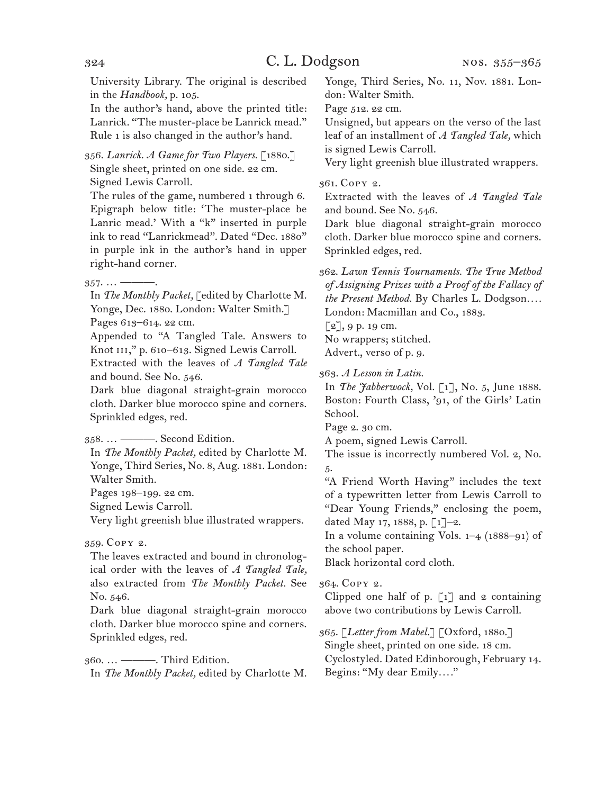University Library. The original is described in the *Handbook,* p. 105.

In the author's hand, above the printed title: Lanrick. "The muster-place be Lanrick mead." Rule 1 is also changed in the author's hand.

356. *Lanrick. A Game for Two Players.* [1880.] Single sheet, printed on one side. 22 cm. Signed Lewis Carroll.

The rules of the game, numbered 1 through 6. Epigraph below title: 'The muster-place be Lanric mead.' With a "k" inserted in purple ink to read "Lanrickmead". Dated "Dec. 1880" in purple ink in the author's hand in upper right-hand corner.

 $357. \dots$  —

In *The Monthly Packet,* [edited by Charlotte M. Yonge, Dec. 1880. London: Walter Smith.] Pages 613–614. 22 cm.

Appended to "A Tangled Tale. Answers to Knot III," p. 610–613. Signed Lewis Carroll.

Extracted with the leaves of *A Tangled Tale* and bound. See No. 546.

Dark blue diagonal straight-grain morocco cloth. Darker blue morocco spine and corners. Sprinkled edges, red.

358. … ———. Second Edition.

In *The Monthly Packet,* edited by Charlotte M. Yonge, Third Series, No. 8, Aug. 1881. London: Walter Smith.

Pages 198–199. 22 cm.

Signed Lewis Carroll.

Very light greenish blue illustrated wrappers.

#### 359. Copy 2.

The leaves extracted and bound in chronological order with the leaves of *A Tangled Tale,*  also extracted from *The Monthly Packet.* See No. 546.

Dark blue diagonal straight-grain morocco cloth. Darker blue morocco spine and corners. Sprinkled edges, red.

360. … ———. Third Edition.

In *The Monthly Packet,* edited by Charlotte M.

Yonge, Third Series, No. 11, Nov. 1881. London: Walter Smith.

Page 512. 22 cm.

Unsigned, but appears on the verso of the last leaf of an installment of *A Tangled Tale,* which is signed Lewis Carroll.

Very light greenish blue illustrated wrappers.

#### 361. Copy 2.

Extracted with the leaves of *A Tangled Tale*  and bound. See No. 546.

Dark blue diagonal straight-grain morocco cloth. Darker blue morocco spine and corners. Sprinkled edges, red.

362. *Lawn Tennis Tournaments. The True Method of Assigning Prizes with a Proof of the Fallacy of the Present Method.* By Charles L. Dodgson*. . . .* London: Macmillan and Co., 1883.

 $[2]$ , 9 p. 19 cm.

No wrappers; stitched.

Advert., verso of p. 9.

363. *A Lesson in Latin.*

In *The Jabberwock,* Vol. [1], No. 5, June 1888. Boston: Fourth Class, '91, of the Girls' Latin School.

Page 2. 30 cm.

A poem, signed Lewis Carroll.

The issue is incorrectly numbered Vol. 2, No. 5.

"A Friend Worth Having" includes the text of a typewritten letter from Lewis Carroll to "Dear Young Friends," enclosing the poem, dated May 17, 1888, p. [1]–2.

In a volume containing Vols.  $1-4$  (1888–91) of the school paper.

Black horizontal cord cloth.

#### 364. Copy 2.

Clipped one half of p.  $\lceil 1 \rceil$  and 2 containing above two contributions by Lewis Carroll.

365. [*Letter from Mabel.*] [Oxford, 1880.] Single sheet, printed on one side. 18 cm. Cyclostyled. Dated Edinborough, February 14. Begins: "My dear Emily*. . . .*"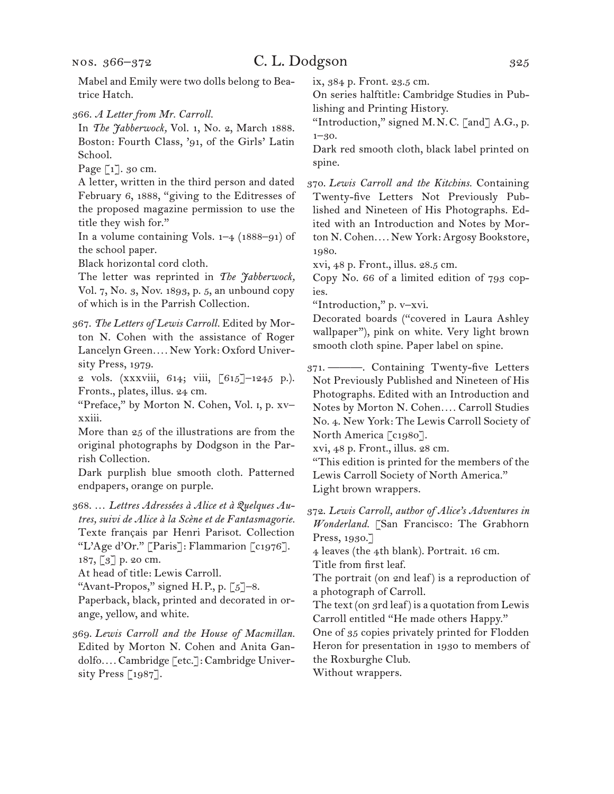nos. 366–372

# C. L. Dodgson 325

Mabel and Emily were two dolls belong to Beatrice Hatch.

366. *A Letter from Mr. Carroll.*

In *The Jabberwock,* Vol. 1, No. 2, March 1888. Boston: Fourth Class, '91, of the Girls' Latin School.

Page  $\lceil 1 \rceil$ . 30 cm.

A letter, written in the third person and dated February 6, 1888, "giving to the Editresses of the proposed magazine permission to use the title they wish for."

In a volume containing Vols. 1–4 (1888–91) of the school paper.

Black horizontal cord cloth.

The letter was reprinted in *The Jabberwock,*  Vol. 7, No. 3, Nov. 1893, p. 5, an unbound copy of which is in the Parrish Collection.

367. *The Letters of Lewis Carroll.* Edited by Morton N. Cohen with the assistance of Roger Lancelyn Green*. . . .* New York: Oxford University Press, 1979.

2 vols. (xxxviii, 614; viii, [615]–1245 p.). Fronts., plates, illus. 24 cm.

"Preface," by Morton N. Cohen, Vol. i, p. xv– xxiii.

More than 25 of the illustrations are from the original photographs by Dodgson in the Parrish Collection.

Dark purplish blue smooth cloth. Patterned endpapers, orange on purple.

368. … *Lettres Adressées à Alice et à Quelques Autres, suivi de Alice à la Scène et de Fantasmagorie.* Texte français par Henri Parisot. Collection "L'Age d'Or." [Paris]: Flammarion [c1976]. 187, [3] p. 20 cm.

At head of title: Lewis Carroll.

"Avant-Propos," signed H.P., p. [5]-8.

Paperback, black, printed and decorated in orange, yellow, and white.

369. *Lewis Carroll and the House of Macmillan.* Edited by Morton N. Cohen and Anita Gandolfo*. . . .* Cambridge [etc.]: Cambridge University Press  $\lceil 1987 \rceil$ .

ix, 384 p. Front. 23.5 cm.

On series halftitle: Cambridge Studies in Publishing and Printing History.

"Introduction," signed M.N.C. [and] A.G., p. 1–30.

Dark red smooth cloth, black label printed on spine.

370. *Lewis Carroll and the Kitchins.* Containing Twenty-five Letters Not Previously Published and Nineteen of His Photographs. Edited with an Introduction and Notes by Morton N. Cohen*. . . .* New York: Argosy Bookstore, 1980.

xvi, 48 p. Front., illus. 28.5 cm.

Copy No. 66 of a limited edition of 793 copies.

"Introduction," p. v–xvi.

Decorated boards ("covered in Laura Ashley wallpaper"), pink on white. Very light brown smooth cloth spine. Paper label on spine.

371. ———. Containing Twenty-five Letters Not Previously Published and Nineteen of His Photographs. Edited with an Introduction and Notes by Morton N. Cohen.... Carroll Studies No. 4. New York: The Lewis Carroll Society of North America [c1980].

xvi, 48 p. Front., illus. 28 cm.

"This edition is printed for the members of the Lewis Carroll Society of North America." Light brown wrappers.

372. *Lewis Carroll, author of Alice's Adventures in Wonderland.* [San Francisco: The Grabhorn Press, 1930.]

4 leaves (the 4th blank). Portrait. 16 cm.

Title from first leaf.

The portrait (on 2nd leaf) is a reproduction of a photograph of Carroll.

The text (on 3rd leaf) is a quotation from Lewis Carroll entitled "He made others Happy."

One of 35 copies privately printed for Flodden Heron for presentation in 1930 to members of the Roxburghe Club.

Without wrappers.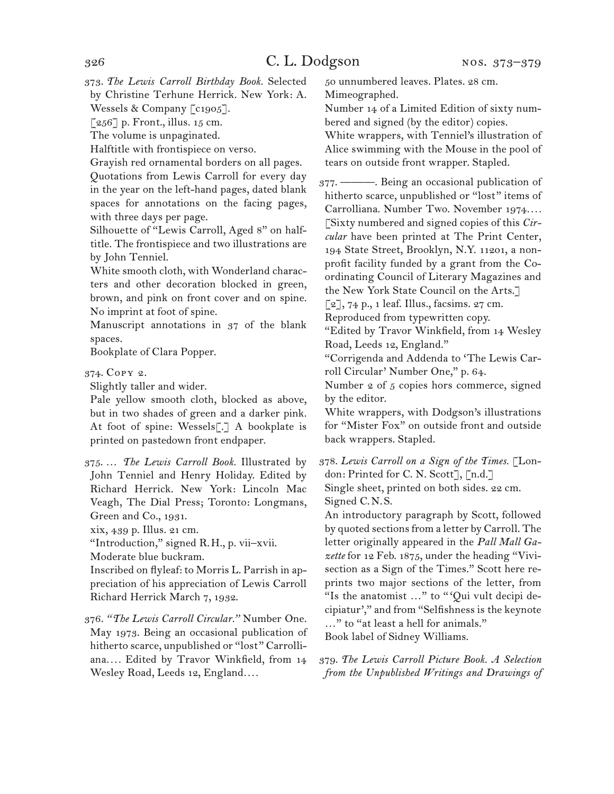373. *The Lewis Carroll Birthday Book.* Selected by Christine Terhune Herrick. New York: A. Wessels & Company [c1905].

 $\lceil 256 \rceil$  p. Front., illus. 15 cm.

The volume is unpaginated.

Halftitle with frontispiece on verso.

Grayish red ornamental borders on all pages. Quotations from Lewis Carroll for every day in the year on the left-hand pages, dated blank spaces for annotations on the facing pages, with three days per page.

Silhouette of "Lewis Carroll, Aged 8" on halftitle. The frontispiece and two illustrations are by John Tenniel.

White smooth cloth, with Wonderland characters and other decoration blocked in green, brown, and pink on front cover and on spine. No imprint at foot of spine.

Manuscript annotations in 37 of the blank spaces.

Bookplate of Clara Popper.

374. Copy 2.

Slightly taller and wider.

Pale yellow smooth cloth, blocked as above, but in two shades of green and a darker pink. At foot of spine: Wessels<sup>[.]</sup> A bookplate is printed on pastedown front endpaper.

375. … *The Lewis Carroll Book.* Illustrated by John Tenniel and Henry Holiday. Edited by Richard Herrick. New York: Lincoln Mac Veagh, The Dial Press; Toronto: Longmans, Green and Co., 1931.

xix, 439 p. Illus. 21 cm.

"Introduction," signed R.H., p. vii–xvii. Moderate blue buckram.

Inscribed on flyleaf: to Morris L. Parrish in appreciation of his appreciation of Lewis Carroll Richard Herrick March 7, 1932.

376. *"The Lewis Carroll Circular."* Number One. May 1973. Being an occasional publication of hitherto scarce, unpublished or "lost" Carrolliana*. . . .* Edited by Travor Winkfield, from 14 Wesley Road, Leeds 12, England*. . . .*

50 unnumbered leaves. Plates. 28 cm. Mimeographed.

Number 14 of a Limited Edition of sixty numbered and signed (by the editor) copies.

White wrappers, with Tenniel's illustration of Alice swimming with the Mouse in the pool of tears on outside front wrapper. Stapled.

377. ———. Being an occasional publication of hitherto scarce, unpublished or "lost" items of Carrolliana. Number Two. November 1974*. . . .*  [Sixty numbered and signed copies of this *Circular* have been printed at The Print Center, 194 State Street, Brooklyn, N.Y. 11201, a nonprofit facility funded by a grant from the Coordinating Council of Literary Magazines and the New York State Council on the Arts.]

 $\lceil 2 \rceil$ , 74 p., 1 leaf. Illus., facsims. 27 cm.

Reproduced from typewritten copy.

"Edited by Travor Winkfield, from 14 Wesley Road, Leeds 12, England."

"Corrigenda and Addenda to 'The Lewis Carroll Circular' Number One," p. 64.

Number 2 of 5 copies hors commerce, signed by the editor.

White wrappers, with Dodgson's illustrations for "Mister Fox" on outside front and outside back wrappers. Stapled.

378. *Lewis Carroll on a Sign of the Times.* [London: Printed for C. N. Scott], [n.d.]

Single sheet, printed on both sides. 22 cm. Signed C.N.S.

An introductory paragraph by Scott, followed by quoted sections from a letter by Carroll. The letter originally appeared in the *Pall Mall Gazette* for 12 Feb. 1875, under the heading "Vivisection as a Sign of the Times." Scott here reprints two major sections of the letter, from "Is the anatomist ..." to "'Qui vult decipi decipiatur'," and from "Selfishness is the keynote …" to "at least a hell for animals." Book label of Sidney Williams.

379. *The Lewis Carroll Picture Book. A Selection from the Unpublished Writings and Drawings of*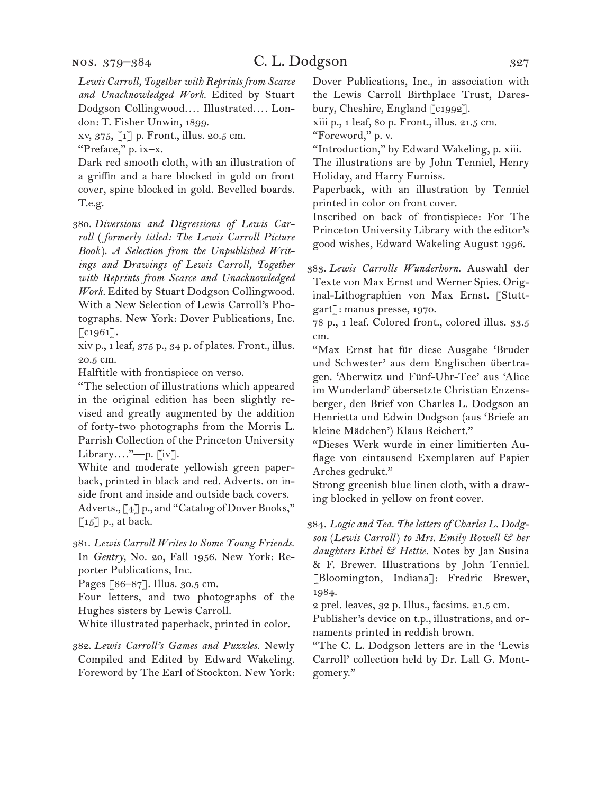*Lewis Carroll, Together with Reprints from Scarce and Unacknowledged Work.* Edited by Stuart Dodgson Collingwood*. . . .* Illustrated*. . . .* London: T. Fisher Unwin, 1899.

xv, 375, [1] p. Front., illus. 20.5 cm.

"Preface," p. ix–x.

Dark red smooth cloth, with an illustration of a griffin and a hare blocked in gold on front cover, spine blocked in gold. Bevelled boards. T.e.g.

380. *Diversions and Digressions of Lewis Carroll* ( *formerly titled: The Lewis Carroll Picture Book* ). *A Selection from the Unpublished Writings and Drawings of Lewis Carroll, Together with Reprints from Scarce and Unacknowledged Work.* Edited by Stuart Dodgson Collingwood. With a New Selection of Lewis Carroll's Photographs. New York: Dover Publications, Inc.  $[$ c1961].

xiv p., 1 leaf, 375 p., 34 p. of plates. Front., illus. 20.5 cm.

Halftitle with frontispiece on verso.

"The selection of illustrations which appeared in the original edition has been slightly revised and greatly augmented by the addition of forty-two photographs from the Morris L. Parrish Collection of the Princeton University Library*. . . .*"—p. [iv].

White and moderate yellowish green paperback, printed in black and red. Adverts. on inside front and inside and outside back covers. Adverts., [4] p., and "Catalog of Dover Books,"  $\lceil 15 \rceil$  p., at back.

381. *Lewis Carroll Writes to Some Young Friends.* In *Gentry,* No. 20, Fall 1956. New York: Reporter Publications, Inc.

Pages [86–87]. Illus. 30.5 cm.

Four letters, and two photographs of the Hughes sisters by Lewis Carroll.

White illustrated paperback, printed in color.

382. *Lewis Carroll's Games and Puzzles.* Newly Compiled and Edited by Edward Wakeling. Foreword by The Earl of Stockton. New York: Dover Publications, Inc., in association with the Lewis Carroll Birthplace Trust, Daresbury, Cheshire, England [c1992].

xiii p., 1 leaf, 80 p. Front., illus. 21.5 cm.

"Foreword," p. v.

"Introduction," by Edward Wakeling, p. xiii.

The illustrations are by John Tenniel, Henry Holiday, and Harry Furniss.

Paperback, with an illustration by Tenniel printed in color on front cover.

Inscribed on back of frontispiece: For The Princeton University Library with the editor's good wishes, Edward Wakeling August 1996.

383. *Lewis Carrolls Wunderhorn.* Auswahl der Texte von Max Ernst und Werner Spies. Original-Lithographien von Max Ernst. [Stuttgart]: manus presse, 1970.

78 p., 1 leaf. Colored front., colored illus. 33.5 cm.

"Max Ernst hat für diese Ausgabe 'Bruder und Schwester' aus dem Englischen übertragen. 'Aberwitz und Fünf-Uhr-Tee' aus 'Alice im Wunderland' übersetzte Christian Enzensberger, den Brief von Charles L. Dodgson an Henrietta und Edwin Dodgson (aus 'Briefe an kleine Mädchen') Klaus Reichert."

"Dieses Werk wurde in einer limitierten Auflage von eintausend Exemplaren auf Papier Arches gedrukt."

Strong greenish blue linen cloth, with a drawing blocked in yellow on front cover.

384. *Logic and Tea. The letters of Charles L. Dodgson* (*Lewis Carroll*) *to Mrs. Emily Rowell & her daughters Ethel & Hettie.* Notes by Jan Susina & F. Brewer. Illustrations by John Tenniel. [Bloomington, Indiana]: Fredric Brewer, 1984.

2 prel. leaves, 32 p. Illus., facsims. 21.5 cm.

Publisher's device on t.p., illustrations, and ornaments printed in reddish brown.

"The C. L. Dodgson letters are in the 'Lewis Carroll' collection held by Dr. Lall G. Montgomery."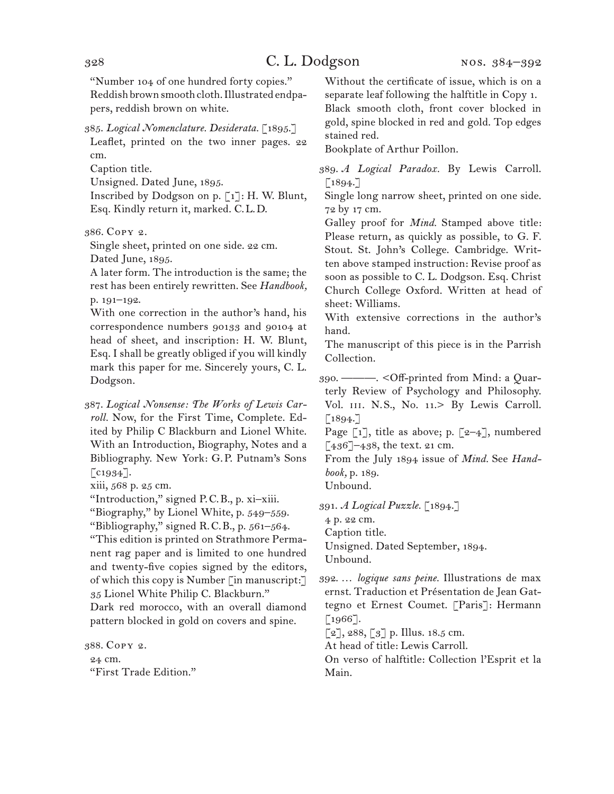"Number 104 of one hundred forty copies." Reddish brown smooth cloth. Illustrated endpapers, reddish brown on white.

385. *Logical Nomenclature. Desiderata.* [1895.] Leaflet, printed on the two inner pages. 22

cm.

Caption title.

Unsigned. Dated June, 1895.

Inscribed by Dodgson on p. [1]: H. W. Blunt, Esq. Kindly return it, marked. C.L.D.

386. Copy 2.

Single sheet, printed on one side. 22 cm. Dated June, 1895.

A later form. The introduction is the same; the rest has been entirely rewritten. See *Handbook,*  p. 191–192.

With one correction in the author's hand, his correspondence numbers 90133 and 90104 at head of sheet, and inscription: H. W. Blunt, Esq. I shall be greatly obliged if you will kindly mark this paper for me. Sincerely yours, C. L. Dodgson.

387. *Logical Nonsense: The Works of Lewis Carroll.* Now, for the First Time, Complete. Edited by Philip C Blackburn and Lionel White. With an Introduction, Biography, Notes and a Bibliography. New York: G.P. Putnam's Sons  $\lceil$  c1934].

xiii, 568 p. 25 cm.

"Introduction," signed P.C.B., p. xi–xiii.

"Biography," by Lionel White, p. 549–559.

"Bibliography," signed R.C.B., p.  $561-564$ .

"This edition is printed on Strathmore Permanent rag paper and is limited to one hundred and twenty-five copies signed by the editors, of which this copy is Number [in manuscript:] 35 Lionel White Philip C. Blackburn."

Dark red morocco, with an overall diamond pattern blocked in gold on covers and spine.

388. Copy 2. 24 cm. "First Trade Edition." Without the certificate of issue, which is on a separate leaf following the halftitle in Copy 1. Black smooth cloth, front cover blocked in gold, spine blocked in red and gold. Top edges stained red.

Bookplate of Arthur Poillon.

389. *A Logical Paradox.* By Lewis Carroll.  $\lceil 1894. \rceil$ 

Single long narrow sheet, printed on one side. 72 by 17 cm.

Galley proof for *Mind.* Stamped above title: Please return, as quickly as possible, to G. F. Stout. St. John's College. Cambridge. Written above stamped instruction: Revise proof as soon as possible to C. L. Dodgson. Esq. Christ Church College Oxford. Written at head of sheet: Williams.

With extensive corrections in the author's hand.

The manuscript of this piece is in the Parrish Collection.

390. ———. <Off-printed from Mind: a Quarterly Review of Psychology and Philosophy. Vol. III. N.S., No. 11.> By Lewis Carroll.  $\lceil 1894. \rceil$ 

Page  $\lceil 1 \rceil$ , title as above; p.  $\lceil 2-4 \rceil$ , numbered [436]–438, the text. 21 cm.

From the July 1894 issue of *Mind.* See *Handbook,* p. 189.

Unbound.

391. *A Logical Puzzle.* [1894.]

4 p. 22 cm.

Caption title.

Unsigned. Dated September, 1894. Unbound.

392. … *logique sans peine.* Illustrations de max ernst. Traduction et Présentation de Jean Gattegno et Ernest Coumet. [Paris]: Hermann [1966].

 $[2]$ , 288,  $[3]$  p. Illus. 18.5 cm.

At head of title: Lewis Carroll.

On verso of halftitle: Collection l'Esprit et la Main.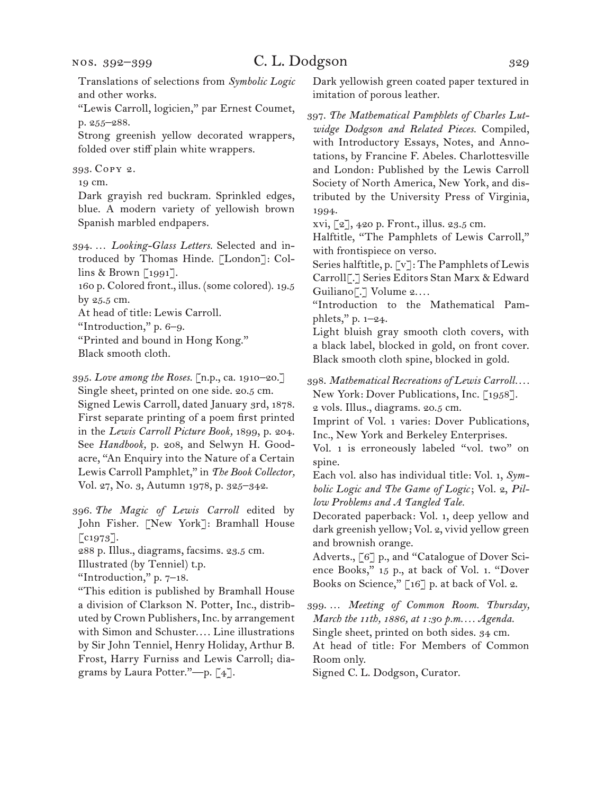Translations of selections from *Symbolic Logic*  and other works.

"Lewis Carroll, logicien," par Ernest Coumet, p. 255–288.

Strong greenish yellow decorated wrappers, folded over stiff plain white wrappers.

393. Copy 2.

19 cm.

Dark grayish red buckram. Sprinkled edges, blue. A modern variety of yellowish brown Spanish marbled endpapers.

- 394. … *Looking-Glass Letters.* Selected and introduced by Thomas Hinde. [London]: Collins & Brown [1991].
- 160 p. Colored front., illus. (some colored). 19.5 by 25.5 cm.

At head of title: Lewis Carroll.

"Introduction," p. 6–9.

"Printed and bound in Hong Kong."

Black smooth cloth.

395. *Love among the Roses.* [n.p., ca. 1910–20.] Single sheet, printed on one side. 20.5 cm. Signed Lewis Carroll, dated January 3rd, 1878. First separate printing of a poem first printed in the *Lewis Carroll Picture Book,* 1899, p. 204. See *Handbook,* p. 208, and Selwyn H. Goodacre, "An Enquiry into the Nature of a Certain Lewis Carroll Pamphlet," in *The Book Collector,*  Vol. 27, No. 3, Autumn 1978, p. 325–342.

396. *The Magic of Lewis Carroll* edited by John Fisher. [New York]: Bramhall House  $\lceil \text{c} \cdot 1973 \rceil$ .

288 p. Illus., diagrams, facsims. 23.5 cm.

Illustrated (by Tenniel) t.p.

"Introduction," p. 7–18.

"This edition is published by Bramhall House a division of Clarkson N. Potter, Inc., distributed by Crown Publishers, Inc. by arrangement with Simon and Schuster.... Line illustrations by Sir John Tenniel, Henry Holiday, Arthur B. Frost, Harry Furniss and Lewis Carroll; diagrams by Laura Potter."—p. [4].

Dark yellowish green coated paper textured in imitation of porous leather.

397. *The Mathematical Pamphlets of Charles Lutwidge Dodgson and Related Pieces.* Compiled, with Introductory Essays, Notes, and Annotations, by Francine F. Abeles. Charlottesville and London: Published by the Lewis Carroll Society of North America, New York, and distributed by the University Press of Virginia, 1994.

xvi, [2], 420 p. Front., illus. 23.5 cm.

Halftitle, "The Pamphlets of Lewis Carroll," with frontispiece on verso.

Series halftitle, p. [v]: The Pamphlets of Lewis Carroll[.] Series Editors Stan Marx & Edward Guiliano[.] Volume 2*. . . .*

"Introduction to the Mathematical Pamphlets," p. 1–24.

Light bluish gray smooth cloth covers, with a black label, blocked in gold, on front cover. Black smooth cloth spine, blocked in gold.

398. *Mathematical Recreations of Lewis Carroll. . . .*

New York: Dover Publications, Inc. [1958]. 2 vols. Illus., diagrams. 20.5 cm.

Imprint of Vol. 1 varies: Dover Publications, Inc., New York and Berkeley Enterprises.

Vol. 1 is erroneously labeled "vol. two" on spine.

Each vol. also has individual title: Vol. 1, *Symbolic Logic and The Game of Logic*; Vol. 2, *Pillow Problems and A Tangled Tale.* 

Decorated paperback: Vol. 1, deep yellow and dark greenish yellow; Vol. 2, vivid yellow green and brownish orange.

Adverts., [6] p., and "Catalogue of Dover Science Books," 15 p., at back of Vol. 1. "Dover Books on Science," [16] p. at back of Vol. 2.

399. … *Meeting of Common Room. Thursday, March the 11th, 1886, at 1:30 p.m. . . . Agenda.* Single sheet, printed on both sides. 34 cm. At head of title: For Members of Common

Room only.

Signed C. L. Dodgson, Curator.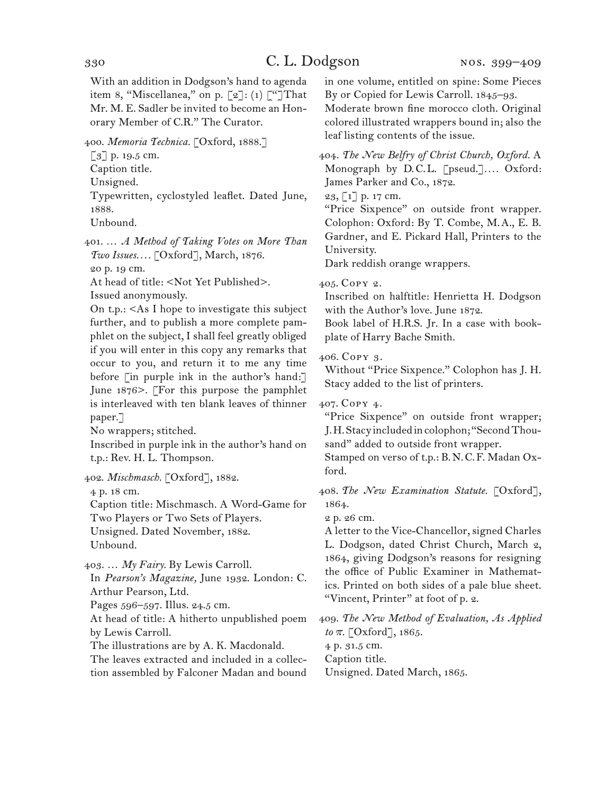With an addition in Dodgson's hand to agenda item 8, "Miscellanea," on p. [2]: (1) ["]That Mr. M. E. Sadler be invited to become an Honorary Member of C.R." The Curator.

400. *Memoria Technica.* [Oxford, 1888.]

[3] p. 19.5 cm.

Caption title.

Unsigned.

Typewritten, cyclostyled leaflet. Dated June, 1888.

Unbound.

401. … *A Method of Taking Votes on More Than Two Issues. . . .* [Oxford], March, 1876. 20 p. 19 cm.

At head of title: <Not Yet Published>.

Issued anonymously.

On t.p.: <As I hope to investigate this subject further, and to publish a more complete pamphlet on the subject, I shall feel greatly obliged if you will enter in this copy any remarks that occur to you, and return it to me any time before [in purple ink in the author's hand:] June 1876>. [For this purpose the pamphlet is interleaved with ten blank leaves of thinner paper.]

No wrappers; stitched.

Inscribed in purple ink in the author's hand on t.p.: Rev. H. L. Thompson.

402. *Mischmasch.* [Oxford], 1882.

4 p. 18 cm.

Caption title: Mischmasch. A Word-Game for Two Players or Two Sets of Players. Unsigned. Dated November, 1882. Unbound.

403. … *My Fairy.* By Lewis Carroll.

In *Pearson's Magazine,* June 1932. London: C. Arthur Pearson, Ltd.

Pages 596–597. Illus. 24.5 cm.

At head of title: A hitherto unpublished poem by Lewis Carroll.

The illustrations are by A. K. Macdonald.

The leaves extracted and included in a collection assembled by Falconer Madan and bound in one volume, entitled on spine: Some Pieces By or Copied for Lewis Carroll. 1845–93.

Moderate brown fine morocco cloth. Original colored illustrated wrappers bound in; also the leaf listing contents of the issue.

404. *The New Belfry of Christ Church, Oxford.* A Monograph by D.C.L. [pseud.].... Oxford: James Parker and Co., 1872.

23, [1] p. 17 cm.

"Price Sixpence" on outside front wrapper. Colophon: Oxford: By T. Combe, M.A., E. B. Gardner, and E. Pickard Hall, Printers to the University.

Dark reddish orange wrappers.

## 405. Copy 2.

Inscribed on halftitle: Henrietta H. Dodgson with the Author's love. June 1872.

Book label of H.R.S. Jr. In a case with bookplate of Harry Bache Smith.

406. Copy 3.

Without "Price Sixpence." Colophon has J. H. Stacy added to the list of printers.

407. Copy 4.

"Price Sixpence" on outside front wrapper; J. H. Stacy included in colophon; "Second Thousand" added to outside front wrapper.

Stamped on verso of t.p.: B.N.C.F. Madan Oxford.

408. *The New Examination Statute.* [Oxford], 1864.

2 p. 26 cm.

A letter to the Vice-Chancellor, signed Charles L. Dodgson, dated Christ Church, March 2, 1864, giving Dodgson's reasons for resigning the office of Public Examiner in Mathematics. Printed on both sides of a pale blue sheet. "Vincent, Printer" at foot of p. 2.

409. *The New Method of Evaluation, As Applied to*  $\pi$ . [Oxford], 1865. 4 p. 31.5 cm.

Caption title.

Unsigned. Dated March, 1865.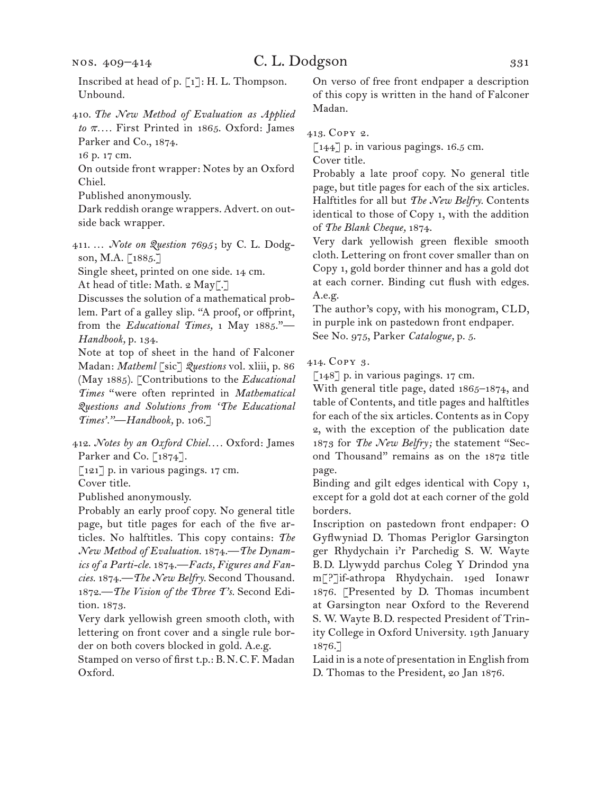Inscribed at head of p. [1]: H. L. Thompson. Unbound.

410. *The New Method of Evaluation as Applied to* p*. . . .* First Printed in 1865. Oxford: James Parker and Co., 1874.

16 p. 17 cm.

On outside front wrapper: Notes by an Oxford Chiel.

Published anonymously.

Dark reddish orange wrappers. Advert. on outside back wrapper.

411. … *Note on Question 7695* ; by C. L. Dodgson, M.A. [1885.]

Single sheet, printed on one side. 14 cm.

At head of title: Math. 2 May[.]

Discusses the solution of a mathematical problem. Part of a galley slip. "A proof, or offprint, from the *Educational Times,* 1 May 1885."— *Handbook,* p. 134.

Note at top of sheet in the hand of Falconer Madan: *Matheml* [sic] *Questions* vol. xliii, p. 86 (May 1885). [Contributions to the *Educational Times* "were often reprinted in *Mathematical Questions and Solutions from 'The Educational Times'."—Handbook,* p. 106.]

412. *Notes by an Oxford Chiel. . . .* Oxford: James Parker and Co. [1874].

[121] p. in various pagings. 17 cm.

Cover title.

Published anonymously.

Probably an early proof copy. No general title page, but title pages for each of the five articles. No halftitles. This copy contains: *The New Method of Evaluation.* 1874.—*The Dynamics of a Parti-cle.* 1874.—*Facts, Figures and Fancies.* 1874.—*The New Belfry.* Second Thousand. 1872.—*The Vision of the Three T's.* Second Edition. 1873.

Very dark yellowish green smooth cloth, with lettering on front cover and a single rule border on both covers blocked in gold. A.e.g.

Stamped on verso of first t.p.: B.N.C.F. Madan Oxford.

On verso of free front endpaper a description of this copy is written in the hand of Falconer Madan.

413. Copy 2.

[144] p. in various pagings. 16.5 cm.

Cover title.

Probably a late proof copy. No general title page, but title pages for each of the six articles. Halftitles for all but *The New Belfry.* Contents identical to those of Copy 1, with the addition of *The Blank Cheque,* 1874.

Very dark yellowish green flexible smooth cloth. Lettering on front cover smaller than on Copy 1, gold border thinner and has a gold dot at each corner. Binding cut flush with edges. A.e.g.

The author's copy, with his monogram, CLD, in purple ink on pastedown front endpaper. See No. 975, Parker *Catalogue,* p. 5.

414. Copy 3.

[148] p. in various pagings. 17 cm.

With general title page, dated 1865–1874, and table of Contents, and title pages and halftitles for each of the six articles. Contents as in Copy 2, with the exception of the publication date 1873 for *The New Belfry;* the statement "Second Thousand" remains as on the 1872 title page.

Binding and gilt edges identical with Copy 1, except for a gold dot at each corner of the gold borders.

Inscription on pastedown front endpaper: O Gyflwyniad D. Thomas Periglor Garsington ger Rhydychain i'r Parchedig S. W. Wayte B.D. Llywydd parchus Coleg Y Drindod yna m[?]if-athropa Rhydychain. 19ed Ionawr 1876. [Presented by D. Thomas incumbent at Garsington near Oxford to the Reverend S. W. Wayte B.D. respected President of Trinity College in Oxford University. 19th January 1876.]

Laid in is a note of presentation in English from D. Thomas to the President, 20 Jan 1876.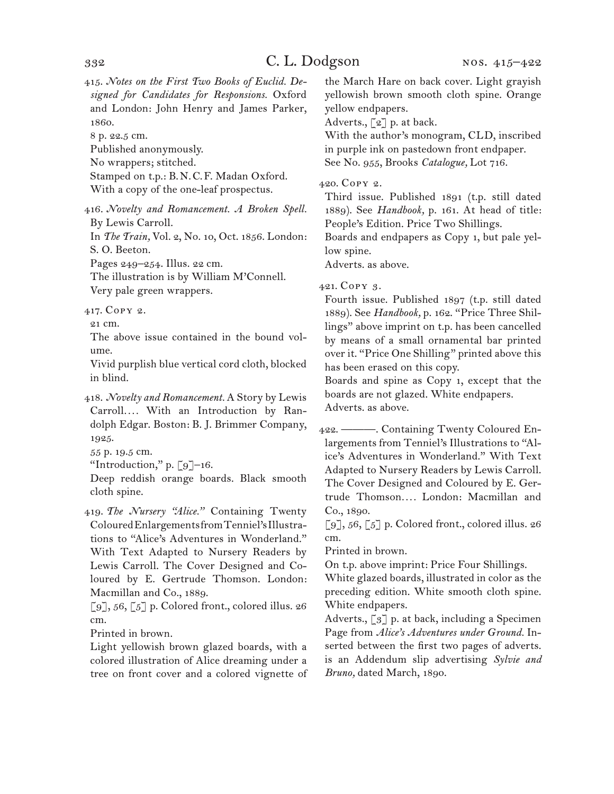415. *Notes on the First Two Books of Euclid. Designed for Candidates for Responsions.* Oxford and London: John Henry and James Parker, 1860.

8 p. 22.5 cm.

Published anonymously.

No wrappers; stitched.

Stamped on t.p.: B.N.C.F. Madan Oxford.

With a copy of the one-leaf prospectus.

416. *Novelty and Romancement. A Broken Spell.* By Lewis Carroll.

In *The Train,* Vol. 2, No. 10, Oct. 1856. London: S. O. Beeton.

Pages 249–254. Illus. 22 cm.

The illustration is by William M'Connell. Very pale green wrappers.

417. Copy 2.

21 cm.

The above issue contained in the bound volume.

Vivid purplish blue vertical cord cloth, blocked in blind.

418. *Novelty and Romancement.* A Story by Lewis Carroll.... With an Introduction by Randolph Edgar. Boston: B. J. Brimmer Company, 1925.

55 p. 19.5 cm.

"Introduction," p. [9]–16.

Deep reddish orange boards. Black smooth cloth spine.

419. *The Nursery "Alice."* Containing Twenty Coloured Enlargements from Tenniel's Illustrations to "Alice's Adventures in Wonderland." With Text Adapted to Nursery Readers by Lewis Carroll. The Cover Designed and Coloured by E. Gertrude Thomson. London: Macmillan and Co., 1889.

 $[9]$ , 56,  $[5]$  p. Colored front., colored illus. 26 cm.

Printed in brown.

Light yellowish brown glazed boards, with a colored illustration of Alice dreaming under a tree on front cover and a colored vignette of the March Hare on back cover. Light grayish yellowish brown smooth cloth spine. Orange yellow endpapers.

Adverts., [2] p. at back.

With the author's monogram, CLD, inscribed in purple ink on pastedown front endpaper. See No. 955, Brooks *Catalogue,* Lot 716.

## 420. Copy 2.

Third issue. Published 1891 (t.p. still dated 1889). See *Handbook,* p. 161. At head of title: People's Edition. Price Two Shillings.

Boards and endpapers as Copy 1, but pale yellow spine.

Adverts. as above.

## 421. Copy 3.

Fourth issue. Published 1897 (t.p. still dated 1889). See *Handbook,* p. 162. "Price Three Shillings" above imprint on t.p. has been cancelled by means of a small ornamental bar printed over it. "Price One Shilling" printed above this has been erased on this copy.

Boards and spine as Copy 1, except that the boards are not glazed. White endpapers. Adverts. as above.

422. ———. Containing Twenty Coloured Enlargements from Tenniel's Illustrations to "Alice's Adventures in Wonderland." With Text Adapted to Nursery Readers by Lewis Carroll. The Cover Designed and Coloured by E. Gertrude Thomson*. . . .* London: Macmillan and Co., 1890.

[9], 56, [5] p. Colored front., colored illus. 26 cm.

Printed in brown.

On t.p. above imprint: Price Four Shillings.

White glazed boards, illustrated in color as the preceding edition. White smooth cloth spine. White endpapers.

Adverts., [3] p. at back, including a Specimen Page from *Alice's Adventures under Ground.* Inserted between the first two pages of adverts. is an Addendum slip advertising *Sylvie and Bruno,* dated March, 1890.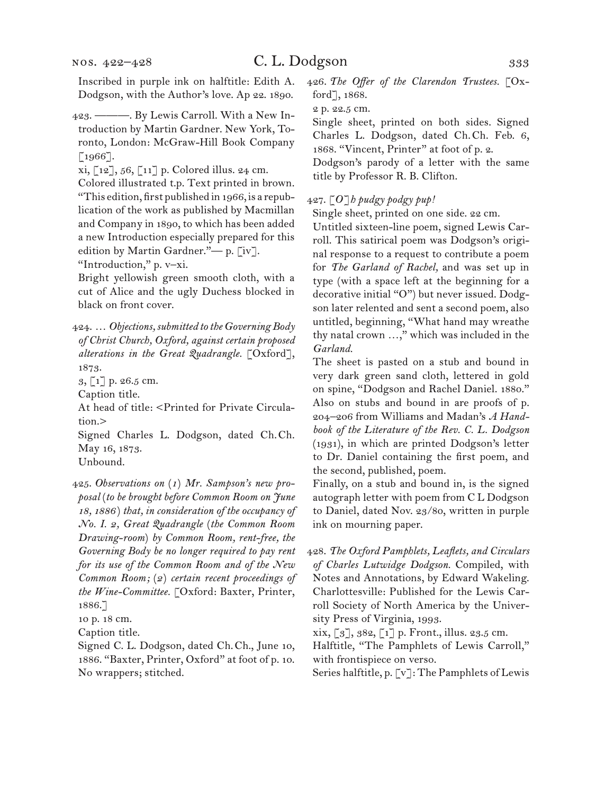nos. 422–428

Inscribed in purple ink on halftitle: Edith A. Dodgson, with the Author's love. Ap 22. 1890.

423. ———. By Lewis Carroll. With a New Introduction by Martin Gardner. New York, Toronto, London: McGraw-Hill Book Company [1966].

xi, [12], 56, [11] p. Colored illus. 24 cm.

Colored illustrated t.p. Text printed in brown. "This edition, first published in 1966, is a republication of the work as published by Macmillan and Company in 1890, to which has been added a new Introduction especially prepared for this edition by Martin Gardner."— p. [iv].

"Introduction," p. v–xi.

Bright yellowish green smooth cloth, with a cut of Alice and the ugly Duchess blocked in black on front cover.

424. … *Objections, submitted to the Governing Body of Christ Church, Oxford, against certain proposed alterations in the Great Quadrangle.* [Oxford], 1873.

3, [1] p. 26.5 cm.

Caption title.

At head of title: < Printed for Private Circulation.>

Signed Charles L. Dodgson, dated Ch.Ch. May 16, 1873.

Unbound.

425. *Observations on* (*1*) *Mr. Sampson's new proposal* (*to be brought before Common Room on June 18, 1886* ) *that, in consideration of the occupancy of No. I. 2, Great Quadrangle* (*the Common Room Drawing-room*) *by Common Room, rent-free, the Governing Body be no longer required to pay rent for its use of the Common Room and of the New Common Room;* (*2*) *certain recent proceedings of the Wine-Committee.* [Oxford: Baxter, Printer, 1886.]

10 p. 18 cm.

Caption title.

426. *The Offer of the Clarendon Trustees.* [Oxford], 1868.

2 p. 22.5 cm.

Single sheet, printed on both sides. Signed Charles L. Dodgson, dated Ch.Ch. Feb. 6, 1868. "Vincent, Printer" at foot of p. 2.

Dodgson's parody of a letter with the same title by Professor R. B. Clifton.

#### 427. [*O*]*h pudgy podgy pup!*

Single sheet, printed on one side. 22 cm.

Untitled sixteen-line poem, signed Lewis Carroll. This satirical poem was Dodgson's original response to a request to contribute a poem for *The Garland of Rachel,* and was set up in type (with a space left at the beginning for a decorative initial "O") but never issued. Dodgson later relented and sent a second poem, also untitled, beginning, "What hand may wreathe thy natal crown …," which was included in the *Garland.*

The sheet is pasted on a stub and bound in very dark green sand cloth, lettered in gold on spine, "Dodgson and Rachel Daniel. 1880." Also on stubs and bound in are proofs of p. 204–206 from Williams and Madan's *A Handbook of the Literature of the Rev. C. L. Dodgson*  (1931), in which are printed Dodgson's letter to Dr. Daniel containing the first poem, and the second, published, poem.

Finally, on a stub and bound in, is the signed autograph letter with poem from C L Dodgson to Daniel, dated Nov. 23/80, written in purple ink on mourning paper.

428. *The Oxford Pamphlets, Leaflets, and Circulars of Charles Lutwidge Dodgson.* Compiled, with Notes and Annotations, by Edward Wakeling. Charlottesville: Published for the Lewis Carroll Society of North America by the University Press of Virginia, 1993.

 $xix, [3], 382, [1]$  p. Front., illus. 23.5 cm.

Halftitle, "The Pamphlets of Lewis Carroll," with frontispiece on verso.

Series halftitle, p. [v]: The Pamphlets of Lewis

Signed C. L. Dodgson, dated Ch.Ch., June 10, 1886. "Baxter, Printer, Oxford" at foot of p. 10. No wrappers; stitched.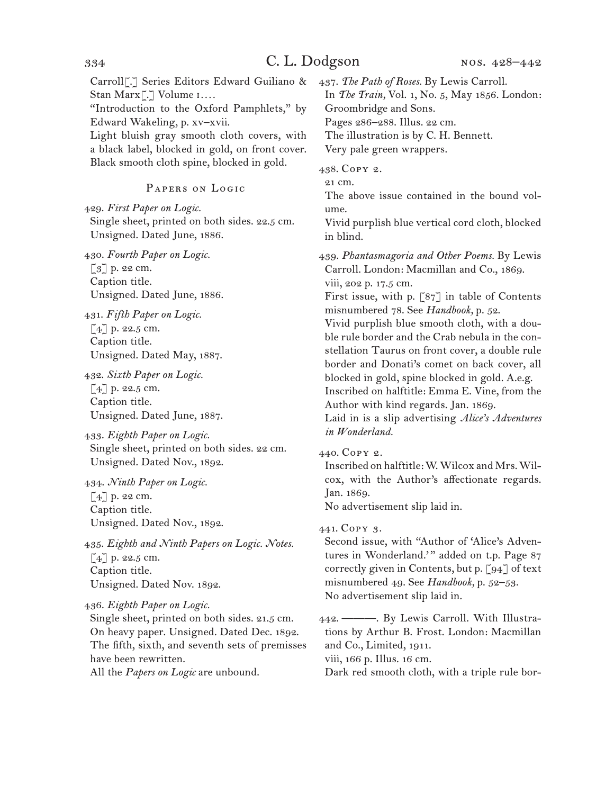# 334 C. L. Dodgson

Carroll[.] Series Editors Edward Guiliano & Stan Marx[.] Volume i*. . . .* "Introduction to the Oxford Pamphlets," by Edward Wakeling, p. xv–xvii. Light bluish gray smooth cloth covers, with a black label, blocked in gold, on front cover. Black smooth cloth spine, blocked in gold.

## Papers on Logic

429. *First Paper on Logic.* Single sheet, printed on both sides. 22.5 cm. Unsigned. Dated June, 1886.

430. *Fourth Paper on Logic.* [3] p. 22 cm. Caption title. Unsigned. Dated June, 1886.

431. *Fifth Paper on Logic.* [4] p. 22.5 cm. Caption title. Unsigned. Dated May, 1887.

432. *Sixth Paper on Logic.* [4] p. 22.5 cm. Caption title. Unsigned. Dated June, 1887.

433. *Eighth Paper on Logic.* Single sheet, printed on both sides. 22 cm. Unsigned. Dated Nov., 1892.

434. *Ninth Paper on Logic.* [4] p. 22 cm. Caption title. Unsigned. Dated Nov., 1892.

435. *Eighth and Ninth Papers on Logic. Notes.* [4] p. 22.5 cm. Caption title. Unsigned. Dated Nov. 1892.

436. *Eighth Paper on Logic.*

Single sheet, printed on both sides. 21.5 cm. On heavy paper. Unsigned. Dated Dec. 1892. The fifth, sixth, and seventh sets of premisses have been rewritten. All the *Papers on Logic* are unbound.

437. *The Path of Roses.* By Lewis Carroll.

In *The Train,* Vol. 1, No. 5, May 1856. London: Groombridge and Sons.

Pages 286–288. Illus. 22 cm.

The illustration is by C. H. Bennett.

Very pale green wrappers.

438. Copy 2.

21 cm.

The above issue contained in the bound volume.

Vivid purplish blue vertical cord cloth, blocked in blind.

439. *Phantasmagoria and Other Poems.* By Lewis Carroll. London: Macmillan and Co., 1869. viii, 202 p. 17.5 cm.

First issue, with p. [87] in table of Contents misnumbered 78. See *Handbook,* p. 52.

Vivid purplish blue smooth cloth, with a double rule border and the Crab nebula in the constellation Taurus on front cover, a double rule border and Donati's comet on back cover, all blocked in gold, spine blocked in gold. A.e.g. Inscribed on halftitle: Emma E. Vine, from the Author with kind regards. Jan. 1869.

Laid in is a slip advertising *Alice's Adventures in Wonderland.*

440. Copy 2.

Inscribed on halftitle: W. Wilcox and Mrs. Wilcox, with the Author's affectionate regards. Jan. 1869.

No advertisement slip laid in.

441. Copy 3.

Second issue, with "Author of 'Alice's Adventures in Wonderland." added on t.p. Page 87 correctly given in Contents, but p. [94] of text misnumbered 49. See *Handbook,* p. 52–53. No advertisement slip laid in.

442. ———. By Lewis Carroll. With Illustrations by Arthur B. Frost. London: Macmillan and Co., Limited, 1911.

viii, 166 p. Illus. 16 cm.

Dark red smooth cloth, with a triple rule bor-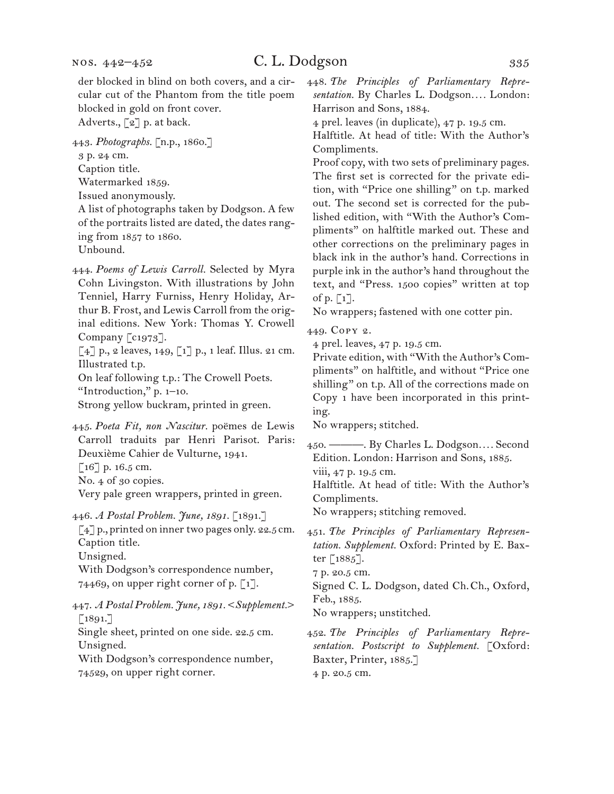Adverts., [2] p. at back.

443. *Photographs.* [n.p., 1860.]

3 p. 24 cm.

Caption title.

Watermarked 1859.

Issued anonymously.

A list of photographs taken by Dodgson. A few of the portraits listed are dated, the dates ranging from 1857 to 1860. Unbound.

444. *Poems of Lewis Carroll.* Selected by Myra Cohn Livingston. With illustrations by John Tenniel, Harry Furniss, Henry Holiday, Arthur B. Frost, and Lewis Carroll from the original editions. New York: Thomas Y. Crowell Company  $\lceil c_1973 \rceil$ .

 $[4]$  p., 2 leaves, 149,  $[1]$  p., 1 leaf. Illus. 21 cm. Illustrated t.p.

On leaf following t.p.: The Crowell Poets.

"Introduction," p. 1–10.

Strong yellow buckram, printed in green.

445. *Poeta Fit, non Nascitur.* poëmes de Lewis Carroll traduits par Henri Parisot. Paris: Deuxième Cahier de Vulturne, 1941.  $[16]$  p. 16.5 cm.

No. 4 of 30 copies.

Very pale green wrappers, printed in green.

446. *A Postal Problem. June, 1891.* [1891.]

[4] p., printed on inner two pages only. 22.5 cm. Caption title.

Unsigned.

With Dodgson's correspondence number, 74469, on upper right corner of p.  $\lceil 1 \rceil$ .

447. *A Postal Problem. June, 1891.* <*Supplement.*>  $\lceil 1891. \rceil$ 

Single sheet, printed on one side. 22.5 cm. Unsigned.

With Dodgson's correspondence number, 74529, on upper right corner.

448. *The Principles of Parliamentary Representation.* By Charles L. Dodgson*. . . .* London: Harrison and Sons, 1884.

4 prel. leaves (in duplicate), 47 p. 19.5 cm.

Halftitle. At head of title: With the Author's Compliments.

Proof copy, with two sets of preliminary pages. The first set is corrected for the private edition, with "Price one shilling" on t.p. marked out. The second set is corrected for the published edition, with "With the Author's Compliments" on halftitle marked out. These and other corrections on the preliminary pages in black ink in the author's hand. Corrections in purple ink in the author's hand throughout the text, and "Press. 1500 copies" written at top of p.  $\lceil 1 \rceil$ .

No wrappers; fastened with one cotter pin.

449. Copy 2.

4 prel. leaves, 47 p. 19.5 cm.

Private edition, with "With the Author's Compliments" on halftitle, and without "Price one shilling" on t.p. All of the corrections made on Copy 1 have been incorporated in this printing.

No wrappers; stitched.

450. ———. By Charles L. Dodgson*. . . .* Second Edition. London: Harrison and Sons, 1885.

viii, 47 p. 19.5 cm.

Halftitle. At head of title: With the Author's Compliments.

No wrappers; stitching removed.

451. *The Principles of Parliamentary Representation. Supplement.* Oxford: Printed by E. Baxter  $\lceil 1885 \rceil$ .

7 p. 20.5 cm.

Signed C. L. Dodgson, dated Ch.Ch., Oxford, Feb., 1885.

No wrappers; unstitched.

452. *The Principles of Parliamentary Representation. Postscript to Supplement.* [Oxford: Baxter, Printer, 1885.] 4 p. 20.5 cm.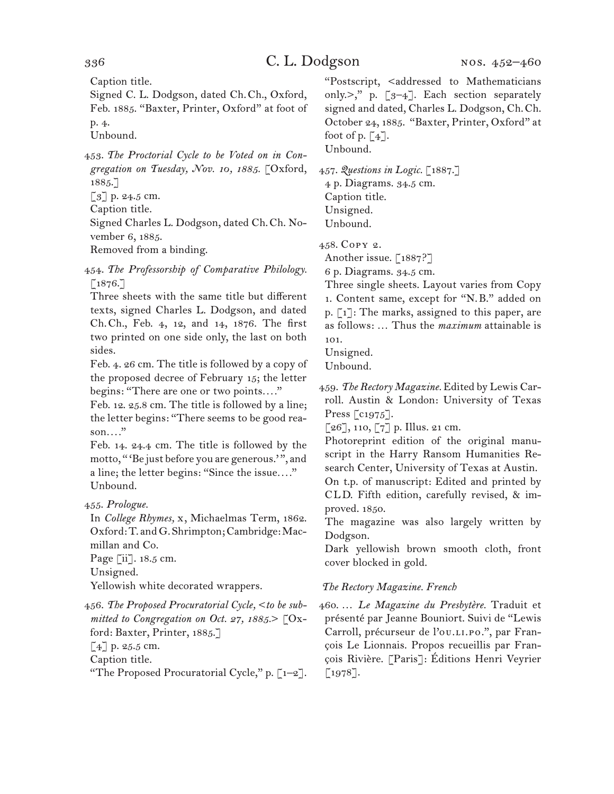Caption title.

Signed C. L. Dodgson, dated Ch.Ch., Oxford, Feb. 1885. "Baxter, Printer, Oxford" at foot of p. 4.

Unbound.

453. *The Proctorial Cycle to be Voted on in Congregation on Tuesday, Nov. 10, 1885.* [Oxford, 1885.]  $\left[\begin{matrix}3\end{matrix}\right]$  p. 24.5 cm.

Caption title.

Signed Charles L. Dodgson, dated Ch.Ch. November 6, 1885.

Removed from a binding.

454. *The Professorship of Comparative Philology.*  $[1876.$ ]

Three sheets with the same title but different texts, signed Charles L. Dodgson, and dated Ch.Ch., Feb. 4, 12, and 14, 1876. The first two printed on one side only, the last on both sides.

Feb. 4. 26 cm. The title is followed by a copy of the proposed decree of February 15; the letter begins: "There are one or two points*. . . .*"

Feb. 12. 25.8 cm. The title is followed by a line; the letter begins: "There seems to be good reason*. . . .*"

Feb. 14. 24.4 cm. The title is followed by the motto, "'Be just before you are generous.'", and a line; the letter begins: "Since the issue*. . . .*" Unbound.

455. *Prologue.*

In *College Rhymes,* x, Michaelmas Term, 1862. Oxford: T. and G. Shrimpton; Cambridge: Macmillan and Co.

Page [ii]. 18.5 cm.

Unsigned.

Yellowish white decorated wrappers.

456. *The Proposed Procuratorial Cycle,* <*to be submitted to Congregation on Oct. 27, 1885.*> [Oxford: Baxter, Printer, 1885.]

 $[4]$  p. 25.5 cm.

Caption title.

"The Proposed Procuratorial Cycle," p.  $[-2]$ .

"Postscript, <addressed to Mathematicians only.>," p. [3–4]. Each section separately signed and dated, Charles L. Dodgson, Ch.Ch. October 24, 1885. "Baxter, Printer, Oxford" at foot of p.  $\lceil 4 \rceil$ .

Unbound.

457. *Questions in Logic.* [1887.]

4 p. Diagrams. 34.5 cm. Caption title. Unsigned. Unbound.

458. Copy 2.

Another issue. [1887?]

6 p. Diagrams. 34.5 cm.

Three single sheets. Layout varies from Copy 1. Content same, except for "N.B." added on p. [1]: The marks, assigned to this paper, are as follows: … Thus the *maximum* attainable is 101.

Unsigned.

Unbound.

459. *The Rectory Magazine.* Edited by Lewis Carroll. Austin & London: University of Texas Press [c1975].

 $[26]$ , 110,  $[7]$  p. Illus. 21 cm.

Photoreprint edition of the original manuscript in the Harry Ransom Humanities Research Center, University of Texas at Austin.

On t.p. of manuscript: Edited and printed by CLD. Fifth edition, carefully revised, & improved. 1850.

The magazine was also largely written by Dodgson.

Dark yellowish brown smooth cloth, front cover blocked in gold.

## *The Rectory Magazine. French*

460. … *Le Magazine du Presbytère.* Traduit et présenté par Jeanne Bouniort. Suivi de "Lewis Carroll, précurseur de l'ou.LI.Po.", par François Le Lionnais. Propos recueillis par François Rivière. [Paris]: Éditions Henri Veyrier [1978].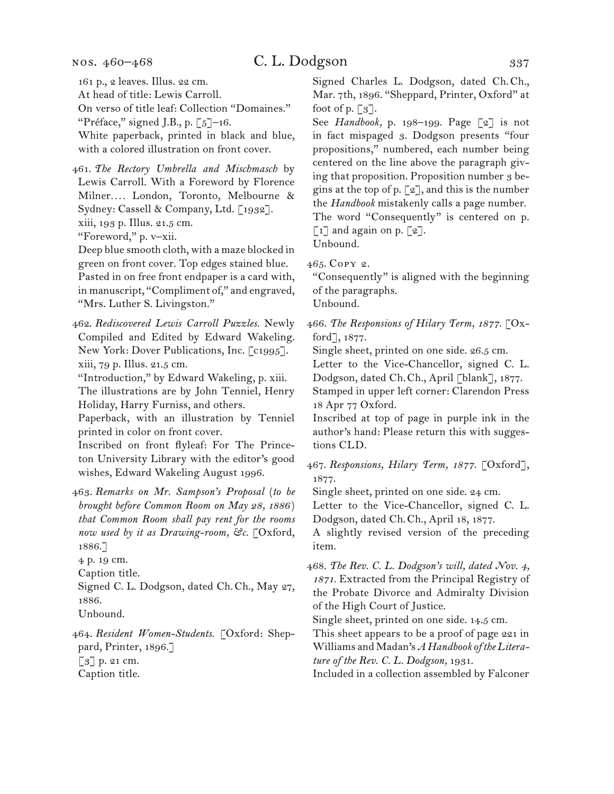At head of title: Lewis Carroll.

On verso of title leaf: Collection "Domaines." "Préface," signed J.B., p.  $\lceil 5 \rceil$ –16.

White paperback, printed in black and blue, with a colored illustration on front cover.

461. *The Rectory Umbrella and Mischmasch* by Lewis Carroll. With a Foreword by Florence Milner*. . . .* London, Toronto, Melbourne & Sydney: Cassell & Company, Ltd. [1932]. xiii, 193 p. Illus. 21.5 cm.

"Foreword," p. v–xii.

Deep blue smooth cloth, with a maze blocked in green on front cover. Top edges stained blue. Pasted in on free front endpaper is a card with, in manuscript, "Compliment of," and engraved, "Mrs. Luther S. Livingston."

462. *Rediscovered Lewis Carroll Puzzles.* Newly Compiled and Edited by Edward Wakeling. New York: Dover Publications, Inc. [c1995]. xiii, 79 p. Illus. 21.5 cm.

"Introduction," by Edward Wakeling, p. xiii. The illustrations are by John Tenniel, Henry

Holiday, Harry Furniss, and others.

Paperback, with an illustration by Tenniel printed in color on front cover.

Inscribed on front flyleaf: For The Princeton University Library with the editor's good wishes, Edward Wakeling August 1996.

463. *Remarks on Mr. Sampson's Proposal* (*to be brought before Common Room on May 28, 1886* ) *that Common Room shall pay rent for the rooms now used by it as Drawing-room, &c.* [Oxford, 1886.]

4 p. 19 cm.

Caption title.

Signed C. L. Dodgson, dated Ch.Ch., May 27, 1886.

Unbound.

464. *Resident Women-Students.* [Oxford: Sheppard, Printer, 1896.] [3] p. 21 cm.

Caption title.

Signed Charles L. Dodgson, dated Ch.Ch., Mar. 7th, 1896. "Sheppard, Printer, Oxford" at foot of p.  $\lbrack 3 \rbrack$ .

See *Handbook,* p. 198–199. Page [2] is not in fact mispaged 3. Dodgson presents "four propositions," numbered, each number being centered on the line above the paragraph giving that proposition. Proposition number 3 begins at the top of p.  $\lceil 2 \rceil$ , and this is the number the *Handbook* mistakenly calls a page number. The word "Consequently" is centered on p.  $\lceil 1 \rceil$  and again on p.  $\lceil 2 \rceil$ . Unbound.

465. Copy 2.

"Consequently" is aligned with the beginning of the paragraphs.

Unbound.

466. *The Responsions of Hilary Term, 1877.* [Oxford], 1877.

Single sheet, printed on one side. 26.5 cm.

Letter to the Vice-Chancellor, signed C. L. Dodgson, dated Ch.Ch., April [blank], 1877. Stamped in upper left corner: Clarendon Press 18 Apr 77 Oxford.

Inscribed at top of page in purple ink in the author's hand: Please return this with suggestions CLD.

467. *Responsions, Hilary Term, 1877.* [Oxford], 1877.

Single sheet, printed on one side. 24 cm.

Letter to the Vice-Chancellor, signed C. L. Dodgson, dated Ch.Ch., April 18, 1877.

A slightly revised version of the preceding item.

468. *The Rev. C. L. Dodgson's will, dated Nov. 4, 1871.* Extracted from the Principal Registry of the Probate Divorce and Admiralty Division of the High Court of Justice.

Single sheet, printed on one side. 14.5 cm.

This sheet appears to be a proof of page 221 in Williams and Madan's *A Handbook of the Literature of the Rev. C. L. Dodgson,* 1931.

Included in a collection assembled by Falconer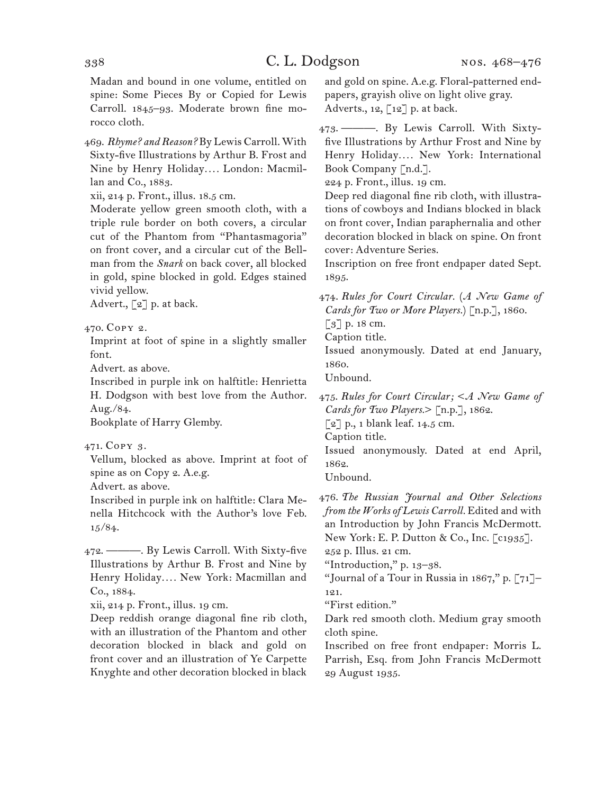Madan and bound in one volume, entitled on spine: Some Pieces By or Copied for Lewis Carroll. 1845–93. Moderate brown fine morocco cloth.

469. *Rhyme? and Reason?* By Lewis Carroll. With Sixty-five Illustrations by Arthur B. Frost and Nine by Henry Holiday*. . . .* London: Macmillan and Co., 1883.

xii, 214 p. Front., illus. 18.5 cm.

Moderate yellow green smooth cloth, with a triple rule border on both covers, a circular cut of the Phantom from "Phantasmagoria" on front cover, and a circular cut of the Bellman from the *Snark* on back cover, all blocked in gold, spine blocked in gold. Edges stained vivid yellow.

Advert.,  $\lceil 2 \rceil$  p. at back.

470. Copy 2.

Imprint at foot of spine in a slightly smaller font.

Advert. as above.

Inscribed in purple ink on halftitle: Henrietta H. Dodgson with best love from the Author. Aug./84.

Bookplate of Harry Glemby.

471. Copy 3.

Vellum, blocked as above. Imprint at foot of spine as on Copy 2. A.e.g.

Advert. as above.

Inscribed in purple ink on halftitle: Clara Menella Hitchcock with the Author's love Feb. 15/84.

472. ———. By Lewis Carroll. With Sixty-five Illustrations by Arthur B. Frost and Nine by Henry Holiday*. . . .* New York: Macmillan and Co., 1884.

xii, 214 p. Front., illus. 19 cm.

Deep reddish orange diagonal fine rib cloth, with an illustration of the Phantom and other decoration blocked in black and gold on front cover and an illustration of Ye Carpette Knyghte and other decoration blocked in black and gold on spine. A.e.g. Floral-patterned endpapers, grayish olive on light olive gray. Adverts., 12,  $\lceil 12 \rceil$  p. at back.

473. ———. By Lewis Carroll. With Sixtyfive Illustrations by Arthur Frost and Nine by Henry Holiday*. . . .* New York: International Book Company [n.d.].

224 p. Front., illus. 19 cm.

Deep red diagonal fine rib cloth, with illustrations of cowboys and Indians blocked in black on front cover, Indian paraphernalia and other decoration blocked in black on spine. On front cover: Adventure Series.

Inscription on free front endpaper dated Sept. 1895.

474. *Rules for Court Circular.* (*A New Game of Cards for Two or More Players.*) [n.p.], 1860.

[3] p. 18 cm.

Caption title.

Issued anonymously. Dated at end January, 1860.

Unbound.

475. *Rules for Court Circular;* <*A New Game of Cards for Two Players.*> [n.p.], 1862.

 $\lbrack 2 \rbrack$  p., 1 blank leaf. 14.5 cm.

Caption title.

Issued anonymously. Dated at end April, 1862.

Unbound.

476. *The Russian Journal and Other Selections from the Works of Lewis Carroll.* Edited and with an Introduction by John Francis McDermott. New York: E. P. Dutton & Co., Inc. [c1935].

252 p. Illus. 21 cm.

"Introduction," p. 13–38.

"Journal of a Tour in Russia in 1867," p. [71]– 121.

"First edition."

Dark red smooth cloth. Medium gray smooth cloth spine.

Inscribed on free front endpaper: Morris L. Parrish, Esq. from John Francis McDermott 29 August 1935.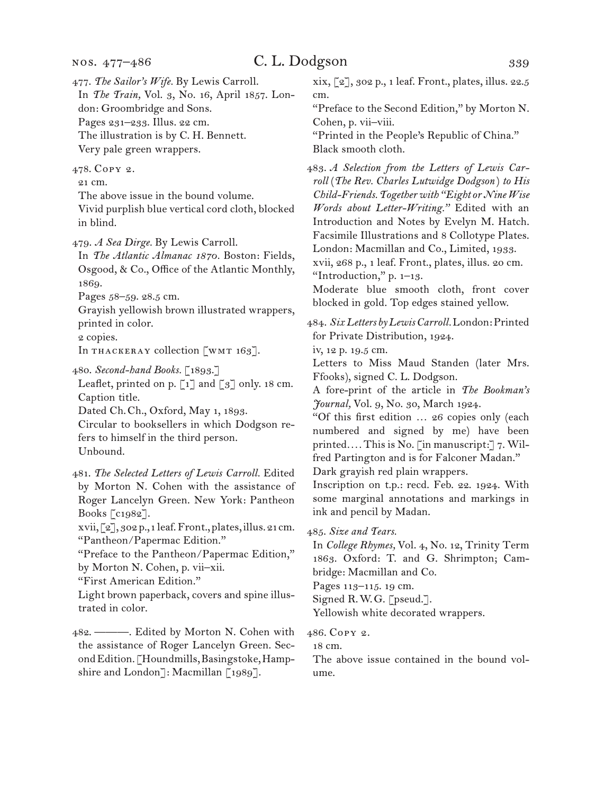477. *The Sailor's Wife.* By Lewis Carroll.

In *The Train,* Vol. 3, No. 16, April 1857. London: Groombridge and Sons. Pages 231–233. Illus. 22 cm. The illustration is by C. H. Bennett.

Very pale green wrappers.

478. Copy 2.

21 cm.

The above issue in the bound volume. Vivid purplish blue vertical cord cloth, blocked in blind.

479. *A Sea Dirge.* By Lewis Carroll.

In *The Atlantic Almanac 1870.* Boston: Fields, Osgood, & Co., Office of the Atlantic Monthly, 1869.

Pages 58–59. 28.5 cm.

Grayish yellowish brown illustrated wrappers, printed in color.

2 copies.

In THACKERAY collection [WMT 163].

480. *Second-hand Books.* [1893.]

Leaflet, printed on p.  $\lceil 1 \rceil$  and  $\lceil 3 \rceil$  only. 18 cm. Caption title.

Dated Ch.Ch., Oxford, May 1, 1893.

Circular to booksellers in which Dodgson refers to himself in the third person. Unbound.

481. *The Selected Letters of Lewis Carroll.* Edited by Morton N. Cohen with the assistance of Roger Lancelyn Green. New York: Pantheon Books [c1982]. xvii, [2], 302 p., 1 leaf. Front., plates, illus. 21 cm. "Pantheon/Papermac Edition."

"Preface to the Pantheon/Papermac Edition," by Morton N. Cohen, p. vii–xii.

"First American Edition."

Light brown paperback, covers and spine illustrated in color.

482. ———. Edited by Morton N. Cohen with the assistance of Roger Lancelyn Green. Second Edition. [Houndmills, Basingstoke, Hampshire and London]: Macmillan [1989].

xix, [2], 302 p., 1 leaf. Front., plates, illus. 22.5 cm.

"Preface to the Second Edition," by Morton N. Cohen, p. vii–viii.

"Printed in the People's Republic of China." Black smooth cloth.

483. *A Selection from the Letters of Lewis Carroll* (*The Rev. Charles Lutwidge Dodgson* ) *to His Child-Friends. Together with "Eight or Nine Wise Words about Letter-Writing."* Edited with an Introduction and Notes by Evelyn M. Hatch. Facsimile Illustrations and 8 Collotype Plates. London: Macmillan and Co., Limited, 1933. xvii, 268 p., 1 leaf. Front., plates, illus. 20 cm.

"Introduction," p. 1–13. Moderate blue smooth cloth, front cover blocked in gold. Top edges stained yellow.

484. *Six Letters by Lewis Carroll.* London: Printed for Private Distribution, 1924.

iv, 12 p. 19.5 cm.

Letters to Miss Maud Standen (later Mrs. Ffooks), signed C. L. Dodgson.

A fore-print of the article in *The Bookman's Journal,* Vol. 9, No. 30, March 1924.

"Of this first edition … 26 copies only (each numbered and signed by me) have been printed*. . . .* This is No. [in manuscript:] 7. Wilfred Partington and is for Falconer Madan."

Dark grayish red plain wrappers.

Inscription on t.p.: recd. Feb. 22. 1924. With some marginal annotations and markings in ink and pencil by Madan.

485. *Size and Tears.*

In *College Rhymes,* Vol. 4, No. 12, Trinity Term 1863. Oxford: T. and G. Shrimpton; Cambridge: Macmillan and Co.

Pages 113–115. 19 cm.

Signed R.W.G. [pseud.].

Yellowish white decorated wrappers.

486. Copy 2.

18 cm.

The above issue contained in the bound volume.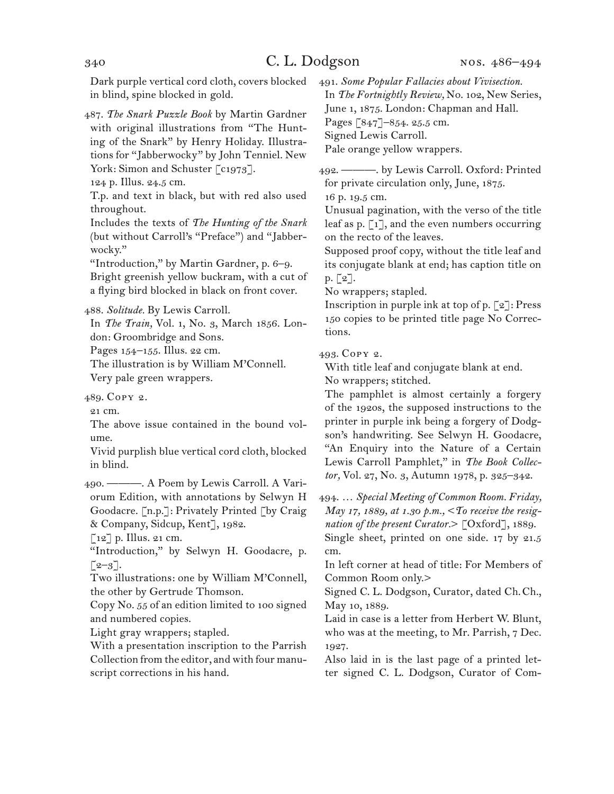Dark purple vertical cord cloth, covers blocked in blind, spine blocked in gold.

487. *The Snark Puzzle Book* by Martin Gardner with original illustrations from "The Hunting of the Snark" by Henry Holiday. Illustrations for "Jabberwocky" by John Tenniel. New York: Simon and Schuster [c1973].

124 p. Illus. 24.5 cm.

T.p. and text in black, but with red also used throughout.

Includes the texts of *The Hunting of the Snark* (but without Carroll's "Preface") and "Jabberwocky."

"Introduction," by Martin Gardner, p. 6–9. Bright greenish yellow buckram, with a cut of a flying bird blocked in black on front cover.

488. *Solitude.* By Lewis Carroll.

In *The Train,* Vol. 1, No. 3, March 1856. London: Groombridge and Sons.

Pages 154–155. Illus. 22 cm.

The illustration is by William M'Connell. Very pale green wrappers.

489. Copy 2.

21 cm.

The above issue contained in the bound volume.

Vivid purplish blue vertical cord cloth, blocked in blind.

490. ———. A Poem by Lewis Carroll. A Variorum Edition, with annotations by Selwyn H Goodacre. [n.p.]: Privately Printed [by Craig & Company, Sidcup, Kent], 1982.

[12] p. Illus. 21 cm.

"Introduction," by Selwyn H. Goodacre, p.  $\lceil 2-3 \rceil$ .

Two illustrations: one by William M'Connell, the other by Gertrude Thomson.

Copy No. 55 of an edition limited to 100 signed and numbered copies.

Light gray wrappers; stapled.

With a presentation inscription to the Parrish Collection from the editor, and with four manuscript corrections in his hand.

491. *Some Popular Fallacies about Vivisection.* In *The Fortnightly Review,* No. 102, New Series, June 1, 1875. London: Chapman and Hall. Pages [847]–854. 25.5 cm. Signed Lewis Carroll. Pale orange yellow wrappers.

492. ———. by Lewis Carroll. Oxford: Printed for private circulation only, June, 1875.

16 p. 19.5 cm.

Unusual pagination, with the verso of the title leaf as p.  $\lceil 1 \rceil$ , and the even numbers occurring on the recto of the leaves.

Supposed proof copy, without the title leaf and its conjugate blank at end; has caption title on p. [2].

No wrappers; stapled.

Inscription in purple ink at top of p.  $\lceil 2 \rceil$ : Press 150 copies to be printed title page No Corrections.

493. Copy 2.

With title leaf and conjugate blank at end.

No wrappers; stitched.

The pamphlet is almost certainly a forgery of the 1920s, the supposed instructions to the printer in purple ink being a forgery of Dodgson's handwriting. See Selwyn H. Goodacre, "An Enquiry into the Nature of a Certain Lewis Carroll Pamphlet," in *The Book Collector,* Vol. 27, No. 3, Autumn 1978, p. 325–342.

494. … *Special Meeting of Common Room. Friday, May 17, 1889, at 1.30 p.m.,* <*To receive the resignation of the present Curator.*> [Oxford], 1889. Single sheet, printed on one side. 17 by 21.5 cm.

In left corner at head of title: For Members of Common Room only.>

Signed C. L. Dodgson, Curator, dated Ch.Ch., May 10, 1889.

Laid in case is a letter from Herbert W. Blunt, who was at the meeting, to Mr. Parrish, 7 Dec. 1927.

Also laid in is the last page of a printed letter signed C. L. Dodgson, Curator of Com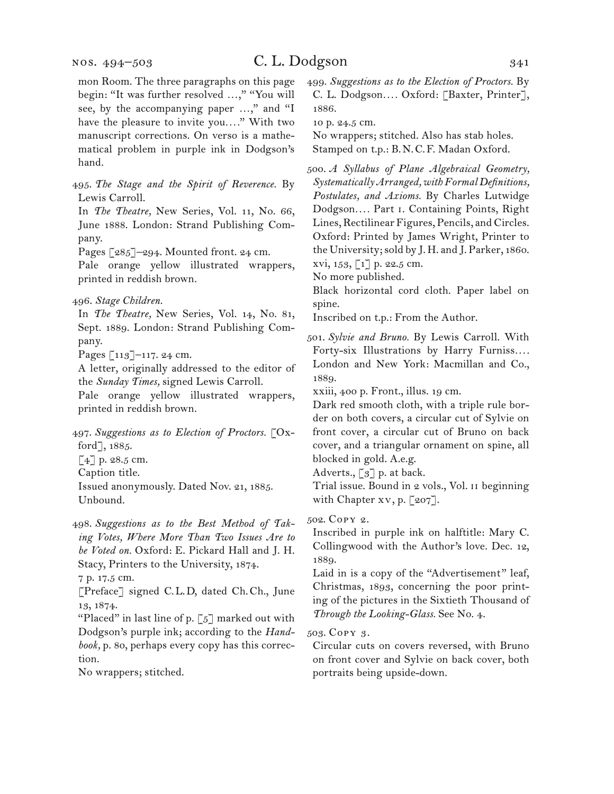nos. 494–503

mon Room. The three paragraphs on this page begin: "It was further resolved ...," "You will see, by the accompanying paper ...," and "I have the pleasure to invite you*. . . .*" With two manuscript corrections. On verso is a mathematical problem in purple ink in Dodgson's hand.

495. *The Stage and the Spirit of Reverence.* By Lewis Carroll.

In *The Theatre,* New Series, Vol. 11, No. 66, June 1888. London: Strand Publishing Company.

Pages [285]–294. Mounted front. 24 cm.

Pale orange yellow illustrated wrappers, printed in reddish brown.

In *The Theatre,* New Series, Vol. 14, No. 81, Sept. 1889. London: Strand Publishing Company.

Pages [113]–117. 24 cm.

A letter, originally addressed to the editor of the *Sunday Times,* signed Lewis Carroll.

Pale orange yellow illustrated wrappers, printed in reddish brown.

497. *Suggestions as to Election of Proctors.* [Oxford], 1885.

 $[4]$  p. 28.5 cm.

Caption title.

Issued anonymously. Dated Nov. 21, 1885. Unbound.

498. *Suggestions as to the Best Method of Taking Votes, Where More Than Two Issues Are to be Voted on.* Oxford: E. Pickard Hall and J. H. Stacy, Printers to the University, 1874.

7 p. 17.5 cm.

[Preface] signed C.L.D, dated Ch.Ch., June 13, 1874.

"Placed" in last line of p.  $\lceil 5 \rceil$  marked out with Dodgson's purple ink; according to the *Handbook,* p. 80, perhaps every copy has this correction.

No wrappers; stitched.

499. *Suggestions as to the Election of Proctors.* By C. L. Dodgson*. . . .* Oxford: [Baxter, Printer], 1886.

10 p. 24.5 cm.

No wrappers; stitched. Also has stab holes. Stamped on t.p.: B.N.C.F. Madan Oxford.

500. *A Syllabus of Plane Algebraical Geometry, Systematically Arranged, with Formal Definitions, Postulates, and Axioms.* By Charles Lutwidge Dodgson*. . . .* Part i. Containing Points, Right Lines, Rectilinear Figures, Pencils, and Circles. Oxford: Printed by James Wright, Printer to the University; sold by J. H. and J. Parker, 1860. xvi, 153, [1] p. 22.5 cm.

No more published.

Black horizontal cord cloth. Paper label on spine.

Inscribed on t.p.: From the Author.

xxiii, 400 p. Front., illus. 19 cm.

Dark red smooth cloth, with a triple rule border on both covers, a circular cut of Sylvie on front cover, a circular cut of Bruno on back cover, and a triangular ornament on spine, all blocked in gold. A.e.g.

Adverts.,  $\lceil 3 \rceil$  p. at back.

Trial issue. Bound in 2 vols., Vol. ii beginning with Chapter xv, p. [207].

502. Copy 2.

Inscribed in purple ink on halftitle: Mary C. Collingwood with the Author's love. Dec. 12, 1889.

Laid in is a copy of the "Advertisement" leaf, Christmas, 1893, concerning the poor printing of the pictures in the Sixtieth Thousand of *Through the Looking-Glass.* See No. 4.

503. Copy 3.

Circular cuts on covers reversed, with Bruno on front cover and Sylvie on back cover, both portraits being upside-down.

<sup>496.</sup> *Stage Children.*

<sup>501.</sup> *Sylvie and Bruno.* By Lewis Carroll. With Forty-six Illustrations by Harry Furniss*. . . .*  London and New York: Macmillan and Co., 1889.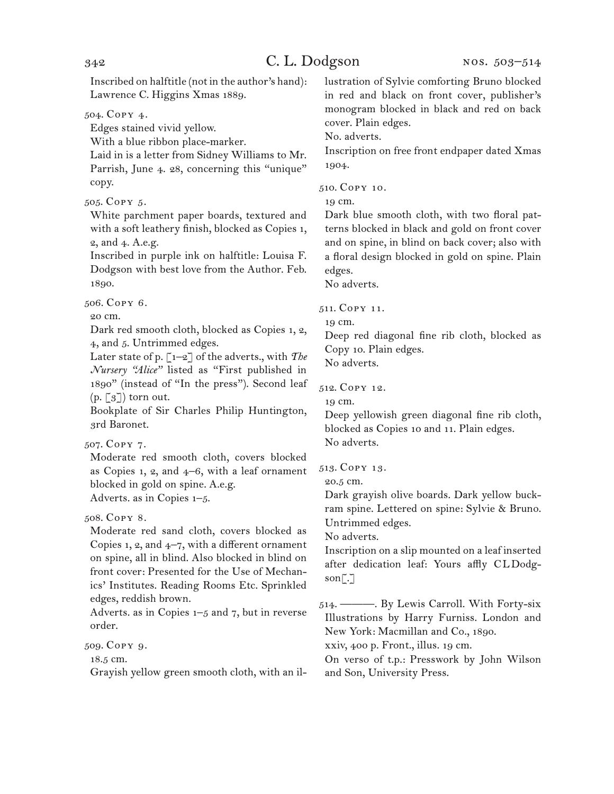Inscribed on halftitle (not in the author's hand): Lawrence C. Higgins Xmas 1889.

504. Copy 4.

Edges stained vivid yellow.

With a blue ribbon place-marker.

Laid in is a letter from Sidney Williams to Mr. Parrish, June 4. 28, concerning this "unique" copy.

505. Copy 5.

White parchment paper boards, textured and with a soft leathery finish, blocked as Copies 1, 2, and 4. A.e.g.

Inscribed in purple ink on halftitle: Louisa F. Dodgson with best love from the Author. Feb. 1890.

506. Copy 6.

20 cm.

Dark red smooth cloth, blocked as Copies 1, 2, 4, and 5. Untrimmed edges.

Later state of p.  $\lceil 1-2 \rceil$  of the adverts., with *The Nursery "Alice"* listed as "First published in 1890" (instead of "In the press"). Second leaf  $(p, \lceil 3 \rceil)$  torn out.

Bookplate of Sir Charles Philip Huntington, 3rd Baronet.

507. Copy 7.

Moderate red smooth cloth, covers blocked as Copies 1, 2, and  $4-6$ , with a leaf ornament blocked in gold on spine. A.e.g. Adverts. as in Copies 1–5.

508. Copy 8.

Moderate red sand cloth, covers blocked as Copies 1, 2, and 4–7, with a different ornament on spine, all in blind. Also blocked in blind on front cover: Presented for the Use of Mechanics' Institutes. Reading Rooms Etc. Sprinkled edges, reddish brown.

Adverts. as in Copies 1–5 and 7, but in reverse order.

509. Copy 9.

18.5 cm.

Grayish yellow green smooth cloth, with an il-

lustration of Sylvie comforting Bruno blocked in red and black on front cover, publisher's monogram blocked in black and red on back cover. Plain edges.

No. adverts.

Inscription on free front endpaper dated Xmas 1904.

510. Copy 10.

19 cm.

Dark blue smooth cloth, with two floral patterns blocked in black and gold on front cover and on spine, in blind on back cover; also with a floral design blocked in gold on spine. Plain edges.

No adverts.

511. Copy 11.

19 cm.

Deep red diagonal fine rib cloth, blocked as Copy 10. Plain edges.

No adverts.

512. Copy 12.

19 cm.

Deep yellowish green diagonal fine rib cloth, blocked as Copies 10 and 11. Plain edges. No adverts.

513. Copy 13.

20.5 cm.

Dark grayish olive boards. Dark yellow buckram spine. Lettered on spine: Sylvie & Bruno. Untrimmed edges.

No adverts.

Inscription on a slip mounted on a leaf inserted after dedication leaf: Yours affly CLDodgson[.]

514. ———. By Lewis Carroll. With Forty-six Illustrations by Harry Furniss. London and New York: Macmillan and Co., 1890.

xxiv, 400 p. Front., illus. 19 cm.

On verso of t.p.: Presswork by John Wilson and Son, University Press.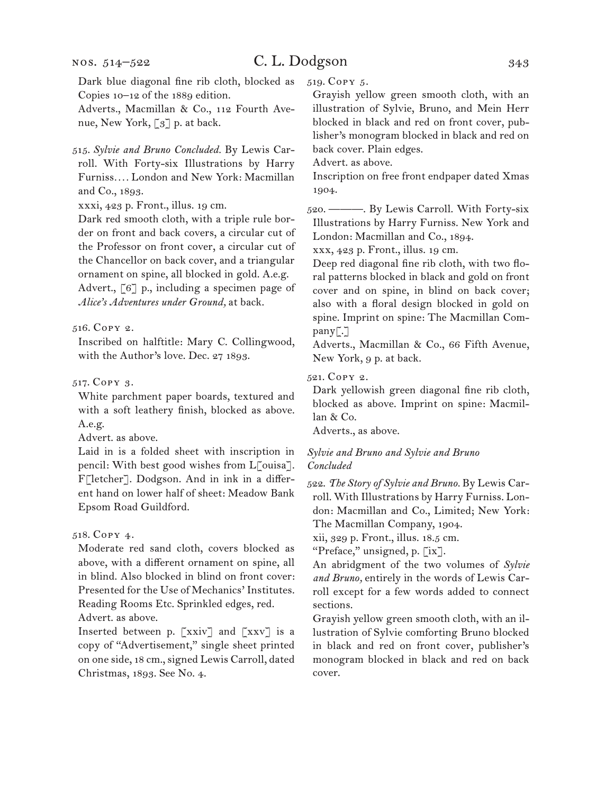#### nos. 514–522

# C. L. Dodgson 343

Dark blue diagonal fine rib cloth, blocked as Copies 10–12 of the 1889 edition.

Adverts., Macmillan & Co., 112 Fourth Avenue, New York, [3] p. at back.

515. *Sylvie and Bruno Concluded.* By Lewis Carroll. With Forty-six Illustrations by Harry Furniss*. . . .* London and New York: Macmillan and Co., 1893.

xxxi, 423 p. Front., illus. 19 cm.

Dark red smooth cloth, with a triple rule border on front and back covers, a circular cut of the Professor on front cover, a circular cut of the Chancellor on back cover, and a triangular ornament on spine, all blocked in gold. A.e.g. Advert., [6] p., including a specimen page of *Alice's Adventures under Ground,* at back.

516. Copy 2.

Inscribed on halftitle: Mary C. Collingwood, with the Author's love. Dec. 27 1893.

517. Copy 3.

White parchment paper boards, textured and with a soft leathery finish, blocked as above. A.e.g.

Advert. as above.

Laid in is a folded sheet with inscription in pencil: With best good wishes from L[ouisa]. F[letcher]. Dodgson. And in ink in a different hand on lower half of sheet: Meadow Bank Epsom Road Guildford.

## 518. Copy 4.

Moderate red sand cloth, covers blocked as above, with a different ornament on spine, all in blind. Also blocked in blind on front cover: Presented for the Use of Mechanics' Institutes. Reading Rooms Etc. Sprinkled edges, red.

Advert. as above.

Inserted between p. [xxiv] and [xxv] is a copy of "Advertisement," single sheet printed on one side, 18 cm., signed Lewis Carroll, dated Christmas, 1893. See No. 4.

519. Copy 5.

Grayish yellow green smooth cloth, with an illustration of Sylvie, Bruno, and Mein Herr blocked in black and red on front cover, publisher's monogram blocked in black and red on back cover. Plain edges.

Advert. as above.

Inscription on free front endpaper dated Xmas 1904.

520. ———. By Lewis Carroll. With Forty-six Illustrations by Harry Furniss. New York and London: Macmillan and Co., 1894.

xxx, 423 p. Front., illus. 19 cm.

Deep red diagonal fine rib cloth, with two floral patterns blocked in black and gold on front cover and on spine, in blind on back cover; also with a floral design blocked in gold on spine. Imprint on spine: The Macmillan Company[.]

Adverts., Macmillan & Co., 66 Fifth Avenue, New York, 9 p. at back.

521. Copy 2.

Dark yellowish green diagonal fine rib cloth, blocked as above. Imprint on spine: Macmillan & Co.

Adverts., as above.

#### *Sylvie and Bruno and Sylvie and Bruno Concluded*

522. *The Story of Sylvie and Bruno.* By Lewis Carroll. With Illustrations by Harry Furniss. London: Macmillan and Co., Limited; New York: The Macmillan Company, 1904.

xii, 329 p. Front., illus. 18.5 cm.

"Preface," unsigned, p. [ix].

An abridgment of the two volumes of *Sylvie and Bruno,* entirely in the words of Lewis Carroll except for a few words added to connect sections.

Grayish yellow green smooth cloth, with an illustration of Sylvie comforting Bruno blocked in black and red on front cover, publisher's monogram blocked in black and red on back cover.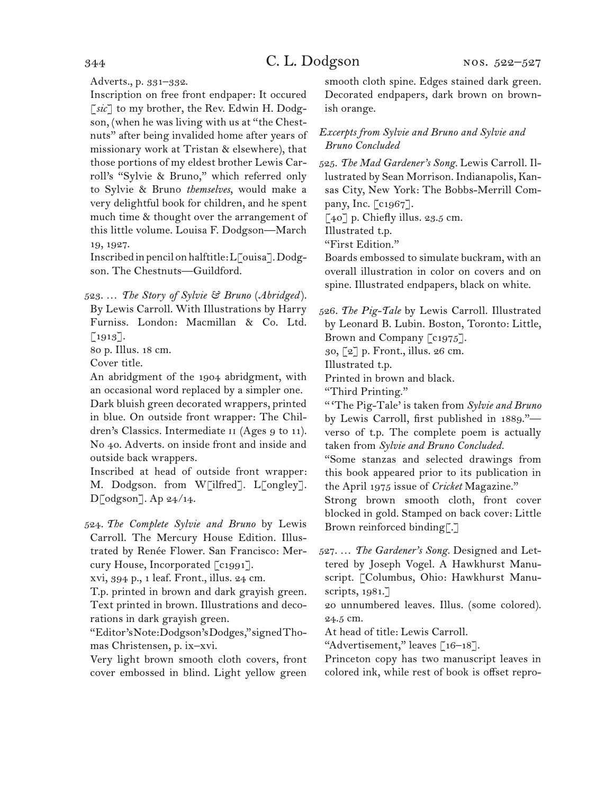Adverts., p. 331–332.

Inscription on free front endpaper: It occured [*sic*] to my brother, the Rev. Edwin H. Dodgson, (when he was living with us at "the Chestnuts" after being invalided home after years of missionary work at Tristan & elsewhere), that those portions of my eldest brother Lewis Carroll's "Sylvie & Bruno," which referred only to Sylvie & Bruno *themselves*, would make a very delightful book for children, and he spent much time & thought over the arrangement of this little volume. Louisa F. Dodgson—March 19, 1927.

Inscribed in pencil on halftitle: L[ouisa]. Dodgson. The Chestnuts—Guildford.

523. … *The Story of Sylvie & Bruno* (*Abridged* ). By Lewis Carroll. With Illustrations by Harry

Furniss. London: Macmillan & Co. Ltd. [1913].

80 p. Illus. 18 cm.

Cover title.

An abridgment of the 1904 abridgment, with an occasional word replaced by a simpler one. Dark bluish green decorated wrappers, printed in blue. On outside front wrapper: The Children's Classics. Intermediate ii (Ages 9 to 11). No 40. Adverts. on inside front and inside and outside back wrappers.

Inscribed at head of outside front wrapper: M. Dodgson. from W[ilfred]. L[ongley].  $D[$ odgson]. Ap  $24/14$ .

524. *The Complete Sylvie and Bruno* by Lewis Carroll. The Mercury House Edition. Illustrated by Renée Flower. San Francisco: Mercury House, Incorporated [c1991].

xvi, 394 p., 1 leaf. Front., illus. 24 cm.

T.p. printed in brown and dark grayish green. Text printed in brown. Illustrations and decorations in dark grayish green.

"Editor's Note: Dodgson's Dodges," signed Thomas Christensen, p. ix–xvi.

Very light brown smooth cloth covers, front cover embossed in blind. Light yellow green

smooth cloth spine. Edges stained dark green. Decorated endpapers, dark brown on brownish orange.

## *Excerpts from Sylvie and Bruno and Sylvie and Bruno Concluded*

525. *The Mad Gardener's Song.* Lewis Carroll. Illustrated by Sean Morrison. Indianapolis, Kansas City, New York: The Bobbs-Merrill Company, Inc. [c1967].

 $[40]$  p. Chiefly illus. 23.5 cm.

Illustrated t.p.

"First Edition."

Boards embossed to simulate buckram, with an overall illustration in color on covers and on spine. Illustrated endpapers, black on white.

526. *The Pig-Tale* by Lewis Carroll. Illustrated by Leonard B. Lubin. Boston, Toronto: Little, Brown and Company [c1975].

30, [2] p. Front., illus. 26 cm.

Illustrated t.p.

Printed in brown and black.

"Third Printing."

" 'The Pig-Tale' is taken from *Sylvie and Bruno* by Lewis Carroll, first published in 1889." verso of t.p. The complete poem is actually taken from *Sylvie and Bruno Concluded.* 

"Some stanzas and selected drawings from this book appeared prior to its publication in the April 1975 issue of *Cricket* Magazine."

Strong brown smooth cloth, front cover blocked in gold. Stamped on back cover: Little Brown reinforced binding[.]

527. … *The Gardener's Song.* Designed and Lettered by Joseph Vogel. A Hawkhurst Manuscript. [Columbus, Ohio: Hawkhurst Manuscripts, 1981.]

20 unnumbered leaves. Illus. (some colored). 24.5 cm.

At head of title: Lewis Carroll.

"Advertisement," leaves [16–18].

Princeton copy has two manuscript leaves in colored ink, while rest of book is offset repro-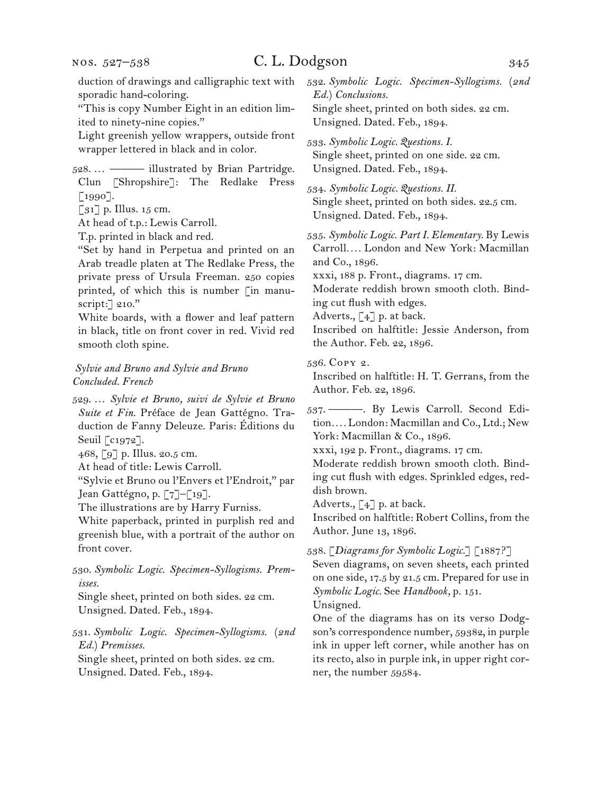# C. L. Dodgson 345

duction of drawings and calligraphic text with sporadic hand-coloring.

"This is copy Number Eight in an edition limited to ninety-nine copies."

Light greenish yellow wrappers, outside front wrapper lettered in black and in color.

528. … ——— illustrated by Brian Partridge. Clun [Shropshire]: The Redlake Press [1990].

 $\left[\begin{matrix}31\end{matrix}\right]$  p. Illus. 15 cm.

At head of t.p.: Lewis Carroll.

T.p. printed in black and red.

"Set by hand in Perpetua and printed on an Arab treadle platen at The Redlake Press, the private press of Ursula Freeman. 250 copies printed, of which this is number [in manuscript:] 210."

White boards, with a flower and leaf pattern in black, title on front cover in red. Vivid red smooth cloth spine.

## *Sylvie and Bruno and Sylvie and Bruno Concluded. French*

529. … *Sylvie et Bruno, suivi de Sylvie et Bruno Suite et Fin.* Préface de Jean Gattégno. Traduction de Fanny Deleuze. Paris: Éditions du Seuil [c1972].

468, [9] p. Illus. 20.5 cm.

At head of title: Lewis Carroll.

"Sylvie et Bruno ou l'Envers et l'Endroit," par Jean Gattégno, p. [7]–[19].

The illustrations are by Harry Furniss.

White paperback, printed in purplish red and greenish blue, with a portrait of the author on front cover.

530. *Symbolic Logic. Specimen-Syllogisms. Premisses.*

Single sheet, printed on both sides. 22 cm. Unsigned. Dated. Feb., 1894.

531. *Symbolic Logic. Specimen-Syllogisms.* (*2nd Ed.*) *Premisses.*

Single sheet, printed on both sides. 22 cm. Unsigned. Dated. Feb., 1894.

532. *Symbolic Logic. Specimen-Syllogisms.* (*2nd Ed.*) *Conclusions.* Single sheet, printed on both sides. 22 cm. Unsigned. Dated. Feb., 1894.

533. *Symbolic Logic. Questions. I.* Single sheet, printed on one side. 22 cm. Unsigned. Dated. Feb., 1894.

534. *Symbolic Logic. Questions. II.* Single sheet, printed on both sides. 22.5 cm. Unsigned. Dated. Feb., 1894.

535. *Symbolic Logic. Part I. Elementary.* By Lewis Carroll*. . . .* London and New York: Macmillan and Co., 1896.

xxxi, 188 p. Front., diagrams. 17 cm.

Moderate reddish brown smooth cloth. Binding cut flush with edges.

Adverts.,  $\lceil 4 \rceil$  p. at back.

Inscribed on halftitle: Jessie Anderson, from the Author. Feb. 22, 1896.

536. Copy 2.

Inscribed on halftitle: H. T. Gerrans, from the Author. Feb. 22, 1896.

537. ———. By Lewis Carroll. Second Edition*. . . .* London: Macmillan and Co., Ltd.; New York: Macmillan & Co., 1896.

xxxi, 192 p. Front., diagrams. 17 cm.

Moderate reddish brown smooth cloth. Binding cut flush with edges. Sprinkled edges, reddish brown.

Adverts.,  $\lbrack 4 \rbrack$  p. at back.

Inscribed on halftitle: Robert Collins, from the Author. June 13, 1896.

538. [*Diagrams for Symbolic Logic.*] [1887?]

Seven diagrams, on seven sheets, each printed on one side, 17.5 by 21.5 cm. Prepared for use in *Symbolic Logic.* See *Handbook,* p. 151.

Unsigned.

One of the diagrams has on its verso Dodgson's correspondence number, 59382, in purple ink in upper left corner, while another has on its recto, also in purple ink, in upper right corner, the number 59584.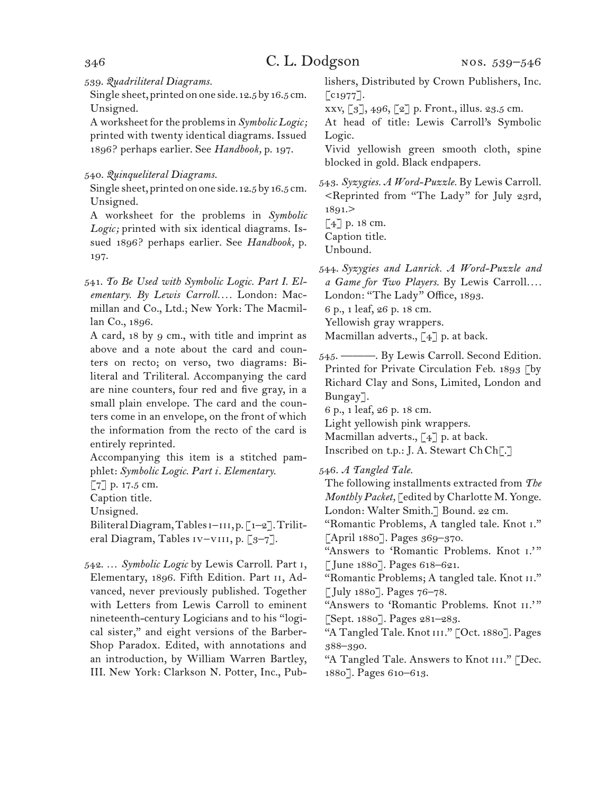539. *Quadriliteral Diagrams.*

Single sheet, printed on one side. 12.5 by 16.5 cm. Unsigned.

A worksheet for the problems in *Symbolic Logic;*  printed with twenty identical diagrams. Issued 1896? perhaps earlier. See *Handbook,* p. 197.

540. *Quinqueliteral Diagrams.*

Single sheet, printed on one side. 12.5 by 16.5 cm. Unsigned.

A worksheet for the problems in *Symbolic Logic;* printed with six identical diagrams. Issued 1896? perhaps earlier. See *Handbook,* p. 197.

541. *To Be Used with Symbolic Logic. Part I. Elementary. By Lewis Carroll. . . .* London: Macmillan and Co., Ltd.; New York: The Macmillan Co., 1896.

A card, 18 by 9 cm., with title and imprint as above and a note about the card and counters on recto; on verso, two diagrams: Biliteral and Triliteral. Accompanying the card are nine counters, four red and five gray, in a small plain envelope. The card and the counters come in an envelope, on the front of which the information from the recto of the card is entirely reprinted.

Accompanying this item is a stitched pamphlet: *Symbolic Logic. Part i. Elementary.*

[7] p. 17.5 cm.

Caption title.

Unsigned.

Biliteral Diagram, Tables  $i$ - $i$ , p. [1–2]. Triliteral Diagram, Tables IV-VIII, p. [3-7].

542. … *Symbolic Logic* by Lewis Carroll. Part i, Elementary, 1896. Fifth Edition. Part ii, Advanced, never previously published. Together with Letters from Lewis Carroll to eminent nineteenth-century Logicians and to his "logical sister," and eight versions of the Barber-Shop Paradox. Edited, with annotations and an introduction, by William Warren Bartley, III. New York: Clarkson N. Potter, Inc., Publishers, Distributed by Crown Publishers, Inc.  $\lceil c1977 \rceil$ .

xxv, [3], 496, [2] p. Front., illus. 23.5 cm.

At head of title: Lewis Carroll's Symbolic Logic.

Vivid yellowish green smooth cloth, spine blocked in gold. Black endpapers.

543. *Syzygies. A Word-Puzzle.* By Lewis Carroll. <Reprinted from "The Lady" for July 23rd, 1891.>

[4] p. 18 cm.

Caption title.

Unbound.

544. *Syzygies and Lanrick. A Word-Puzzle and a Game for Two Players.* By Lewis Carroll*. . . .* London: "The Lady" Office, 1893. 6 p., 1 leaf, 26 p. 18 cm. Yellowish gray wrappers.

Macmillan adverts.,  $\lceil 4 \rceil$  p. at back.

545. ———. By Lewis Carroll. Second Edition. Printed for Private Circulation Feb. 1893 [by Richard Clay and Sons, Limited, London and Bungay].

6 p., 1 leaf, 26 p. 18 cm.

Light yellowish pink wrappers.

Macmillan adverts.,  $\lceil 4 \rceil$  p. at back.

Inscribed on t.p.: J. A. Stewart ChCh[.]

546. *A Tangled Tale.*

The following installments extracted from *The Monthly Packet,* [edited by Charlotte M. Yonge. London: Walter Smith.] Bound. 22 cm.

"Romantic Problems, A tangled tale. Knot i." [April 1880]. Pages 369-370.

"Answers to 'Romantic Problems. Knot I." [June 1880]. Pages 618–621.

"Romantic Problems; A tangled tale. Knot II." [July 1880]. Pages 76–78.

"Answers to 'Romantic Problems. Knot II.'" [Sept. 1880]. Pages 281–283.

"A Tangled Tale. Knot iii." [Oct. 1880]. Pages 388–390.

"A Tangled Tale. Answers to Knot III." [Dec. 1880]. Pages 610–613.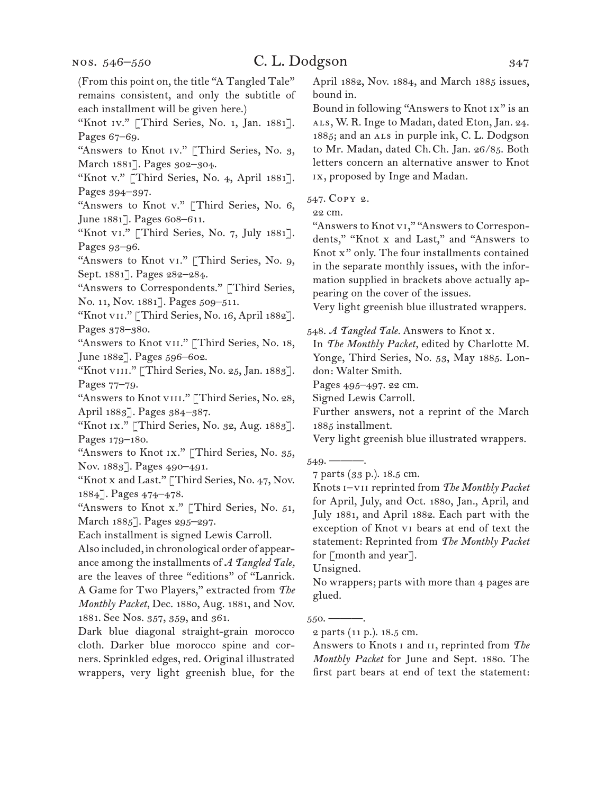(From this point on, the title "A Tangled Tale" remains consistent, and only the subtitle of each installment will be given here.) "Knot Iv." [Third Series, No. 1, Jan. 1881]. Pages 67–69. "Answers to Knot Iv." [Third Series, No. 3, March 1881]. Pages 302–304. "Knot v." [Third Series, No. 4, April 1881]. Pages 394–397. "Answers to Knot v." [Third Series, No. 6, June 1881]. Pages 608–611. "Knot vi." [Third Series, No. 7, July 1881]. Pages 93–96. "Answers to Knot vi." [Third Series, No. 9, Sept. 1881]. Pages 282–284. "Answers to Correspondents." [Third Series, No. 11, Nov. 1881]. Pages 509–511. "Knot vII." [Third Series, No. 16, April 1882]. Pages 378–380. "Answers to Knot vII." [Third Series, No. 18, June 1882]. Pages 596–602. "Knot vIII." [Third Series, No. 25, Jan. 1883]. Pages 77–79. "Answers to Knot VIII." [Third Series, No. 28, April 1883]. Pages 384–387. "Knot IX." [Third Series, No. 32, Aug. 1883]. Pages 179–180. "Answers to Knot Ix." [Third Series, No. 35, Nov. 1883]. Pages 490–491. "Knot x and Last." [Third Series, No. 47, Nov. 1884]. Pages 474–478. "Answers to Knot x." [Third Series, No. 51, March 1885]. Pages 295–297. Each installment is signed Lewis Carroll. Also included, in chronological order of appearance among the installments of *A Tangled Tale,*  are the leaves of three "editions" of "Lanrick. A Game for Two Players," extracted from *The Monthly Packet,* Dec. 1880, Aug. 1881, and Nov. 1881. See Nos. 357, 359, and 361. Dark blue diagonal straight-grain morocco cloth. Darker blue morocco spine and corners. Sprinkled edges, red. Original illustrated wrappers, very light greenish blue, for the 22 cm.  $549.$ glued.  $550.$  ————.

April 1882, Nov. 1884, and March 1885 issues, bound in.

Bound in following "Answers to Knot ix" is an ALS, W. R. Inge to Madan, dated Eton, Jan. 24. 1885; and an ALS in purple ink, C. L. Dodgson to Mr. Madan, dated Ch.Ch. Jan. 26/85. Both letters concern an alternative answer to Knot ix, proposed by Inge and Madan.

547. Copy 2.

"Answers to Knot vi," "Answers to Correspondents," "Knot x and Last," and "Answers to Knot x" only. The four installments contained in the separate monthly issues, with the information supplied in brackets above actually appearing on the cover of the issues.

Very light greenish blue illustrated wrappers.

548. *A Tangled Tale.* Answers to Knot x.

In *The Monthly Packet,* edited by Charlotte M. Yonge, Third Series, No. 53, May 1885. London: Walter Smith.

Pages 495–497. 22 cm.

Signed Lewis Carroll.

Further answers, not a reprint of the March 1885 installment.

Very light greenish blue illustrated wrappers.

7 parts (33 p.). 18.5 cm.

Knots i–vii reprinted from *The Monthly Packet*  for April, July, and Oct. 1880, Jan., April, and July 1881, and April 1882. Each part with the exception of Knot vi bears at end of text the statement: Reprinted from *The Monthly Packet*  for [month and year].

Unsigned.

No wrappers; parts with more than 4 pages are

Answers to Knots i and ii, reprinted from *The Monthly Packet* for June and Sept. 1880. The first part bears at end of text the statement:

<sup>2</sup> parts (11 p.). 18.5 cm.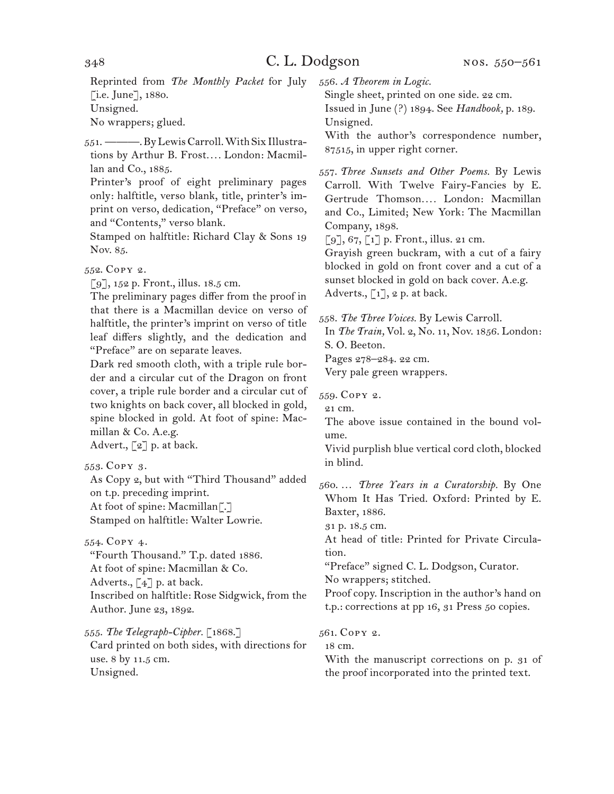Reprinted from *The Monthly Packet* for July  $[i.e.$  June],  $1880$ . Unsigned. No wrappers; glued.

551. ———. By Lewis Carroll. With Six Illustrations by Arthur B. Frost*. . . .* London: Macmillan and Co., 1885.

Printer's proof of eight preliminary pages only: halftitle, verso blank, title, printer's imprint on verso, dedication, "Preface" on verso, and "Contents," verso blank.

Stamped on halftitle: Richard Clay & Sons 19 Nov. 85.

552. Copy 2.

 $\lceil 9 \rceil$ , 152 p. Front., illus. 18.5 cm.

The preliminary pages differ from the proof in that there is a Macmillan device on verso of halftitle, the printer's imprint on verso of title leaf differs slightly, and the dedication and "Preface" are on separate leaves.

Dark red smooth cloth, with a triple rule border and a circular cut of the Dragon on front cover, a triple rule border and a circular cut of two knights on back cover, all blocked in gold, spine blocked in gold. At foot of spine: Macmillan & Co. A.e.g.

Advert., [2] p. at back.

553. Copy 3.

As Copy 2, but with "Third Thousand" added on t.p. preceding imprint. At foot of spine: Macmillan<sup>7.7</sup> Stamped on halftitle: Walter Lowrie.

554. Copy 4.

"Fourth Thousand." T.p. dated 1886. At foot of spine: Macmillan & Co. Adverts.,  $\begin{bmatrix} 4 \end{bmatrix}$  p. at back. Inscribed on halftitle: Rose Sidgwick, from the Author. June 23, 1892.

555. *The Telegraph-Cipher.* [1868.]

Card printed on both sides, with directions for use. 8 by 11.5 cm. Unsigned.

556. *A Theorem in Logic.*

Single sheet, printed on one side. 22 cm. Issued in June (?) 1894. See *Handbook,* p. 189. Unsigned.

With the author's correspondence number, 87515, in upper right corner.

557. *Three Sunsets and Other Poems.* By Lewis Carroll. With Twelve Fairy-Fancies by E. Gertrude Thomson*. . . .* London: Macmillan and Co., Limited; New York: The Macmillan Company, 1898.

 $\lceil 9 \rceil, 67, \lceil 1 \rceil$  p. Front., illus. 21 cm.

Grayish green buckram, with a cut of a fairy blocked in gold on front cover and a cut of a sunset blocked in gold on back cover. A.e.g. Adverts.,  $\lceil 1 \rceil$ , 2 p. at back.

558. *The Three Voices.* By Lewis Carroll.

In *The Train,* Vol. 2, No. 11, Nov. 1856. London: S. O. Beeton.

Pages 278–284. 22 cm.

Very pale green wrappers.

559. Copy 2.

21 cm. The above issue contained in the bound vol-

ume.

Vivid purplish blue vertical cord cloth, blocked in blind.

560. … *Three Years in a Curatorship.* By One Whom It Has Tried. Oxford: Printed by E. Baxter, 1886.

31 p. 18.5 cm.

At head of title: Printed for Private Circulation.

"Preface" signed C. L. Dodgson, Curator.

No wrappers; stitched.

Proof copy. Inscription in the author's hand on t.p.: corrections at pp 16, 31 Press 50 copies.

561. Copy 2.

18 cm.

With the manuscript corrections on p. 31 of the proof incorporated into the printed text.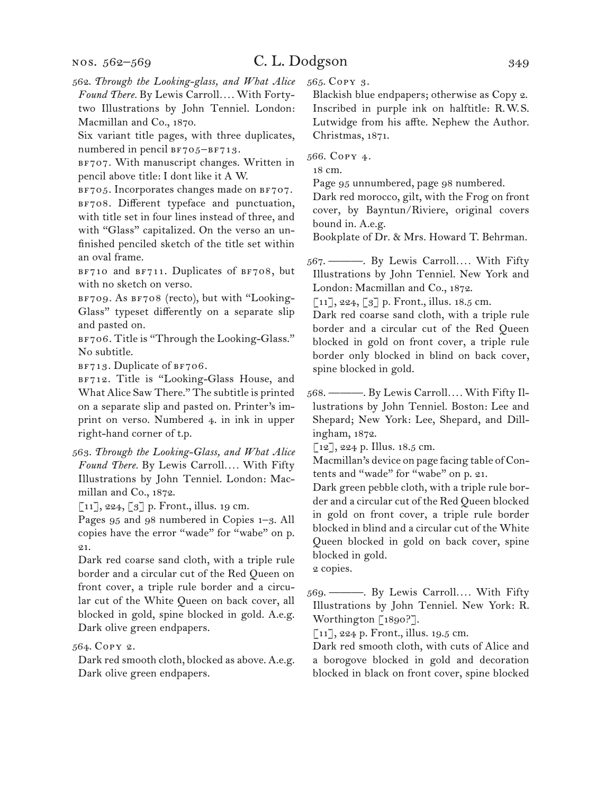nos. 562–569

# C. L. Dodgson 349

562. *Through the Looking-glass, and What Alice Found There.* By Lewis Carroll*. . . .* With Fortytwo Illustrations by John Tenniel. London: Macmillan and Co., 1870.

Six variant title pages, with three duplicates, numbered in pencil  $BF705-BF713$ .

BF707. With manuscript changes. Written in pencil above title: I dont like it A W.

BF705. Incorporates changes made on BF707. BF708. Different typeface and punctuation, with title set in four lines instead of three, and with "Glass" capitalized. On the verso an unfinished penciled sketch of the title set within an oval frame.

BF710 and BF711. Duplicates of BF708, but with no sketch on verso.

BF709. As BF708 (recto), but with "Looking-Glass" typeset differently on a separate slip and pasted on.

BF706. Title is "Through the Looking-Glass." No subtitle.

 $BF713$ . Duplicate of  $BF706$ .

BF712. Title is "Looking-Glass House, and What Alice Saw There." The subtitle is printed on a separate slip and pasted on. Printer's imprint on verso. Numbered 4. in ink in upper right-hand corner of t.p.

563. *Through the Looking-Glass, and What Alice Found There.* By Lewis Carroll*. . . .* With Fifty Illustrations by John Tenniel. London: Macmillan and Co., 1872.

 $\lbrack 11 \rbrack, 224, \lbrack 3 \rbrack$  p. Front., illus. 19 cm.

Pages 95 and 98 numbered in Copies 1–3. All copies have the error "wade" for "wabe" on p. 21.

Dark red coarse sand cloth, with a triple rule border and a circular cut of the Red Queen on front cover, a triple rule border and a circular cut of the White Queen on back cover, all blocked in gold, spine blocked in gold. A.e.g. Dark olive green endpapers.

564. Copy 2.

Dark red smooth cloth, blocked as above. A.e.g. Dark olive green endpapers.

565. Copy 3.

Blackish blue endpapers; otherwise as Copy 2. Inscribed in purple ink on halftitle: R.W.S. Lutwidge from his affte. Nephew the Author. Christmas, 1871.

566. Copy 4.

18 cm.

Page 95 unnumbered, page 98 numbered.

Dark red morocco, gilt, with the Frog on front cover, by Bayntun/Riviere, original covers bound in. A.e.g.

Bookplate of Dr. & Mrs. Howard T. Behrman.

567. ———. By Lewis Carroll*. . . .* With Fifty Illustrations by John Tenniel. New York and London: Macmillan and Co., 1872.

 $[11]$ , 224,  $[3]$  p. Front., illus. 18.5 cm.

Dark red coarse sand cloth, with a triple rule border and a circular cut of the Red Queen blocked in gold on front cover, a triple rule border only blocked in blind on back cover, spine blocked in gold.

568. ———. By Lewis Carroll*. . . .* With Fifty Illustrations by John Tenniel. Boston: Lee and Shepard; New York: Lee, Shepard, and Dillingham, 1872.

 $\lceil 12 \rceil$ , 224 p. Illus. 18.5 cm.

Macmillan's device on page facing table of Contents and "wade" for "wabe" on p. 21.

Dark green pebble cloth, with a triple rule border and a circular cut of the Red Queen blocked in gold on front cover, a triple rule border blocked in blind and a circular cut of the White Queen blocked in gold on back cover, spine blocked in gold.

2 copies.

569. ———. By Lewis Carroll*. . . .* With Fifty Illustrations by John Tenniel. New York: R. Worthington [1890?].

[11], 224 p. Front., illus. 19.5 cm.

Dark red smooth cloth, with cuts of Alice and a borogove blocked in gold and decoration blocked in black on front cover, spine blocked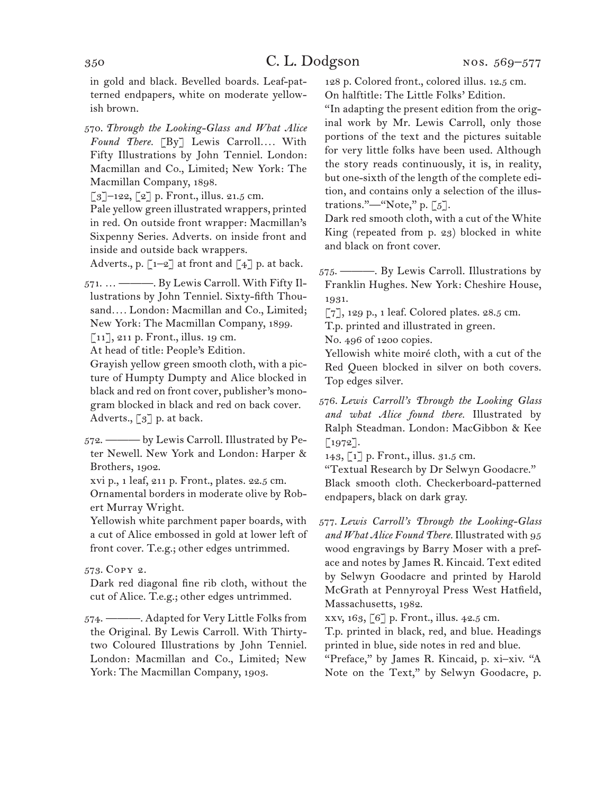in gold and black. Bevelled boards. Leaf-patterned endpapers, white on moderate yellowish brown.

570. *Through the Looking-Glass and What Alice Found There.* [By] Lewis Carroll*. . . .* With Fifty Illustrations by John Tenniel. London: Macmillan and Co., Limited; New York: The Macmillan Company, 1898.

 $\lceil 3 \rceil$ –122,  $\lceil 2 \rceil$  p. Front., illus. 21.5 cm.

Pale yellow green illustrated wrappers, printed in red. On outside front wrapper: Macmillan's Sixpenny Series. Adverts. on inside front and inside and outside back wrappers.

Adverts., p.  $\lbrack 1-2 \rbrack$  at front and  $\lbrack 4 \rbrack$  p. at back.

571. … ———. By Lewis Carroll. With Fifty Illustrations by John Tenniel. Sixty-fifth Thousand.... London: Macmillan and Co., Limited; New York: The Macmillan Company, 1899.

[11], 211 p. Front., illus. 19 cm.

At head of title: People's Edition.

Grayish yellow green smooth cloth, with a picture of Humpty Dumpty and Alice blocked in black and red on front cover, publisher's monogram blocked in black and red on back cover. Adverts., [3] p. at back.

572. ——— by Lewis Carroll. Illustrated by Peter Newell. New York and London: Harper & Brothers, 1902.

xvi p., 1 leaf, 211 p. Front., plates. 22.5 cm.

Ornamental borders in moderate olive by Robert Murray Wright.

Yellowish white parchment paper boards, with a cut of Alice embossed in gold at lower left of front cover. T.e.g.; other edges untrimmed.

### 573. Copy 2.

Dark red diagonal fine rib cloth, without the cut of Alice. T.e.g.; other edges untrimmed.

574. ———. Adapted for Very Little Folks from the Original. By Lewis Carroll. With Thirtytwo Coloured Illustrations by John Tenniel. London: Macmillan and Co., Limited; New York: The Macmillan Company, 1903.

128 p. Colored front., colored illus. 12.5 cm. On halftitle: The Little Folks' Edition.

"In adapting the present edition from the original work by Mr. Lewis Carroll, only those portions of the text and the pictures suitable for very little folks have been used. Although the story reads continuously, it is, in reality, but one-sixth of the length of the complete edition, and contains only a selection of the illustrations."—"Note," p. [5].

Dark red smooth cloth, with a cut of the White King (repeated from p. 23) blocked in white and black on front cover.

575. ———. By Lewis Carroll. Illustrations by Franklin Hughes. New York: Cheshire House, 1931.

[7], 129 p., 1 leaf. Colored plates. 28.5 cm.

T.p. printed and illustrated in green.

No. 496 of 1200 copies.

Yellowish white moiré cloth, with a cut of the Red Queen blocked in silver on both covers. Top edges silver.

576. *Lewis Carroll's Through the Looking Glass and what Alice found there.* Illustrated by Ralph Steadman. London: MacGibbon & Kee [1972].

143, [1] p. Front., illus. 31.5 cm.

"Textual Research by Dr Selwyn Goodacre." Black smooth cloth. Checkerboard-patterned endpapers, black on dark gray.

577. *Lewis Carroll's Through the Looking-Glass and What Alice Found There.* Illustrated with 95 wood engravings by Barry Moser with a preface and notes by James R. Kincaid. Text edited by Selwyn Goodacre and printed by Harold McGrath at Pennyroyal Press West Hatfield, Massachusetts, 1982.

xxv, 163, [6] p. Front., illus. 42.5 cm.

T.p. printed in black, red, and blue. Headings printed in blue, side notes in red and blue.

"Preface," by James R. Kincaid, p. xi–xiv. "A Note on the Text," by Selwyn Goodacre, p.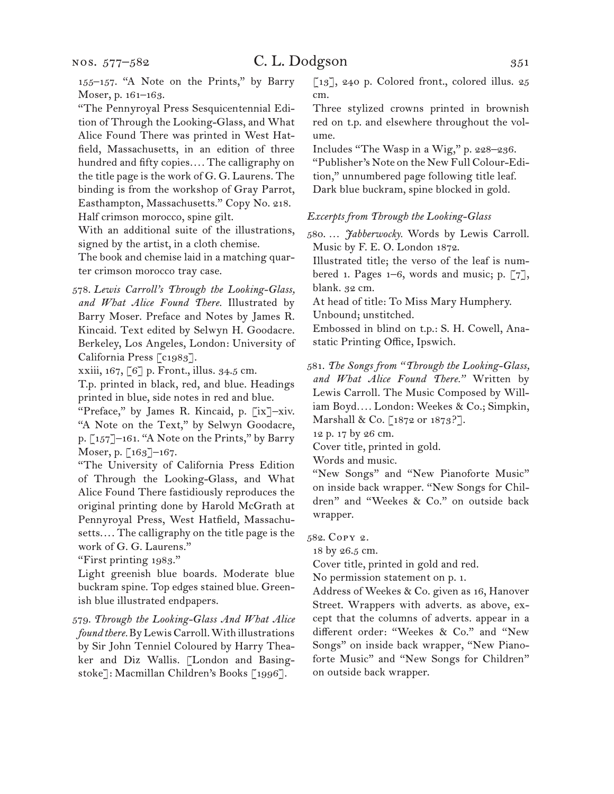155–157. "A Note on the Prints," by Barry Moser, p. 161–163.

"The Pennyroyal Press Sesquicentennial Edition of Through the Looking-Glass, and What Alice Found There was printed in West Hatfield, Massachusetts, in an edition of three hundred and fifty copies*. . . .* The calligraphy on the title page is the work of G. G. Laurens. The binding is from the workshop of Gray Parrot, Easthampton, Massachusetts." Copy No. 218. Half crimson morocco, spine gilt.

With an additional suite of the illustrations, signed by the artist, in a cloth chemise.

The book and chemise laid in a matching quarter crimson morocco tray case.

578. *Lewis Carroll's Through the Looking-Glass, and What Alice Found There.* Illustrated by Barry Moser. Preface and Notes by James R. Kincaid. Text edited by Selwyn H. Goodacre. Berkeley, Los Angeles, London: University of California Press [c1983].

xxiii, 167, [6] p. Front., illus. 34.5 cm.

T.p. printed in black, red, and blue. Headings printed in blue, side notes in red and blue.

"Preface," by James R. Kincaid, p. [ix]–xiv. "A Note on the Text," by Selwyn Goodacre, p. [157]–161. "A Note on the Prints," by Barry Moser, p. [163]–167.

"The University of California Press Edition of Through the Looking-Glass, and What Alice Found There fastidiously reproduces the original printing done by Harold McGrath at Pennyroyal Press, West Hatfield, Massachusetts.... The calligraphy on the title page is the work of G. G. Laurens."

"First printing 1983."

Light greenish blue boards. Moderate blue buckram spine. Top edges stained blue. Greenish blue illustrated endpapers.

579. *Through the Looking-Glass And What Alice found there.* By Lewis Carroll. With illustrations by Sir John Tenniel Coloured by Harry Theaker and Diz Wallis. [London and Basingstoke]: Macmillan Children's Books [1996].

[13], 240 p. Colored front., colored illus. 25 cm.

Three stylized crowns printed in brownish red on t.p. and elsewhere throughout the volume.

Includes "The Wasp in a Wig," p. 228–236. "Publisher's Note on the New Full Colour-Edition," unnumbered page following title leaf. Dark blue buckram, spine blocked in gold.

#### *Excerpts from Through the Looking-Glass*

580. … *Jabberwocky.* Words by Lewis Carroll. Music by F. E. O. London 1872.

Illustrated title; the verso of the leaf is numbered 1. Pages 1–6, words and music; p. [7], blank. 32 cm.

At head of title: To Miss Mary Humphery.

Unbound; unstitched.

Embossed in blind on t.p.: S. H. Cowell, Anastatic Printing Office, Ipswich.

581. *The Songs from "Through the Looking-Glass, and What Alice Found There."* Written by Lewis Carroll. The Music Composed by William Boyd*. . . .* London: Weekes & Co.; Simpkin, Marshall & Co. [1872 or 1873?].

12 p. 17 by 26 cm.

Cover title, printed in gold.

Words and music.

"New Songs" and "New Pianoforte Music" on inside back wrapper. "New Songs for Children" and "Weekes & Co." on outside back wrapper.

582. Copy 2.

18 by 26.5 cm.

Cover title, printed in gold and red.

No permission statement on p. 1.

Address of Weekes & Co. given as 16, Hanover Street. Wrappers with adverts. as above, except that the columns of adverts. appear in a different order: "Weekes & Co." and "New Songs" on inside back wrapper, "New Pianoforte Music" and "New Songs for Children" on outside back wrapper.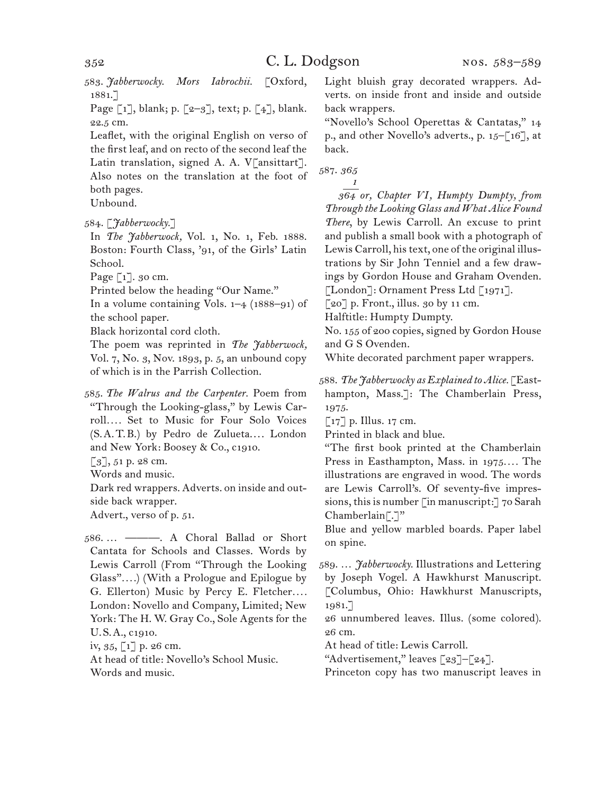583. *Jabberwocky. Mors Iabrochii.* [Oxford, 1881.]

Page  $\lceil 1 \rceil$ , blank; p.  $\lceil 2-3 \rceil$ , text; p.  $\lceil 4 \rceil$ , blank. 22.5 cm.

Leaflet, with the original English on verso of the first leaf, and on recto of the second leaf the Latin translation, signed A. A. V[ansittart]. Also notes on the translation at the foot of both pages.

Unbound.

584. [*Jabberwocky.*]

In *The Jabberwock,* Vol. 1, No. 1, Feb. 1888. Boston: Fourth Class, '91, of the Girls' Latin School.

Page [1]. 30 cm.

Printed below the heading "Our Name."

In a volume containing Vols. 1–4 (1888–91) of the school paper.

Black horizontal cord cloth.

The poem was reprinted in *The Jabberwock,*  Vol. 7, No. 3, Nov. 1893, p. 5, an unbound copy of which is in the Parrish Collection.

585. *The Walrus and the Carpenter.* Poem from "Through the Looking-glass," by Lewis Carroll*. . . .* Set to Music for Four Solo Voices (S.A.T.B.) by Pedro de Zulueta.... London and New York: Boosey & Co., c1910.

[3], 51 p. 28 cm.

Words and music.

Dark red wrappers. Adverts. on inside and outside back wrapper.

Advert., verso of p. 51.

586. … ———. A Choral Ballad or Short Cantata for Schools and Classes. Words by Lewis Carroll (From "Through the Looking Glass"*. . . .*) (With a Prologue and Epilogue by G. Ellerton) Music by Percy E. Fletcher*. . . .* London: Novello and Company, Limited; New York: The H. W. Gray Co., Sole Agents for the U.S.A., c1910. iv, 35, [1] p. 26 cm.

At head of title: Novello's School Music. Words and music.

Light bluish gray decorated wrappers. Adverts. on inside front and inside and outside back wrappers.

"Novello's School Operettas & Cantatas," 14 p., and other Novello's adverts., p. 15–[16], at back.

587. *365 1*

 *364 or, Chapter VI, Humpty Dumpty, from Through the Looking Glass and What Alice Found There*, by Lewis Carroll. An excuse to print and publish a small book with a photograph of Lewis Carroll, his text, one of the original illustrations by Sir John Tenniel and a few drawings by Gordon House and Graham Ovenden. [London]: Ornament Press Ltd [1971].

 $\lceil 20 \rceil$  p. Front., illus. 30 by 11 cm.

Halftitle: Humpty Dumpty.

No. 155 of 200 copies, signed by Gordon House and G S Ovenden.

White decorated parchment paper wrappers.

588. *The Jabberwocky as Explained to Alice.* [Easthampton, Mass.<sup>7</sup>: The Chamberlain Press, 1975.

[17] p. Illus. 17 cm.

Printed in black and blue.

"The first book printed at the Chamberlain Press in Easthampton, Mass. in 1975*. . . .* The illustrations are engraved in wood. The words are Lewis Carroll's. Of seventy-five impressions, this is number [in manuscript:] 70 Sarah  $Chamberlain$ .]"

Blue and yellow marbled boards. Paper label on spine.

589. … *Jabberwocky.* Illustrations and Lettering by Joseph Vogel. A Hawkhurst Manuscript. [Columbus, Ohio: Hawkhurst Manuscripts, 1981.]

26 unnumbered leaves. Illus. (some colored). 26 cm.

At head of title: Lewis Carroll.

"Advertisement," leaves [23]–[24].

Princeton copy has two manuscript leaves in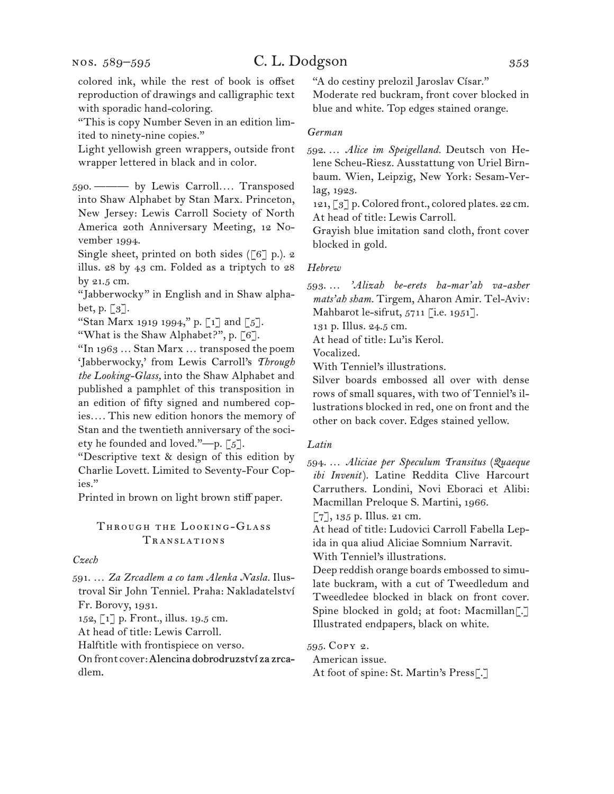nos. 589–595

# C. L. Dodgson 353

colored ink, while the rest of book is offset reproduction of drawings and calligraphic text with sporadic hand-coloring.

"This is copy Number Seven in an edition limited to ninety-nine copies."

Light yellowish green wrappers, outside front wrapper lettered in black and in color.

590. ——— by Lewis Carroll*. . . .* Transposed into Shaw Alphabet by Stan Marx. Princeton, New Jersey: Lewis Carroll Society of North America 20th Anniversary Meeting, 12 November 1994.

Single sheet, printed on both sides ( $[6]$  p.). 2 illus. 28 by 43 cm. Folded as a triptych to 28 by 21.5 cm.

"Jabberwocky" in English and in Shaw alphabet, p.  $\lceil 3 \rceil$ .

"Stan Marx 1919 1994," p. [1] and [5].

"What is the Shaw Alphabet?", p. [6].

"In 1963 … Stan Marx … transposed the poem 'Jabberwocky,' from Lewis Carroll's *Through the Looking-Glass,* into the Shaw Alphabet and published a pamphlet of this transposition in an edition of fifty signed and numbered copies*. . . .* This new edition honors the memory of Stan and the twentieth anniversary of the society he founded and loved."—p.  $\lceil 5 \rceil$ .

"Descriptive text & design of this edition by Charlie Lovett. Limited to Seventy-Four Copies."

Printed in brown on light brown stiff paper.

## Through the Looking-Glass Translations

*Czech*

591. … *Za Zrcadlem a co tam Alenka Nasla.* Ilustroval Sir John Tenniel. Praha: Nakladatelství Fr. Borovy, 1931.

152, [1] p. Front., illus. 19.5 cm.

At head of title: Lewis Carroll.

Halftitle with frontispiece on verso.

On front cover: Alencina dobrodruzství za zrcadlem

"A do cestiny prelozil Jaroslav Císar." Moderate red buckram, front cover blocked in blue and white. Top edges stained orange.

### *German*

592. … *Alice im Speigelland.* Deutsch von Helene Scheu-Riesz. Ausstattung von Uriel Birnbaum. Wien, Leipzig, New York: Sesam-Verlag, 1923.

121, [3] p. Colored front., colored plates. 22 cm. At head of title: Lewis Carroll.

Grayish blue imitation sand cloth, front cover blocked in gold.

### *Hebrew*

593. … *'Alizah be-erets ha-mar'ah va-asher mats'ah sham.* Tirgem, Aharon Amir. Tel-Aviv: Mahbarot le-sifrut,  $5711$  [i.e.  $1951$ ].

131 p. Illus. 24.5 cm.

At head of title: Lu'is Kerol.

Vocalized.

With Tenniel's illustrations.

Silver boards embossed all over with dense rows of small squares, with two of Tenniel's illustrations blocked in red, one on front and the other on back cover. Edges stained yellow.

### *Latin*

594. … *Aliciae per Speculum Transitus* (*Quaeque ibi Invenit*). Latine Reddita Clive Harcourt Carruthers. Londini, Novi Eboraci et Alibi: Macmillan Preloque S. Martini, 1966.

[7], 135 p. Illus. 21 cm.

At head of title: Ludovici Carroll Fabella Lepida in qua aliud Aliciae Somnium Narravit. With Tenniel's illustrations.

Deep reddish orange boards embossed to simulate buckram, with a cut of Tweedledum and Tweedledee blocked in black on front cover. Spine blocked in gold; at foot: Macmillan[.] Illustrated endpapers, black on white.

595. Copy 2. American issue. At foot of spine: St. Martin's Press[.]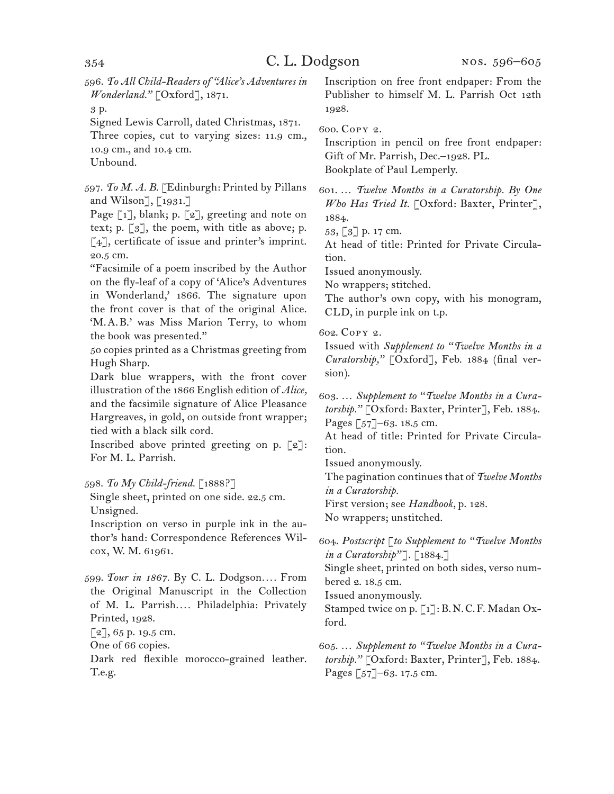596. *To All Child-Readers of "Alice's Adventures in Wonderland."* [Oxford], 1871.

3 p.

Signed Lewis Carroll, dated Christmas, 1871.

Three copies, cut to varying sizes: 11.9 cm., 10.9 cm., and 10.4 cm.

Unbound.

597. *To M. A. B.* [Edinburgh: Printed by Pillans and Wilson], [1931.]

Page [1], blank; p. [2], greeting and note on text; p.  $\lceil 3 \rceil$ , the poem, with title as above; p. [4], certificate of issue and printer's imprint. 20.5 cm.

"Facsimile of a poem inscribed by the Author on the fly-leaf of a copy of 'Alice's Adventures in Wonderland,' 1866. The signature upon the front cover is that of the original Alice. 'M.A.B.' was Miss Marion Terry, to whom the book was presented."

50 copies printed as a Christmas greeting from Hugh Sharp.

Dark blue wrappers, with the front cover illustration of the 1866 English edition of *Alice,*  and the facsimile signature of Alice Pleasance Hargreaves, in gold, on outside front wrapper; tied with a black silk cord.

Inscribed above printed greeting on p.  $\lceil 2 \rceil$ : For M. L. Parrish.

### 598. *To My Child-friend.* [1888?]

Single sheet, printed on one side. 22.5 cm. Unsigned.

Inscription on verso in purple ink in the author's hand: Correspondence References Wilcox, W. M. 61961.

599. *Tour in 1867.* By C. L. Dodgson*. . . .* From the Original Manuscript in the Collection of M. L. Parrish*. . . .* Philadelphia: Privately Printed, 1928.

[2], 65 p. 19.5 cm.

One of 66 copies.

Dark red flexible morocco-grained leather. T.e.g.

Inscription on free front endpaper: From the Publisher to himself M. L. Parrish Oct 12th 1928.

#### 600. Copy 2.

Inscription in pencil on free front endpaper: Gift of Mr. Parrish, Dec.–1928. PL. Bookplate of Paul Lemperly.

601. … *Twelve Months in a Curatorship. By One Who Has Tried It.* [Oxford: Baxter, Printer], 1884.

53, [3] p. 17 cm.

At head of title: Printed for Private Circulation.

Issued anonymously.

No wrappers; stitched.

The author's own copy, with his monogram, CLD, in purple ink on t.p.

602. Copy 2.

Issued with *Supplement to "Twelve Months in a Curatorship,"* [Oxford], Feb. 1884 (final version).

603. … *Supplement to "Twelve Months in a Curatorship."* [Oxford: Baxter, Printer], Feb. 1884. Pages [57]–63. 18.5 cm.

At head of title: Printed for Private Circulation.

Issued anonymously.

The pagination continues that of *Twelve Months in a Curatorship.*

First version; see *Handbook,* p. 128.

No wrappers; unstitched.

604. *Postscript* [*to Supplement to "Twelve Months in a Curatorship"*]. [1884.]

Single sheet, printed on both sides, verso numbered 2. 18.5 cm.

Issued anonymously.

Stamped twice on p. [1]: B.N.C.F. Madan Oxford.

605. … *Supplement to "Twelve Months in a Curatorship."* [Oxford: Baxter, Printer], Feb. 1884. Pages [57]–63. 17.5 cm.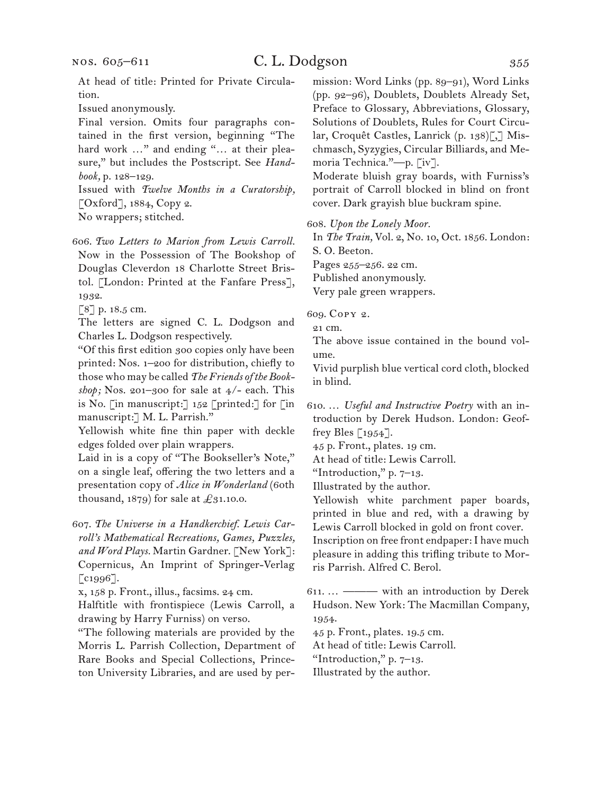# C. L. Dodgson 355

Issued anonymously.

Final version. Omits four paragraphs contained in the first version, beginning "The hard work ..." and ending "... at their pleasure," but includes the Postscript. See *Handbook,* p. 128–129.

Issued with *Twelve Months in a Curatorship,*  [Oxford], 1884, Copy 2.

No wrappers; stitched.

606. *Two Letters to Marion from Lewis Carroll.* Now in the Possession of The Bookshop of Douglas Cleverdon 18 Charlotte Street Bristol. [London: Printed at the Fanfare Press], 1932.

[8] p. 18.5 cm.

The letters are signed C. L. Dodgson and Charles L. Dodgson respectively.

"Of this first edition 300 copies only have been printed: Nos. 1–200 for distribution, chiefly to those who may be called *The Friends of the Bookshop;* Nos. 201–300 for sale at 4/- each. This is No. [in manuscript:] 152 [printed:] for [in manuscript:] M. L. Parrish."

Yellowish white fine thin paper with deckle edges folded over plain wrappers.

Laid in is a copy of "The Bookseller's Note," on a single leaf, offering the two letters and a presentation copy of *Alice in Wonderland* (60th thousand, 1879) for sale at £31.10.0.

## 607. *The Universe in a Handkerchief. Lewis Carroll's Mathematical Recreations, Games, Puzzles, and Word Plays.* Martin Gardner. [New York]: Copernicus, An Imprint of Springer-Verlag [c<sub>1996</sub>].

x, 158 p. Front., illus., facsims. 24 cm.

Halftitle with frontispiece (Lewis Carroll, a drawing by Harry Furniss) on verso.

"The following materials are provided by the Morris L. Parrish Collection, Department of Rare Books and Special Collections, Princeton University Libraries, and are used by permission: Word Links (pp. 89–91), Word Links (pp. 92–96), Doublets, Doublets Already Set, Preface to Glossary, Abbreviations, Glossary, Solutions of Doublets, Rules for Court Circular, Croquêt Castles, Lanrick (p. 138)[,] Mischmasch, Syzygies, Circular Billiards, and Memoria Technica."—p. [iv].

Moderate bluish gray boards, with Furniss's portrait of Carroll blocked in blind on front cover. Dark grayish blue buckram spine.

608. *Upon the Lonely Moor.*

In *The Train,* Vol. 2, No. 10, Oct. 1856. London: S. O. Beeton.

Pages 255–256. 22 cm.

Published anonymously.

Very pale green wrappers.

609. Copy 2.

21 cm.

The above issue contained in the bound volume.

Vivid purplish blue vertical cord cloth, blocked in blind.

610. … *Useful and Instructive Poetry* with an introduction by Derek Hudson. London: Geoffrey Bles  $\lceil 1954 \rceil$ .

45 p. Front., plates. 19 cm.

At head of title: Lewis Carroll.

"Introduction,"  $p. 7-13$ .

Illustrated by the author.

Yellowish white parchment paper boards, printed in blue and red, with a drawing by Lewis Carroll blocked in gold on front cover. Inscription on free front endpaper: I have much pleasure in adding this trifling tribute to Morris Parrish. Alfred C. Berol.

45 p. Front., plates. 19.5 cm.

At head of title: Lewis Carroll.

"Introduction,"  $p. 7-13$ .

Illustrated by the author.

<sup>611. … ———</sup> with an introduction by Derek Hudson. New York: The Macmillan Company, 1954.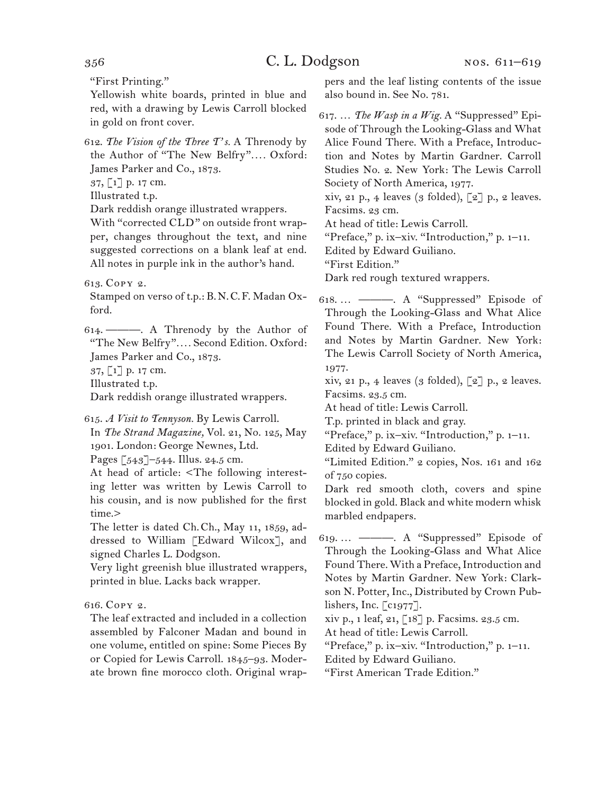"First Printing."

Yellowish white boards, printed in blue and red, with a drawing by Lewis Carroll blocked in gold on front cover.

612. *The Vision of the Three T's.* A Threnody by the Author of "The New Belfry"*. . . .* Oxford: James Parker and Co., 1873.

37, [1] p. 17 cm.

Illustrated t.p.

Dark reddish orange illustrated wrappers.

With "corrected CLD" on outside front wrapper, changes throughout the text, and nine suggested corrections on a blank leaf at end. All notes in purple ink in the author's hand.

613. Copy 2.

Stamped on verso of t.p.: B.N.C.F. Madan Oxford.

614. ———. A Threnody by the Author of "The New Belfry"*. . . .* Second Edition. Oxford: James Parker and Co., 1873. 37, [1] p. 17 cm.

Illustrated t.p.

Dark reddish orange illustrated wrappers.

615. *A Visit to Tennyson.* By Lewis Carroll.

In *The Strand Magazine,* Vol. 21, No. 125, May 1901. London: George Newnes, Ltd.

Pages [543]–544. Illus. 24.5 cm.

At head of article: <The following interesting letter was written by Lewis Carroll to his cousin, and is now published for the first time.>

The letter is dated Ch.Ch., May 11, 1859, addressed to William [Edward Wilcox], and signed Charles L. Dodgson.

Very light greenish blue illustrated wrappers, printed in blue. Lacks back wrapper.

616. Copy 2.

The leaf extracted and included in a collection assembled by Falconer Madan and bound in one volume, entitled on spine: Some Pieces By or Copied for Lewis Carroll. 1845–93. Moderate brown fine morocco cloth. Original wrappers and the leaf listing contents of the issue also bound in. See No. 781.

617. … *The Wasp in a Wig.* A "Suppressed" Episode of Through the Looking-Glass and What Alice Found There. With a Preface, Introduction and Notes by Martin Gardner. Carroll Studies No. 2. New York: The Lewis Carroll Society of North America, 1977.

xiv, 21 p., 4 leaves (3 folded),  $\lceil 2 \rceil$  p., 2 leaves. Facsims. 23 cm.

At head of title: Lewis Carroll.

"Preface," p. ix–xiv. "Introduction," p. 1–11.

Edited by Edward Guiliano.

"First Edition."

Dark red rough textured wrappers.

618. … ———. A "Suppressed" Episode of Through the Looking-Glass and What Alice Found There. With a Preface, Introduction and Notes by Martin Gardner. New York: The Lewis Carroll Society of North America, 1977.

xiv, 21 p., 4 leaves (3 folded),  $\lceil 2 \rceil$  p., 2 leaves. Facsims. 23.5 cm.

At head of title: Lewis Carroll.

T.p. printed in black and gray.

"Preface," p. ix–xiv. "Introduction," p. 1–11.

Edited by Edward Guiliano.

"Limited Edition." 2 copies, Nos. 161 and 162 of 750 copies.

Dark red smooth cloth, covers and spine blocked in gold. Black and white modern whisk marbled endpapers.

619. … ———. A "Suppressed" Episode of Through the Looking-Glass and What Alice Found There. With a Preface, Introduction and Notes by Martin Gardner. New York: Clarkson N. Potter, Inc., Distributed by Crown Publishers, Inc. [c1977].

xiv p., 1 leaf, 21, [18] p. Facsims. 23.5 cm.

At head of title: Lewis Carroll.

"Preface," p. ix–xiv. "Introduction," p. 1–11.

Edited by Edward Guiliano.

"First American Trade Edition."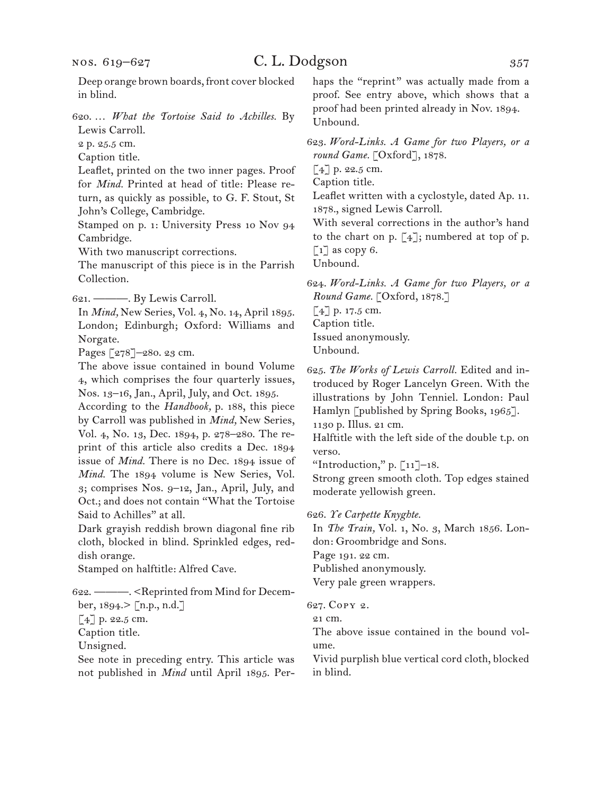Deep orange brown boards, front cover blocked in blind.

620. … *What the Tortoise Said to Achilles.* By Lewis Carroll.

2 p. 25.5 cm.

Caption title.

Leaflet, printed on the two inner pages. Proof for *Mind.* Printed at head of title: Please return, as quickly as possible, to G. F. Stout, St John's College, Cambridge.

Stamped on p. 1: University Press 10 Nov 94 Cambridge.

With two manuscript corrections.

The manuscript of this piece is in the Parrish Collection.

621. ———. By Lewis Carroll.

In *Mind,* New Series, Vol. 4, No. 14, April 1895. London; Edinburgh; Oxford: Williams and Norgate.

Pages [278]–280. 23 cm.

The above issue contained in bound Volume 4, which comprises the four quarterly issues, Nos. 13–16, Jan., April, July, and Oct. 1895.

According to the *Handbook,* p. 188, this piece by Carroll was published in *Mind,* New Series, Vol. 4, No. 13, Dec. 1894, p. 278–280. The reprint of this article also credits a Dec. 1894 issue of *Mind.* There is no Dec. 1894 issue of *Mind.* The 1894 volume is New Series, Vol. 3; comprises Nos. 9–12, Jan., April, July, and Oct.; and does not contain "What the Tortoise Said to Achilles" at all.

Dark grayish reddish brown diagonal fine rib cloth, blocked in blind. Sprinkled edges, reddish orange.

Stamped on halftitle: Alfred Cave.

622. ———. <Reprinted from Mind for Decem-

ber, 1894.> [n.p., n.d.]

[4] p. 22.5 cm.

Caption title.

Unsigned.

See note in preceding entry. This article was not published in *Mind* until April 1895. Perhaps the "reprint" was actually made from a proof. See entry above, which shows that a proof had been printed already in Nov. 1894. Unbound.

623. *Word-Links. A Game for two Players, or a round Game.* [Oxford], 1878.

 $[4]$  p. 22.5 cm.

Caption title.

Leaflet written with a cyclostyle, dated Ap. 11. 1878., signed Lewis Carroll.

With several corrections in the author's hand to the chart on p.  $[4]$ ; numbered at top of p.  $\lceil 1 \rceil$  as copy 6.

Unbound.

624. *Word-Links. A Game for two Players, or a Round Game.* [Oxford, 1878.]

[4] p. 17.5 cm. Caption title. Issued anonymously. Unbound.

625. *The Works of Lewis Carroll.* Edited and introduced by Roger Lancelyn Green. With the illustrations by John Tenniel. London: Paul Hamlyn [published by Spring Books, 1965]. 1130 p. Illus. 21 cm.

Halftitle with the left side of the double t.p. on verso.

"Introduction," p.  $\lceil 11 \rceil$ –18.

Strong green smooth cloth. Top edges stained moderate yellowish green.

626. *Ye Carpette Knyghte.*

In *The Train,* Vol. 1, No. 3, March 1856. London: Groombridge and Sons.

Page 191. 22 cm.

Published anonymously.

Very pale green wrappers.

627. Copy 2.

21 cm.

The above issue contained in the bound volume.

Vivid purplish blue vertical cord cloth, blocked in blind.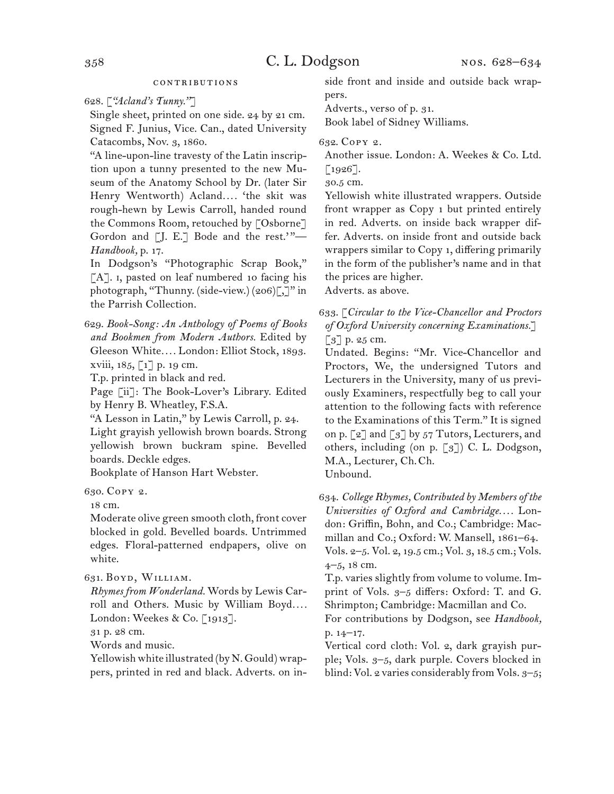### contributions

628. [*"Acland's Tunny."*]

Single sheet, printed on one side. 24 by 21 cm. Signed F. Junius, Vice. Can., dated University Catacombs, Nov. 3, 1860.

"A line-upon-line travesty of the Latin inscription upon a tunny presented to the new Museum of the Anatomy School by Dr. (later Sir Henry Wentworth) Acland*. . . .* 'the skit was rough-hewn by Lewis Carroll, handed round the Commons Room, retouched by [Osborne] Gordon and  $[J, E, J]$  Bode and the rest."-*Handbook,* p. 17.

In Dodgson's "Photographic Scrap Book," [A]. I, pasted on leaf numbered 10 facing his photograph, "Thunny. (side-view.) (206)[,]" in the Parrish Collection.

629. *Book-Song: An Anthology of Poems of Books and Bookmen from Modern Authors.* Edited by Gleeson White*. . . .* London: Elliot Stock, 1893. xviii, 185, [1] p. 19 cm.

T.p. printed in black and red.

Page [ii]: The Book-Lover's Library. Edited by Henry B. Wheatley, F.S.A.

"A Lesson in Latin," by Lewis Carroll, p. 24. Light grayish yellowish brown boards. Strong yellowish brown buckram spine. Bevelled boards. Deckle edges.

Bookplate of Hanson Hart Webster.

630. Copy 2.

18 cm.

Moderate olive green smooth cloth, front cover blocked in gold. Bevelled boards. Untrimmed edges. Floral-patterned endpapers, olive on white.

631. Boyd, William.

*Rhymes from Wonderland.* Words by Lewis Carroll and Others. Music by William Boyd*. . . .* London: Weekes & Co. [1913].

31 p. 28 cm.

Words and music.

Yellowish white illustrated (by N. Gould) wrappers, printed in red and black. Adverts. on inside front and inside and outside back wrappers.

Adverts., verso of p. 31.

Book label of Sidney Williams.

632. Copy 2.

Another issue. London: A. Weekes & Co. Ltd.

 $\lceil 1926 \rceil$ . 30.5 cm.

Yellowish white illustrated wrappers. Outside front wrapper as Copy 1 but printed entirely in red. Adverts. on inside back wrapper differ. Adverts. on inside front and outside back wrappers similar to Copy 1, differing primarily in the form of the publisher's name and in that the prices are higher.

Adverts. as above.

633. [*Circular to the Vice-Chancellor and Proctors of Oxford University concerning Examinations.*]  $\left[\begin{matrix}3\end{matrix}\right]$  p. 25 cm.

Undated. Begins: "Mr. Vice-Chancellor and Proctors, We, the undersigned Tutors and Lecturers in the University, many of us previously Examiners, respectfully beg to call your attention to the following facts with reference to the Examinations of this Term." It is signed on p.  $\lbrack 2 \rbrack$  and  $\lbrack 3 \rbrack$  by 57 Tutors, Lecturers, and others, including (on p.  $\lceil 3 \rceil$ ) C. L. Dodgson, M.A., Lecturer, Ch.Ch. Unbound.

634. *College Rhymes, Contributed by Members of the Universities of Oxford and Cambridge. . . .* London: Griffin, Bohn, and Co.; Cambridge: Macmillan and Co.; Oxford: W. Mansell, 1861–64. Vols. 2–5. Vol. 2, 19.5 cm.; Vol. 3, 18.5 cm.; Vols. 4–5, 18 cm.

T.p. varies slightly from volume to volume. Imprint of Vols. 3–5 differs: Oxford: T. and G. Shrimpton; Cambridge: Macmillan and Co.

For contributions by Dodgson, see *Handbook,*  p. 14–17.

Vertical cord cloth: Vol. 2, dark grayish purple; Vols. 3–5, dark purple. Covers blocked in blind: Vol. 2 varies considerably from Vols. 3–5;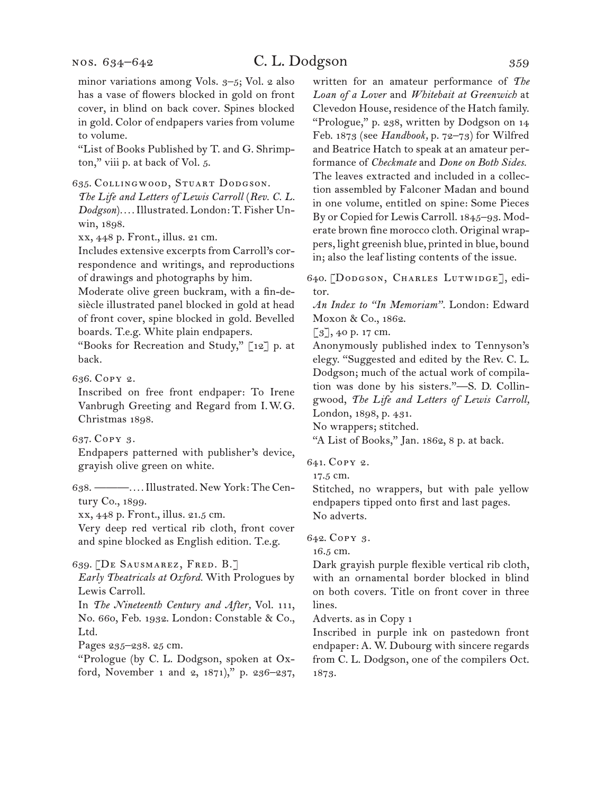# C. L. Dodgson 359

minor variations among Vols. 3–5; Vol. 2 also has a vase of flowers blocked in gold on front cover, in blind on back cover. Spines blocked in gold. Color of endpapers varies from volume to volume.

"List of Books Published by T. and G. Shrimpton," viii p. at back of Vol. 5.

635. Collingwood, Stuart Dodgson.

*The Life and Letters of Lewis Carroll* (*Rev. C. L. Dodgson*)*. . . .* Illustrated. London: T. Fisher Unwin, 1898.

xx, 448 p. Front., illus. 21 cm.

Includes extensive excerpts from Carroll's correspondence and writings, and reproductions of drawings and photographs by him.

Moderate olive green buckram, with a fin-desiècle illustrated panel blocked in gold at head of front cover, spine blocked in gold. Bevelled boards. T.e.g. White plain endpapers.

"Books for Recreation and Study," [12] p. at back.

636. Copy 2.

Inscribed on free front endpaper: To Irene Vanbrugh Greeting and Regard from I.W.G. Christmas 1898.

637. Copy 3.

Endpapers patterned with publisher's device, grayish olive green on white.

638. ———*. . . .* Illustrated. New York: The Century Co., 1899.

xx, 448 p. Front., illus. 21.5 cm.

Very deep red vertical rib cloth, front cover and spine blocked as English edition. T.e.g.

639. [De Sausmarez, Fred. B.]

*Early Theatricals at Oxford.* With Prologues by Lewis Carroll.

In *The Nineteenth Century and After,* Vol. 111, No. 660, Feb. 1932. London: Constable & Co., Ltd.

Pages 235–238. 25 cm.

"Prologue (by C. L. Dodgson, spoken at Oxford, November 1 and 2, 1871)," p. 236–237, written for an amateur performance of *The Loan of a Lover* and *Whitebait at Greenwich* at Clevedon House, residence of the Hatch family. "Prologue," p. 238, written by Dodgson on 14 Feb. 1873 (see *Handbook,* p. 72–73) for Wilfred and Beatrice Hatch to speak at an amateur performance of *Checkmate* and *Done on Both Sides.* The leaves extracted and included in a collection assembled by Falconer Madan and bound in one volume, entitled on spine: Some Pieces By or Copied for Lewis Carroll. 1845–93. Moderate brown fine morocco cloth. Original wrappers, light greenish blue, printed in blue, bound in; also the leaf listing contents of the issue.

640. [Dodgson, Charles Lutwidge], editor.

*An Index to "In Memoriam".* London: Edward Moxon & Co., 1862.

 $\lceil 3 \rceil$ , 40 p. 17 cm.

Anonymously published index to Tennyson's elegy. "Suggested and edited by the Rev. C. L. Dodgson; much of the actual work of compilation was done by his sisters."—S. D. Collingwood, *The Life and Letters of Lewis Carroll,*  London, 1898, p. 431.

No wrappers; stitched.

"A List of Books," Jan. 1862, 8 p. at back.

641. Copy 2.

17.5 cm.

Stitched, no wrappers, but with pale yellow endpapers tipped onto first and last pages. No adverts.

642. Copy 3.

16.5 cm.

Dark grayish purple flexible vertical rib cloth, with an ornamental border blocked in blind on both covers. Title on front cover in three lines.

Adverts. as in Copy 1

Inscribed in purple ink on pastedown front endpaper: A. W. Dubourg with sincere regards from C. L. Dodgson, one of the compilers Oct. 1873.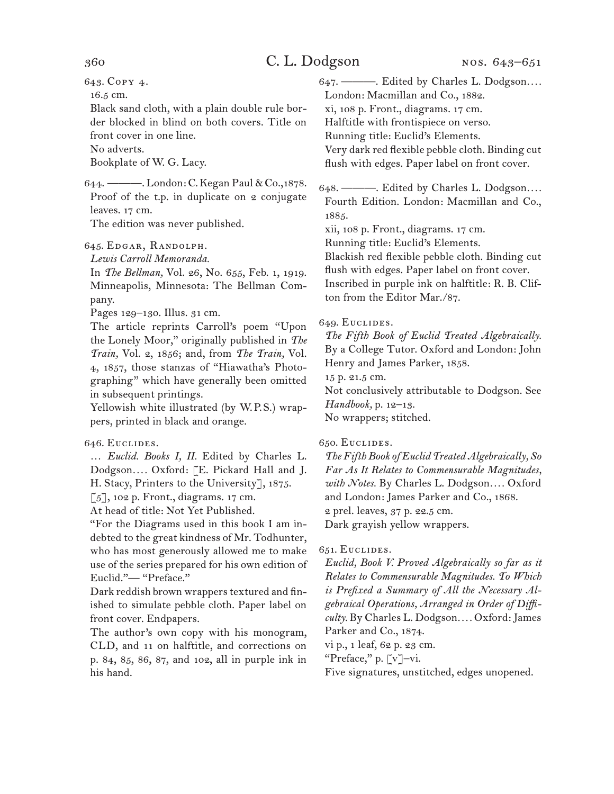643. Copy 4.

16.5 cm.

Black sand cloth, with a plain double rule border blocked in blind on both covers. Title on front cover in one line.

No adverts.

Bookplate of W. G. Lacy.

644. ———. London: C. Kegan Paul & Co., 1878. Proof of the t.p. in duplicate on 2 conjugate leaves. 17 cm.

The edition was never published.

645. Edgar, Randolph.

*Lewis Carroll Memoranda.*

In *The Bellman,* Vol. 26, No. 655, Feb. 1, 1919. Minneapolis, Minnesota: The Bellman Company.

Pages 129–130. Illus. 31 cm.

The article reprints Carroll's poem "Upon the Lonely Moor," originally published in *The Train,* Vol. 2, 1856; and, from *The Train,* Vol. 4, 1857, those stanzas of "Hiawatha's Photographing" which have generally been omitted in subsequent printings.

Yellowish white illustrated (by W.P.S.) wrappers, printed in black and orange.

### 646. Euclides.

… *Euclid. Books I, II.* Edited by Charles L. Dodgson*. . . .* Oxford: [E. Pickard Hall and J. H. Stacy, Printers to the University], 1875.

[5], 102 p. Front., diagrams. 17 cm.

At head of title: Not Yet Published.

"For the Diagrams used in this book I am indebted to the great kindness of Mr. Todhunter, who has most generously allowed me to make use of the series prepared for his own edition of Euclid."— "Preface."

Dark reddish brown wrappers textured and finished to simulate pebble cloth. Paper label on front cover. Endpapers.

The author's own copy with his monogram, CLD, and 11 on halftitle, and corrections on p. 84, 85, 86, 87, and 102, all in purple ink in his hand.

647. ———. Edited by Charles L. Dodgson*. . . .* London: Macmillan and Co., 1882. xi, 108 p. Front., diagrams. 17 cm. Halftitle with frontispiece on verso. Running title: Euclid's Elements. Very dark red flexible pebble cloth. Binding cut flush with edges. Paper label on front cover.

648. ———. Edited by Charles L. Dodgson*. . . .* Fourth Edition. London: Macmillan and Co., 1885.

xii, 108 p. Front., diagrams. 17 cm.

Running title: Euclid's Elements.

Blackish red flexible pebble cloth. Binding cut flush with edges. Paper label on front cover.

Inscribed in purple ink on halftitle: R. B. Clifton from the Editor Mar./87.

### 649. Euclides.

*The Fifth Book of Euclid Treated Algebraically.* By a College Tutor. Oxford and London: John Henry and James Parker, 1858.

15 p. 21.5 cm.

Not conclusively attributable to Dodgson. See *Handbook,* p. 12–13.

No wrappers; stitched.

### 650. Euclides.

*The Fifth Book of Euclid Treated Algebraically, So Far As It Relates to Commensurable Magnitudes, with Notes.* By Charles L. Dodgson*. . . .* Oxford and London: James Parker and Co., 1868. 2 prel. leaves, 37 p. 22.5 cm. Dark grayish yellow wrappers.

#### 651. Euclides.

*Euclid, Book V. Proved Algebraically so far as it Relates to Commensurable Magnitudes. To Which is Prefixed a Summary of All the Necessary Algebraical Operations, Arranged in Order of Difficulty.* By Charles L. Dodgson*. . . .* Oxford: James Parker and Co., 1874.

vi p., 1 leaf, 62 p. 23 cm.

"Preface," p. [v]-vi.

Five signatures, unstitched, edges unopened.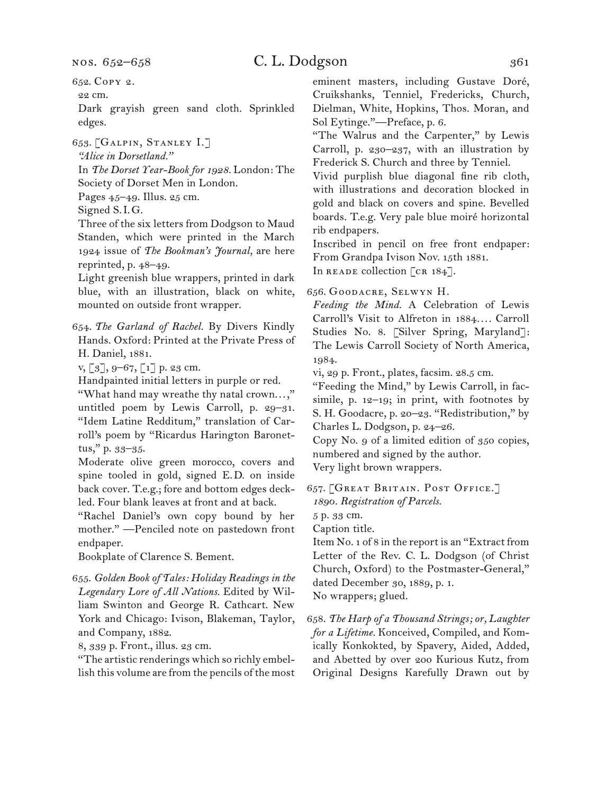nos. 652–658

# C. L. Dodgson 361

652. Copy 2.

22 cm.

Dark grayish green sand cloth. Sprinkled edges.

653. [Galpin, Stanley I.]

*"Alice in Dorsetland."*

In *The Dorset Year-Book for 1928.* London: The Society of Dorset Men in London.

Pages 45–49. Illus. 25 cm.

Signed S.I.G.

Three of the six letters from Dodgson to Maud Standen, which were printed in the March 1924 issue of *The Bookman's Journal,* are here reprinted, p. 48–49.

Light greenish blue wrappers, printed in dark blue, with an illustration, black on white, mounted on outside front wrapper.

654. *The Garland of Rachel.* By Divers Kindly Hands. Oxford: Printed at the Private Press of H. Daniel, 1881.

v, [3], 9–67, [1] p. 23 cm.

Handpainted initial letters in purple or red.

"What hand may wreathe thy natal crown. . . ," untitled poem by Lewis Carroll, p. 29–31. "Idem Latine Redditum," translation of Carroll's poem by "Ricardus Harington Baronettus," p. 33–35.

Moderate olive green morocco, covers and spine tooled in gold, signed E.D. on inside back cover. T.e.g.; fore and bottom edges deckled. Four blank leaves at front and at back.

"Rachel Daniel's own copy bound by her mother." —Penciled note on pastedown front endpaper.

Bookplate of Clarence S. Bement.

655. *Golden Book of Tales: Holiday Readings in the Legendary Lore of All Nations.* Edited by William Swinton and George R. Cathcart. New York and Chicago: Ivison, Blakeman, Taylor, and Company, 1882.

8, 339 p. Front., illus. 23 cm.

"The artistic renderings which so richly embellish this volume are from the pencils of the most

eminent masters, including Gustave Doré, Cruikshanks, Tenniel, Fredericks, Church, Dielman, White, Hopkins, Thos. Moran, and Sol Eytinge."—Preface, p. 6.

"The Walrus and the Carpenter," by Lewis Carroll, p. 230–237, with an illustration by Frederick S. Church and three by Tenniel.

Vivid purplish blue diagonal fine rib cloth, with illustrations and decoration blocked in gold and black on covers and spine. Bevelled boards. T.e.g. Very pale blue moiré horizontal rib endpapers.

Inscribed in pencil on free front endpaper: From Grandpa Ivison Nov. 15th 1881.

In READE collection [CR 184].

656. Goodacre, Selwyn H.

*Feeding the Mind.* A Celebration of Lewis Carroll's Visit to Alfreton in 1884*. . . .* Carroll Studies No. 8. [Silver Spring, Maryland]: The Lewis Carroll Society of North America, 1984.

vi, 29 p. Front., plates, facsim. 28.5 cm.

"Feeding the Mind," by Lewis Carroll, in facsimile, p. 12–19; in print, with footnotes by S. H. Goodacre, p. 20–23. "Redistribution," by Charles L. Dodgson, p. 24–26.

Copy No. 9 of a limited edition of 350 copies, numbered and signed by the author.

Very light brown wrappers.

657. [Great Britain. Post Office.] *1890. Registration of Parcels.*

5 p. 33 cm.

Caption title.

Item No. 1 of 8 in the report is an "Extract from Letter of the Rev. C. L. Dodgson (of Christ Church, Oxford) to the Postmaster-General," dated December 30, 1889, p. 1. No wrappers; glued.

658. *The Harp of a Thousand Strings; or, Laughter for a Lifetime.* Konceived, Compiled, and Komically Konkokted, by Spavery, Aided, Added, and Abetted by over 200 Kurious Kutz, from Original Designs Karefully Drawn out by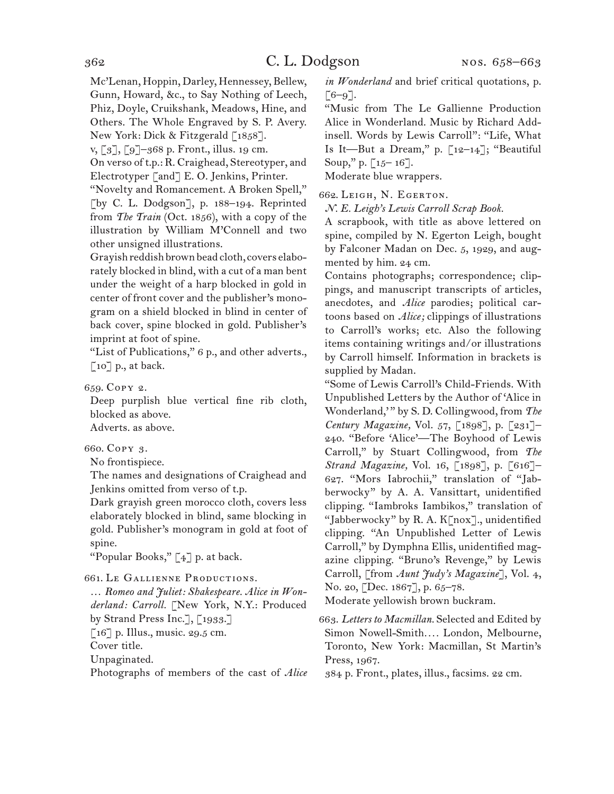Mc'Lenan, Hoppin, Darley, Hennessey, Bellew, Gunn, Howard, &c., to Say Nothing of Leech, Phiz, Doyle, Cruikshank, Meadows, Hine, and Others. The Whole Engraved by S. P. Avery. New York: Dick & Fitzgerald  $\lceil 1858 \rceil$ .

v, [3], [9]–368 p. Front., illus. 19 cm.

On verso of t.p.: R. Craighead, Stereotyper, and Electrotyper [and] E. O. Jenkins, Printer.

"Novelty and Romancement. A Broken Spell," [by C. L. Dodgson], p. 188–194. Reprinted from *The Train* (Oct. 1856), with a copy of the illustration by William M'Connell and two other unsigned illustrations.

Grayish reddish brown bead cloth, covers elaborately blocked in blind, with a cut of a man bent under the weight of a harp blocked in gold in center of front cover and the publisher's monogram on a shield blocked in blind in center of back cover, spine blocked in gold. Publisher's imprint at foot of spine.

"List of Publications," 6 p., and other adverts.,  $\lceil$  10] p., at back.

659. Copy 2.

Deep purplish blue vertical fine rib cloth, blocked as above. Adverts. as above.

660. Copy 3.

No frontispiece.

The names and designations of Craighead and Jenkins omitted from verso of t.p.

Dark grayish green morocco cloth, covers less elaborately blocked in blind, same blocking in gold. Publisher's monogram in gold at foot of spine.

"Popular Books," [4] p. at back.

661. Le Gallienne Productions.

… *Romeo and Juliet: Shakespeare. Alice in Wonderland: Carroll.* [New York, N.Y.: Produced by Strand Press Inc.], [1933.]

 $\left[16\right]$  p. Illus., music. 29.5 cm.

Cover title.

Unpaginated.

Photographs of members of the cast of *Alice* 

*in Wonderland* and brief critical quotations, p.  $\lceil 6-9 \rceil$ .

"Music from The Le Gallienne Production Alice in Wonderland. Music by Richard Addinsell. Words by Lewis Carroll": "Life, What Is It—But a Dream," p.  $\lceil 12-14 \rceil$ ; "Beautiful Soup," p. [15– 16].

Moderate blue wrappers.

662. Leigh, N. Egerton.

*N. E. Leigh's Lewis Carroll Scrap Book.*

A scrapbook, with title as above lettered on spine, compiled by N. Egerton Leigh, bought by Falconer Madan on Dec. 5, 1929, and augmented by him. 24 cm.

Contains photographs; correspondence; clippings, and manuscript transcripts of articles, anecdotes, and *Alice* parodies; political cartoons based on *Alice;* clippings of illustrations to Carroll's works; etc. Also the following items containing writings and/or illustrations by Carroll himself. Information in brackets is supplied by Madan.

"Some of Lewis Carroll's Child-Friends. With Unpublished Letters by the Author of 'Alice in Wonderland,' " by S. D. Collingwood, from *The Century Magazine,* Vol. 57, [1898], p. [231]– 240. "Before 'Alice'—The Boyhood of Lewis Carroll," by Stuart Collingwood, from *The Strand Magazine,* Vol. 16, [1898], p. [616]– 627. "Mors Iabrochii," translation of "Jabberwocky" by A. A. Vansittart, unidentified clipping. "Iambroks Iambikos," translation of "Jabberwocky" by R. A. K[nox]., unidentified clipping. "An Unpublished Letter of Lewis Carroll," by Dymphna Ellis, unidentified magazine clipping. "Bruno's Revenge," by Lewis Carroll, [from *Aunt Judy's Magazine*], Vol. 4, No. 20, [Dec. 1867], p. 65–78.

Moderate yellowish brown buckram.

663. *Letters to Macmillan.* Selected and Edited by Simon Nowell-Smith*. . . .* London, Melbourne, Toronto, New York: Macmillan, St Martin's Press, 1967.

384 p. Front., plates, illus., facsims. 22 cm.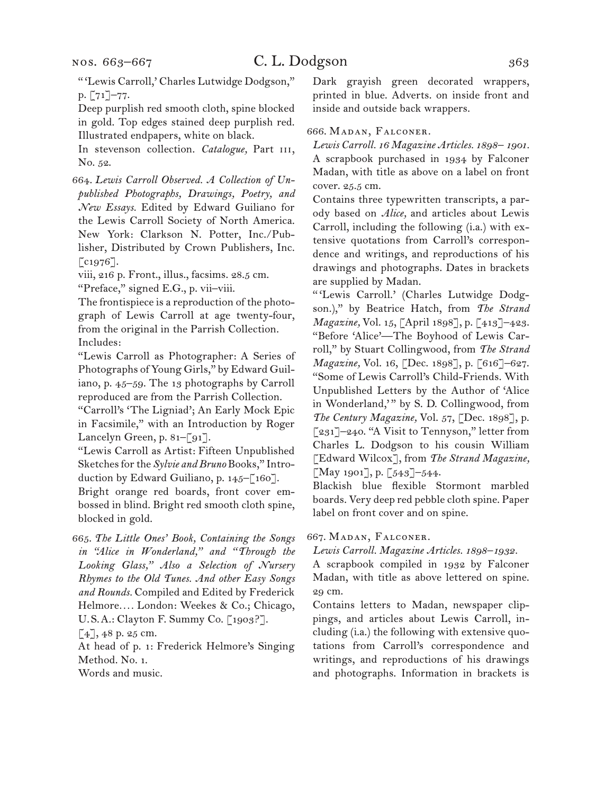" 'Lewis Carroll,' Charles Lutwidge Dodgson," p. [71]–77.

Deep purplish red smooth cloth, spine blocked in gold. Top edges stained deep purplish red. Illustrated endpapers, white on black.

In stevenson collection. *Catalogue*, Part III, No. 52.

664. *Lewis Carroll Observed. A Collection of Unpublished Photographs, Drawings, Poetry, and New Essays.* Edited by Edward Guiliano for the Lewis Carroll Society of North America. New York: Clarkson N. Potter, Inc./Publisher, Distributed by Crown Publishers, Inc.  $\lceil c_{1976} \rceil$ .

viii, 216 p. Front., illus., facsims. 28.5 cm.

"Preface," signed E.G., p. vii–viii.

The frontispiece is a reproduction of the photograph of Lewis Carroll at age twenty-four, from the original in the Parrish Collection. Includes:

"Lewis Carroll as Photographer: A Series of Photographs of Young Girls," by Edward Guiliano, p. 45–59. The 13 photographs by Carroll reproduced are from the Parrish Collection.

"Carroll's 'The Ligniad'; An Early Mock Epic in Facsimile," with an Introduction by Roger Lancelyn Green, p. 81–[91].

"Lewis Carroll as Artist: Fifteen Unpublished Sketches for the *Sylvie and Bruno* Books," Introduction by Edward Guiliano, p. 145–[160].

Bright orange red boards, front cover embossed in blind. Bright red smooth cloth spine, blocked in gold.

665. *The Little Ones' Book, Containing the Songs in "Alice in Wonderland," and "Through the Looking Glass," Also a Selection of Nursery Rhymes to the Old Tunes. And other Easy Songs and Rounds.* Compiled and Edited by Frederick Helmore*. . . .* London: Weekes & Co.; Chicago, U.S.A.: Clayton F. Summy Co. [1903?].

 $[4]$ , 48 p. 25 cm.

At head of p. 1: Frederick Helmore's Singing Method. No. 1.

Words and music.

Dark grayish green decorated wrappers, printed in blue. Adverts. on inside front and inside and outside back wrappers.

### 666. Madan, Falconer.

*Lewis Carroll. 16 Magazine Articles. 1898– 1901.* A scrapbook purchased in 1934 by Falconer Madan, with title as above on a label on front cover. 25.5 cm.

Contains three typewritten transcripts, a parody based on *Alice,* and articles about Lewis Carroll, including the following (i.a.) with extensive quotations from Carroll's correspondence and writings, and reproductions of his drawings and photographs. Dates in brackets are supplied by Madan.

" 'Lewis Carroll.' (Charles Lutwidge Dodgson.)," by Beatrice Hatch, from *The Strand Magazine,* Vol. 15, [April 1898], p. [413]–423. "Before 'Alice'—The Boyhood of Lewis Carroll," by Stuart Collingwood, from *The Strand Magazine,* Vol. 16, [Dec. 1898], p. [616]–627. "Some of Lewis Carroll's Child-Friends. With Unpublished Letters by the Author of 'Alice in Wonderland," by S. D. Collingwood, from *The Century Magazine,* Vol. 57, [Dec. 1898], p. [231]–240. "A Visit to Tennyson," letter from Charles L. Dodgson to his cousin William [Edward Wilcox], from *The Strand Magazine,*  [May 1901], p. [543]–544.

Blackish blue flexible Stormont marbled boards. Very deep red pebble cloth spine. Paper label on front cover and on spine.

#### 667. Madan, Falconer.

*Lewis Carroll. Magazine Articles. 1898–1932.*

A scrapbook compiled in 1932 by Falconer Madan, with title as above lettered on spine. 29 cm.

Contains letters to Madan, newspaper clippings, and articles about Lewis Carroll, including (i.a.) the following with extensive quotations from Carroll's correspondence and writings, and reproductions of his drawings and photographs. Information in brackets is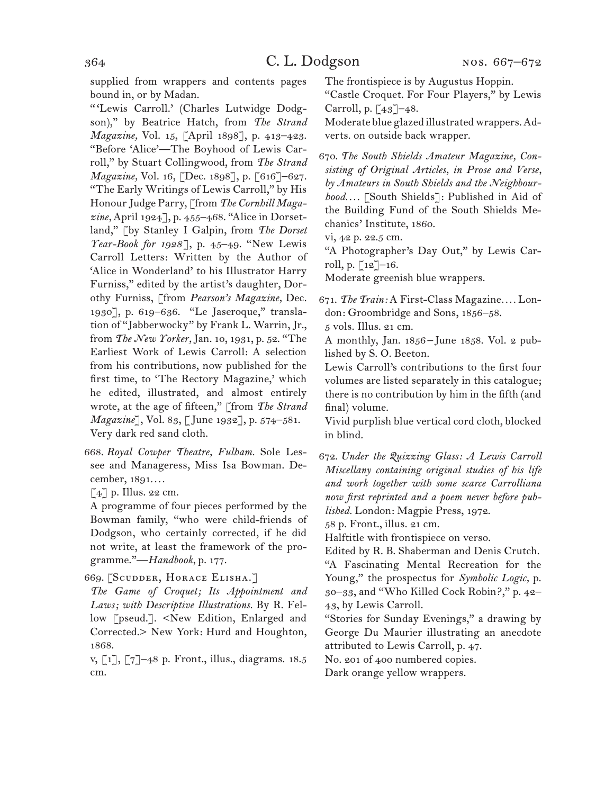supplied from wrappers and contents pages bound in, or by Madan.

" 'Lewis Carroll.' (Charles Lutwidge Dodgson)," by Beatrice Hatch, from *The Strand Magazine,* Vol. 15, [April 1898], p. 413–423. "Before 'Alice'—The Boyhood of Lewis Carroll," by Stuart Collingwood, from *The Strand Magazine,* Vol. 16, [Dec. 1898], p. [616]–627. "The Early Writings of Lewis Carroll," by His Honour Judge Parry, [from *The Cornhill Magazine,* April 1924], p. 455–468. "Alice in Dorsetland," [by Stanley I Galpin, from *The Dorset Year-Book for 1928*], p. 45–49. "New Lewis Carroll Letters: Written by the Author of 'Alice in Wonderland' to his Illustrator Harry Furniss," edited by the artist's daughter, Dorothy Furniss, [from *Pearson's Magazine,* Dec. 1930], p. 619–636. "Le Jaseroque," translation of "Jabberwocky" by Frank L. Warrin, Jr., from *The New Yorker,* Jan. 10, 1931, p. 52. "The Earliest Work of Lewis Carroll: A selection from his contributions, now published for the first time, to 'The Rectory Magazine,' which he edited, illustrated, and almost entirely wrote, at the age of fifteen," [from *The Strand Magazine*], Vol. 83, [June 1932], p. 574–581. Very dark red sand cloth.

- 668. *Royal Cowper Theatre, Fulham.* Sole Lessee and Manageress, Miss Isa Bowman. December, 1891*. . . .*
- $\lceil 4 \rceil$  p. Illus. 22 cm.

A programme of four pieces performed by the Bowman family, "who were child-friends of Dodgson, who certainly corrected, if he did not write, at least the framework of the programme."—*Handbook,* p. 177.

669. [Scudder, Horace Elisha.]

*The Game of Croquet; Its Appointment and Laws; with Descriptive Illustrations.* By R. Fellow [pseud.]. <New Edition, Enlarged and Corrected.> New York: Hurd and Houghton, 1868.

v, [1], [7]–48 p. Front., illus., diagrams. 18.5 cm.

The frontispiece is by Augustus Hoppin. "Castle Croquet. For Four Players," by Lewis

Carroll, p. [43]–48. Moderate blue glazed illustrated wrappers. Adverts. on outside back wrapper.

670. *The South Shields Amateur Magazine, Consisting of Original Articles, in Prose and Verse, by Amateurs in South Shields and the Neighbourhood. . . .* [South Shields]: Published in Aid of the Building Fund of the South Shields Mechanics' Institute, 1860.

vi, 42 p. 22.5 cm.

"A Photographer's Day Out," by Lewis Carroll, p.  $\lceil 12 \rceil - 16$ .

Moderate greenish blue wrappers.

671. *The Train:* A First-Class Magazine*. . . .* London: Groombridge and Sons, 1856–58.

5 vols. Illus. 21 cm.

A monthly, Jan. 1856–June 1858. Vol. 2 published by S. O. Beeton.

Lewis Carroll's contributions to the first four volumes are listed separately in this catalogue; there is no contribution by him in the fifth (and final) volume.

Vivid purplish blue vertical cord cloth, blocked in blind.

672. *Under the Quizzing Glass: A Lewis Carroll Miscellany containing original studies of his life and work together with some scarce Carrolliana now first reprinted and a poem never before published.* London: Magpie Press, 1972.

58 p. Front., illus. 21 cm.

Halftitle with frontispiece on verso.

Edited by R. B. Shaberman and Denis Crutch. "A Fascinating Mental Recreation for the Young," the prospectus for *Symbolic Logic,* p. 30–33, and "Who Killed Cock Robin?," p. 42– 43, by Lewis Carroll.

"Stories for Sunday Evenings," a drawing by George Du Maurier illustrating an anecdote attributed to Lewis Carroll, p. 47.

No. 201 of 400 numbered copies.

Dark orange yellow wrappers.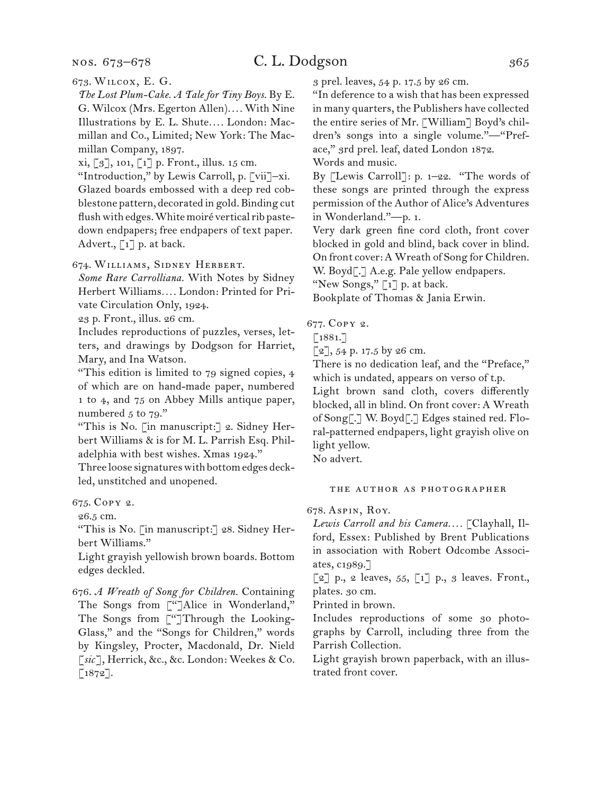#### nos. 673–678

# C. L. Dodgson 365

673. Wilcox, E. G.

*The Lost Plum-Cake. A Tale for Tiny Boys.* By E. G. Wilcox (Mrs. Egerton Allen)*. . . .* With Nine Illustrations by E. L. Shute*. . . .* London: Macmillan and Co., Limited; New York: The Macmillan Company, 1897.

xi, [3], 101, [1] p. Front., illus. 15 cm.

"Introduction," by Lewis Carroll, p. [vii]–xi. Glazed boards embossed with a deep red cobblestone pattern, decorated in gold. Binding cut flush with edges. White moiré vertical rib pastedown endpapers; free endpapers of text paper. Advert.,  $\lceil 1 \rceil$  p. at back.

674. Williams, Sidney Herbert.

*Some Rare Carrolliana.* With Notes by Sidney Herbert Williams*. . . .* London: Printed for Private Circulation Only, 1924.

23 p. Front., illus. 26 cm.

Includes reproductions of puzzles, verses, letters, and drawings by Dodgson for Harriet, Mary, and Ina Watson.

"This edition is limited to 79 signed copies, 4 of which are on hand-made paper, numbered 1 to 4, and 75 on Abbey Mills antique paper, numbered  $5$  to  $79."$ 

"This is No. [in manuscript:] 2. Sidney Herbert Williams & is for M. L. Parrish Esq. Philadelphia with best wishes. Xmas 1924."

Three loose signatures with bottom edges deckled, unstitched and unopened.

675. Copy 2.

26.5 cm.

"This is No. [in manuscript:] 28. Sidney Herbert Williams."

Light grayish yellowish brown boards. Bottom edges deckled.

676. *A Wreath of Song for Children.* Containing The Songs from ["]Alice in Wonderland," The Songs from ["]Through the Looking-Glass," and the "Songs for Children," words by Kingsley, Procter, Macdonald, Dr. Nield [*sic*], Herrick, &c., &c. London: Weekes & Co. [1872].

3 prel. leaves, 54 p. 17.5 by 26 cm.

"In deference to a wish that has been expressed in many quarters, the Publishers have collected the entire series of Mr. [William] Boyd's children's songs into a single volume."—"Preface," 3rd prel. leaf, dated London 1872.

Words and music.

By [Lewis Carroll]: p. 1–22. "The words of these songs are printed through the express permission of the Author of Alice's Adventures in Wonderland."—p. 1.

Very dark green fine cord cloth, front cover blocked in gold and blind, back cover in blind. On front cover: A Wreath of Song for Children.

W. Boyd<sup>[.]</sup> A.e.g. Pale yellow endpapers.

"New Songs," [1] p. at back.

Bookplate of Thomas & Jania Erwin.

677. Copy 2.

 $[1881.7]$ 

 $[2]$ , 54 p. 17.5 by 26 cm.

There is no dedication leaf, and the "Preface," which is undated, appears on verso of t.p.

Light brown sand cloth, covers differently blocked, all in blind. On front cover: A Wreath of Song[.] W. Boyd[.] Edges stained red. Floral-patterned endpapers, light grayish olive on light yellow.

No advert.

#### the author as photographer

678. Aspin, Roy.

*Lewis Carroll and his Camera. . . .* [Clayhall, Ilford, Essex: Published by Brent Publications in association with Robert Odcombe Associates, c1989.]

 $\lbrack 2 \rbrack$  p., 2 leaves, 55,  $\lbrack 1 \rbrack$  p., 3 leaves. Front., plates. 30 cm.

Printed in brown.

Includes reproductions of some 30 photographs by Carroll, including three from the Parrish Collection.

Light grayish brown paperback, with an illustrated front cover.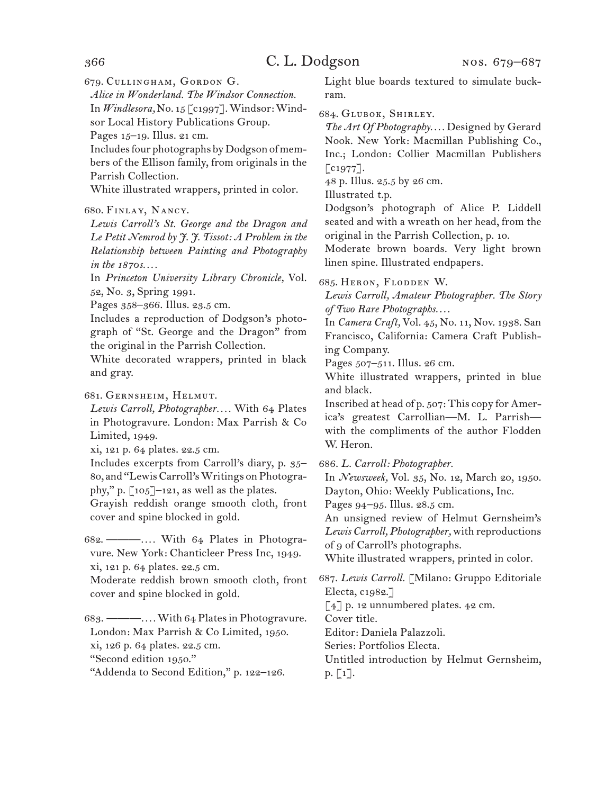679. Cullingham, Gordon G.

*Alice in Wonderland. The Windsor Connection.* In *Windlesora,* No. 15 [c1997]. Windsor: Windsor Local History Publications Group.

Pages 15–19. Illus. 21 cm.

Includes four photographs by Dodgson of members of the Ellison family, from originals in the Parrish Collection.

White illustrated wrappers, printed in color.

### 680. Finlay, Nancy.

*Lewis Carroll's St. George and the Dragon and Le Petit Nemrod by J. J. Tissot: A Problem in the Relationship between Painting and Photography in the 1870s. . . .*

In *Princeton University Library Chronicle,* Vol. 52, No. 3, Spring 1991.

Pages 358–366. Illus. 23.5 cm.

Includes a reproduction of Dodgson's photograph of "St. George and the Dragon" from the original in the Parrish Collection.

White decorated wrappers, printed in black and gray.

681. Gernsheim, Helmut.

*Lewis Carroll, Photographer. . . .* With 64 Plates in Photogravure. London: Max Parrish & Co Limited, 1949.

xi, 121 p. 64 plates. 22.5 cm.

Includes excerpts from Carroll's diary, p. 35– 80, and "Lewis Carroll's Writings on Photography," p.  $\lceil 105 \rceil$ -121, as well as the plates.

Grayish reddish orange smooth cloth, front cover and spine blocked in gold.

682. ———*. . . .* With 64 Plates in Photogravure. New York: Chanticleer Press Inc, 1949. xi, 121 p. 64 plates. 22.5 cm.

Moderate reddish brown smooth cloth, front cover and spine blocked in gold.

683. ———*. . . .* With 64 Plates in Photogravure. London: Max Parrish & Co Limited, 1950. xi, 126 p. 64 plates. 22.5 cm. "Second edition 1950."

"Addenda to Second Edition," p. 122–126.

Light blue boards textured to simulate buckram.

### 684. Glubok, Shirley.

*The Art Of Photography. . . .* Designed by Gerard Nook. New York: Macmillan Publishing Co., Inc.; London: Collier Macmillan Publishers  $\lbrack \text{c1977}\rbrack.$ 

48 p. Illus. 25.5 by 26 cm.

Illustrated t.p.

Dodgson's photograph of Alice P. Liddell seated and with a wreath on her head, from the original in the Parrish Collection, p. 10.

Moderate brown boards. Very light brown linen spine. Illustrated endpapers.

685. Heron, Flodden W.

*Lewis Carroll, Amateur Photographer. The Story of Two Rare Photographs. . . .*

In *Camera Craft,* Vol. 45, No. 11, Nov. 1938. San Francisco, California: Camera Craft Publishing Company.

Pages 507–511. Illus. 26 cm.

White illustrated wrappers, printed in blue and black.

Inscribed at head of p. 507: This copy for America's greatest Carrollian—M. L. Parrish with the compliments of the author Flodden W. Heron.

686. *L. Carroll: Photographer.*

In *Newsweek,* Vol. 35, No. 12, March 20, 1950. Dayton, Ohio: Weekly Publications, Inc.

Pages 94–95. Illus. 28.5 cm.

An unsigned review of Helmut Gernsheim's *Lewis Carroll, Photographer,* with reproductions of 9 of Carroll's photographs.

White illustrated wrappers, printed in color.

687. *Lewis Carroll.* [Milano: Gruppo Editoriale Electa, c1982.]

[4] p. 12 unnumbered plates. 42 cm.

Cover title.

Editor: Daniela Palazzoli.

Series: Portfolios Electa.

Untitled introduction by Helmut Gernsheim, p. [1].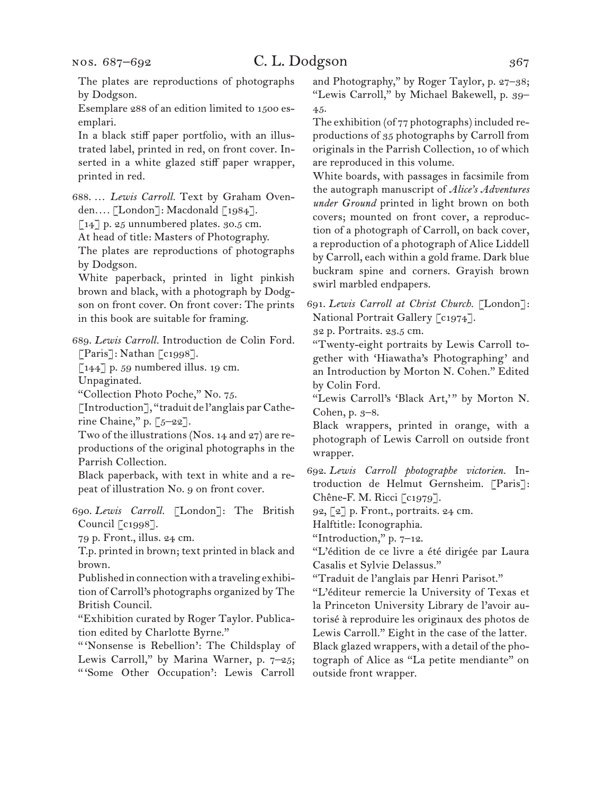The plates are reproductions of photographs by Dodgson.

Esemplare 288 of an edition limited to 1500 esemplari.

In a black stiff paper portfolio, with an illustrated label, printed in red, on front cover. Inserted in a white glazed stiff paper wrapper, printed in red.

688. … *Lewis Carroll.* Text by Graham Ovenden*. . . .* [London]: Macdonald [1984].

[14] p. 25 unnumbered plates. 30.5 cm.

At head of title: Masters of Photography.

The plates are reproductions of photographs by Dodgson.

White paperback, printed in light pinkish brown and black, with a photograph by Dodgson on front cover. On front cover: The prints in this book are suitable for framing.

689. *Lewis Carroll.* Introduction de Colin Ford. [Paris]: Nathan [c1998].

 $\left[144\right]$  p. 59 numbered illus. 19 cm.

Unpaginated.

"Collection Photo Poche," No. 75.

[Introduction], "traduit de l'anglais par Catherine Chaine," p.  $[5-22]$ .

Two of the illustrations (Nos. 14 and 27) are reproductions of the original photographs in the Parrish Collection.

Black paperback, with text in white and a repeat of illustration No. 9 on front cover.

690. *Lewis Carroll.* [London]: The British Council [c1998].

79 p. Front., illus. 24 cm.

T.p. printed in brown; text printed in black and brown.

Published in connection with a traveling exhibition of Carroll's photographs organized by The British Council.

"Exhibition curated by Roger Taylor. Publication edited by Charlotte Byrne."

" 'Nonsense is Rebellion': The Childsplay of Lewis Carroll," by Marina Warner, p. 7–25; " 'Some Other Occupation': Lewis Carroll and Photography," by Roger Taylor, p. 27–38; "Lewis Carroll," by Michael Bakewell, p. 39– 45.

The exhibition (of 77 photographs) included reproductions of 35 photographs by Carroll from originals in the Parrish Collection, 10 of which are reproduced in this volume.

White boards, with passages in facsimile from the autograph manuscript of *Alice's Adventures under Ground* printed in light brown on both covers; mounted on front cover, a reproduction of a photograph of Carroll, on back cover, a reproduction of a photograph of Alice Liddell by Carroll, each within a gold frame. Dark blue buckram spine and corners. Grayish brown swirl marbled endpapers.

691. *Lewis Carroll at Christ Church.* [London]: National Portrait Gallery [c1974].

32 p. Portraits. 23.5 cm.

"Twenty-eight portraits by Lewis Carroll together with 'Hiawatha's Photographing' and an Introduction by Morton N. Cohen." Edited by Colin Ford.

"Lewis Carroll's 'Black Art," by Morton N. Cohen, p. 3–8.

Black wrappers, printed in orange, with a photograph of Lewis Carroll on outside front wrapper.

692. *Lewis Carroll photographe victorien.* Introduction de Helmut Gernsheim. [Paris]: Chêne-F. M. Ricci [c1979].

92, [2] p. Front., portraits. 24 cm.

Halftitle: Iconographia.

"Introduction," p. 7–12.

"L'édition de ce livre a été dirigée par Laura Casalis et Sylvie Delassus."

"Traduit de l'anglais par Henri Parisot."

"L'éditeur remercie la University of Texas et la Princeton University Library de l'avoir autorisé à reproduire les originaux des photos de Lewis Carroll." Eight in the case of the latter. Black glazed wrappers, with a detail of the photograph of Alice as "La petite mendiante" on outside front wrapper.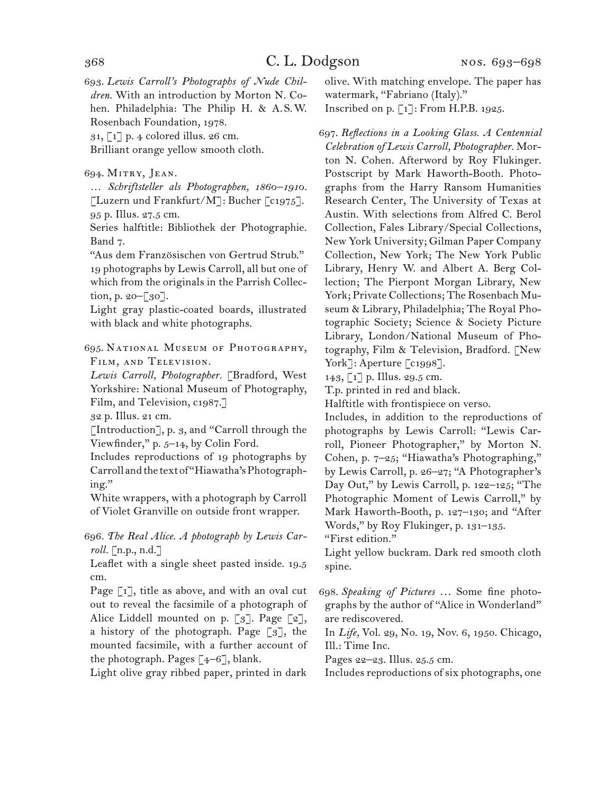693. *Lewis Carroll's Photographs of Nude Children.* With an introduction by Morton N. Cohen. Philadelphia: The Philip H. & A.S.W. Rosenbach Foundation, 1978.

31, [1] p. 4 colored illus. 26 cm.

Brilliant orange yellow smooth cloth.

694. Mitry, Jean.

… *Schriftsteller als Photographen, 1860–1910.*  [Luzern und Frankfurt/M]: Bucher  $\lceil c_{1975} \rceil$ . 95 p. Illus. 27.5 cm.

Series halftitle: Bibliothek der Photographie. Band 7.

"Aus dem Französischen von Gertrud Strub." 19 photographs by Lewis Carroll, all but one of which from the originals in the Parrish Collection, p. 20–[30].

Light gray plastic-coated boards, illustrated with black and white photographs.

695. National Museum of Photography, Film, and Television.

*Lewis Carroll, Photographer.* [Bradford, West Yorkshire: National Museum of Photography, Film, and Television, c1987.]

32 p. Illus. 21 cm.

[Introduction], p. 3, and "Carroll through the Viewfinder," p. 5–14, by Colin Ford.

Includes reproductions of 19 photographs by Carroll and the text of "Hiawatha's Photographing."

White wrappers, with a photograph by Carroll of Violet Granville on outside front wrapper.

696. *The Real Alice. A photograph by Lewis Carroll.* [n.p., n.d.]

Leaflet with a single sheet pasted inside. 19.5 cm.

Page [1], title as above, and with an oval cut out to reveal the facsimile of a photograph of Alice Liddell mounted on p. [3]. Page [2], a history of the photograph. Page [3], the mounted facsimile, with a further account of the photograph. Pages  $[4-6]$ , blank.

Light olive gray ribbed paper, printed in dark

olive. With matching envelope. The paper has watermark, "Fabriano (Italy)."

Inscribed on p. [1]: From H.P.B. 1925.

697. *Reflections in a Looking Glass. A Centennial Celebration of Lewis Carroll, Photographer.* Morton N. Cohen. Afterword by Roy Flukinger. Postscript by Mark Haworth-Booth. Photographs from the Harry Ransom Humanities Research Center, The University of Texas at Austin. With selections from Alfred C. Berol Collection, Fales Library/Special Collections, New York University; Gilman Paper Company Collection, New York; The New York Public Library, Henry W. and Albert A. Berg Collection; The Pierpont Morgan Library, New York; Private Collections; The Rosenbach Museum & Library, Philadelphia; The Royal Photographic Society; Science & Society Picture Library, London/National Museum of Photography, Film & Television, Bradford. [New York]: Aperture [c1998].

143, [1] p. Illus. 29.5 cm.

T.p. printed in red and black.

Halftitle with frontispiece on verso.

Includes, in addition to the reproductions of photographs by Lewis Carroll: "Lewis Carroll, Pioneer Photographer," by Morton N. Cohen, p. 7–25; "Hiawatha's Photographing," by Lewis Carroll, p. 26–27; "A Photographer's Day Out," by Lewis Carroll, p. 122–125; "The Photographic Moment of Lewis Carroll," by Mark Haworth-Booth, p. 127–130; and "After Words," by Roy Flukinger, p. 131–135. "First edition."

Light yellow buckram. Dark red smooth cloth spine.

698. *Speaking of Pictures* ... Some fine photographs by the author of "Alice in Wonderland" are rediscovered.

In *Life,* Vol. 29, No. 19, Nov. 6, 1950. Chicago, Ill.: Time Inc.

Pages 22–23. Illus. 25.5 cm.

Includes reproductions of six photographs, one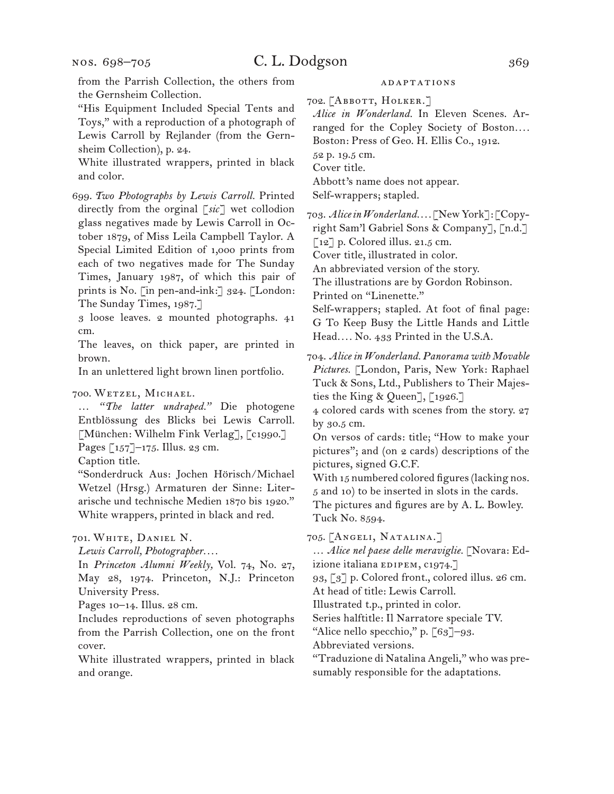from the Parrish Collection, the others from the Gernsheim Collection.

"His Equipment Included Special Tents and Toys," with a reproduction of a photograph of Lewis Carroll by Rejlander (from the Gernsheim Collection), p. 24.

White illustrated wrappers, printed in black and color.

699. *Two Photographs by Lewis Carroll.* Printed directly from the orginal [*sic* ] wet collodion glass negatives made by Lewis Carroll in October 1879, of Miss Leila Campbell Taylor. A Special Limited Edition of 1,000 prints from each of two negatives made for The Sunday Times, January 1987, of which this pair of prints is No. [in pen-and-ink:] 324. [London: The Sunday Times, 1987.]

3 loose leaves. 2 mounted photographs. 41 cm.

The leaves, on thick paper, are printed in brown.

In an unlettered light brown linen portfolio.

#### 700. Wetzel, Michael.

… *"The latter undraped."* Die photogene Entblössung des Blicks bei Lewis Carroll. [München: Wilhelm Fink Verlag], [c1990.] Pages [157]–175. Illus. 23 cm.

Caption title.

"Sonderdruck Aus: Jochen Hörisch/Michael Wetzel (Hrsg.) Armaturen der Sinne: Literarische und technische Medien 1870 bis 1920." White wrappers, printed in black and red.

701. White, Daniel N.

*Lewis Carroll, Photographer. . . .*

In *Princeton Alumni Weekly,* Vol. 74, No. 27, May 28, 1974. Princeton, N.J.: Princeton University Press.

Pages 10–14. Illus. 28 cm.

Includes reproductions of seven photographs from the Parrish Collection, one on the front cover.

White illustrated wrappers, printed in black and orange.

### **ADAPTATIONS**

702. [Abbott, Holker.]

*Alice in Wonderland.* In Eleven Scenes. Arranged for the Copley Society of Boston....

Boston: Press of Geo. H. Ellis Co., 1912.

52 p. 19.5 cm.

Cover title.

Abbott's name does not appear.

Self-wrappers; stapled.

703. *Alice in Wonderland. . . .* [New York]: [Copyright Sam'l Gabriel Sons & Company], [n.d.]

[12] p. Colored illus. 21.5 cm.

Cover title, illustrated in color.

An abbreviated version of the story.

The illustrations are by Gordon Robinson.

Printed on "Linenette."

Self-wrappers; stapled. At foot of final page: G To Keep Busy the Little Hands and Little Head*. . . .* No. 433 Printed in the U.S.A.

704. *Alice in Wonderland. Panorama with Movable Pictures.* [London, Paris, New York: Raphael Tuck & Sons, Ltd., Publishers to Their Majesties the King & Queen], [1926.]

4 colored cards with scenes from the story. 27 by 30.5 cm.

On versos of cards: title; "How to make your pictures"; and (on 2 cards) descriptions of the pictures, signed G.C.F.

With 15 numbered colored figures (lacking nos. 5 and 10) to be inserted in slots in the cards. The pictures and figures are by A. L. Bowley.

Tuck No. 8594.

705. [Angeli, Natalina.]

… *Alice nel paese delle meraviglie.* [Novara: Ed-

izione italiana EDIPEM, C1974.]

93, [3] p. Colored front., colored illus. 26 cm.

At head of title: Lewis Carroll.

Illustrated t.p., printed in color.

Series halftitle: Il Narratore speciale TV.

"Alice nello specchio," p. [63]–93.

Abbreviated versions.

"Traduzione di Natalina Angeli," who was presumably responsible for the adaptations.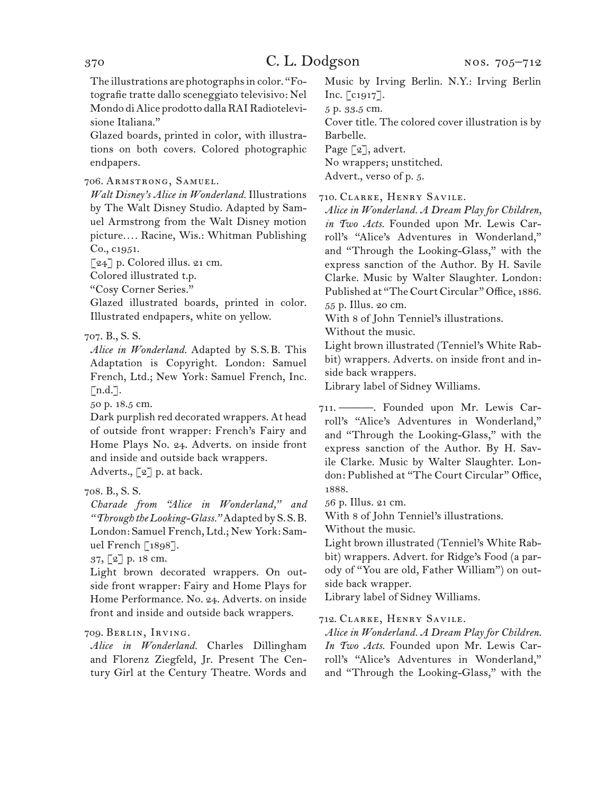The illustrations are photographs in color. "Fotografie tratte dallo sceneggiato televisivo: Nel Mondo di Alice prodotto dalla RAI Radiotelevisione Italiana."

Glazed boards, printed in color, with illustrations on both covers. Colored photographic endpapers.

706. Armstrong, Samuel.

*Walt Disney's Alice in Wonderland.* Illustrations by The Walt Disney Studio. Adapted by Samuel Armstrong from the Walt Disney motion picture*. . . .* Racine, Wis.: Whitman Publishing Co., c1951.

[24] p. Colored illus. 21 cm.

Colored illustrated t.p.

"Cosy Corner Series."

Glazed illustrated boards, printed in color. Illustrated endpapers, white on yellow.

### 707. B., S. S.

*Alice in Wonderland.* Adapted by S.S.B. This Adaptation is Copyright. London: Samuel French, Ltd.; New York: Samuel French, Inc.  $[n.d.]$ .

50 p. 18.5 cm.

Dark purplish red decorated wrappers. At head of outside front wrapper: French's Fairy and Home Plays No. 24. Adverts. on inside front and inside and outside back wrappers.

Adverts., [2] p. at back.

# 708. B., S. S.

*Charade from "Alice in Wonderland," and "Through the Looking-Glass."* Adapted by S.S.B. London: Samuel French, Ltd.; New York: Samuel French [1898].

37, [2] p. 18 cm.

Light brown decorated wrappers. On outside front wrapper: Fairy and Home Plays for Home Performance. No. 24. Adverts. on inside front and inside and outside back wrappers.

### 709. Berlin, Irving.

*Alice in Wonderland.* Charles Dillingham and Florenz Ziegfeld, Jr. Present The Century Girl at the Century Theatre. Words and Music by Irving Berlin. N.Y.: Irving Berlin Inc. [c1917].

5 p. 33.5 cm.

Cover title. The colored cover illustration is by Barbelle.

Page [2], advert.

No wrappers; unstitched.

Advert., verso of p. 5.

710. Clarke, Henry Savile.

*Alice in Wonderland. A Dream Play for Children, in Two Acts.* Founded upon Mr. Lewis Carroll's "Alice's Adventures in Wonderland," and "Through the Looking-Glass," with the express sanction of the Author. By H. Savile Clarke. Music by Walter Slaughter. London: Published at "The Court Circular" Office, 1886. 55 p. Illus. 20 cm.

With 8 of John Tenniel's illustrations.

Without the music.

Light brown illustrated (Tenniel's White Rabbit) wrappers. Adverts. on inside front and inside back wrappers.

Library label of Sidney Williams.

711. ———. Founded upon Mr. Lewis Carroll's "Alice's Adventures in Wonderland," and "Through the Looking-Glass," with the express sanction of the Author. By H. Savile Clarke. Music by Walter Slaughter. London: Published at "The Court Circular" Office, 1888.

56 p. Illus. 21 cm.

With 8 of John Tenniel's illustrations.

Without the music.

Light brown illustrated (Tenniel's White Rabbit) wrappers. Advert. for Ridge's Food (a parody of "You are old, Father William") on outside back wrapper.

Library label of Sidney Williams.

712. Clarke, Henry Savile.

*Alice in Wonderland. A Dream Play for Children. In Two Acts.* Founded upon Mr. Lewis Carroll's "Alice's Adventures in Wonderland," and "Through the Looking-Glass," with the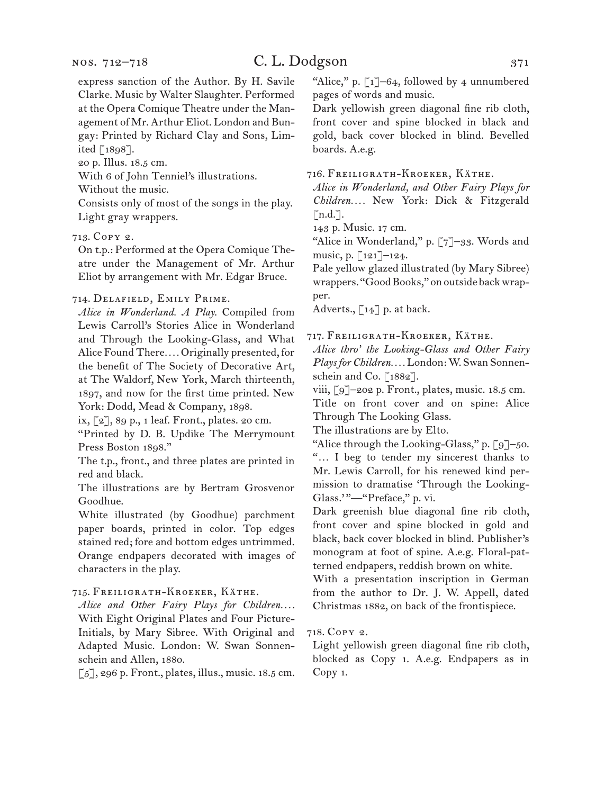express sanction of the Author. By H. Savile Clarke. Music by Walter Slaughter. Performed at the Opera Comique Theatre under the Management of Mr. Arthur Eliot. London and Bungay: Printed by Richard Clay and Sons, Limited [1898].

20 p. Illus. 18.5 cm.

With 6 of John Tenniel's illustrations.

Without the music.

Consists only of most of the songs in the play. Light gray wrappers.

### 713. Copy 2.

On t.p.: Performed at the Opera Comique Theatre under the Management of Mr. Arthur Eliot by arrangement with Mr. Edgar Bruce.

#### 714. Delafield, Emily Prime.

*Alice in Wonderland. A Play.* Compiled from Lewis Carroll's Stories Alice in Wonderland and Through the Looking-Glass, and What Alice Found There*. . . .* Originally presented, for the benefit of The Society of Decorative Art, at The Waldorf, New York, March thirteenth, 1897, and now for the first time printed. New York: Dodd, Mead & Company, 1898.

ix, [2], 89 p., 1 leaf. Front., plates. 20 cm.

"Printed by D. B. Updike The Merrymount Press Boston 1898."

The t.p., front., and three plates are printed in red and black.

The illustrations are by Bertram Grosvenor Goodhue.

White illustrated (by Goodhue) parchment paper boards, printed in color. Top edges stained red; fore and bottom edges untrimmed. Orange endpapers decorated with images of characters in the play.

#### 715. Freiligrath-Kroeker, Käthe.

*Alice and Other Fairy Plays for Children. . . .*  With Eight Original Plates and Four Picture-Initials, by Mary Sibree. With Original and Adapted Music. London: W. Swan Sonnenschein and Allen, 1880.

 $\lbrack 5 \rbrack$ , 296 p. Front., plates, illus., music. 18.5 cm.

"Alice," p.  $\lceil 1 \rceil$ -64, followed by 4 unnumbered pages of words and music.

Dark yellowish green diagonal fine rib cloth, front cover and spine blocked in black and gold, back cover blocked in blind. Bevelled boards. A.e.g.

#### 716. Freiligrath-Kroeker, Käthe.

*Alice in Wonderland, and Other Fairy Plays for Children. . . .* New York: Dick & Fitzgerald  $[n.d.]$ .

143 p. Music. 17 cm.

"Alice in Wonderland," p. [7]-33. Words and music, p. [121]–124.

Pale yellow glazed illustrated (by Mary Sibree) wrappers. "Good Books," on outside back wrapper.

Adverts.,  $\left[14\right]$  p. at back.

#### 717. Freiligrath-Kroeker, Käthe.

*Alice thro' the Looking-Glass and Other Fairy Plays for Children. . . .* London: W. Swan Sonnenschein and Co. [1882].

viii, [9]–202 p. Front., plates, music. 18.5 cm.

Title on front cover and on spine: Alice Through The Looking Glass.

The illustrations are by Elto.

"Alice through the Looking-Glass," p. [9]-50. "… I beg to tender my sincerest thanks to Mr. Lewis Carroll, for his renewed kind permission to dramatise 'Through the Looking-Glass."<sup>"</sup>-"Preface," p. vi.

Dark greenish blue diagonal fine rib cloth, front cover and spine blocked in gold and black, back cover blocked in blind. Publisher's monogram at foot of spine. A.e.g. Floral-patterned endpapers, reddish brown on white.

With a presentation inscription in German from the author to Dr. J. W. Appell, dated Christmas 1882, on back of the frontispiece.

#### 718. Copy 2.

Light yellowish green diagonal fine rib cloth, blocked as Copy 1. A.e.g. Endpapers as in Copy 1.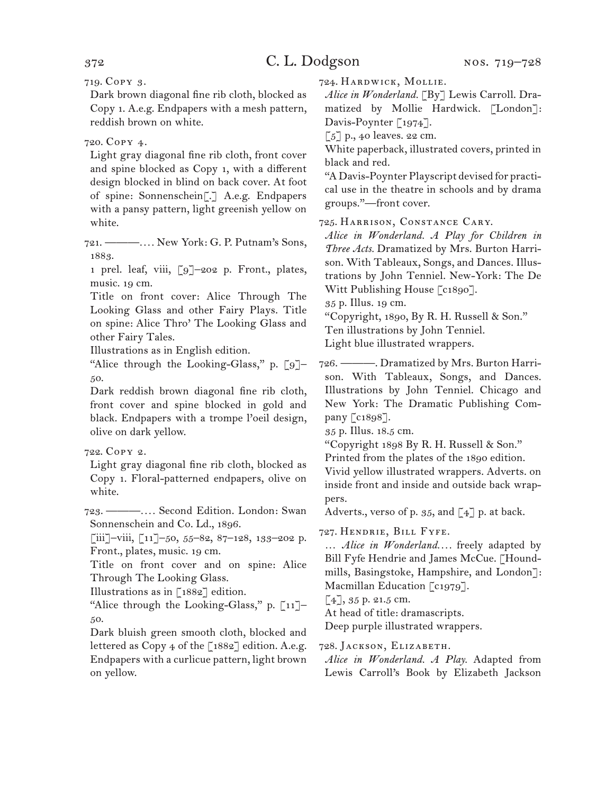719. Copy 3.

Dark brown diagonal fine rib cloth, blocked as Copy 1. A.e.g. Endpapers with a mesh pattern, reddish brown on white.

### 720. Copy 4.

Light gray diagonal fine rib cloth, front cover and spine blocked as Copy 1, with a different design blocked in blind on back cover. At foot of spine: Sonnenschein[.] A.e.g. Endpapers with a pansy pattern, light greenish yellow on white.

721. ———*. . . .* New York: G. P. Putnam's Sons, 1883.

1 prel. leaf, viii, [9]–202 p. Front., plates, music. 19 cm.

Title on front cover: Alice Through The Looking Glass and other Fairy Plays. Title on spine: Alice Thro' The Looking Glass and other Fairy Tales.

Illustrations as in English edition.

"Alice through the Looking-Glass," p.  $\lceil 9 \rceil$ -50.

Dark reddish brown diagonal fine rib cloth, front cover and spine blocked in gold and black. Endpapers with a trompe l'oeil design, olive on dark yellow.

### 722. Copy 2.

Light gray diagonal fine rib cloth, blocked as Copy 1. Floral-patterned endpapers, olive on white.

723. ———*. . . .* Second Edition. London: Swan Sonnenschein and Co. Ld., 1896.

[iii]-viii,  $\left[11\right]$ -50, 55-82, 87-128, 133-202 p. Front., plates, music. 19 cm.

Title on front cover and on spine: Alice Through The Looking Glass.

Illustrations as in [1882] edition.

"Alice through the Looking-Glass," p. [11]– 50.

Dark bluish green smooth cloth, blocked and lettered as Copy 4 of the  $[1882]$  edition. A.e.g. Endpapers with a curlicue pattern, light brown on yellow.

724. Hardwick, Mollie.

Alice in Wonderland. [By] Lewis Carroll. Dramatized by Mollie Hardwick. [London]: Davis-Poynter [1974].

 $\lceil 5 \rceil$  p., 40 leaves. 22 cm.

White paperback, illustrated covers, printed in black and red.

"A Davis-Poynter Playscript devised for practical use in the theatre in schools and by drama groups."—front cover.

725. Harrison, Constance Cary.

*Alice in Wonderland. A Play for Children in Three Acts.* Dramatized by Mrs. Burton Harrison. With Tableaux, Songs, and Dances. Illustrations by John Tenniel. New-York: The De Witt Publishing House [c1890].

35 p. Illus. 19 cm.

"Copyright, 1890, By R. H. Russell & Son." Ten illustrations by John Tenniel.

Light blue illustrated wrappers.

726. ———. Dramatized by Mrs. Burton Harrison. With Tableaux, Songs, and Dances. Illustrations by John Tenniel. Chicago and New York: The Dramatic Publishing Company [c1898].

35 p. Illus. 18.5 cm.

"Copyright 1898 By R. H. Russell & Son."

Printed from the plates of the 1890 edition.

Vivid yellow illustrated wrappers. Adverts. on inside front and inside and outside back wrappers.

Adverts., verso of p. 35, and  $\left[\right.4\right]$  p. at back.

### 727. Hendrie, Bill Fyfe.

… *Alice in Wonderland. . . .* freely adapted by Bill Fyfe Hendrie and James McCue. [Houndmills, Basingstoke, Hampshire, and London]: Macmillan Education [c1979].

 $[4]$ , 35 p. 21.5 cm.

At head of title: dramascripts.

Deep purple illustrated wrappers.

728. Jackson, Elizabeth.

*Alice in Wonderland. A Play.* Adapted from Lewis Carroll's Book by Elizabeth Jackson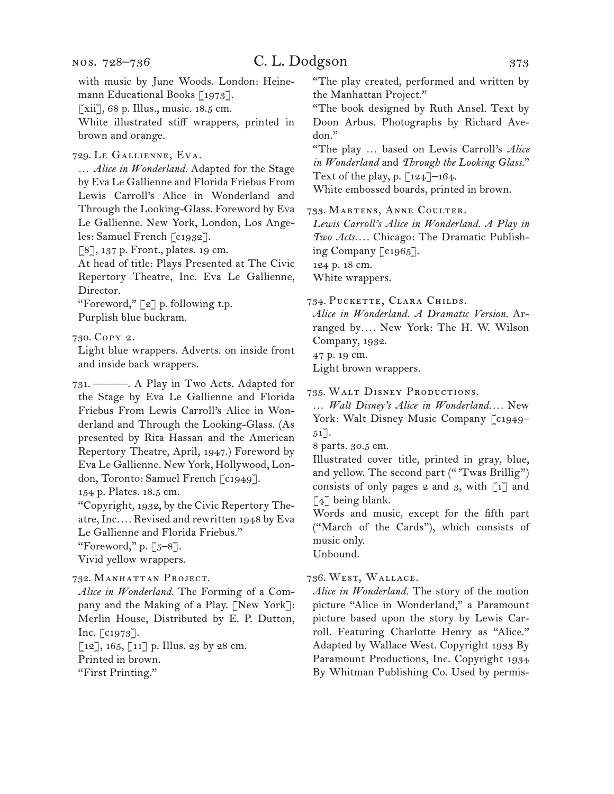# C. L. Dodgson 373

[xii], 68 p. Illus., music. 18.5 cm.

White illustrated stiff wrappers, printed in brown and orange.

729. Le Gallienne, Eva.

… *Alice in Wonderland.* Adapted for the Stage by Eva Le Gallienne and Florida Friebus From Lewis Carroll's Alice in Wonderland and Through the Looking-Glass. Foreword by Eva Le Gallienne. New York, London, Los Angeles: Samuel French [c1932].

[8], 137 p. Front., plates. 19 cm.

At head of title: Plays Presented at The Civic Repertory Theatre, Inc. Eva Le Gallienne, Director.

"Foreword," [2] p. following t.p. Purplish blue buckram.

730. Copy 2.

Light blue wrappers. Adverts. on inside front and inside back wrappers.

731. ———. A Play in Two Acts. Adapted for the Stage by Eva Le Gallienne and Florida Friebus From Lewis Carroll's Alice in Wonderland and Through the Looking-Glass. (As presented by Rita Hassan and the American Repertory Theatre, April, 1947.) Foreword by Eva Le Gallienne. New York, Hollywood, London, Toronto: Samuel French [c1949].

154 p. Plates. 18.5 cm.

"Copyright, 1932, by the Civic Repertory Theatre, Inc*. . . .* Revised and rewritten 1948 by Eva Le Gallienne and Florida Friebus."

"Foreword," p.  $\lceil 5-8 \rceil$ .

Vivid yellow wrappers.

732. Manhattan Project.

*Alice in Wonderland.* The Forming of a Company and the Making of a Play. [New York]: Merlin House, Distributed by E. P. Dutton, Inc. [c1973].

 $[12]$ , 165,  $[11]$  p. Illus. 23 by 28 cm. Printed in brown.

"First Printing."

"The play created, performed and written by the Manhattan Project."

"The book designed by Ruth Ansel. Text by Doon Arbus. Photographs by Richard Avedon."

"The play … based on Lewis Carroll's *Alice in Wonderland* and *Through the Looking Glass.*" Text of the play, p. [124]–164.

White embossed boards, printed in brown.

733. Martens, Anne Coulter.

*Lewis Carroll's Alice in Wonderland. A Play in Two Acts. . . .* Chicago: The Dramatic Publishing Company  $\lceil c_1 965 \rceil$ .

124 p. 18 cm.

White wrappers.

734. Puckette, Clara Childs.

*Alice in Wonderland. A Dramatic Version.* Arranged by*. . . .* New York: The H. W. Wilson Company, 1932.

47 p. 19 cm.

Light brown wrappers.

735. Walt Disney Productions.

… *Walt Disney's Alice in Wonderland. . . .* New York: Walt Disney Music Company [c1949–  $51$ .

8 parts. 30.5 cm.

Illustrated cover title, printed in gray, blue, and yellow. The second part ("'Twas Brillig") consists of only pages  $2$  and  $3$ , with  $\lceil 1 \rceil$  and [4] being blank.

Words and music, except for the fifth part ("March of the Cards"), which consists of music only.

Unbound.

### 736. West, Wallace.

*Alice in Wonderland.* The story of the motion picture "Alice in Wonderland," a Paramount picture based upon the story by Lewis Carroll. Featuring Charlotte Henry as "Alice." Adapted by Wallace West. Copyright 1933 By Paramount Productions, Inc. Copyright 1934 By Whitman Publishing Co. Used by permis-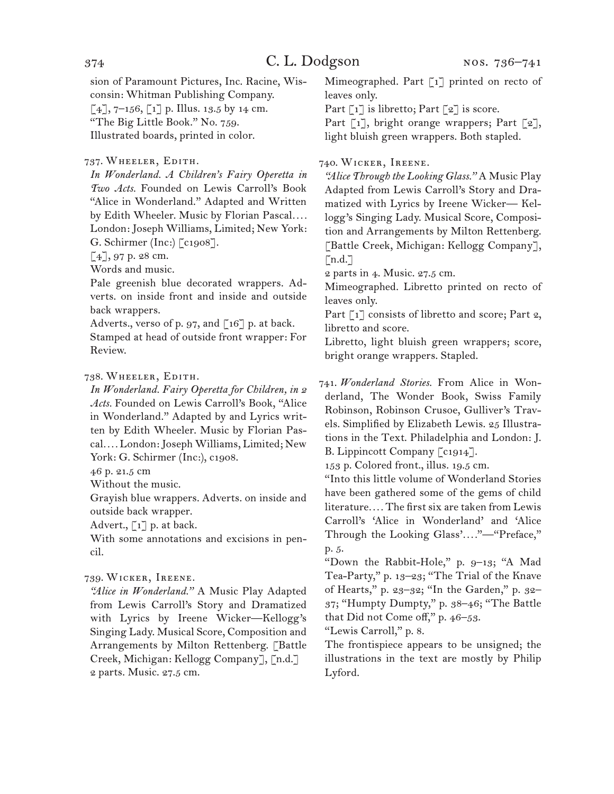sion of Paramount Pictures, Inc. Racine, Wisconsin: Whitman Publishing Company.  $[4]$ , 7–156,  $[1]$  p. Illus. 13.5 by 14 cm. "The Big Little Book." No. 759. Illustrated boards, printed in color.

### 737. Wheeler, Edith.

*In Wonderland. A Children's Fairy Operetta in Two Acts.* Founded on Lewis Carroll's Book "Alice in Wonderland." Adapted and Written by Edith Wheeler. Music by Florian Pascal*. . . .* London: Joseph Williams, Limited; New York: G. Schirmer (Inc:) [c1908].

 $[4]$ , 97 p. 28 cm.

Words and music.

Pale greenish blue decorated wrappers. Adverts. on inside front and inside and outside back wrappers.

Adverts., verso of p. 97, and [16] p. at back.

Stamped at head of outside front wrapper: For Review.

### 738. Wheeler, Edith.

*In Wonderland. Fairy Operetta for Children, in 2 Acts.* Founded on Lewis Carroll's Book, "Alice in Wonderland." Adapted by and Lyrics written by Edith Wheeler. Music by Florian Pascal*. . . .* London: Joseph Williams, Limited; New York: G. Schirmer (Inc:), c1908.

46 p. 21.5 cm

Without the music.

Grayish blue wrappers. Adverts. on inside and outside back wrapper.

Advert.,  $\lceil 1 \rceil$  p. at back.

With some annotations and excisions in pencil.

### 739. Wicker, Ireene.

*"Alice in Wonderland."* A Music Play Adapted from Lewis Carroll's Story and Dramatized with Lyrics by Ireene Wicker—Kellogg's Singing Lady. Musical Score, Composition and Arrangements by Milton Rettenberg. [Battle Creek, Michigan: Kellogg Company], [n.d.] 2 parts. Music. 27.5 cm.

Mimeographed. Part [1] printed on recto of leaves only.

Part  $\lceil 1 \rceil$  is libretto; Part  $\lceil 2 \rceil$  is score.

Part  $\lceil 1 \rceil$ , bright orange wrappers; Part  $\lceil 2 \rceil$ , light bluish green wrappers. Both stapled.

### 740. Wicker, Ireene.

*"Alice Through the Looking Glass."* A Music Play Adapted from Lewis Carroll's Story and Dramatized with Lyrics by Ireene Wicker— Kellogg's Singing Lady. Musical Score, Composition and Arrangements by Milton Rettenberg. [Battle Creek, Michigan: Kellogg Company],  $[n.d.]$ 

2 parts in 4. Music. 27.5 cm.

Mimeographed. Libretto printed on recto of leaves only.

Part [1] consists of libretto and score; Part 2, libretto and score.

Libretto, light bluish green wrappers; score, bright orange wrappers. Stapled.

741. *Wonderland Stories.* From Alice in Wonderland, The Wonder Book, Swiss Family Robinson, Robinson Crusoe, Gulliver's Travels. Simplified by Elizabeth Lewis. 25 Illustrations in the Text. Philadelphia and London: J. B. Lippincott Company [c1914].

153 p. Colored front., illus. 19.5 cm.

"Into this little volume of Wonderland Stories have been gathered some of the gems of child literature*. . . .* The first six are taken from Lewis Carroll's 'Alice in Wonderland' and 'Alice Through the Looking Glass'*. . . .*"—"Preface," p. 5.

"Down the Rabbit-Hole," p. 9–13; "A Mad Tea-Party," p. 13–23; "The Trial of the Knave of Hearts," p. 23–32; "In the Garden," p. 32– 37; "Humpty Dumpty," p. 38–46; "The Battle that Did not Come off," p. 46–53.

"Lewis Carroll," p. 8.

The frontispiece appears to be unsigned; the illustrations in the text are mostly by Philip Lyford.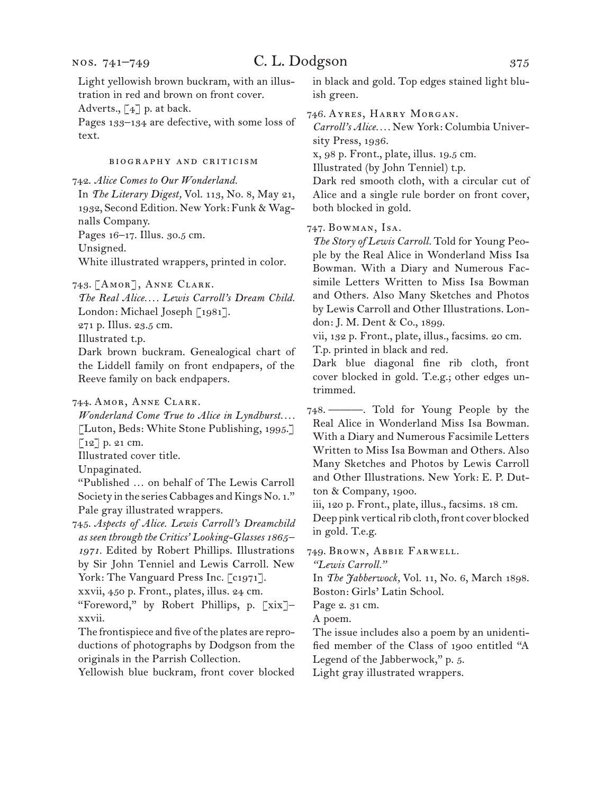Light yellowish brown buckram, with an illustration in red and brown on front cover.

Adverts., [4] p. at back.

Pages 133–134 are defective, with some loss of text.

### biography and criticism

742. *Alice Comes to Our Wonderland.*

In *The Literary Digest,* Vol. 113, No. 8, May 21, 1932, Second Edition. New York: Funk & Wagnalls Company. Pages 16–17. Illus. 30.5 cm.

Unsigned.

White illustrated wrappers, printed in color.

743. [Amor], Anne Clark.

*The Real Alice. . . . Lewis Carroll's Dream Child.* London: Michael Joseph [1981].

271 p. Illus. 23.5 cm.

Illustrated t.p.

Dark brown buckram. Genealogical chart of the Liddell family on front endpapers, of the Reeve family on back endpapers.

744. Amor, Anne Clark.

*Wonderland Come True to Alice in Lyndhurst. . . .* [Luton, Beds: White Stone Publishing, 1995.] [12] p. 21 cm.

Illustrated cover title.

Unpaginated.

"Published … on behalf of The Lewis Carroll Society in the series Cabbages and Kings No. 1." Pale gray illustrated wrappers.

745. *Aspects of Alice. Lewis Carroll's Dreamchild as seen through the Critics' Looking-Glasses 1865– 1971.* Edited by Robert Phillips. Illustrations by Sir John Tenniel and Lewis Carroll. New York: The Vanguard Press Inc. [c1971].

xxvii, 450 p. Front., plates, illus. 24 cm.

"Foreword," by Robert Phillips, p. [xix]– xxvii.

The frontispiece and five of the plates are reproductions of photographs by Dodgson from the originals in the Parrish Collection.

Yellowish blue buckram, front cover blocked

in black and gold. Top edges stained light bluish green.

746. Ayres, Harry Morgan.

*Carroll's Alice. . . .* New York: Columbia University Press, 1936.

x, 98 p. Front., plate, illus. 19.5 cm.

Illustrated (by John Tenniel) t.p.

Dark red smooth cloth, with a circular cut of Alice and a single rule border on front cover, both blocked in gold.

747. Bowman, Isa.

*The Story of Lewis Carroll.* Told for Young People by the Real Alice in Wonderland Miss Isa Bowman. With a Diary and Numerous Facsimile Letters Written to Miss Isa Bowman and Others. Also Many Sketches and Photos by Lewis Carroll and Other Illustrations. London: J. M. Dent & Co., 1899.

vii, 132 p. Front., plate, illus., facsims. 20 cm. T.p. printed in black and red.

Dark blue diagonal fine rib cloth, front cover blocked in gold. T.e.g.; other edges untrimmed.

748. ———. Told for Young People by the Real Alice in Wonderland Miss Isa Bowman. With a Diary and Numerous Facsimile Letters Written to Miss Isa Bowman and Others. Also Many Sketches and Photos by Lewis Carroll and Other Illustrations. New York: E. P. Dutton & Company, 1900.

iii, 120 p. Front., plate, illus., facsims. 18 cm.

Deep pink vertical rib cloth, front cover blocked in gold. T.e.g.

749. Brown, Abbie Farwell.

*"Lewis Carroll."*

In *The Jabberwock,* Vol. 11, No. 6, March 1898. Boston: Girls' Latin School.

Page 2. 31 cm.

A poem.

The issue includes also a poem by an unidentified member of the Class of 1900 entitled "A Legend of the Jabberwock," p. 5.

Light gray illustrated wrappers.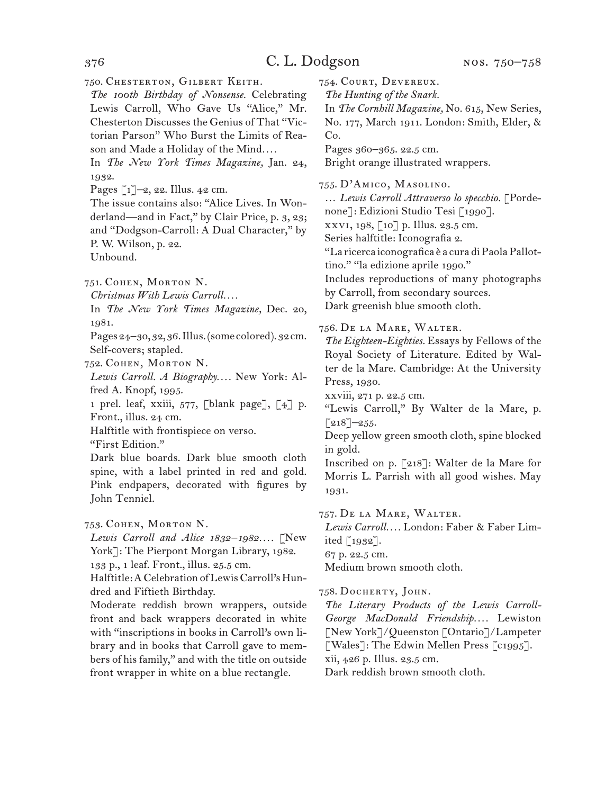750. Chesterton, Gilbert Keith.

*The 100th Birthday of Nonsense.* Celebrating Lewis Carroll, Who Gave Us "Alice," Mr. Chesterton Discusses the Genius of That "Victorian Parson" Who Burst the Limits of Reason and Made a Holiday of the Mind*. . . .*

In *The New York Times Magazine,* Jan. 24, 1932.

Pages  $\lceil 1 \rceil$ –2, 22. Illus. 42 cm.

The issue contains also: "Alice Lives. In Wonderland—and in Fact," by Clair Price, p. 3, 23; and "Dodgson-Carroll: A Dual Character," by P. W. Wilson, p. 22. Unbound.

751. Cohen, Morton N.

*Christmas With Lewis Carroll. . . .*

In *The New York Times Magazine,* Dec. 20, 1981.

Pages 24–30, 32, 36. Illus. (some colored). 32 cm. Self-covers; stapled.

752. Cohen, Morton N.

*Lewis Carroll. A Biography. . . .* New York: Alfred A. Knopf, 1995.

1 prel. leaf, xxiii, 577, [blank page], [4] p. Front., illus. 24 cm.

Halftitle with frontispiece on verso.

"First Edition."

Dark blue boards. Dark blue smooth cloth spine, with a label printed in red and gold. Pink endpapers, decorated with figures by John Tenniel.

753. Cohen, Morton N.

*Lewis Carroll and Alice 1832–1982. . . .* [New York]: The Pierpont Morgan Library, 1982.

133 p., 1 leaf. Front., illus. 25.5 cm.

Halftitle: A Celebration of Lewis Carroll's Hundred and Fiftieth Birthday.

Moderate reddish brown wrappers, outside front and back wrappers decorated in white with "inscriptions in books in Carroll's own library and in books that Carroll gave to members of his family," and with the title on outside front wrapper in white on a blue rectangle.

754. Court, Devereux.

*The Hunting of the Snark.*

In *The Cornhill Magazine,* No. 615, New Series, No. 177, March 1911. London: Smith, Elder, & Co.

Pages 360–365. 22.5 cm.

Bright orange illustrated wrappers.

755. D'Amico, Masolino.

… *Lewis Carroll Attraverso lo specchio.* [Porde-

none]: Edizioni Studio Tesi [1990].

xxvi, 198, [10] p. Illus. 23.5 cm.

Series halftitle: Iconografia 2.

"La ricerca iconografica è a cura di Paola Pallottino." "la edizione aprile 1990."

Includes reproductions of many photographs

by Carroll, from secondary sources.

Dark greenish blue smooth cloth.

756. De la Mare, Walter.

*The Eighteen-Eighties.* Essays by Fellows of the Royal Society of Literature. Edited by Walter de la Mare. Cambridge: At the University Press, 1930.

xxviii, 271 p. 22.5 cm.

"Lewis Carroll," By Walter de la Mare, p.  $\lceil 218 \rceil - 255.$ 

Deep yellow green smooth cloth, spine blocked in gold.

Inscribed on p. [218]: Walter de la Mare for Morris L. Parrish with all good wishes. May 1931.

757. De la Mare, Walter.

*Lewis Carroll. . . .* London: Faber & Faber Limited [1932].

67 p. 22.5 cm.

Medium brown smooth cloth.

758. DOCHERTY, JOHN.

*The Literary Products of the Lewis Carroll-George MacDonald Friendship. . . .* Lewiston [New York]/Queenston [Ontario]/Lampeter [Wales]: The Edwin Mellen Press [c1995].

xii, 426 p. Illus. 23.5 cm.

Dark reddish brown smooth cloth.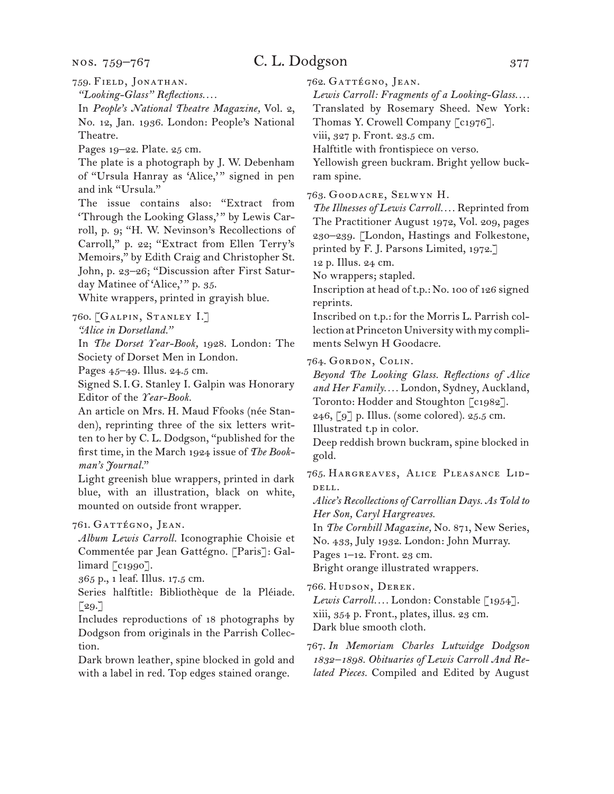nos. 759–767

# C. L. Dodgson 377

759. Field, Jonathan.

*"Looking-Glass" Reflections. . . .*

In *People's National Theatre Magazine,* Vol. 2, No. 12, Jan. 1936. London: People's National Theatre.

Pages 19–22. Plate. 25 cm.

The plate is a photograph by J. W. Debenham of "Ursula Hanray as 'Alice,'" signed in pen and ink "Ursula."

The issue contains also: "Extract from 'Through the Looking Glass,'" by Lewis Carroll, p. 9; "H. W. Nevinson's Recollections of Carroll," p. 22; "Extract from Ellen Terry's Memoirs," by Edith Craig and Christopher St. John, p. 23–26; "Discussion after First Saturday Matinee of 'Alice,'" p. 35.

White wrappers, printed in grayish blue.

760. [Galpin, Stanley I.]

*"Alice in Dorsetland."*

In *The Dorset Year-Book,* 1928. London: The Society of Dorset Men in London.

Pages 45–49. Illus. 24.5 cm.

Signed S.I.G. Stanley I. Galpin was Honorary Editor of the *Year-Book.*

An article on Mrs. H. Maud Ffooks (née Standen), reprinting three of the six letters written to her by C. L. Dodgson, "published for the first time, in the March 1924 issue of *The Bookman's Journal.*"

Light greenish blue wrappers, printed in dark blue, with an illustration, black on white, mounted on outside front wrapper.

761. GATTÉGNO, JEAN.

*Album Lewis Carroll.* Iconographie Choisie et Commentée par Jean Gattégno. [Paris]: Gal- $\lim$ ard  $\lceil$  c1990].

365 p., 1 leaf. Illus. 17.5 cm.

Series halftitle: Bibliothèque de la Pléiade.  $\lceil 29.7 \rceil$ 

Includes reproductions of 18 photographs by Dodgson from originals in the Parrish Collection.

Dark brown leather, spine blocked in gold and with a label in red. Top edges stained orange.

762. GATTÉGNO, JEAN.

*Lewis Carroll: Fragments of a Looking-Glass. . . .*

Translated by Rosemary Sheed. New York: Thomas Y. Crowell Company [c1976].

viii, 327 p. Front. 23.5 cm.

Halftitle with frontispiece on verso.

Yellowish green buckram. Bright yellow buckram spine.

763. Goodacre, Selwyn H.

*The Illnesses of Lewis Carroll. . . .* Reprinted from The Practitioner August 1972, Vol. 209, pages 230–239. [London, Hastings and Folkestone, printed by F. J. Parsons Limited, 1972.]

12 p. Illus. 24 cm.

No wrappers; stapled.

Inscription at head of t.p.: No. 100 of 126 signed reprints.

Inscribed on t.p.: for the Morris L. Parrish collection at Princeton University with my compliments Selwyn H Goodacre.

764. Gordon, Colin.

*Beyond The Looking Glass. Reflections of Alice and Her Family. . . .* London, Sydney, Auckland, Toronto: Hodder and Stoughton [c1982].

246,  $\lceil 9 \rceil$  p. Illus. (some colored). 25.5 cm.

Illustrated t.p in color.

Deep reddish brown buckram, spine blocked in gold.

765. Hargreaves, Alice Pleasance Liddell.

*Alice's Recollections of Carrollian Days. As Told to Her Son, Caryl Hargreaves.*

In *The Cornhill Magazine,* No. 871, New Series,

No. 433, July 1932. London: John Murray.

Pages  $1-12$ . Front. 23 cm.

Bright orange illustrated wrappers.

766. Hudson, Derek.

*Lewis Carroll. . . .* London: Constable [1954]. xiii, 354 p. Front., plates, illus. 23 cm. Dark blue smooth cloth.

767. *In Memoriam Charles Lutwidge Dodgson 1832–1898. Obituaries of Lewis Carroll And Related Pieces.* Compiled and Edited by August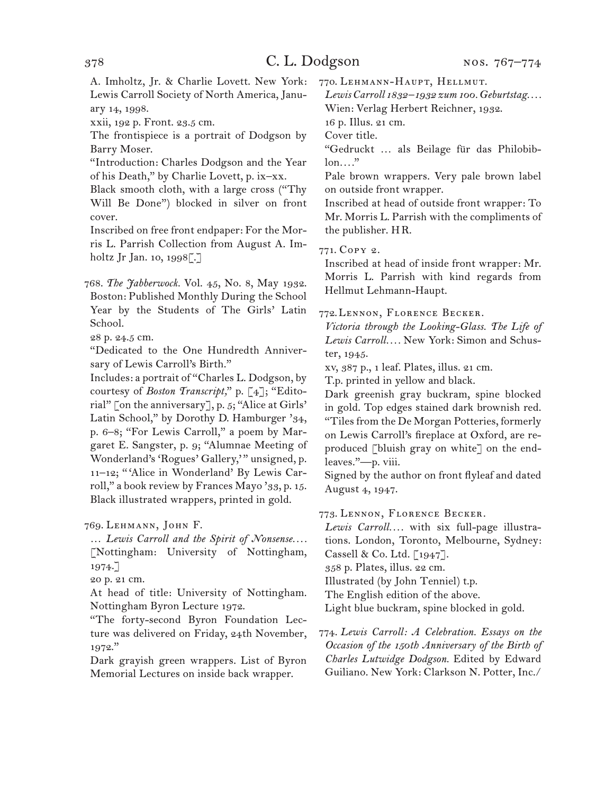A. Imholtz, Jr. & Charlie Lovett. New York: Lewis Carroll Society of North America, January 14, 1998.

xxii, 192 p. Front. 23.5 cm.

The frontispiece is a portrait of Dodgson by Barry Moser.

"Introduction: Charles Dodgson and the Year of his Death," by Charlie Lovett, p. ix–xx.

Black smooth cloth, with a large cross ("Thy Will Be Done") blocked in silver on front cover.

Inscribed on free front endpaper: For the Morris L. Parrish Collection from August A. Imholtz Jr Jan. 10, 1998[.]

768. *The Jabberwock.* Vol. 45, No. 8, May 1932. Boston: Published Monthly During the School Year by the Students of The Girls' Latin School.

28 p. 24.5 cm.

"Dedicated to the One Hundredth Anniversary of Lewis Carroll's Birth."

Includes: a portrait of "Charles L. Dodgson, by courtesy of *Boston Transcript,*" p. [4]; "Editorial" [on the anniversary], p. 5; "Alice at Girls' Latin School," by Dorothy D. Hamburger '34, p. 6–8; "For Lewis Carroll," a poem by Margaret E. Sangster, p. 9; "Alumnae Meeting of Wonderland's 'Rogues' Gallery," unsigned, p. 11–12; " 'Alice in Wonderland' By Lewis Carroll," a book review by Frances Mayo '33, p. 15. Black illustrated wrappers, printed in gold.

769. Lehmann, John F.

… *Lewis Carroll and the Spirit of Nonsense. . . .* [Nottingham: University of Nottingham, 1974.]

20 p. 21 cm.

At head of title: University of Nottingham. Nottingham Byron Lecture 1972.

"The forty-second Byron Foundation Lecture was delivered on Friday, 24th November, 1972."

Dark grayish green wrappers. List of Byron Memorial Lectures on inside back wrapper.

770. Lehmann-Haupt, Hellmut.

*Lewis Carroll 1832–1932 zum 100. Geburtstag. . . .* Wien: Verlag Herbert Reichner, 1932.

16 p. Illus. 21 cm.

Cover title.

"Gedruckt … als Beilage für das Philobiblon*. . . .*"

Pale brown wrappers. Very pale brown label on outside front wrapper.

Inscribed at head of outside front wrapper: To Mr. Morris L. Parrish with the compliments of the publisher. HR.

771. Copy 2.

Inscribed at head of inside front wrapper: Mr. Morris L. Parrish with kind regards from Hellmut Lehmann-Haupt.

772.Lennon, Florence Becker.

*Victoria through the Looking-Glass. The Life of Lewis Carroll. . . .* New York: Simon and Schuster, 1945.

xv, 387 p., 1 leaf. Plates, illus. 21 cm.

T.p. printed in yellow and black.

Dark greenish gray buckram, spine blocked in gold. Top edges stained dark brownish red. "Tiles from the De Morgan Potteries, formerly on Lewis Carroll's fireplace at Oxford, are reproduced [bluish gray on white] on the endleaves."—p. viii.

Signed by the author on front flyleaf and dated August 4, 1947.

773. Lennon, Florence Becker.

*Lewis Carroll. . . .* with six full-page illustrations. London, Toronto, Melbourne, Sydney: Cassell & Co. Ltd. [1947]. 358 p. Plates, illus. 22 cm. Illustrated (by John Tenniel) t.p.

The English edition of the above.

Light blue buckram, spine blocked in gold.

774. *Lewis Carroll: A Celebration. Essays on the Occasion of the 150th Anniversary of the Birth of Charles Lutwidge Dodgson.* Edited by Edward Guiliano. New York: Clarkson N. Potter, Inc./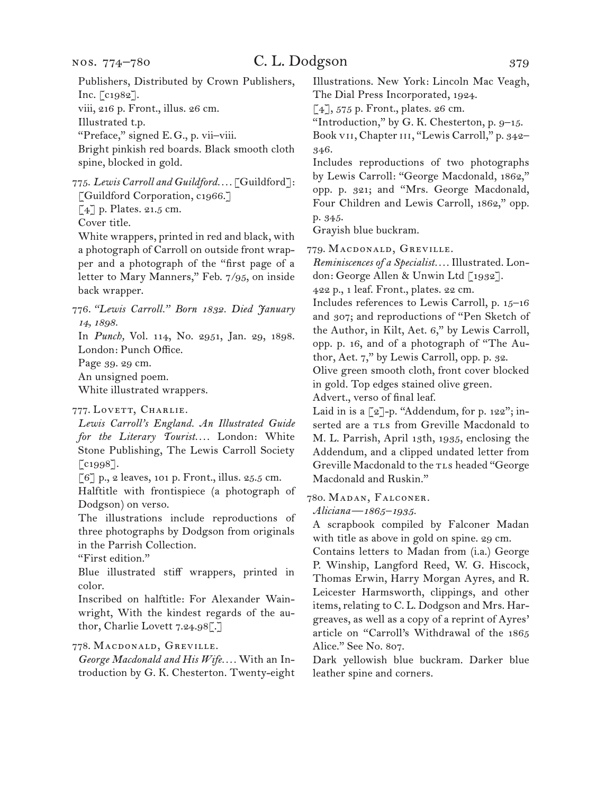Publishers, Distributed by Crown Publishers, Inc. [c1982]. viii, 216 p. Front., illus. 26 cm. Illustrated t.p. "Preface," signed E.G., p. vii–viii.

Bright pinkish red boards. Black smooth cloth spine, blocked in gold.

775. *Lewis Carroll and Guildford. . . .* [Guildford]: [Guildford Corporation, c1966.] [4] p. Plates. 21.5 cm.

Cover title.

White wrappers, printed in red and black, with a photograph of Carroll on outside front wrapper and a photograph of the "first page of a letter to Mary Manners," Feb. 7/95, on inside back wrapper.

776. *"Lewis Carroll." Born 1832. Died January 14, 1898.* In *Punch,* Vol. 114, No. 2951, Jan. 29, 1898.

London: Punch Office.

Page 39. 29 cm.

An unsigned poem.

White illustrated wrappers.

### 777. LOVETT, CHARLIE.

*Lewis Carroll's England. An Illustrated Guide for the Literary Tourist. . . .* London: White Stone Publishing, The Lewis Carroll Society [c1998].

[6] p., 2 leaves, 101 p. Front., illus. 25.5 cm.

Halftitle with frontispiece (a photograph of Dodgson) on verso.

The illustrations include reproductions of three photographs by Dodgson from originals in the Parrish Collection.

"First edition."

Blue illustrated stiff wrappers, printed in color.

Inscribed on halftitle: For Alexander Wainwright, With the kindest regards of the author, Charlie Lovett 7.24.98[.]

### 778. Macdonald, Greville.

*George Macdonald and His Wife. . . .* With an Introduction by G. K. Chesterton. Twenty-eight Illustrations. New York: Lincoln Mac Veagh, The Dial Press Incorporated, 1924.

[4], 575 p. Front., plates. 26 cm.

"Introduction," by G. K. Chesterton, p. 9–15.

Book VII, Chapter III, "Lewis Carroll," p. 342-346.

Includes reproductions of two photographs by Lewis Carroll: "George Macdonald, 1862," opp. p. 321; and "Mrs. George Macdonald, Four Children and Lewis Carroll, 1862," opp. p. 345.

Grayish blue buckram.

779. Macdonald, Greville.

*Reminiscences of a Specialist. . . .* Illustrated. London: George Allen & Unwin Ltd [1932].

422 p., 1 leaf. Front., plates. 22 cm.

Includes references to Lewis Carroll, p. 15–16 and 307; and reproductions of "Pen Sketch of the Author, in Kilt, Aet. 6," by Lewis Carroll, opp. p. 16, and of a photograph of "The Author, Aet. 7," by Lewis Carroll, opp. p. 32.

Olive green smooth cloth, front cover blocked in gold. Top edges stained olive green. Advert., verso of final leaf.

Laid in is a  $\lceil 2 \rceil$ -p. "Addendum, for p. 122"; inserted are a TLs from Greville Macdonald to M. L. Parrish, April 13th, 1935, enclosing the Addendum, and a clipped undated letter from Greville Macdonald to the TLs headed "George Macdonald and Ruskin."

### 780. Madan, Falconer.

*Aliciana—1865–1935.*

A scrapbook compiled by Falconer Madan with title as above in gold on spine. 29 cm.

Contains letters to Madan from (i.a.) George P. Winship, Langford Reed, W. G. Hiscock, Thomas Erwin, Harry Morgan Ayres, and R. Leicester Harmsworth, clippings, and other items, relating to C. L. Dodgson and Mrs. Hargreaves, as well as a copy of a reprint of Ayres' article on "Carroll's Withdrawal of the 1865 Alice." See No. 807.

Dark yellowish blue buckram. Darker blue leather spine and corners.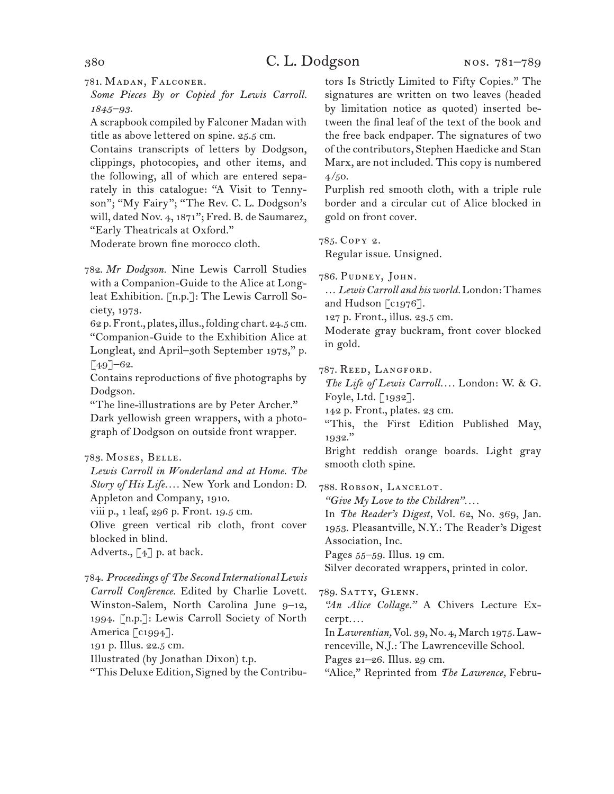781. Madan, Falconer.

*Some Pieces By or Copied for Lewis Carroll. 1845–93.*

A scrapbook compiled by Falconer Madan with title as above lettered on spine. 25.5 cm.

Contains transcripts of letters by Dodgson, clippings, photocopies, and other items, and the following, all of which are entered separately in this catalogue: "A Visit to Tennyson"; "My Fairy"; "The Rev. C. L. Dodgson's will, dated Nov. 4, 1871"; Fred. B. de Saumarez, "Early Theatricals at Oxford."

Moderate brown fine morocco cloth.

782. *Mr Dodgson.* Nine Lewis Carroll Studies with a Companion-Guide to the Alice at Longleat Exhibition. [n.p.]: The Lewis Carroll Society, 1973.

62 p. Front., plates, illus., folding chart. 24.5 cm. "Companion-Guide to the Exhibition Alice at Longleat, 2nd April–30th September 1973," p.  $[49]$ –62.

Contains reproductions of five photographs by Dodgson.

"The line-illustrations are by Peter Archer." Dark yellowish green wrappers, with a photograph of Dodgson on outside front wrapper.

### 783. Moses, Belle.

*Lewis Carroll in Wonderland and at Home. The Story of His Life. . . .* New York and London: D. Appleton and Company, 1910.

viii p., 1 leaf, 296 p. Front. 19.5 cm.

Olive green vertical rib cloth, front cover blocked in blind.

Adverts.,  $\lceil 4 \rceil$  p. at back.

784. *Proceedings of The Second International Lewis Carroll Conference.* Edited by Charlie Lovett. Winston-Salem, North Carolina June 9–12, 1994. [n.p.]: Lewis Carroll Society of North America [c1994]. 191 p. Illus. 22.5 cm. Illustrated (by Jonathan Dixon) t.p. "This Deluxe Edition, Signed by the Contributors Is Strictly Limited to Fifty Copies." The signatures are written on two leaves (headed by limitation notice as quoted) inserted between the final leaf of the text of the book and the free back endpaper. The signatures of two of the contributors, Stephen Haedicke and Stan Marx, are not included. This copy is numbered  $4/50.$ 

Purplish red smooth cloth, with a triple rule border and a circular cut of Alice blocked in gold on front cover.

785. Copy 2. Regular issue. Unsigned.

786. Pudney, John.

… *Lewis Carroll and his world.* London: Thames and Hudson [c1976].

127 p. Front., illus. 23.5 cm.

Moderate gray buckram, front cover blocked in gold.

787. Reed, Langford.

*The Life of Lewis Carroll. . . .* London: W. & G. Foyle, Ltd. [1932].

142 p. Front., plates. 23 cm.

"This, the First Edition Published May, 1932."

Bright reddish orange boards. Light gray smooth cloth spine.

788. Robson, Lancelot*.*

*"Give My Love to the Children". . . .*

In *The Reader's Digest,* Vol. 62, No. 369, Jan. 1953. Pleasantville, N.Y.: The Reader's Digest Association, Inc.

Pages 55–59. Illus. 19 cm.

Silver decorated wrappers, printed in color.

789. Satty, Glenn.

*"An Alice Collage."* A Chivers Lecture Excerpt*. . . .*

In *Lawrentian,* Vol. 39, No. 4, March 1975. Lawrenceville, N.J.: The Lawrenceville School.

Pages 21–26. Illus. 29 cm.

"Alice," Reprinted from *The Lawrence,* Febru-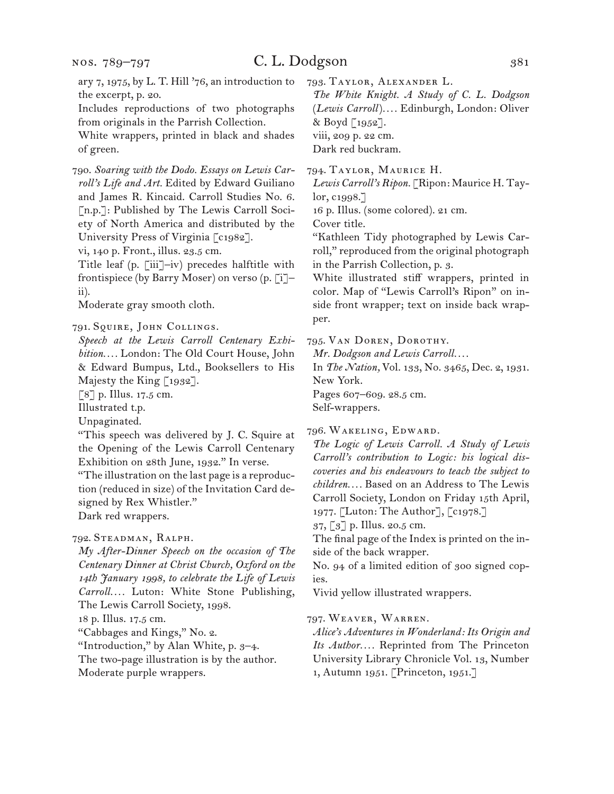nos. 789–797

# C. L. Dodgson 381

ary 7, 1975, by L. T. Hill '76, an introduction to the excerpt, p. 20.

Includes reproductions of two photographs from originals in the Parrish Collection.

White wrappers, printed in black and shades of green.

790. *Soaring with the Dodo. Essays on Lewis Carroll's Life and Art.* Edited by Edward Guiliano and James R. Kincaid. Carroll Studies No. 6. [n.p.]: Published by The Lewis Carroll Society of North America and distributed by the University Press of Virginia [c1982].

vi, 140 p. Front., illus. 23.5 cm.

Title leaf (p. [iii]–iv) precedes halftitle with frontispiece (by Barry Moser) on verso (p. [i]– ii).

Moderate gray smooth cloth.

791. Squire, John Collings.

*Speech at the Lewis Carroll Centenary Exhibition. . . .* London: The Old Court House, John & Edward Bumpus, Ltd., Booksellers to His Majesty the King  $\lceil 1932 \rceil$ .

[8] p. Illus. 17.5 cm.

Illustrated t.p.

Unpaginated.

"This speech was delivered by J. C. Squire at the Opening of the Lewis Carroll Centenary Exhibition on 28th June, 1932." In verse.

"The illustration on the last page is a reproduction (reduced in size) of the Invitation Card designed by Rex Whistler."

Dark red wrappers.

792. Steadman, Ralph.

*My After-Dinner Speech on the occasion of The Centenary Dinner at Christ Church, Oxford on the 14th January 1998, to celebrate the Life of Lewis Carroll. . . .* Luton: White Stone Publishing, The Lewis Carroll Society, 1998. 18 p. Illus. 17.5 cm. "Cabbages and Kings," No. 2.

"Introduction," by Alan White, p. 3–4.

The two-page illustration is by the author.

Moderate purple wrappers.

793. Taylor, Alexander L.

*The White Knight. A Study of C. L. Dodgson*  (*Lewis Carroll*)*. . . .* Edinburgh, London: Oliver & Boyd [1952]. viii, 209 p. 22 cm. Dark red buckram.

794. Taylor, Maurice H.

*Lewis Carroll's Ripon.* [Ripon: Maurice H. Taylor, c1998.]

16 p. Illus. (some colored). 21 cm.

Cover title.

"Kathleen Tidy photographed by Lewis Carroll," reproduced from the original photograph in the Parrish Collection, p. 3.

White illustrated stiff wrappers, printed in color. Map of "Lewis Carroll's Ripon" on inside front wrapper; text on inside back wrapper.

795. Van Doren, Dorothy.

*Mr. Dodgson and Lewis Carroll. . . .*

In *The Nation,* Vol. 133, No. 3465, Dec. 2, 1931. New York.

Pages 607–609. 28.5 cm.

Self-wrappers.

796. Wakeling, Edward.

*The Logic of Lewis Carroll. A Study of Lewis Carroll's contribution to Logic: his logical discoveries and his endeavours to teach the subject to children. . . .* Based on an Address to The Lewis Carroll Society, London on Friday 15th April, 1977. [Luton: The Author], [c1978.]

37, [3] p. Illus. 20.5 cm.

The final page of the Index is printed on the inside of the back wrapper.

No. 94 of a limited edition of 300 signed copies.

Vivid yellow illustrated wrappers.

797. Weaver, Warren.

*Alice's Adventures in Wonderland: Its Origin and Its Author. . . .* Reprinted from The Princeton University Library Chronicle Vol. 13, Number 1, Autumn 1951. [Princeton, 1951.]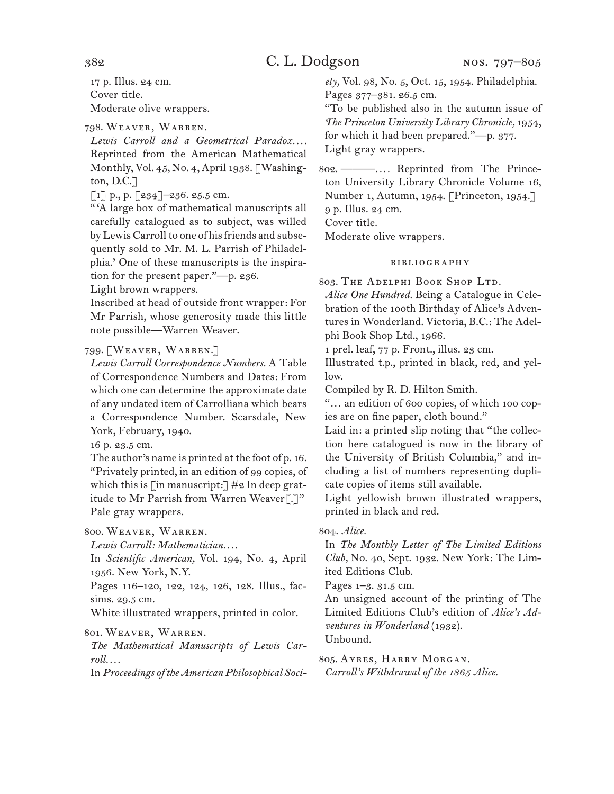17 p. Illus. 24 cm. Cover title. Moderate olive wrappers.

798. Weaver, Warren.

*Lewis Carroll and a Geometrical Paradox. . . .* Reprinted from the American Mathematical Monthly, Vol. 45, No. 4, April 1938. [Washington, D.C.]

 $\left[1\right]$  p., p.  $\left[234\right]$  – 236. 25.5 cm.

" 'A large box of mathematical manuscripts all carefully catalogued as to subject, was willed by Lewis Carroll to one of his friends and subsequently sold to Mr. M. L. Parrish of Philadelphia.' One of these manuscripts is the inspiration for the present paper."—p. 236.

Light brown wrappers.

Inscribed at head of outside front wrapper: For Mr Parrish, whose generosity made this little note possible—Warren Weaver.

### 799. [Weaver, Warren.]

*Lewis Carroll Correspondence Numbers.* A Table of Correspondence Numbers and Dates: From which one can determine the approximate date of any undated item of Carrolliana which bears a Correspondence Number. Scarsdale, New York, February, 1940.

16 p. 23.5 cm.

The author's name is printed at the foot of p. 16. "Privately printed, in an edition of 99 copies, of which this is [in manuscript:]  $\#2$  In deep gratitude to Mr Parrish from Warren Weaver[.]" Pale gray wrappers.

800. Weaver, Warren.

*Lewis Carroll: Mathematician. . . .*

In *Scientific American,* Vol. 194, No. 4, April 1956. New York, N.Y.

Pages 116–120, 122, 124, 126, 128. Illus., facsims. 29.5 cm.

White illustrated wrappers, printed in color.

### 801. Weaver, Warren.

*The Mathematical Manuscripts of Lewis Carroll. . . .*

In *Proceedings of the American Philosophical Soci-*

*ety,* Vol. 98, No. 5, Oct. 15, 1954. Philadelphia. Pages 377–381. 26.5 cm.

"To be published also in the autumn issue of *The Princeton University Library Chronicle,* 1954, for which it had been prepared."—p. 377. Light gray wrappers.

802. ———*. . . .* Reprinted from The Princeton University Library Chronicle Volume 16, Number 1, Autumn, 1954. [Princeton, 1954.] 9 p. Illus. 24 cm. Cover title. Moderate olive wrappers.

### bibliography

803. The Adelphi Book Shop Ltd.

*Alice One Hundred.* Being a Catalogue in Celebration of the 100th Birthday of Alice's Adventures in Wonderland. Victoria, B.C.: The Adelphi Book Shop Ltd., 1966.

1 prel. leaf, 77 p. Front., illus. 23 cm.

Illustrated t.p., printed in black, red, and yellow.

Compiled by R. D. Hilton Smith.

"… an edition of 600 copies, of which 100 copies are on fine paper, cloth bound."

Laid in: a printed slip noting that "the collection here catalogued is now in the library of the University of British Columbia," and including a list of numbers representing duplicate copies of items still available.

Light yellowish brown illustrated wrappers, printed in black and red.

### 804. *Alice.*

In *The Monthly Letter of The Limited Editions Club,* No. 40, Sept. 1932. New York: The Limited Editions Club.

Pages 1–3. 31.5 cm.

An unsigned account of the printing of The Limited Editions Club's edition of *Alice's Adventures in Wonderland* (1932). Unbound.

805. Ayres, Harry Morgan. *Carroll's Withdrawal of the 1865 Alice.*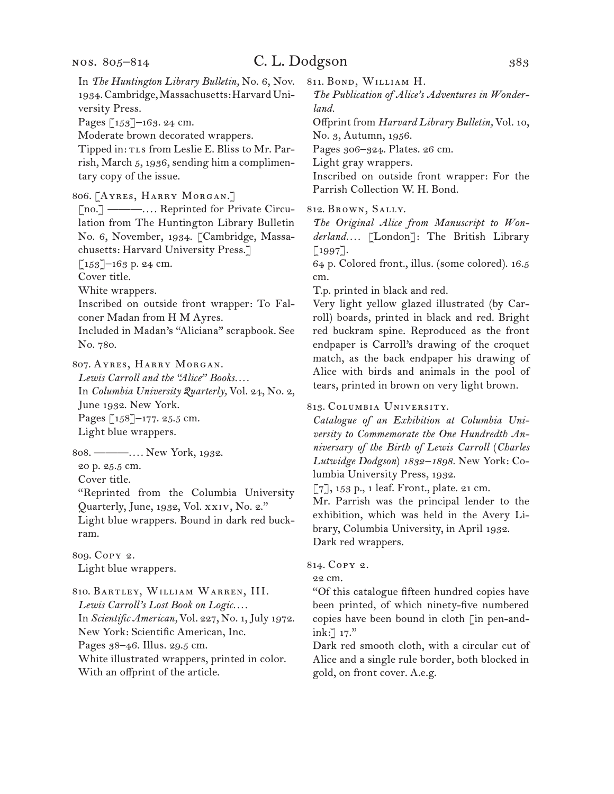### C. L. Dodgson 383

In *The Huntington Library Bulletin,* No. 6, Nov. 1934. Cambridge, Massachusetts: Harvard University Press. Pages [153]–163. 24 cm. Moderate brown decorated wrappers. Tipped in: TLs from Leslie E. Bliss to Mr. Parrish, March 5, 1936, sending him a complimentary copy of the issue. 806. [Ayres, Harry Morgan.] [no.] ———*. . . .* Reprinted for Private Circulation from The Huntington Library Bulletin No. 6, November, 1934. [Cambridge, Massachusetts: Harvard University Press.]  $\lceil 153 \rceil$ –163 p. 24 cm. Cover title. White wrappers. Inscribed on outside front wrapper: To Falconer Madan from H M Ayres. Included in Madan's "Aliciana" scrapbook. See No. 780. 807. Ayres, Harry Morgan. *Lewis Carroll and the "Alice" Books. . . .* In *Columbia University Quarterly,* Vol. 24, No. 2, June 1932. New York. Pages [158]–177. 25.5 cm. Light blue wrappers. 808. ———*. . . .* New York, 1932. 20 p. 25.5 cm. Cover title. "Reprinted from the Columbia University

Quarterly, June, 1932, Vol. xxiv, No. 2."

Light blue wrappers. Bound in dark red buckram.

809. Copy 2. Light blue wrappers.

810. Bartley, William Warren, III. *Lewis Carroll's Lost Book on Logic. . . .* In *Scientific American,* Vol. 227, No. 1, July 1972. New York: Scientific American, Inc. Pages 38–46. Illus. 29.5 cm. White illustrated wrappers, printed in color.

With an offprint of the article.

811. Bond, William H.

*The Publication of Alice's Adventures in Wonderland.*

Offprint from *Harvard Library Bulletin,* Vol. 10, No. 3, Autumn, 1956.

Pages 306–324. Plates. 26 cm.

Light gray wrappers.

Inscribed on outside front wrapper: For the Parrish Collection W. H. Bond.

812. Brown, Sally.

*The Original Alice from Manuscript to Wonderland. . . .* [London]: The British Library  $[1997]$ .

64 p. Colored front., illus. (some colored). 16.5 cm.

T.p. printed in black and red.

Very light yellow glazed illustrated (by Carroll) boards, printed in black and red. Bright red buckram spine. Reproduced as the front endpaper is Carroll's drawing of the croquet match, as the back endpaper his drawing of Alice with birds and animals in the pool of tears, printed in brown on very light brown.

#### 813. Columbia University.

*Catalogue of an Exhibition at Columbia University to Commemorate the One Hundredth Anniversary of the Birth of Lewis Carroll* (*Charles Lutwidge Dodgson*) *1832–1898.* New York: Columbia University Press, 1932.

 $\lbrack 7 \rbrack$ , 153 p., 1 leaf. Front., plate. 21 cm.

Mr. Parrish was the principal lender to the exhibition, which was held in the Avery Library, Columbia University, in April 1932. Dark red wrappers.

814. Copy 2.

22 cm.

"Of this catalogue fifteen hundred copies have been printed, of which ninety-five numbered copies have been bound in cloth [in pen-andink:] 17."

Dark red smooth cloth, with a circular cut of Alice and a single rule border, both blocked in gold, on front cover. A.e.g.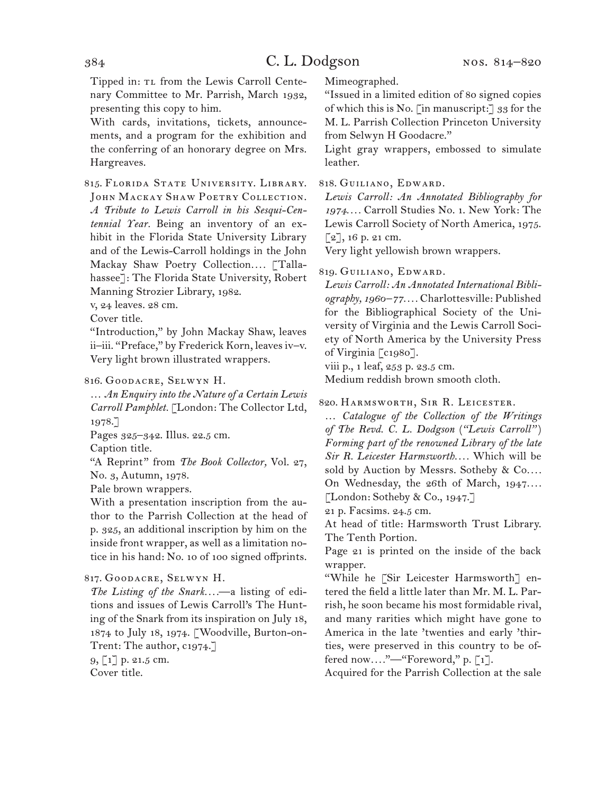Tipped in: TL from the Lewis Carroll Centenary Committee to Mr. Parrish, March 1932, presenting this copy to him.

With cards, invitations, tickets, announcements, and a program for the exhibition and the conferring of an honorary degree on Mrs. Hargreaves.

815. Florida State University. Library. JOHN MACKAY SHAW POETRY COLLECTION. *A Tribute to Lewis Carroll in his Sesqui-Centennial Year.* Being an inventory of an exhibit in the Florida State University Library and of the Lewis-Carroll holdings in the John Mackay Shaw Poetry Collection*. . . .* [Tallahassee]: The Florida State University, Robert Manning Strozier Library, 1982.

v, 24 leaves. 28 cm.

Cover title.

"Introduction," by John Mackay Shaw, leaves ii–iii. "Preface," by Frederick Korn, leaves iv–v. Very light brown illustrated wrappers.

816. Goodacre, Selwyn H.

… *An Enquiry into the Nature of a Certain Lewis Carroll Pamphlet.* [London: The Collector Ltd, 1978.]

Pages 325–342. Illus. 22.5 cm.

Caption title.

"A Reprint" from *The Book Collector,* Vol. 27, No. 3, Autumn, 1978.

Pale brown wrappers.

With a presentation inscription from the author to the Parrish Collection at the head of p. 325, an additional inscription by him on the inside front wrapper, as well as a limitation notice in his hand: No. 10 of 100 signed offprints.

### 817. Goodacre, Selwyn H.

*The Listing of the Snark. . . .*—a listing of editions and issues of Lewis Carroll's The Hunting of the Snark from its inspiration on July 18, 1874 to July 18, 1974. [Woodville, Burton-on-Trent: The author, c1974.]

9, [1] p. 21.5 cm. Cover title.

Mimeographed.

"Issued in a limited edition of 80 signed copies of which this is No. [in manuscript:]  $33$  for the M. L. Parrish Collection Princeton University from Selwyn H Goodacre."

Light gray wrappers, embossed to simulate leather.

818. Guiliano, Edward.

*Lewis Carroll: An Annotated Bibliography for 1974. . . .* Carroll Studies No. 1. New York: The Lewis Carroll Society of North America, 1975.  $\lceil 2 \rceil$ , 16 p. 21 cm.

Very light yellowish brown wrappers.

#### 819. Guiliano, Edward.

*Lewis Carroll: An Annotated International Bibliography, 1960–77. . . .* Charlottesville: Published for the Bibliographical Society of the University of Virginia and the Lewis Carroll Society of North America by the University Press of Virginia [c1980].

viii p., 1 leaf, 253 p. 23.5 cm.

Medium reddish brown smooth cloth.

820. Harmsworth, Sir R. Leicester.

… *Catalogue of the Collection of the Writings of The Revd. C. L. Dodgson* (*"Lewis Carroll"* ) *Forming part of the renowned Library of the late Sir R. Leicester Harmsworth. . . .* Which will be sold by Auction by Messrs. Sotheby & Co.... On Wednesday, the 26th of March, 1947.... [London: Sotheby & Co., 1947.]

21 p. Facsims. 24.5 cm.

At head of title: Harmsworth Trust Library. The Tenth Portion.

Page 21 is printed on the inside of the back wrapper.

"While he [Sir Leicester Harmsworth] entered the field a little later than Mr. M. L. Parrish, he soon became his most formidable rival, and many rarities which might have gone to America in the late 'twenties and early 'thirties, were preserved in this country to be offered now*. . . .*"—"Foreword," p. [1].

Acquired for the Parrish Collection at the sale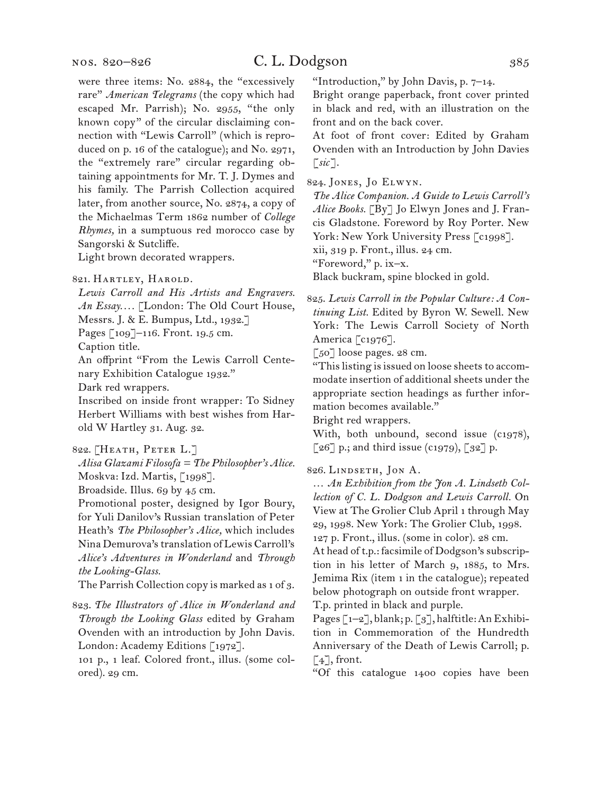# C. L. Dodgson 385

were three items: No. 2884, the "excessively rare" *American Telegrams* (the copy which had escaped Mr. Parrish); No. 2955, "the only known copy" of the circular disclaiming connection with "Lewis Carroll" (which is reproduced on p. 16 of the catalogue); and No. 2971, the "extremely rare" circular regarding obtaining appointments for Mr. T. J. Dymes and his family. The Parrish Collection acquired later, from another source, No. 2874, a copy of the Michaelmas Term 1862 number of *College Rhymes,* in a sumptuous red morocco case by Sangorski & Sutcliffe.

Light brown decorated wrappers.

821. Hartley, Harold.

*Lewis Carroll and His Artists and Engravers. An Essay. . . .* [London: The Old Court House,

Messrs. J. & E. Bumpus, Ltd., 1932.]

Pages [109]–116. Front. 19.5 cm.

Caption title.

An offprint "From the Lewis Carroll Centenary Exhibition Catalogue 1932."

Dark red wrappers.

Inscribed on inside front wrapper: To Sidney Herbert Williams with best wishes from Harold W Hartley 31. Aug. 32.

```
822. [Heath, Peter L.]
```
*Alisa Glazami Filosofa = The Philosopher's Alice.* Moskva: Izd. Martis, [1998].

Broadside. Illus. 69 by 45 cm.

Promotional poster, designed by Igor Boury, for Yuli Danilov's Russian translation of Peter Heath's *The Philosopher's Alice,* which includes Nina Demurova's translation of Lewis Carroll's *Alice's Adventures in Wonderland* and *Through the Looking-Glass.*

The Parrish Collection copy is marked as 1 of 3.

823. *The Illustrators of Alice in Wonderland and Through the Looking Glass* edited by Graham Ovenden with an introduction by John Davis. London: Academy Editions [1972].

101 p., 1 leaf. Colored front., illus. (some colored). 29 cm.

"Introduction," by John Davis, p. 7–14.

Bright orange paperback, front cover printed in black and red, with an illustration on the front and on the back cover.

At foot of front cover: Edited by Graham Ovenden with an Introduction by John Davies [*sic*].

824. Jones, Jo Elwyn.

*The Alice Companion. A Guide to Lewis Carroll's Alice Books.* [By] Jo Elwyn Jones and J. Francis Gladstone. Foreword by Roy Porter. New York: New York University Press [c1998].

xii, 319 p. Front., illus. 24 cm.

"Foreword," p. ix–x.

Black buckram, spine blocked in gold.

825. *Lewis Carroll in the Popular Culture: A Continuing List.* Edited by Byron W. Sewell. New York: The Lewis Carroll Society of North America [c1976].

[50] loose pages. 28 cm.

"This listing is issued on loose sheets to accommodate insertion of additional sheets under the appropriate section headings as further information becomes available."

Bright red wrappers.

With, both unbound, second issue (c1978),  $\lceil 26 \rceil$  p.; and third issue (c1979),  $\lceil 32 \rceil$  p.

826. Lindseth, Jon A.

… *An Exhibition from the Jon A. Lindseth Collection of C. L. Dodgson and Lewis Carroll.* On View at The Grolier Club April 1 through May 29, 1998. New York: The Grolier Club, 1998. 127 p. Front., illus. (some in color). 28 cm.

At head of t.p.: facsimile of Dodgson's subscription in his letter of March 9, 1885, to Mrs. Jemima Rix (item 1 in the catalogue); repeated below photograph on outside front wrapper. T.p. printed in black and purple.

Pages [1–2], blank; p. [3], halftitle: An Exhibition in Commemoration of the Hundredth Anniversary of the Death of Lewis Carroll; p.  $\lceil 4 \rceil$ , front.

"Of this catalogue 1400 copies have been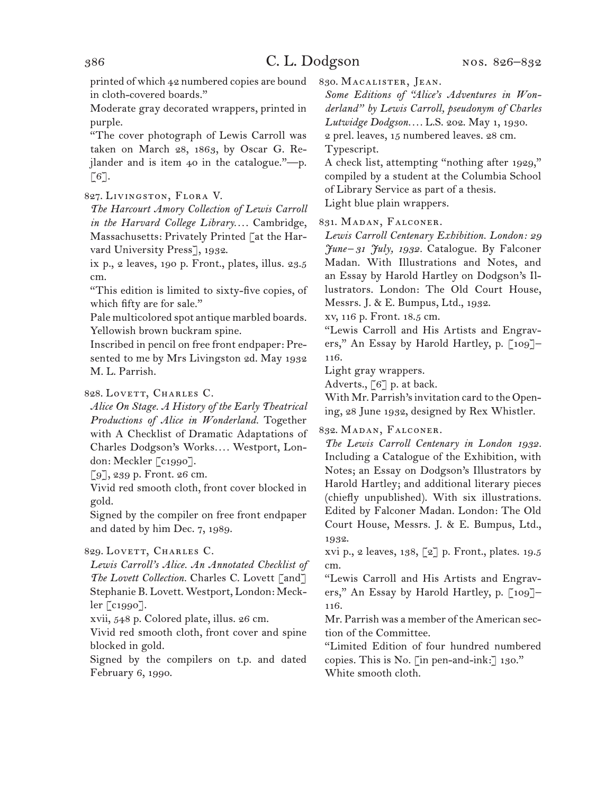printed of which 42 numbered copies are bound in cloth-covered boards."

Moderate gray decorated wrappers, printed in purple.

"The cover photograph of Lewis Carroll was taken on March 28, 1863, by Oscar G. Rejlander and is item 40 in the catalogue."—p.  $\lceil 6 \rceil$ .

827. Livingston, Flora V.

*The Harcourt Amory Collection of Lewis Carroll in the Harvard College Library. . . .* Cambridge, Massachusetts: Privately Printed [at the Harvard University Press], 1932.

ix p., 2 leaves, 190 p. Front., plates, illus. 23.5 cm.

"This edition is limited to sixty-five copies, of which fifty are for sale."

Pale multicolored spot antique marbled boards. Yellowish brown buckram spine.

Inscribed in pencil on free front endpaper: Presented to me by Mrs Livingston 2d. May 1932 M. L. Parrish.

## 828. LOVETT, CHARLES C.

*Alice On Stage. A History of the Early Theatrical Productions of Alice in Wonderland.* Together with A Checklist of Dramatic Adaptations of Charles Dodgson's Works*. . . .* Westport, London: Meckler [c1990].

[9], 239 p. Front. 26 cm.

Vivid red smooth cloth, front cover blocked in gold.

Signed by the compiler on free front endpaper and dated by him Dec. 7, 1989.

829. LOVETT, CHARLES C.

*Lewis Carroll's Alice. An Annotated Checklist of The Lovett Collection.* Charles C. Lovett [and] Stephanie B. Lovett. Westport, London: Meckler [c1990].

xvii, 548 p. Colored plate, illus. 26 cm.

Vivid red smooth cloth, front cover and spine blocked in gold.

Signed by the compilers on t.p. and dated February 6, 1990.

830. Macalister, Jean.

*Some Editions of "Alice's Adventures in Wonderland" by Lewis Carroll, pseudonym of Charles* 

*Lutwidge Dodgson. . . .* L.S. 202. May 1, 1930.

2 prel. leaves, 15 numbered leaves. 28 cm.

Typescript.

A check list, attempting "nothing after 1929," compiled by a student at the Columbia School of Library Service as part of a thesis. Light blue plain wrappers.

831. Madan, Falconer.

*Lewis Carroll Centenary Exhibition. London: 29 June –31 July, 1932.* Catalogue. By Falconer Madan. With Illustrations and Notes, and an Essay by Harold Hartley on Dodgson's Illustrators. London: The Old Court House, Messrs. J. & E. Bumpus, Ltd., 1932.

xv, 116 p. Front. 18.5 cm.

"Lewis Carroll and His Artists and Engravers," An Essay by Harold Hartley, p. [109]– 116.

Light gray wrappers.

Adverts., [6] p. at back.

With Mr. Parrish's invitation card to the Opening, 28 June 1932, designed by Rex Whistler.

832. Madan, Falconer.

*The Lewis Carroll Centenary in London 1932.*  Including a Catalogue of the Exhibition, with Notes; an Essay on Dodgson's Illustrators by Harold Hartley; and additional literary pieces (chiefly unpublished). With six illustrations. Edited by Falconer Madan. London: The Old Court House, Messrs. J. & E. Bumpus, Ltd., 1932.

xvi p., 2 leaves, 138, [2] p. Front., plates. 19.5 cm.

"Lewis Carroll and His Artists and Engravers," An Essay by Harold Hartley, p. [109]-116.

Mr. Parrish was a member of the American section of the Committee.

"Limited Edition of four hundred numbered copies. This is No. [in pen-and-ink:] 130." White smooth cloth.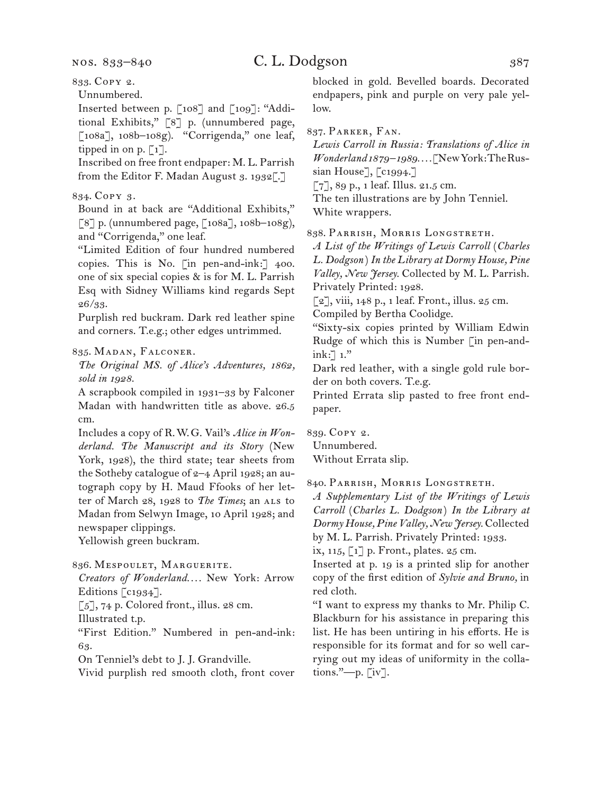## 833. Copy 2.

Unnumbered.

Inserted between p. [108] and [109]: "Additional Exhibits," [8] p. (unnumbered page, [108a], 108b–108g). "Corrigenda," one leaf, tipped in on p.  $\lceil 1 \rceil$ .

Inscribed on free front endpaper: M. L. Parrish from the Editor F. Madan August 3. 1932[.]

## 834. Copy 3.

Bound in at back are "Additional Exhibits," [8] p. (unnumbered page, [108a], 108b–108g), and "Corrigenda," one leaf.

"Limited Edition of four hundred numbered copies. This is No. [in pen-and-ink:] 400. one of six special copies & is for M. L. Parrish Esq with Sidney Williams kind regards Sept 26/33.

Purplish red buckram. Dark red leather spine and corners. T.e.g.; other edges untrimmed.

#### 835. Madan, Falconer.

*The Original MS. of Alice's Adventures, 1862, sold in 1928.*

A scrapbook compiled in 1931–33 by Falconer Madan with handwritten title as above. 26.5 cm.

Includes a copy of R.W.G. Vail's *Alice in Wonderland. The Manuscript and its Story* (New York, 1928), the third state; tear sheets from the Sotheby catalogue of 2–4 April 1928; an autograph copy by H. Maud Ffooks of her letter of March 28, 1928 to The Times; an ALS to Madan from Selwyn Image, 10 April 1928; and newspaper clippings.

Yellowish green buckram.

836. MESPOULET, MARGUERITE.

*Creators of Wonderland. . . .* New York: Arrow Editions [c1934].

[5], 74 p. Colored front., illus. 28 cm.

Illustrated t.p.

"First Edition." Numbered in pen-and-ink: 63.

On Tenniel's debt to J. J. Grandville.

Vivid purplish red smooth cloth, front cover

blocked in gold. Bevelled boards. Decorated endpapers, pink and purple on very pale yellow.

837. Parker, Fan.

*Lewis Carroll in Russia: Translations of Alice in Wonderland 1879–1989. . . .* [New York: The Russian House], [c1994.]

[7], 89 p., 1 leaf. Illus. 21.5 cm.

The ten illustrations are by John Tenniel. White wrappers.

838. Parrish, Morris Longstreth.

*A List of the Writings of Lewis Carroll* (*Charles L. Dodgson* ) *In the Library at Dormy House, Pine Valley, New Jersey.* Collected by M. L. Parrish. Privately Printed: 1928.

[2], viii, 148 p., 1 leaf. Front., illus. 25 cm. Compiled by Bertha Coolidge.

"Sixty-six copies printed by William Edwin Rudge of which this is Number [in pen-andink: $\exists$  1."

Dark red leather, with a single gold rule border on both covers. T.e.g.

Printed Errata slip pasted to free front endpaper.

839. Copy 2. Unnumbered.

Without Errata slip.

840. Parrish, Morris Longstreth.

*A Supplementary List of the Writings of Lewis Carroll* (*Charles L. Dodgson*) In the Library at *Dormy House, Pine Valley, New Jersey.* Collected by M. L. Parrish. Privately Printed: 1933.

ix, 115, [1] p. Front., plates. 25 cm.

Inserted at p. 19 is a printed slip for another copy of the first edition of *Sylvie and Bruno,* in red cloth.

"I want to express my thanks to Mr. Philip C. Blackburn for his assistance in preparing this list. He has been untiring in his efforts. He is responsible for its format and for so well carrying out my ideas of uniformity in the collations."—p. [iv].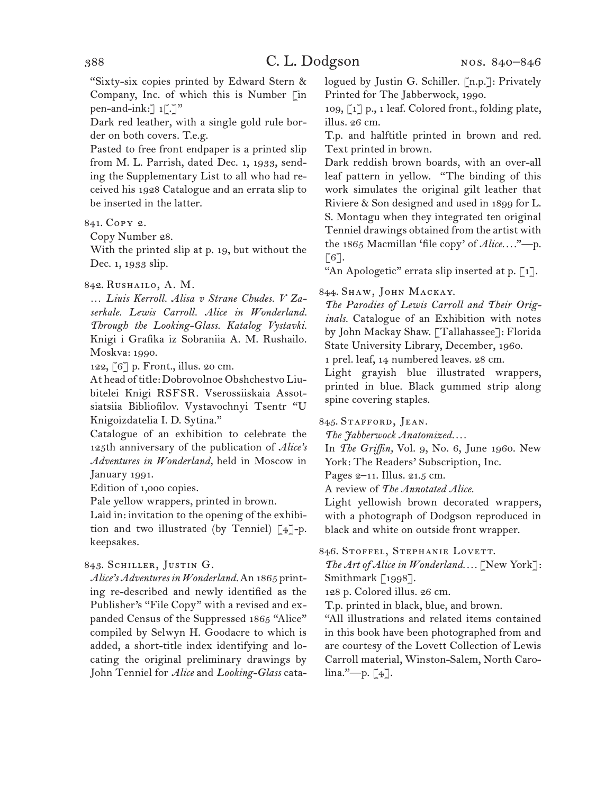"Sixty-six copies printed by Edward Stern & Company, Inc. of which this is Number [in pen-and-ink: $\lceil 1 \rceil$ . $\lceil \cdot \rceil$ "

Dark red leather, with a single gold rule border on both covers. T.e.g.

Pasted to free front endpaper is a printed slip from M. L. Parrish, dated Dec. 1, 1933, sending the Supplementary List to all who had received his 1928 Catalogue and an errata slip to be inserted in the latter.

### 841. Copy 2.

Copy Number 28.

With the printed slip at p. 19, but without the Dec. 1, 1933 slip.

842. Rushailo, A. M.

… *Liuis Kerroll. Alisa v Strane Chudes. V Zaserkale. Lewis Carroll. Alice in Wonderland. Through the Looking-Glass. Katalog Vystavki.* Knigi i Grafika iz Sobraniia A. M. Rushailo. Moskva: 1990.

122, [6] p. Front., illus. 20 cm.

At head of title: Dobrovolnoe Obshchestvo Liubitelei Knigi RSFSR. Vserossiiskaia Assotsiatsiia Bibliofilov. Vystavochnyi Tsentr "U Knigoizdatelia I. D. Sytina."

Catalogue of an exhibition to celebrate the 125th anniversary of the publication of *Alice's Adventures in Wonderland,* held in Moscow in January 1991.

Edition of 1,000 copies.

Pale yellow wrappers, printed in brown.

Laid in: invitation to the opening of the exhibition and two illustrated (by Tenniel) [4]-p. keepsakes.

## 843. Schiller, Justin G.

*Alice's Adventures in Wonderland.* An 1865 printing re-described and newly identified as the Publisher's "File Copy" with a revised and expanded Census of the Suppressed 1865 "Alice" compiled by Selwyn H. Goodacre to which is added, a short-title index identifying and locating the original preliminary drawings by John Tenniel for *Alice* and *Looking-Glass* catalogued by Justin G. Schiller. [n.p.]: Privately Printed for The Jabberwock, 1990.

109, [1] p., 1 leaf. Colored front., folding plate, illus. 26 cm.

T.p. and halftitle printed in brown and red. Text printed in brown.

Dark reddish brown boards, with an over-all leaf pattern in yellow. "The binding of this work simulates the original gilt leather that Riviere & Son designed and used in 1899 for L. S. Montagu when they integrated ten original Tenniel drawings obtained from the artist with the 1865 Macmillan 'file copy' of *Alice. . . .*"—p.  $\lceil 6 \rceil$ .

"An Apologetic" errata slip inserted at p.  $\lceil 1 \rceil$ .

## 844. SHAW, JOHN MACKAY.

*The Parodies of Lewis Carroll and Their Originals.* Catalogue of an Exhibition with notes by John Mackay Shaw. [Tallahassee]: Florida State University Library, December, 1960. 1 prel. leaf, 14 numbered leaves. 28 cm.

Light grayish blue illustrated wrappers, printed in blue. Black gummed strip along spine covering staples.

## 845. STAFFORD, JEAN.

*The Jabberwock Anatomized. . . .*

In *The Griffin,* Vol. 9, No. 6, June 1960. New York: The Readers' Subscription, Inc.

Pages 2–11. Illus. 21.5 cm.

A review of *The Annotated Alice.*

Light yellowish brown decorated wrappers, with a photograph of Dodgson reproduced in black and white on outside front wrapper.

#### 846. STOFFEL, STEPHANIE LOVETT.

*The Art of Alice in Wonderland. . . .* [New York]: Smithmark [1998].

128 p. Colored illus. 26 cm.

T.p. printed in black, blue, and brown.

"All illustrations and related items contained in this book have been photographed from and are courtesy of the Lovett Collection of Lewis Carroll material, Winston-Salem, North Caro- $\lim_{n \to \infty}$  [4].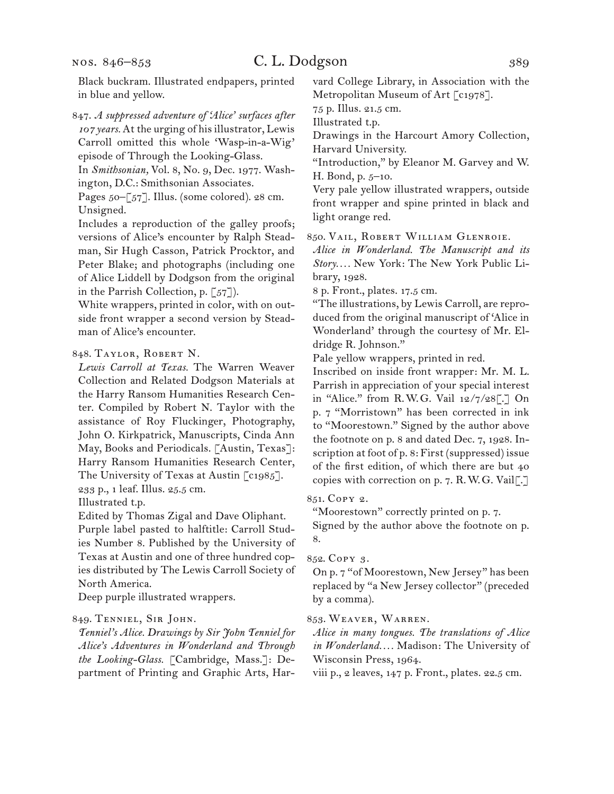nos. 846–853

847. *A suppressed adventure of 'Alice' surfaces after 107 years.* At the urging of his illustrator, Lewis Carroll omitted this whole 'Wasp-in-a-Wig' episode of Through the Looking-Glass.

In *Smithsonian,* Vol. 8, No. 9, Dec. 1977. Washington, D.C.: Smithsonian Associates.

Pages 50–[57]. Illus. (some colored). 28 cm. Unsigned.

Includes a reproduction of the galley proofs; versions of Alice's encounter by Ralph Steadman, Sir Hugh Casson, Patrick Procktor, and Peter Blake; and photographs (including one of Alice Liddell by Dodgson from the original in the Parrish Collection, p. [57]).

White wrappers, printed in color, with on outside front wrapper a second version by Steadman of Alice's encounter.

## 848. Taylor, Robert N.

*Lewis Carroll at Texas.* The Warren Weaver Collection and Related Dodgson Materials at the Harry Ransom Humanities Research Center. Compiled by Robert N. Taylor with the assistance of Roy Fluckinger, Photography, John O. Kirkpatrick, Manuscripts, Cinda Ann May, Books and Periodicals. [Austin, Texas]: Harry Ransom Humanities Research Center, The University of Texas at Austin [c1985]. 233 p., 1 leaf. Illus. 25.5 cm.

Illustrated t.p.

Edited by Thomas Zigal and Dave Oliphant.

Purple label pasted to halftitle: Carroll Studies Number 8. Published by the University of Texas at Austin and one of three hundred copies distributed by The Lewis Carroll Society of North America.

Deep purple illustrated wrappers.

#### 849. Tenniel, Sir John.

*Tenniel's Alice. Drawings by Sir John Tenniel for Alice's Adventures in Wonderland and Through the Looking-Glass.* [Cambridge, Mass.]: Department of Printing and Graphic Arts, Harvard College Library, in Association with the Metropolitan Museum of Art [c1978].

75 p. Illus. 21.5 cm.

Illustrated t.p.

Drawings in the Harcourt Amory Collection, Harvard University.

"Introduction," by Eleanor M. Garvey and W. H. Bond, p. 5–10.

Very pale yellow illustrated wrappers, outside front wrapper and spine printed in black and light orange red.

850. Vail, Robert William Glenroie.

*Alice in Wonderland. The Manuscript and its Story. . . .* New York: The New York Public Library, 1928.

8 p. Front., plates. 17.5 cm.

"The illustrations, by Lewis Carroll, are reproduced from the original manuscript of 'Alice in Wonderland' through the courtesy of Mr. Eldridge R. Johnson."

Pale yellow wrappers, printed in red.

Inscribed on inside front wrapper: Mr. M. L. Parrish in appreciation of your special interest in "Alice." from R.W.G. Vail 12/7/28[.] On p. 7 "Morristown" has been corrected in ink to "Moorestown." Signed by the author above the footnote on p. 8 and dated Dec. 7, 1928. Inscription at foot of p. 8: First (suppressed) issue of the first edition, of which there are but 40 copies with correction on p. 7. R.W.G. Vail[.]

851. Copy 2.

"Moorestown" correctly printed on p. 7.

Signed by the author above the footnote on p. 8.

#### 852. Copy 3.

On p. 7 "of Moorestown, New Jersey" has been replaced by "a New Jersey collector" (preceded by a comma).

#### 853. Weaver, Warren.

*Alice in many tongues. The translations of Alice in Wonderland. . . .* Madison: The University of Wisconsin Press, 1964.

viii p., 2 leaves, 147 p. Front., plates. 22.5 cm.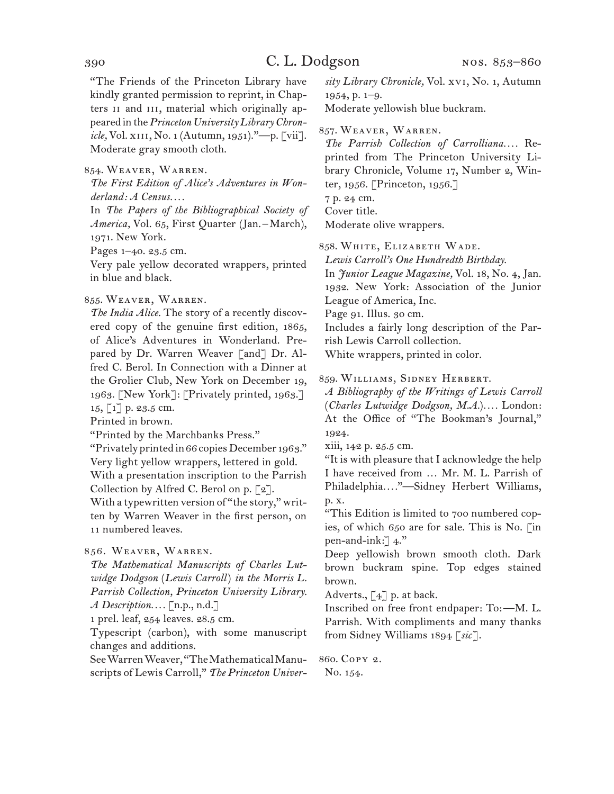"The Friends of the Princeton Library have kindly granted permission to reprint, in Chapters II and III, material which originally appeared in the *Princeton University Library Chronicle*, Vol. x<sub>111</sub>, No. 1 (Autumn, 1951)."-p. [vii]. Moderate gray smooth cloth.

#### 854. Weaver, Warren.

*The First Edition of Alice's Adventures in Wonderland: A Census. . . .*

In *The Papers of the Bibliographical Society of America,* Vol. 65, First Quarter (Jan.–March), 1971. New York.

Pages 1–40. 23.5 cm.

Very pale yellow decorated wrappers, printed in blue and black.

#### 855. Weaver, Warren.

*The India Alice.* The story of a recently discovered copy of the genuine first edition, 1865, of Alice's Adventures in Wonderland. Prepared by Dr. Warren Weaver [and] Dr. Alfred C. Berol. In Connection with a Dinner at the Grolier Club, New York on December 19, 1963. [New York]: [Privately printed, 1963.] 15, [1] p. 23.5 cm.

Printed in brown.

"Printed by the Marchbanks Press."

"Privately printed in 66 copies December 1963." Very light yellow wrappers, lettered in gold.

With a presentation inscription to the Parrish Collection by Alfred C. Berol on p.  $\lceil 2 \rceil$ .

With a typewritten version of "the story," written by Warren Weaver in the first person, on 11 numbered leaves.

## 856. Weaver, Warren.

*The Mathematical Manuscripts of Charles Lutwidge Dodgson* (*Lewis Carroll*) *in the Morris L. Parrish Collection, Princeton University Library. A Description. . . .* [n.p., n.d.]

1 prel. leaf, 254 leaves. 28.5 cm.

Typescript (carbon), with some manuscript changes and additions.

See Warren Weaver, "The Mathematical Manuscripts of Lewis Carroll," *The Princeton Univer-* *sity Library Chronicle,* Vol. xvi, No. 1, Autumn 1954, p. 1–9.

Moderate yellowish blue buckram.

857. Weaver, Warren.

*The Parrish Collection of Carrolliana. . . .* Reprinted from The Princeton University Library Chronicle, Volume 17, Number 2, Winter, 1956. [Princeton, 1956.]

7 p. 24 cm.

Cover title.

Moderate olive wrappers.

858. White, Elizabeth Wade.

*Lewis Carroll's One Hundredth Birthday.*

In *Junior League Magazine,* Vol. 18, No. 4, Jan. 1932. New York: Association of the Junior League of America, Inc.

Page 91. Illus. 30 cm.

Includes a fairly long description of the Parrish Lewis Carroll collection.

White wrappers, printed in color.

#### 859. Williams, Sidney Herbert.

*A Bibliography of the Writings of Lewis Carroll*  (*Charles Lutwidge Dodgson, M.A.*)*. . . .* London: At the Office of "The Bookman's Journal," 1924.

xiii, 142 p. 25.5 cm.

"It is with pleasure that I acknowledge the help I have received from … Mr. M. L. Parrish of Philadelphia*. . . .*"—Sidney Herbert Williams, p. x.

"This Edition is limited to 700 numbered copies, of which 650 are for sale. This is No. [in pen-and-ink:] 4."

Deep yellowish brown smooth cloth. Dark brown buckram spine. Top edges stained brown.

Adverts.,  $\left[\begin{smallmatrix} 4 \end{smallmatrix}\right]$  p. at back.

Inscribed on free front endpaper: To:—M. L. Parrish. With compliments and many thanks from Sidney Williams 1894 [*sic*].

860. Copy 2. No. 154.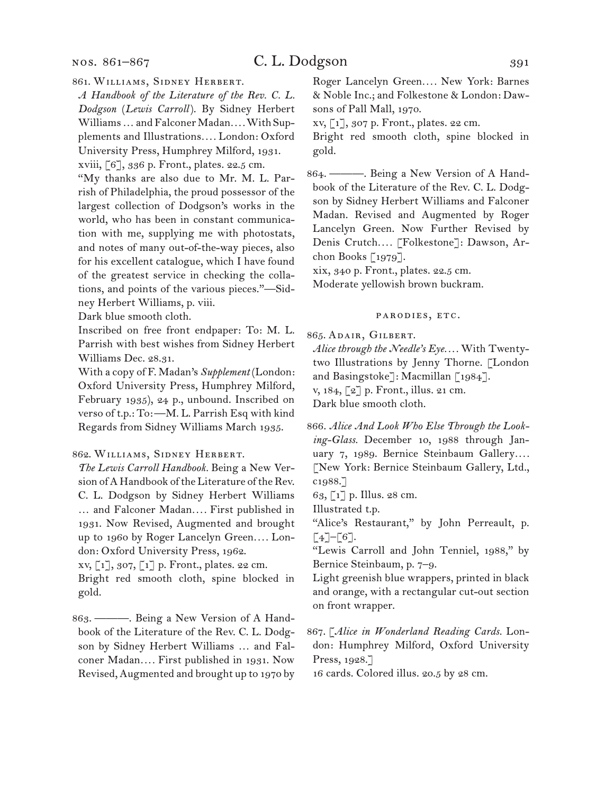#### nos. 861–867

## C. L. Dodgson 391

861. Williams, Sidney Herbert.

*A Handbook of the Literature of the Rev. C. L. Dodgson* (*Lewis Carroll*). By Sidney Herbert Williams … and Falconer Madan*. . . .* With Supplements and Illustrations*. . . .* London: Oxford University Press, Humphrey Milford, 1931. xviii, [6], 336 p. Front., plates. 22.5 cm.

"My thanks are also due to Mr. M. L. Parrish of Philadelphia, the proud possessor of the largest collection of Dodgson's works in the world, who has been in constant communication with me, supplying me with photostats, and notes of many out-of-the-way pieces, also for his excellent catalogue, which I have found of the greatest service in checking the collations, and points of the various pieces."—Sidney Herbert Williams, p. viii.

Dark blue smooth cloth.

Inscribed on free front endpaper: To: M. L. Parrish with best wishes from Sidney Herbert Williams Dec. 28.31.

With a copy of F. Madan's *Supplement* (London: Oxford University Press, Humphrey Milford, February 1935), 24 p., unbound. Inscribed on verso of t.p.: To:—M. L. Parrish Esq with kind Regards from Sidney Williams March 1935.

#### 862. Williams, Sidney Herbert.

*The Lewis Carroll Handbook.* Being a New Version of A Handbook of the Literature of the Rev. C. L. Dodgson by Sidney Herbert Williams … and Falconer Madan*. . . .* First published in 1931. Now Revised, Augmented and brought up to 1960 by Roger Lancelyn Green.... London: Oxford University Press, 1962.

xv, [1], 307, [1] p. Front., plates. 22 cm.

Bright red smooth cloth, spine blocked in gold.

863. ———. Being a New Version of A Handbook of the Literature of the Rev. C. L. Dodgson by Sidney Herbert Williams … and Falconer Madan*. . . .* First published in 1931. Now Revised, Augmented and brought up to 1970 by Roger Lancelyn Green*. . . .* New York: Barnes & Noble Inc.; and Folkestone & London: Dawsons of Pall Mall, 1970.

xv, [1], 307 p. Front., plates. 22 cm.

Bright red smooth cloth, spine blocked in gold.

864. ———. Being a New Version of A Handbook of the Literature of the Rev. C. L. Dodgson by Sidney Herbert Williams and Falconer Madan. Revised and Augmented by Roger Lancelyn Green. Now Further Revised by Denis Crutch*. . . .* [Folkestone]: Dawson, Archon Books [1979].

xix, 340 p. Front., plates. 22.5 cm.

Moderate yellowish brown buckram.

#### parodies, etc.

865. Adair, Gilbert.

*Alice through the Needle's Eye. . . .* With Twentytwo Illustrations by Jenny Thorne. [London and Basingstoke]: Macmillan [1984].

v, 184, [2] p. Front., illus. 21 cm.

Dark blue smooth cloth.

866. *Alice And Look Who Else Through the Looking-Glass.* December 10, 1988 through January 7, 1989. Bernice Steinbaum Gallery.... [New York: Bernice Steinbaum Gallery, Ltd., c1988.]

63, [1] p. Illus. 28 cm.

Illustrated t.p.

"Alice's Restaurant," by John Perreault, p.  $\lceil 4 \rceil - \lceil 6 \rceil$ .

"Lewis Carroll and John Tenniel, 1988," by Bernice Steinbaum, p. 7–9.

Light greenish blue wrappers, printed in black and orange, with a rectangular cut-out section on front wrapper.

867. [*Alice in Wonderland Reading Cards.* London: Humphrey Milford, Oxford University Press, 1928.]

16 cards. Colored illus. 20.5 by 28 cm.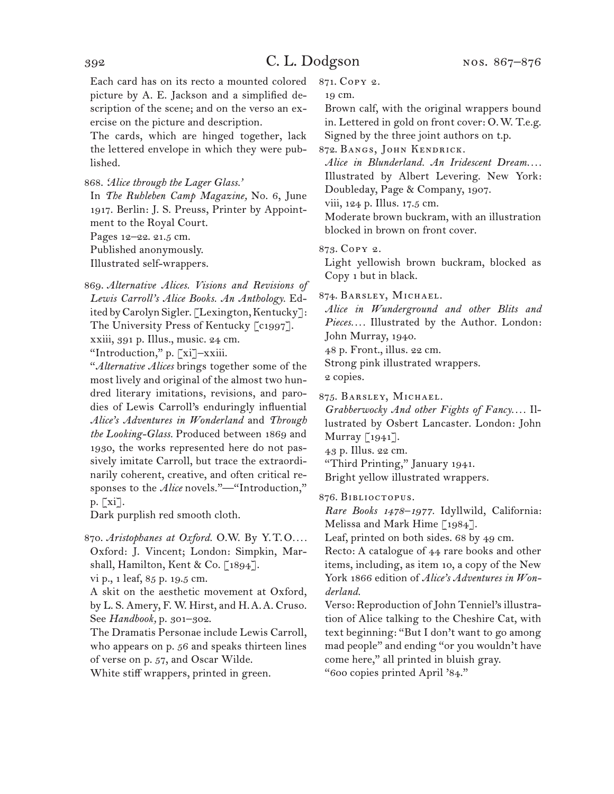Each card has on its recto a mounted colored picture by A. E. Jackson and a simplified description of the scene; and on the verso an exercise on the picture and description.

The cards, which are hinged together, lack the lettered envelope in which they were published.

868. *'Alice through the Lager Glass.'*

In *The Ruhleben Camp Magazine,* No. 6, June 1917. Berlin: J. S. Preuss, Printer by Appointment to the Royal Court.

Pages 12–22. 21.5 cm.

Published anonymously.

Illustrated self-wrappers.

869. *Alternative Alices. Visions and Revisions of Lewis Carroll's Alice Books. An Anthology.* Edited by Carolyn Sigler. [Lexington, Kentucky]: The University Press of Kentucky [c1997].

xxiii, 391 p. Illus., music. 24 cm.

"Introduction," p. [xi]–xxiii.

"*Alternative Alices* brings together some of the most lively and original of the almost two hundred literary imitations, revisions, and parodies of Lewis Carroll's enduringly influential *Alice's Adventures in Wonderland* and *Through the Looking-Glass.* Produced between 1869 and 1930, the works represented here do not passively imitate Carroll, but trace the extraordinarily coherent, creative, and often critical responses to the *Alice* novels."-"Introduction," p. [xi].

Dark purplish red smooth cloth.

870. *Aristophanes at Oxford.* O.W. By Y.T.O*. . . .* Oxford: J. Vincent; London: Simpkin, Marshall, Hamilton, Kent & Co. [1894].

vi p., 1 leaf, 85 p. 19.5 cm.

A skit on the aesthetic movement at Oxford, by L. S. Amery, F. W. Hirst, and H.A.A. Cruso. See *Handbook,* p. 301–302.

The Dramatis Personae include Lewis Carroll, who appears on p. 56 and speaks thirteen lines of verse on p. 57, and Oscar Wilde.

White stiff wrappers, printed in green.

871. Copy 2.

19 cm.

Brown calf, with the original wrappers bound in. Lettered in gold on front cover: O.W. T.e.g. Signed by the three joint authors on t.p.

872. Bangs, John Kendrick.

*Alice in Blunderland. An Iridescent Dream. . . .*  Illustrated by Albert Levering. New York: Doubleday, Page & Company, 1907.

viii, 124 p. Illus. 17.5 cm.

Moderate brown buckram, with an illustration blocked in brown on front cover.

873. Copy 2.

Light yellowish brown buckram, blocked as Copy 1 but in black.

874. Barsley, Michael.

*Alice in Wunderground and other Blits and Pieces. . . .* Illustrated by the Author. London: John Murray, 1940. 48 p. Front., illus. 22 cm. Strong pink illustrated wrappers.

2 copies.

875. Barsley, Michael.

*Grabberwocky And other Fights of Fancy. . . .* Illustrated by Osbert Lancaster. London: John Murray [1941].

43 p. Illus. 22 cm.

"Third Printing," January 1941.

Bright yellow illustrated wrappers.

876. Biblioctopus.

*Rare Books 1478–1977.* Idyllwild, California: Melissa and Mark Hime [1984].

Leaf, printed on both sides. 68 by 49 cm.

Recto: A catalogue of 44 rare books and other items, including, as item 10, a copy of the New York 1866 edition of *Alice's Adventures in Wonderland.*

Verso: Reproduction of John Tenniel's illustration of Alice talking to the Cheshire Cat, with text beginning: "But I don't want to go among mad people" and ending "or you wouldn't have come here," all printed in bluish gray. "600 copies printed April '84."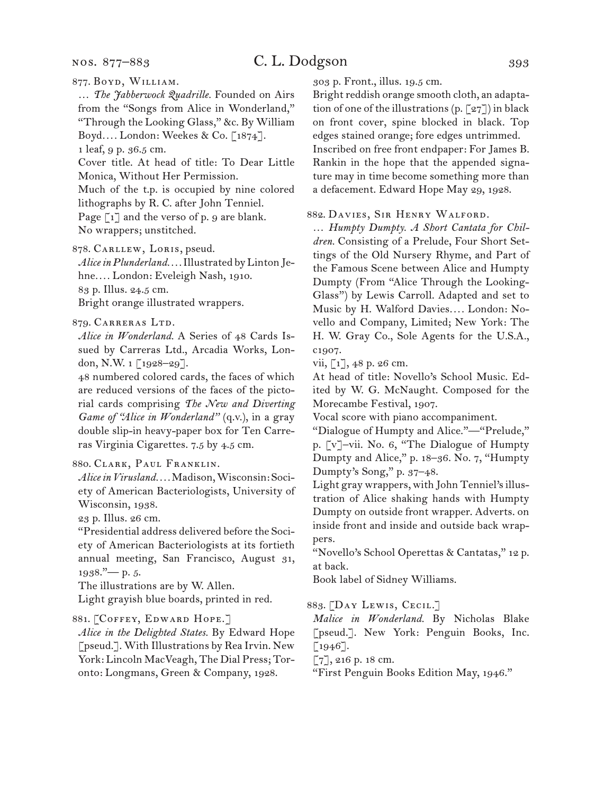#### nos. 877–883

## C. L. Dodgson 393

877. Boyd, William.

… *The Jabberwock Quadrille.* Founded on Airs from the "Songs from Alice in Wonderland," "Through the Looking Glass," &c. By William Boyd*. . . .* London: Weekes & Co. [1874]. 1 leaf, 9 p. 36.5 cm.

Cover title. At head of title: To Dear Little Monica, Without Her Permission.

Much of the t.p. is occupied by nine colored lithographs by R. C. after John Tenniel.

Page  $\lceil 1 \rceil$  and the verso of p. 9 are blank. No wrappers; unstitched.

878. Carllew, Loris, pseud.

*Alice in Plunderland. . . .* Illustrated by Linton Jehne*. . . .* London: Eveleigh Nash, 1910. 83 p. Illus. 24.5 cm.

Bright orange illustrated wrappers.

#### 879. Carreras Ltd.

*Alice in Wonderland.* A Series of 48 Cards Issued by Carreras Ltd., Arcadia Works, London, N.W. 1 [1928–29].

48 numbered colored cards, the faces of which are reduced versions of the faces of the pictorial cards comprising *The New and Diverting Game of "Alice in Wonderland"* (q.v.), in a gray double slip-in heavy-paper box for Ten Carreras Virginia Cigarettes. 7.5 by 4.5 cm.

## 880. Clark, Paul Franklin.

*Alice in Virusland. . . .* Madison, Wisconsin: Society of American Bacteriologists, University of Wisconsin, 1938.

23 p. Illus. 26 cm.

"Presidential address delivered before the Society of American Bacteriologists at its fortieth annual meeting, San Francisco, August 31, 1938."— p. 5.

The illustrations are by W. Allen.

Light grayish blue boards, printed in red.

#### 881. [Coffey, Edward Hope.]

*Alice in the Delighted States.* By Edward Hope [pseud.]. With Illustrations by Rea Irvin. New York: Lincoln MacVeagh, The Dial Press; Toronto: Longmans, Green & Company, 1928.

303 p. Front., illus. 19.5 cm.

Bright reddish orange smooth cloth, an adaptation of one of the illustrations (p.  $[27]$ ) in black on front cover, spine blocked in black. Top edges stained orange; fore edges untrimmed. Inscribed on free front endpaper: For James B. Rankin in the hope that the appended signature may in time become something more than a defacement. Edward Hope May 29, 1928.

#### 882. Davies, Sir Henry Walford.

… *Humpty Dumpty. A Short Cantata for Children.* Consisting of a Prelude, Four Short Settings of the Old Nursery Rhyme, and Part of the Famous Scene between Alice and Humpty Dumpty (From "Alice Through the Looking-Glass") by Lewis Carroll. Adapted and set to Music by H. Walford Davies*. . . .* London: Novello and Company, Limited; New York: The H. W. Gray Co., Sole Agents for the U.S.A., c1907.

vii, [1], 48 p. 26 cm.

At head of title: Novello's School Music. Edited by W. G. McNaught. Composed for the Morecambe Festival, 1907.

Vocal score with piano accompaniment.

"Dialogue of Humpty and Alice."—"Prelude," p. [v]–vii. No. 6, "The Dialogue of Humpty Dumpty and Alice," p. 18–36. No. 7, "Humpty Dumpty's Song," p. 37–48.

Light gray wrappers, with John Tenniel's illustration of Alice shaking hands with Humpty Dumpty on outside front wrapper. Adverts. on inside front and inside and outside back wrappers.

"Novello's School Operettas & Cantatas," 12 p. at back.

Book label of Sidney Williams.

883. [Day Lewis, Cecil.]

*Malice in Wonderland.* By Nicholas Blake [pseud.]. New York: Penguin Books, Inc.  $\lceil 1946 \rceil$ .

[7], 216 p. 18 cm.

"First Penguin Books Edition May, 1946."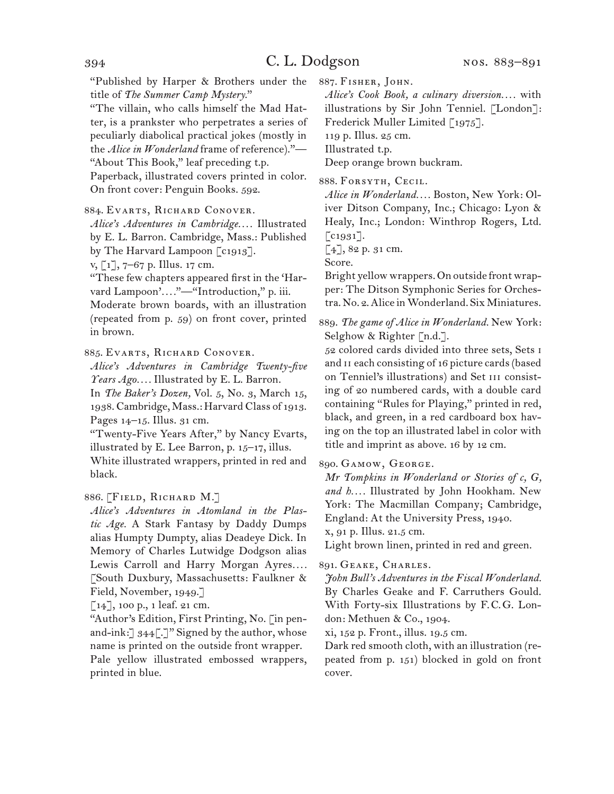"Published by Harper & Brothers under the title of *The Summer Camp Mystery.*"

"The villain, who calls himself the Mad Hatter, is a prankster who perpetrates a series of peculiarly diabolical practical jokes (mostly in the *Alice in Wonderland* frame of reference)."— "About This Book," leaf preceding t.p. Paperback, illustrated covers printed in color. On front cover: Penguin Books. 592.

### 884. Evarts, Richard Conover.

*Alice's Adventures in Cambridge. . . .* Illustrated by E. L. Barron. Cambridge, Mass.: Published by The Harvard Lampoon [c1913].

v, [1], 7–67 p. Illus. 17 cm.

"These few chapters appeared first in the 'Harvard Lampoon'...."-"Introduction," p. iii. Moderate brown boards, with an illustration (repeated from p. 59) on front cover, printed in brown.

885. Evarts, Richard Conover.

*Alice's Adventures in Cambridge Twenty-five Years Ago. . . .* Illustrated by E. L. Barron.

In *The Baker's Dozen,* Vol. 5, No. 3, March 15, 1938. Cambridge, Mass.: Harvard Class of 1913. Pages 14–15. Illus. 31 cm.

"Twenty-Five Years After," by Nancy Evarts, illustrated by E. Lee Barron, p. 15–17, illus.

White illustrated wrappers, printed in red and black.

## 886. [Field, Richard M.]

*Alice's Adventures in Atomland in the Plastic Age.* A Stark Fantasy by Daddy Dumps alias Humpty Dumpty, alias Deadeye Dick. In Memory of Charles Lutwidge Dodgson alias Lewis Carroll and Harry Morgan Ayres.... [South Duxbury, Massachusetts: Faulkner & Field, November, 1949.]

[14], 100 p., 1 leaf. 21 cm.

"Author's Edition, First Printing, No. [in penand-ink:]  $344$ [.]" Signed by the author, whose name is printed on the outside front wrapper. Pale yellow illustrated embossed wrappers, printed in blue.

887. Fisher, John.

*Alice's Cook Book, a culinary diversion. . . .* with illustrations by Sir John Tenniel. [London]: Frederick Muller Limited [1975].

119 p. Illus. 25 cm.

Illustrated t.p.

Deep orange brown buckram.

888. Forsyth, Cecil.

*Alice in Wonderland. . . .* Boston, New York: Oliver Ditson Company, Inc.; Chicago: Lyon & Healy, Inc.; London: Winthrop Rogers, Ltd. [c<sub>1931</sub>].

[4], 82 p. 31 cm.

Score.

Bright yellow wrappers. On outside front wrapper: The Ditson Symphonic Series for Orchestra. No. 2. Alice in Wonderland. Six Miniatures.

889. *The game of Alice in Wonderland.* New York: Selghow & Righter [n.d.].

52 colored cards divided into three sets, Sets i and II each consisting of 16 picture cards (based on Tenniel's illustrations) and Set III consisting of 20 numbered cards, with a double card containing "Rules for Playing," printed in red, black, and green, in a red cardboard box having on the top an illustrated label in color with title and imprint as above. 16 by 12 cm.

890. Gamow, George.

*Mr Tompkins in Wonderland or Stories of c, G, and h. . . .* Illustrated by John Hookham. New York: The Macmillan Company; Cambridge, England: At the University Press, 1940.

x, 91 p. Illus. 21.5 cm.

Light brown linen, printed in red and green.

### 891. Geake, Charles.

*John Bull's Adventures in the Fiscal Wonderland.* By Charles Geake and F. Carruthers Gould. With Forty-six Illustrations by F.C.G. London: Methuen & Co., 1904.

xi, 152 p. Front., illus. 19.5 cm.

Dark red smooth cloth, with an illustration (repeated from p. 151) blocked in gold on front cover.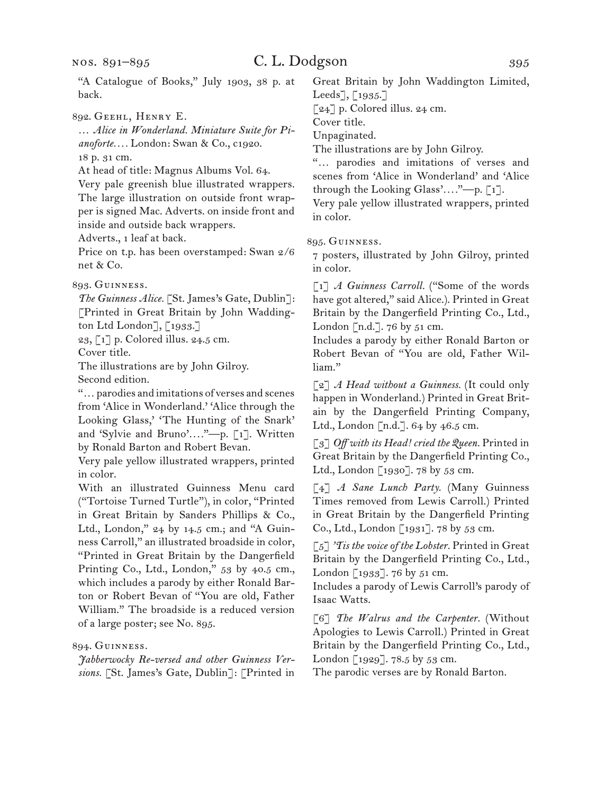## C. L. Dodgson 395

"A Catalogue of Books," July 1903, 38 p. at back.

892. Geehl, Henry E.

… *Alice in Wonderland. Miniature Suite for Pianoforte. . . .* London: Swan & Co., c1920. 18 p. 31 cm.

At head of title: Magnus Albums Vol. 64.

Very pale greenish blue illustrated wrappers. The large illustration on outside front wrapper is signed Mac. Adverts. on inside front and inside and outside back wrappers.

Adverts., 1 leaf at back.

Price on t.p. has been overstamped: Swan 2/6 net & Co.

893. Guinness.

*The Guinness Alice.* [St. James's Gate, Dublin]: [Printed in Great Britain by John Waddington Ltd London], [1933.]

23, [1] p. Colored illus. 24.5 cm.

Cover title.

The illustrations are by John Gilroy.

Second edition.

"… parodies and imitations of verses and scenes from 'Alice in Wonderland.' 'Alice through the Looking Glass,' 'The Hunting of the Snark' and 'Sylvie and Bruno'*. . . .*"—p. [1]. Written by Ronald Barton and Robert Bevan.

Very pale yellow illustrated wrappers, printed in color.

With an illustrated Guinness Menu card ("Tortoise Turned Turtle"), in color, "Printed in Great Britain by Sanders Phillips & Co., Ltd., London," 24 by 14.5 cm.; and "A Guinness Carroll," an illustrated broadside in color, "Printed in Great Britain by the Dangerfield Printing Co., Ltd., London," 53 by 40.5 cm., which includes a parody by either Ronald Barton or Robert Bevan of "You are old, Father William." The broadside is a reduced version of a large poster; see No. 895.

894. Guinness.

*Jabberwocky Re-versed and other Guinness Versions.* [St. James's Gate, Dublin]: [Printed in

Great Britain by John Waddington Limited, Leeds], [1935.]

[24] p. Colored illus. 24 cm.

Cover title.

Unpaginated.

The illustrations are by John Gilroy.

"… parodies and imitations of verses and scenes from 'Alice in Wonderland' and 'Alice through the Looking Glass'*. . . .*"—p. [1].

Very pale yellow illustrated wrappers, printed in color.

895. Guinness.

7 posters, illustrated by John Gilroy, printed in color.

[1] *A Guinness Carroll.* ("Some of the words have got altered," said Alice.). Printed in Great Britain by the Dangerfield Printing Co., Ltd., London  $[n.d.]$ . 76 by 51 cm.

Includes a parody by either Ronald Barton or Robert Bevan of "You are old, Father William."

[2] *A Head without a Guinness.* (It could only happen in Wonderland.) Printed in Great Britain by the Dangerfield Printing Company, Ltd., London  $\lceil n.d.\rceil$ . 64 by 46.5 cm.

[3] *Off with its Head! cried the Queen.* Printed in Great Britain by the Dangerfield Printing Co., Ltd., London [1930]. 78 by 53 cm.

[4] *A Sane Lunch Party.* (Many Guinness Times removed from Lewis Carroll.) Printed in Great Britain by the Dangerfield Printing Co., Ltd., London [1931]. 78 by 53 cm.

[5] *'Tis the voice of the Lobster.* Printed in Great Britain by the Dangerfield Printing Co., Ltd., London [1933]. 76 by 51 cm.

Includes a parody of Lewis Carroll's parody of Isaac Watts.

[6] *The Walrus and the Carpenter.* (Without Apologies to Lewis Carroll.) Printed in Great Britain by the Dangerfield Printing Co., Ltd., London [1929]. 78.5 by 53 cm.

The parodic verses are by Ronald Barton.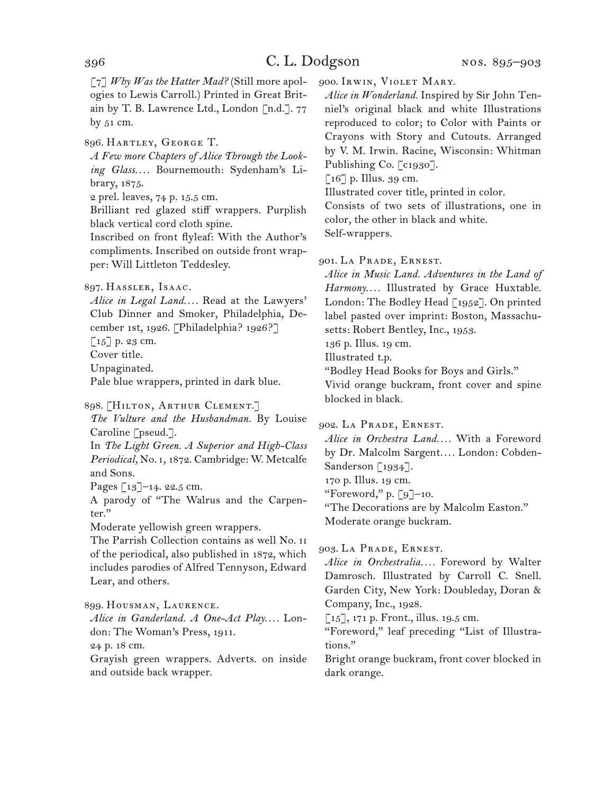[7] *Why Was the Hatter Mad?* (Still more apologies to Lewis Carroll.) Printed in Great Britain by T. B. Lawrence Ltd., London [n.d.]. 77 by 51 cm.

896. Hartley, George T.

*A Few more Chapters of Alice Through the Looking Glass. . . .* Bournemouth: Sydenham's Library, 1875.

2 prel. leaves, 74 p. 15.5 cm.

Brilliant red glazed stiff wrappers. Purplish black vertical cord cloth spine.

Inscribed on front flyleaf: With the Author's compliments. Inscribed on outside front wrapper: Will Littleton Teddesley.

*Alice in Legal Land. . . .* Read at the Lawyers' Club Dinner and Smoker, Philadelphia, December 1st, 1926. [Philadelphia? 1926?]

 $\lceil 15 \rceil$  p. 23 cm.

Cover title.

Unpaginated.

Pale blue wrappers, printed in dark blue.

898. [Hilton, Arthur Clement.]

*The Vulture and the Husbandman.* By Louise Caroline [pseud.].

In *The Light Green. A Superior and High-Class Periodical,* No. i, 1872. Cambridge: W. Metcalfe and Sons.

Pages  $\lceil 13 \rceil$ –14. 22.5 cm.

A parody of "The Walrus and the Carpenter."

Moderate yellowish green wrappers.

The Parrish Collection contains as well No. ii of the periodical, also published in 1872, which includes parodies of Alfred Tennyson, Edward Lear, and others.

899. Housman, Laurence.

*Alice in Ganderland. A One-Act Play. . . .* London: The Woman's Press, 1911.

24 p. 18 cm.

Grayish green wrappers. Adverts. on inside and outside back wrapper.

900. Irwin, Violet Mary.

*Alice in Wonderland.* Inspired by Sir John Tenniel's original black and white Illustrations reproduced to color; to Color with Paints or Crayons with Story and Cutouts. Arranged by V. M. Irwin. Racine, Wisconsin: Whitman Publishing Co. [c1930].

 $\lceil 16 \rceil$  p. Illus. 39 cm.

Illustrated cover title, printed in color.

Consists of two sets of illustrations, one in color, the other in black and white. Self-wrappers.

901. La Prade, Ernest.

*Alice in Music Land. Adventures in the Land of Harmony. . . .* Illustrated by Grace Huxtable. London: The Bodley Head [1952]. On printed label pasted over imprint: Boston, Massachusetts: Robert Bentley, Inc., 1953. 136 p. Illus. 19 cm. Illustrated t.p. "Bodley Head Books for Boys and Girls."

Vivid orange buckram, front cover and spine blocked in black.

902. La Prade, Ernest.

*Alice in Orchestra Land. . . .* With a Foreword by Dr. Malcolm Sargent*. . . .* London: Cobden-Sanderson [1934].

170 p. Illus. 19 cm.

"Foreword," p.  $\lceil 9 \rceil$ –10.

"The Decorations are by Malcolm Easton." Moderate orange buckram.

903. La Prade, Ernest.

*Alice in Orchestralia. . . .* Foreword by Walter Damrosch. Illustrated by Carroll C. Snell. Garden City, New York: Doubleday, Doran & Company, Inc., 1928.

[15], 171 p. Front., illus. 19.5 cm.

"Foreword," leaf preceding "List of Illustrations."

Bright orange buckram, front cover blocked in dark orange.

<sup>897.</sup> Hassler, Isaac.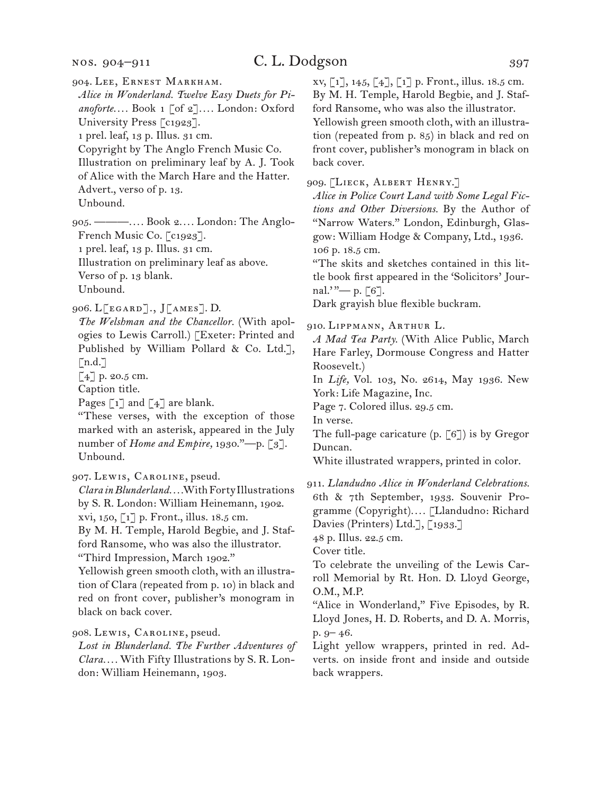#### nos. 904–911

904. Lee, Ernest Markham.

*Alice in Wonderland. Twelve Easy Duets for Pianoforte. . . .* Book 1 [of 2]*. . . .* London: Oxford University Press [c1923].

1 prel. leaf, 13 p. Illus. 31 cm.

Copyright by The Anglo French Music Co.

Illustration on preliminary leaf by A. J. Took

of Alice with the March Hare and the Hatter.

Advert., verso of p. 13.

Unbound.

905. ———*. . . .* Book 2*. . . .* London: The Anglo-French Music Co. [c1923]. 1 prel. leaf, 13 p. Illus. 31 cm.

Illustration on preliminary leaf as above. Verso of p. 13 blank.

Unbound.

906. L[egard]., J[ames]. D.

*The Welshman and the Chancellor.* (With apologies to Lewis Carroll.) [Exeter: Printed and Published by William Pollard & Co. Ltd.],  $\lceil n.d.\rceil$ 

[4] p. 20.5 cm.

Caption title.

Pages  $\lceil 1 \rceil$  and  $\lceil 4 \rceil$  are blank.

"These verses, with the exception of those marked with an asterisk, appeared in the July number of *Home and Empire,* 1930."—p. [3]. Unbound.

907. Lewis, Caroline, pseud.

*Clara in Blunderland. . . .* With Forty Illustrations by S. R. London: William Heinemann, 1902. xvi, 150, [1] p. Front., illus. 18.5 cm. By M. H. Temple, Harold Begbie, and J. Staf-

ford Ransome, who was also the illustrator. "Third Impression, March 1902."

Yellowish green smooth cloth, with an illustration of Clara (repeated from p. 10) in black and red on front cover, publisher's monogram in black on back cover.

908. Lewis, Caroline, pseud.

*Lost in Blunderland. The Further Adventures of Clara. . . .* With Fifty Illustrations by S. R. London: William Heinemann, 1903.

xv, [1], 145, [4], [1] p. Front., illus. 18.5 cm. By M. H. Temple, Harold Begbie, and J. Stafford Ransome, who was also the illustrator. Yellowish green smooth cloth, with an illustration (repeated from p. 85) in black and red on front cover, publisher's monogram in black on back cover.

909. [Lieck, Albert Henry.]

*Alice in Police Court Land with Some Legal Fictions and Other Diversions.* By the Author of "Narrow Waters." London, Edinburgh, Glasgow: William Hodge & Company, Ltd., 1936. 106 p. 18.5 cm.

"The skits and sketches contained in this little book first appeared in the 'Solicitors' Journal.'"— p.  $\lceil 6 \rceil$ .

Dark grayish blue flexible buckram.

910. Lippmann, Arthur L.

*A Mad Tea Party.* (With Alice Public, March Hare Farley, Dormouse Congress and Hatter Roosevelt.)

In *Life,* Vol. 103, No. 2614, May 1936. New York: Life Magazine, Inc.

Page 7. Colored illus. 29.5 cm.

In verse.

The full-page caricature  $(p, [6])$  is by Gregor Duncan.

White illustrated wrappers, printed in color.

911. *Llandudno Alice in Wonderland Celebrations.*  6th & 7th September, 1933. Souvenir Programme (Copyright)*. . . .* [Llandudno: Richard Davies (Printers) Ltd.], [1933.]

48 p. Illus. 22.5 cm.

Cover title.

To celebrate the unveiling of the Lewis Carroll Memorial by Rt. Hon. D. Lloyd George, O.M., M.P.

"Alice in Wonderland," Five Episodes, by R. Lloyd Jones, H. D. Roberts, and D. A. Morris, p. 9– 46.

Light yellow wrappers, printed in red. Adverts. on inside front and inside and outside back wrappers.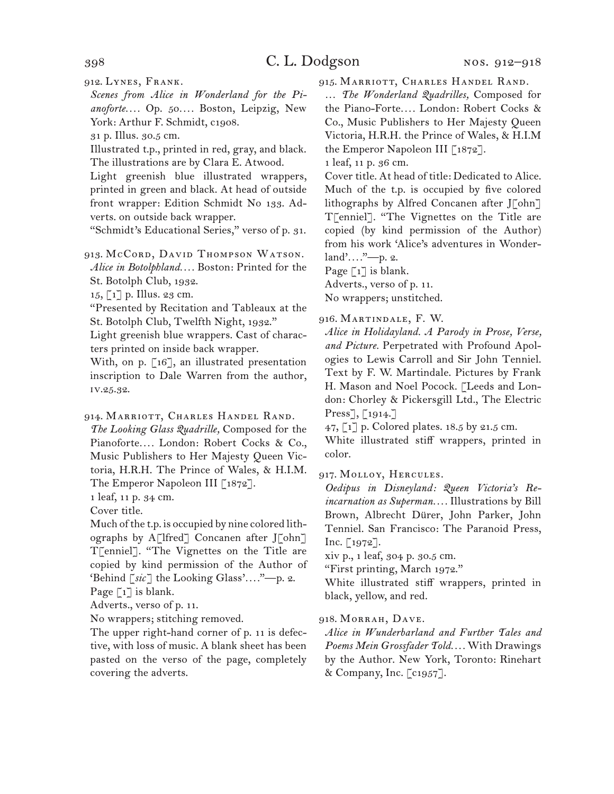912. Lynes, Frank.

*Scenes from Alice in Wonderland for the Pianoforte. . . .* Op. 50*. . . .* Boston, Leipzig, New York: Arthur F. Schmidt, c1908.

31 p. Illus. 30.5 cm.

Illustrated t.p., printed in red, gray, and black. The illustrations are by Clara E. Atwood.

Light greenish blue illustrated wrappers, printed in green and black. At head of outside front wrapper: Edition Schmidt No 133. Adverts. on outside back wrapper.

"Schmidt's Educational Series," verso of p. 31.

913. McCord, DAVID THOMPSON WATSON. *Alice in Botolphland. . . .* Boston: Printed for the St. Botolph Club, 1932.

 $15, \lceil 1 \rceil$  p. Illus. 23 cm.

"Presented by Recitation and Tableaux at the St. Botolph Club, Twelfth Night, 1932."

Light greenish blue wrappers. Cast of characters printed on inside back wrapper.

With, on p. [16], an illustrated presentation inscription to Dale Warren from the author, iv.25.32.

914. Marriott, Charles Handel Rand.

*The Looking Glass Quadrille,* Composed for the Pianoforte*. . . .* London: Robert Cocks & Co., Music Publishers to Her Majesty Queen Victoria, H.R.H. The Prince of Wales, & H.I.M. The Emperor Napoleon III [1872].

1 leaf, 11 p. 34 cm.

Cover title.

Much of the t.p. is occupied by nine colored lithographs by A[lfred] Concanen after J[ohn] T[enniel]. "The Vignettes on the Title are copied by kind permission of the Author of 'Behind [*sic*] the Looking Glass'*. . . .*"—p. 2. Page  $\lceil 1 \rceil$  is blank.

Adverts., verso of p. 11.

No wrappers; stitching removed.

The upper right-hand corner of p. 11 is defective, with loss of music. A blank sheet has been pasted on the verso of the page, completely covering the adverts.

915. Marriott, Charles Handel Rand.

… *The Wonderland Quadrilles,* Composed for the Piano-Forte*. . . .* London: Robert Cocks & Co., Music Publishers to Her Majesty Queen Victoria, H.R.H. the Prince of Wales, & H.I.M the Emperor Napoleon III [1872].

1 leaf, 11 p. 36 cm.

Cover title. At head of title: Dedicated to Alice. Much of the t.p. is occupied by five colored lithographs by Alfred Concanen after J[ohn] T[enniel]. "The Vignettes on the Title are copied (by kind permission of the Author) from his work 'Alice's adventures in Wonderland'*. . . .*"—p. 2.

Page  $\lceil 1 \rceil$  is blank.

Adverts., verso of p. 11.

No wrappers; unstitched.

916. Martindale, F. W.

*Alice in Holidayland. A Parody in Prose, Verse, and Picture.* Perpetrated with Profound Apologies to Lewis Carroll and Sir John Tenniel. Text by F. W. Martindale. Pictures by Frank H. Mason and Noel Pocock. [Leeds and London: Chorley & Pickersgill Ltd., The Electric Press], [1914.]

47, [1] p. Colored plates. 18.5 by 21.5 cm.

White illustrated stiff wrappers, printed in color.

917. Molloy, Hercules.

*Oedipus in Disneyland: Queen Victoria's Reincarnation as Superman. . . .* Illustrations by Bill Brown, Albrecht Dürer, John Parker, John Tenniel. San Francisco: The Paranoid Press, Inc.  $\left[1972\right]$ .

xiv p., 1 leaf, 304 p. 30.5 cm.

"First printing, March 1972."

White illustrated stiff wrappers, printed in black, yellow, and red.

#### 918. Morrah, Dave.

*Alice in Wunderbarland and Further Tales and Poems Mein Grossfader Told. . . .* With Drawings by the Author. New York, Toronto: Rinehart & Company, Inc. [c1957].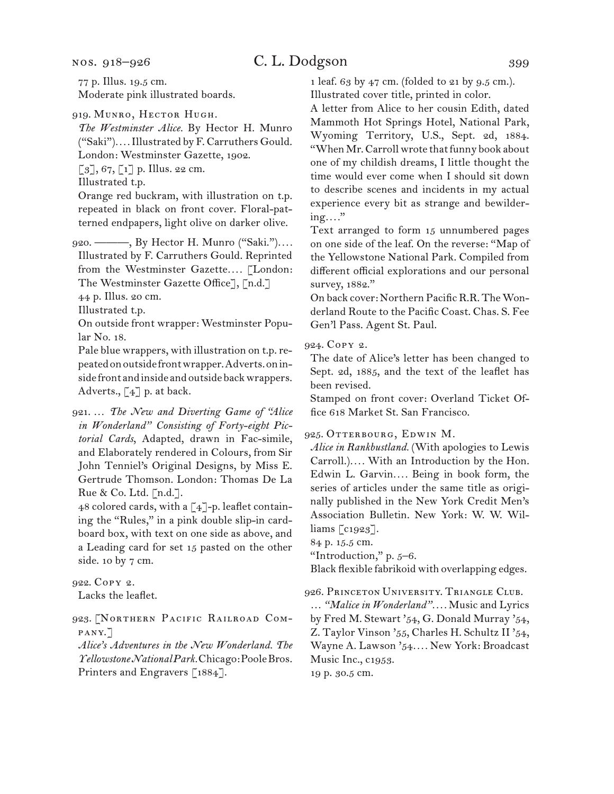nos. 918–926

## C. L. Dodgson 399

77 p. Illus. 19.5 cm. Moderate pink illustrated boards.

## 919. MUNRO, HECTOR HUGH.

*The Westminster Alice.* By Hector H. Munro ("Saki")*. . . .* Illustrated by F. Carruthers Gould. London: Westminster Gazette, 1902.  $\lbrack 3 \rbrack, 67, \lbrack 1 \rbrack$  p. Illus. 22 cm.

Illustrated t.p.

Orange red buckram, with illustration on t.p. repeated in black on front cover. Floral-patterned endpapers, light olive on darker olive.

920. ———, By Hector H. Munro ("Saki.")*. . . .*  Illustrated by F. Carruthers Gould. Reprinted from the Westminster Gazette.... [London: The Westminster Gazette Office], [n.d.]

44 p. Illus. 20 cm.

Illustrated t.p.

On outside front wrapper: Westminster Popular No. 18.

Pale blue wrappers, with illustration on t.p. repeated on outside front wrapper. Adverts. on inside front and inside and outside back wrappers. Adverts.,  $\lceil 4 \rceil$  p. at back.

921. … *The New and Diverting Game of "Alice in Wonderland" Consisting of Forty-eight Pictorial Cards*, Adapted, drawn in Fac-simile, and Elaborately rendered in Colours, from Sir John Tenniel's Original Designs, by Miss E. Gertrude Thomson. London: Thomas De La Rue & Co. Ltd. [n.d.].

48 colored cards, with a [4]-p. leaflet containing the "Rules," in a pink double slip-in cardboard box, with text on one side as above, and a Leading card for set 15 pasted on the other side. 10 by 7 cm.

922. Copy 2. Lacks the leaflet.

923. [Northern Pacific Railroad Company.]

*Alice's Adventures in the New Wonderland. The Yellowstone National Park.* Chicago: Poole Bros. Printers and Engravers [1884].

1 leaf. 63 by 47 cm. (folded to 21 by 9.5 cm.). Illustrated cover title, printed in color.

A letter from Alice to her cousin Edith, dated Mammoth Hot Springs Hotel, National Park, Wyoming Territory, U.S., Sept. 2d, 1884. "When Mr. Carroll wrote that funny book about one of my childish dreams, I little thought the time would ever come when I should sit down to describe scenes and incidents in my actual experience every bit as strange and bewildering*. . . .*"

Text arranged to form 15 unnumbered pages on one side of the leaf. On the reverse: "Map of the Yellowstone National Park. Compiled from different official explorations and our personal survey, 1882."

On back cover: Northern Pacific R.R. The Wonderland Route to the Pacific Coast. Chas. S. Fee Gen'l Pass. Agent St. Paul.

924. Copy 2.

The date of Alice's letter has been changed to Sept. 2d, 1885, and the text of the leaflet has been revised.

Stamped on front cover: Overland Ticket Office 618 Market St. San Francisco.

## 925. Otterbourg, Edwin M.

*Alice in Rankbustland.* (With apologies to Lewis Carroll.)*. . . .* With an Introduction by the Hon. Edwin L. Garvin.... Being in book form, the series of articles under the same title as originally published in the New York Credit Men's Association Bulletin. New York: W. W. Williams [c1923].

84 p. 15.5 cm.

"Introduction," p. 5–6.

Black flexible fabrikoid with overlapping edges.

926. Princeton University. Triangle Club.

… *"Malice in Wonderland". . . .* Music and Lyrics by Fred M. Stewart '54, G. Donald Murray '54, Z. Taylor Vinson '55, Charles H. Schultz II '54, Wayne A. Lawson '54*. . . .* New York: Broadcast Music Inc., c1953.

19 p. 30.5 cm.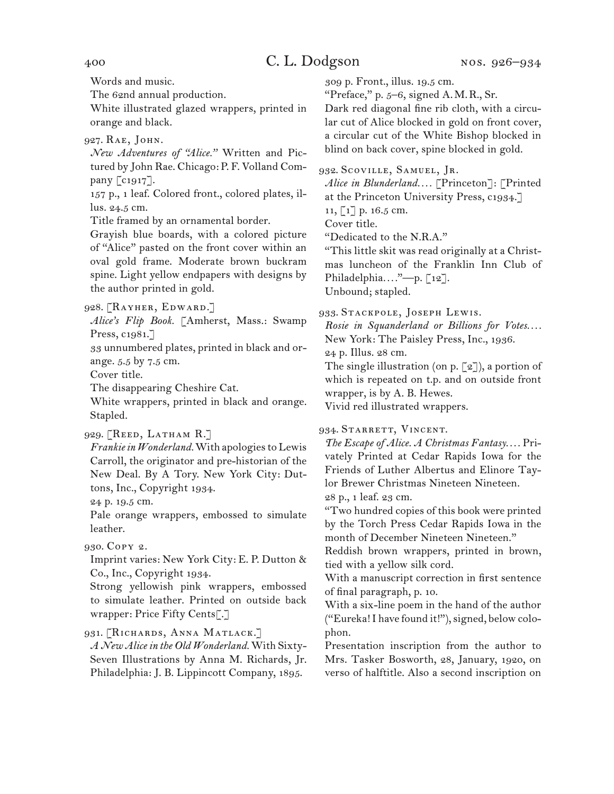Words and music. The 62nd annual production.

White illustrated glazed wrappers, printed in orange and black.

927. Rae, John.

*New Adventures of "Alice."* Written and Pictured by John Rae. Chicago: P. F. Volland Company [c1917].

157 p., 1 leaf. Colored front., colored plates, illus. 24.5 cm.

Title framed by an ornamental border.

Grayish blue boards, with a colored picture of "Alice" pasted on the front cover within an oval gold frame. Moderate brown buckram spine. Light yellow endpapers with designs by the author printed in gold.

928. [Rayher, Edward.]

*Alice's Flip Book.* [Amherst, Mass.: Swamp Press, c1981.]

33 unnumbered plates, printed in black and orange. 5.5 by 7.5 cm.

Cover title.

The disappearing Cheshire Cat.

White wrappers, printed in black and orange. Stapled.

929. [Reed, Latham R.]

*Frankie in Wonderland.* With apologies to Lewis Carroll, the originator and pre-historian of the New Deal. By A Tory. New York City: Duttons, Inc., Copyright 1934.

24 p. 19.5 cm.

Pale orange wrappers, embossed to simulate leather.

930. Copy 2.

Imprint varies: New York City: E. P. Dutton & Co., Inc., Copyright 1934.

Strong yellowish pink wrappers, embossed to simulate leather. Printed on outside back wrapper: Price Fifty Cents[.]

931. [Richards, Anna Matlack.]

*A New Alice in the Old Wonderland.* With Sixty-Seven Illustrations by Anna M. Richards, Jr. Philadelphia: J. B. Lippincott Company, 1895.

309 p. Front., illus. 19.5 cm.

"Preface," p. 5–6, signed A.M.R., Sr.

Dark red diagonal fine rib cloth, with a circular cut of Alice blocked in gold on front cover, a circular cut of the White Bishop blocked in blind on back cover, spine blocked in gold.

932. Scoville, Samuel, Jr.

*Alice in Blunderland. . . .* [Princeton]: [Printed at the Princeton University Press, c1934.]

11, [1] p. 16.5 cm.

Cover title.

"Dedicated to the N.R.A."

"This little skit was read originally at a Christmas luncheon of the Franklin Inn Club of Philadelphia*. . . .*"—p. [12].

Unbound; stapled.

933. Stackpole, Joseph Lewis.

*Rosie in Squanderland or Billions for Votes. . . .* New York: The Paisley Press, Inc., 1936.

24 p. Illus. 28 cm.

The single illustration (on p.  $\lceil 2 \rceil$ ), a portion of which is repeated on t.p. and on outside front wrapper, is by A. B. Hewes.

Vivid red illustrated wrappers.

934. STARRETT, VINCENT.

*The Escape of Alice. A Christmas Fantasy. . . .* Privately Printed at Cedar Rapids Iowa for the Friends of Luther Albertus and Elinore Taylor Brewer Christmas Nineteen Nineteen.

28 p., 1 leaf. 23 cm.

"Two hundred copies of this book were printed by the Torch Press Cedar Rapids Iowa in the month of December Nineteen Nineteen."

Reddish brown wrappers, printed in brown, tied with a yellow silk cord.

With a manuscript correction in first sentence of final paragraph, p. 10.

With a six-line poem in the hand of the author ("Eureka! I have found it!"), signed, below colophon.

Presentation inscription from the author to Mrs. Tasker Bosworth, 28, January, 1920, on verso of halftitle. Also a second inscription on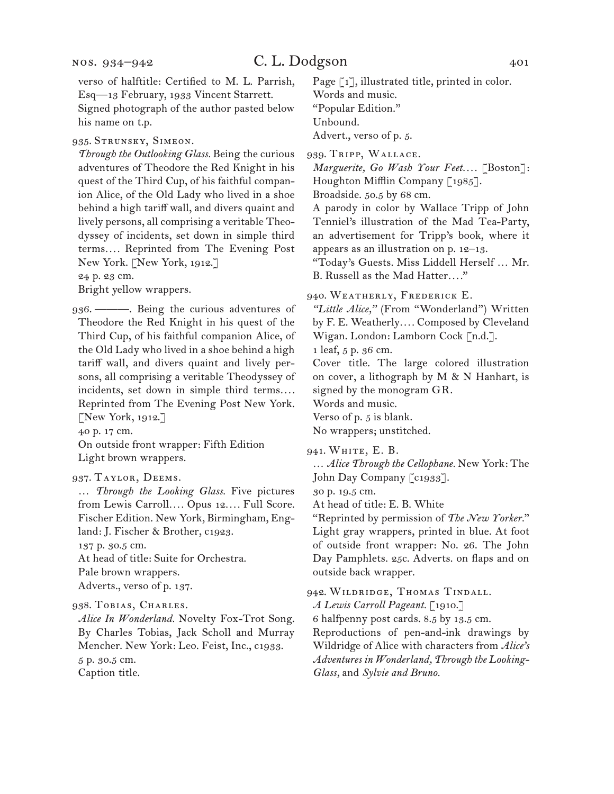verso of halftitle: Certified to M. L. Parrish, Esq—13 February, 1933 Vincent Starrett. Signed photograph of the author pasted below his name on t.p.

935. Strunsky, Simeon.

*Through the Outlooking Glass.* Being the curious adventures of Theodore the Red Knight in his quest of the Third Cup, of his faithful companion Alice, of the Old Lady who lived in a shoe behind a high tariff wall, and divers quaint and lively persons, all comprising a veritable Theodyssey of incidents, set down in simple third terms*. . . .* Reprinted from The Evening Post New York. [New York, 1912.] 24 p. 23 cm.

Bright yellow wrappers.

936. ———. Being the curious adventures of Theodore the Red Knight in his quest of the Third Cup, of his faithful companion Alice, of the Old Lady who lived in a shoe behind a high tariff wall, and divers quaint and lively persons, all comprising a veritable Theodyssey of incidents, set down in simple third terms*. . . .* Reprinted from The Evening Post New York. [New York, 1912.]

40 p. 17 cm.

On outside front wrapper: Fifth Edition Light brown wrappers.

#### 937. Taylor, Deems.

… *Through the Looking Glass.* Five pictures from Lewis Carroll*. . . .* Opus 12*. . . .* Full Score. Fischer Edition. New York, Birmingham, England: J. Fischer & Brother, c1923. 137 p. 30.5 cm.

At head of title: Suite for Orchestra.

Pale brown wrappers.

Adverts., verso of p. 137.

938. Tobias, Charles.

*Alice In Wonderland.* Novelty Fox-Trot Song. By Charles Tobias, Jack Scholl and Murray Mencher. New York: Leo. Feist, Inc., c1933. 5 p. 30.5 cm. Caption title.

Page [1], illustrated title, printed in color. Words and music. "Popular Edition." Unbound. Advert., verso of p. 5.

939. Tripp, Wallace.

*Marguerite, Go Wash Your Feet. . . .* [Boston]: Houghton Mifflin Company [1985].

Broadside. 50.5 by 68 cm.

A parody in color by Wallace Tripp of John Tenniel's illustration of the Mad Tea-Party, an advertisement for Tripp's book, where it appears as an illustration on p. 12–13.

"Today's Guests. Miss Liddell Herself … Mr. B. Russell as the Mad Hatter*. . . .*"

940. Weatherly, Frederick E.

*"Little Alice,"* (From "Wonderland") Written by F. E. Weatherly*. . . .* Composed by Cleveland Wigan. London: Lamborn Cock [n.d.].

1 leaf, 5 p. 36 cm.

Cover title. The large colored illustration on cover, a lithograph by M & N Hanhart, is signed by the monogram GR.

Words and music.

Verso of p. 5 is blank.

No wrappers; unstitched.

941. WHITE, E. B.

… *Alice Through the Cellophane.* New York: The John Day Company [c1933].

30 p. 19.5 cm.

At head of title: E. B. White

"Reprinted by permission of *The New Yorker.*" Light gray wrappers, printed in blue. At foot of outside front wrapper: No. 26. The John Day Pamphlets. 25c. Adverts. on flaps and on outside back wrapper.

942. Wildridge, Thomas Tindall.

*A Lewis Carroll Pageant.* [1910.]

6 halfpenny post cards. 8.5 by 13.5 cm.

Reproductions of pen-and-ink drawings by Wildridge of Alice with characters from *Alice's Adventures in Wonderland, Through the Looking-Glass,* and *Sylvie and Bruno.*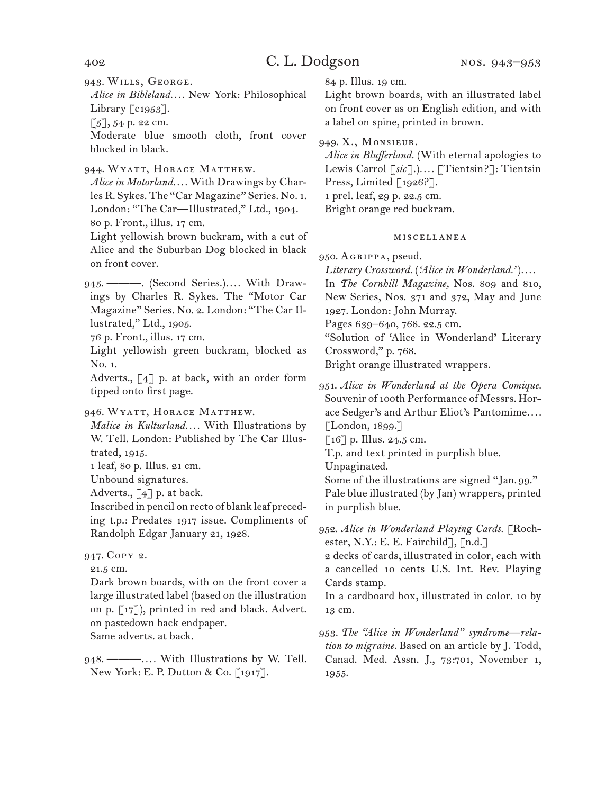943. Wills, George.

*Alice in Bibleland. . . .* New York: Philosophical Library [c1953].

 $[5]$ , 54 p. 22 cm.

Moderate blue smooth cloth, front cover blocked in black.

944. Wyatt, Horace Matthew.

*Alice in Motorland. . . .* With Drawings by Charles R. Sykes. The "Car Magazine" Series. No. 1. London: "The Car—Illustrated," Ltd., 1904. 80 p. Front., illus. 17 cm.

Light yellowish brown buckram, with a cut of Alice and the Suburban Dog blocked in black on front cover.

945. ———. (Second Series.)*. . . .* With Drawings by Charles R. Sykes. The "Motor Car Magazine" Series. No. 2. London: "The Car Illustrated," Ltd., 1905.

76 p. Front., illus. 17 cm.

Light yellowish green buckram, blocked as No. 1.

Adverts., [4] p. at back, with an order form tipped onto first page.

946. Wyatt, Horace Matthew.

*Malice in Kulturland. . . .* With Illustrations by W. Tell. London: Published by The Car Illustrated, 1915.

1 leaf, 80 p. Illus. 21 cm.

Unbound signatures.

Adverts.,  $\lceil 4 \rceil$  p. at back.

Inscribed in pencil on recto of blank leaf preceding t.p.: Predates 1917 issue. Compliments of Randolph Edgar January 21, 1928.

## 947. Copy 2.

21.5 cm.

Dark brown boards, with on the front cover a large illustrated label (based on the illustration on p. [17]), printed in red and black. Advert. on pastedown back endpaper. Same adverts. at back.

948. ———*. . . .* With Illustrations by W. Tell. New York: E. P. Dutton & Co. [1917].

84 p. Illus. 19 cm.

Light brown boards, with an illustrated label on front cover as on English edition, and with a label on spine, printed in brown.

949. X., Monsieur.

*Alice in Blufferland.* (With eternal apologies to Lewis Carrol [*sic*].)*. . . .* [Tientsin?]: Tientsin Press, Limited [1926?].

1 prel. leaf, 29 p. 22.5 cm.

Bright orange red buckram.

## miscellanea

950. Agrippa, pseud.

*Literary Crossword.* (*'Alice in Wonderland.'*)*. . . .* In *The Cornhill Magazine,* Nos. 809 and 810, New Series, Nos. 371 and 372, May and June

1927. London: John Murray. Pages 639–640, 768. 22.5 cm.

"Solution of 'Alice in Wonderland' Literary Crossword," p. 768.

Bright orange illustrated wrappers.

951. *Alice in Wonderland at the Opera Comique.*  Souvenir of 100th Performance of Messrs. Horace Sedger's and Arthur Eliot's Pantomime*. . . .* [London, 1899.]

 $\lceil 16 \rceil$  p. Illus. 24.5 cm.

T.p. and text printed in purplish blue.

Unpaginated.

Some of the illustrations are signed "Jan. 99." Pale blue illustrated (by Jan) wrappers, printed in purplish blue.

952. *Alice in Wonderland Playing Cards.* [Rochester, N.Y.: E. E. Fairchild], [n.d.]

2 decks of cards, illustrated in color, each with a cancelled 10 cents U.S. Int. Rev. Playing Cards stamp.

In a cardboard box, illustrated in color. 10 by 13 cm.

953. *The "Alice in Wonderland" syndrome—relation to migraine.* Based on an article by J. Todd, Canad. Med. Assn. J., 73:701, November 1, 1955.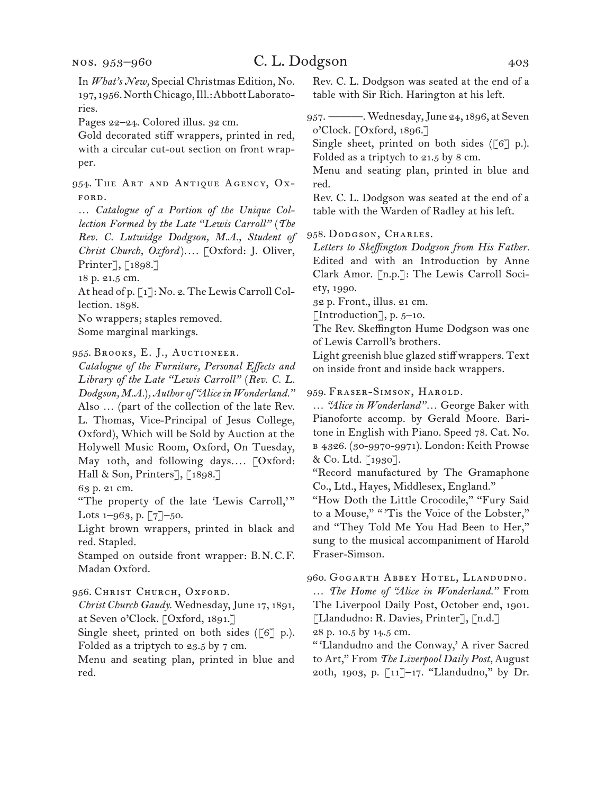In *What's New,* Special Christmas Edition, No. 197, 1956. North Chicago, Ill.: Abbott Laboratories.

Pages 22–24. Colored illus. 32 cm.

Gold decorated stiff wrappers, printed in red, with a circular cut-out section on front wrapper.

954. The Art and Antique Agency, Ox-FORD.

… *Catalogue of a Portion of the Unique Collection Formed by the Late "Lewis Carroll"* (*The Rev. C. Lutwidge Dodgson, M.A., Student of Christ Church, Oxford* )*. . . .* [Oxford: J. Oliver, Printer], [1898.]

18 p. 21.5 cm.

At head of p. [1]: No. 2. The Lewis Carroll Collection. 1898.

No wrappers; staples removed.

Some marginal markings.

955. Brooks, E. J., Auctioneer.

*Catalogue of the Furniture, Personal Effects and Library of the Late "Lewis Carroll"* (*Rev. C. L. Dodgson, M.A.*)*, Author of "Alice in Wonderland."* Also … (part of the collection of the late Rev. L. Thomas, Vice-Principal of Jesus College, Oxford), Which will be Sold by Auction at the Holywell Music Room, Oxford, On Tuesday, May 10th, and following days*. . . .* [Oxford: Hall & Son, Printers], [1898.]

63 p. 21 cm.

"The property of the late 'Lewis Carroll,'" Lots 1–963, p. [7]–50.

Light brown wrappers, printed in black and red. Stapled.

Stamped on outside front wrapper: B.N.C.F. Madan Oxford.

956. Christ Church, Oxford.

*Christ Church Gaudy.* Wednesday, June 17, 1891, at Seven o'Clock. [Oxford, 1891.]

Single sheet, printed on both sides ( $[6]$  p.). Folded as a triptych to 23.5 by 7 cm.

Menu and seating plan, printed in blue and red.

Rev. C. L. Dodgson was seated at the end of a table with Sir Rich. Harington at his left.

957. ———. Wednesday, June 24, 1896, at Seven o'Clock. [Oxford, 1896.]

Single sheet, printed on both sides ( $[6]$  p.). Folded as a triptych to 21.5 by 8 cm.

Menu and seating plan, printed in blue and red.

Rev. C. L. Dodgson was seated at the end of a table with the Warden of Radley at his left.

958. Dodgson, Charles.

*Letters to Skeffington Dodgson from His Father.* Edited and with an Introduction by Anne Clark Amor. [n.p.]: The Lewis Carroll Society, 1990.

32 p. Front., illus. 21 cm.

[Introduction], p.  $5-10$ .

The Rev. Skeffington Hume Dodgson was one of Lewis Carroll's brothers.

Light greenish blue glazed stiff wrappers. Text on inside front and inside back wrappers.

959. Fraser-Simson, Harold.

… *"Alice in Wonderland"*… George Baker with Pianoforte accomp. by Gerald Moore. Baritone in English with Piano. Speed 78. Cat. No. b 4326. (30-9970-9971). London: Keith Prowse & Co. Ltd. [1930].

"Record manufactured by The Gramaphone Co., Ltd., Hayes, Middlesex, England."

"How Doth the Little Crocodile," "Fury Said to a Mouse," "'Tis the Voice of the Lobster," and "They Told Me You Had Been to Her," sung to the musical accompaniment of Harold Fraser-Simson.

960. Gogarth Abbey Hotel, Llandudno.

… *The Home of "Alice in Wonderland."* From The Liverpool Daily Post, October 2nd, 1901. [Llandudno: R. Davies, Printer], [n.d.] 28 p. 10.5 by 14.5 cm.

" 'Llandudno and the Conway,' A river Sacred to Art," From *The Liverpool Daily Post,* August 20th, 1903, p. [11]–17. "Llandudno," by Dr.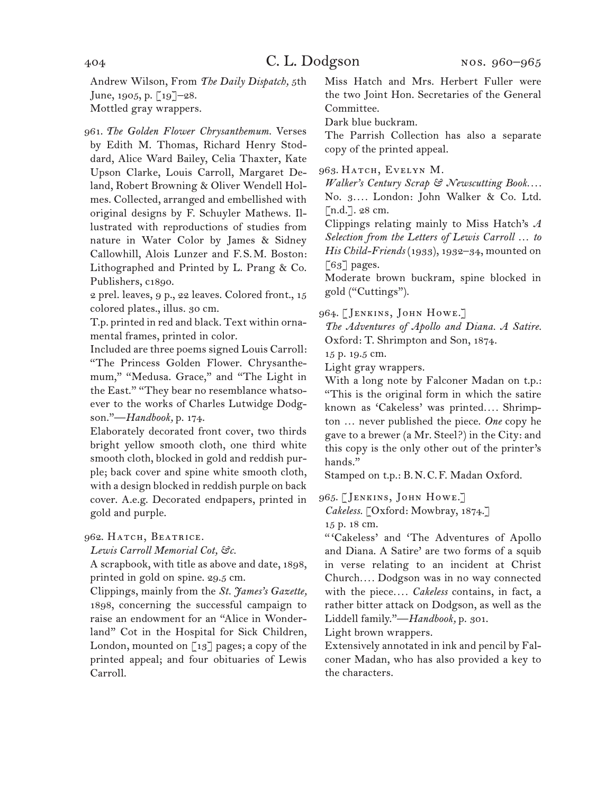Andrew Wilson, From *The Daily Dispatch,* 5th June, 1905, p.  $\lceil 19 \rceil$ –28. Mottled gray wrappers.

961. *The Golden Flower Chrysanthemum.* Verses by Edith M. Thomas, Richard Henry Stoddard, Alice Ward Bailey, Celia Thaxter, Kate Upson Clarke, Louis Carroll, Margaret Deland, Robert Browning & Oliver Wendell Holmes. Collected, arranged and embellished with original designs by F. Schuyler Mathews. Illustrated with reproductions of studies from nature in Water Color by James & Sidney Callowhill, Alois Lunzer and F.S.M. Boston: Lithographed and Printed by L. Prang & Co. Publishers, c1890.

2 prel. leaves, 9 p., 22 leaves. Colored front., 15 colored plates., illus. 30 cm.

T.p. printed in red and black. Text within ornamental frames, printed in color.

Included are three poems signed Louis Carroll: "The Princess Golden Flower. Chrysanthemum," "Medusa. Grace," and "The Light in the East." "They bear no resemblance whatsoever to the works of Charles Lutwidge Dodgson."—*Handbook,* p. 174.

Elaborately decorated front cover, two thirds bright yellow smooth cloth, one third white smooth cloth, blocked in gold and reddish purple; back cover and spine white smooth cloth, with a design blocked in reddish purple on back cover. A.e.g. Decorated endpapers, printed in gold and purple.

### 962. HATCH, BEATRICE.

*Lewis Carroll Memorial Cot, &c.* 

A scrapbook, with title as above and date, 1898, printed in gold on spine. 29.5 cm.

Clippings, mainly from the *St. James's Gazette,* 1898, concerning the successful campaign to raise an endowment for an "Alice in Wonderland" Cot in the Hospital for Sick Children, London, mounted on  $\lceil 13 \rceil$  pages; a copy of the printed appeal; and four obituaries of Lewis Carroll.

Miss Hatch and Mrs. Herbert Fuller were the two Joint Hon. Secretaries of the General Committee.

Dark blue buckram.

The Parrish Collection has also a separate copy of the printed appeal.

#### 963. HATCH, EVELYN M.

*Walker's Century Scrap & Newscutting Book. . . .* No. 3*. . . .* London: John Walker & Co. Ltd. [n.d.]. 28 cm.

Clippings relating mainly to Miss Hatch's *A Selection from the Letters of Lewis Carroll … to His Child-Friends* (1933), 1932–34, mounted on  $\lceil 63 \rceil$  pages.

Moderate brown buckram, spine blocked in gold ("Cuttings").

964. [JENKINS, JOHN HOWE.]

*The Adventures of Apollo and Diana. A Satire.* Oxford: T. Shrimpton and Son, 1874.

15 p. 19.5 cm.

Light gray wrappers.

With a long note by Falconer Madan on t.p.: "This is the original form in which the satire known as 'Cakeless' was printed*. . . .* Shrimpton … never published the piece. *One* copy he gave to a brewer (a Mr. Steel?) in the City: and this copy is the only other out of the printer's hands."

Stamped on t.p.: B.N.C.F. Madan Oxford.

965. [Jenkins, John Howe.]

*Cakeless.* [Oxford: Mowbray, 1874.]

15 p. 18 cm.

" 'Cakeless' and 'The Adventures of Apollo and Diana. A Satire' are two forms of a squib in verse relating to an incident at Christ Church*. . . .* Dodgson was in no way connected with the piece*. . . . Cakeless* contains, in fact, a rather bitter attack on Dodgson, as well as the Liddell family."—*Handbook,* p. 301.

Light brown wrappers.

Extensively annotated in ink and pencil by Falconer Madan, who has also provided a key to the characters.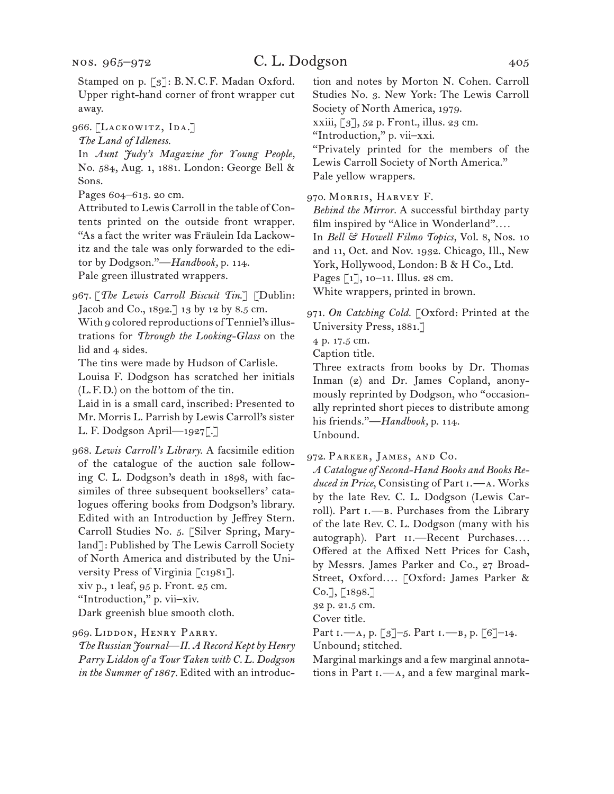966. [LACKOWITZ, IDA.]

*The Land of Idleness.*

In *Aunt Judy's Magazine for Young People,*  No. 584, Aug. 1, 1881. London: George Bell & Sons.

Pages 604–613. 20 cm.

Attributed to Lewis Carroll in the table of Contents printed on the outside front wrapper. "As a fact the writer was Fräulein Ida Lackowitz and the tale was only forwarded to the editor by Dodgson."—*Handbook,* p. 114. Pale green illustrated wrappers.

967. [*The Lewis Carroll Biscuit Tin*.] [Dublin: Jacob and Co., 1892.] 13 by 12 by 8.5 cm. With 9 colored reproductions of Tenniel's illustrations for *Through the Looking-Glass* on the lid and 4 sides.

The tins were made by Hudson of Carlisle.

Louisa F. Dodgson has scratched her initials (L.F.D.) on the bottom of the tin.

Laid in is a small card, inscribed: Presented to Mr. Morris L. Parrish by Lewis Carroll's sister L. F. Dodgson April—1927[.]

968. *Lewis Carroll's Library.* A facsimile edition of the catalogue of the auction sale following C. L. Dodgson's death in 1898, with facsimiles of three subsequent booksellers' catalogues offering books from Dodgson's library. Edited with an Introduction by Jeffrey Stern. Carroll Studies No. 5. [Silver Spring, Maryland]: Published by The Lewis Carroll Society of North America and distributed by the University Press of Virginia [c1981].

xiv p., 1 leaf, 95 p. Front. 25 cm.

"Introduction," p. vii–xiv.

Dark greenish blue smooth cloth.

969. Liddon, Henry Parry.

*The Russian Journal—II. A Record Kept by Henry Parry Liddon of a Tour Taken with C. L. Dodgson in the Summer of 1867.* Edited with an introduction and notes by Morton N. Cohen. Carroll Studies No. 3. New York: The Lewis Carroll Society of North America, 1979.

xxiii, [3], 52 p. Front., illus. 23 cm.

"Introduction," p. vii–xxi.

"Privately printed for the members of the Lewis Carroll Society of North America." Pale yellow wrappers.

970. Morris, Harvey F.

*Behind the Mirror.* A successful birthday party film inspired by "Alice in Wonderland"*. . . .* In *Bell & Howell Filmo Topics,* Vol. 8, Nos. 10 and 11, Oct. and Nov. 1932. Chicago, Ill., New York, Hollywood, London: B & H Co., Ltd. Pages [1], 10–11. Illus. 28 cm. White wrappers, printed in brown.

971. *On Catching Cold.* [Oxford: Printed at the University Press, 1881.]

4 p. 17.5 cm.

Caption title.

Three extracts from books by Dr. Thomas Inman (2) and Dr. James Copland, anonymously reprinted by Dodgson, who "occasionally reprinted short pieces to distribute among his friends."—*Handbook,* p. 114. Unbound.

972. Parker, James, and Co.

*A Catalogue of Second-Hand Books and Books Reduced in Price*, Consisting of Part i.—a. Works by the late Rev. C. L. Dodgson (Lewis Carroll). Part  $I.$ —B. Purchases from the Library of the late Rev. C. L. Dodgson (many with his autograph). Part  $II.$ —Recent Purchases.... Offered at the Affixed Nett Prices for Cash, by Messrs. James Parker and Co., 27 Broad-Street, Oxford*. . . .* [Oxford: James Parker &  $Co.$ ], [1898.]

32 p. 21.5 cm.

Cover title.

Part I.—A, p. [3]-5. Part I.—B, p. [6]-14. Unbound; stitched.

Marginal markings and a few marginal annotations in Part i.—a, and a few marginal mark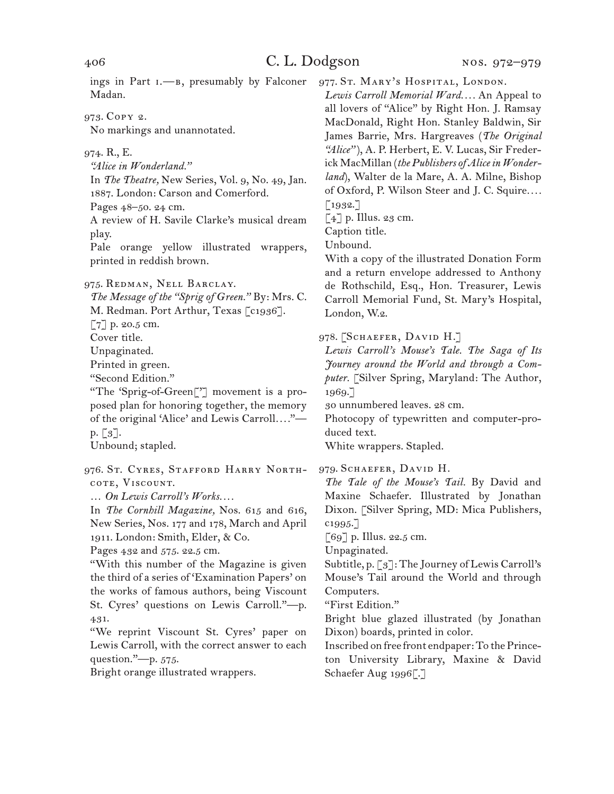ings in Part  $I. \rightarrow B$ , presumably by Falconer Madan.

973. Copy 2. No markings and unannotated.

974. R., E.

*"Alice in Wonderland."*

In *The Theatre,* New Series, Vol. 9, No. 49, Jan. 1887. London: Carson and Comerford.

Pages 48–50. 24 cm.

A review of H. Savile Clarke's musical dream play.

Pale orange yellow illustrated wrappers, printed in reddish brown.

975. Redman, Nell Barclay.

*The Message of the "Sprig of Green."* By: Mrs. C.

M. Redman. Port Arthur, Texas [c1936].

[7] p. 20.5 cm.

Cover title.

Unpaginated.

Printed in green.

"Second Edition."

"The 'Sprig-of-Green['] movement is a proposed plan for honoring together, the memory of the original 'Alice' and Lewis Carroll*. . . .*" p. [3].

Unbound; stapled.

976. ST. CYRES, STAFFORD HARRY NORTHcote, Viscount.

… *On Lewis Carroll's Works. . . .*

In *The Cornhill Magazine,* Nos. 615 and 616, New Series, Nos. 177 and 178, March and April 1911. London: Smith, Elder, & Co.

Pages 432 and 575. 22.5 cm.

"With this number of the Magazine is given the third of a series of 'Examination Papers' on the works of famous authors, being Viscount St. Cyres' questions on Lewis Carroll."—p. 431.

"We reprint Viscount St. Cyres' paper on Lewis Carroll, with the correct answer to each question."—p. 575.

Bright orange illustrated wrappers.

977. St. MARY's HOSPITAL, LONDON.

*Lewis Carroll Memorial Ward. . . .* An Appeal to all lovers of "Alice" by Right Hon. J. Ramsay MacDonald, Right Hon. Stanley Baldwin, Sir James Barrie, Mrs. Hargreaves (*The Original "Alice"* ), A. P. Herbert, E. V. Lucas, Sir Frederick MacMillan (*the Publishers of Alice in Wonderland*), Walter de la Mare, A. A. Milne, Bishop of Oxford, P. Wilson Steer and J. C. Squire*. . . .* [1932.]

 $\lceil 4 \rceil$  p. Illus. 23 cm.

Caption title.

Unbound.

With a copy of the illustrated Donation Form and a return envelope addressed to Anthony de Rothschild, Esq., Hon. Treasurer, Lewis Carroll Memorial Fund, St. Mary's Hospital, London, W.2.

978. [SCHAEFER, DAVID H.]

*Lewis Carroll's Mouse's Tale. The Saga of Its Journey around the World and through a Computer.* [Silver Spring, Maryland: The Author, 1969.]

30 unnumbered leaves. 28 cm.

Photocopy of typewritten and computer-produced text.

White wrappers. Stapled.

979. SCHAEFER, DAVID H.

*The Tale of the Mouse's Tail.* By David and Maxine Schaefer. Illustrated by Jonathan Dixon. [Silver Spring, MD: Mica Publishers, c1995.]

 $\lceil 69 \rceil$  p. Illus. 22.5 cm.

Unpaginated.

Subtitle, p. [3]: The Journey of Lewis Carroll's Mouse's Tail around the World and through Computers.

"First Edition."

Bright blue glazed illustrated (by Jonathan Dixon) boards, printed in color.

Inscribed on free front endpaper: To the Princeton University Library, Maxine & David Schaefer Aug 1996[.]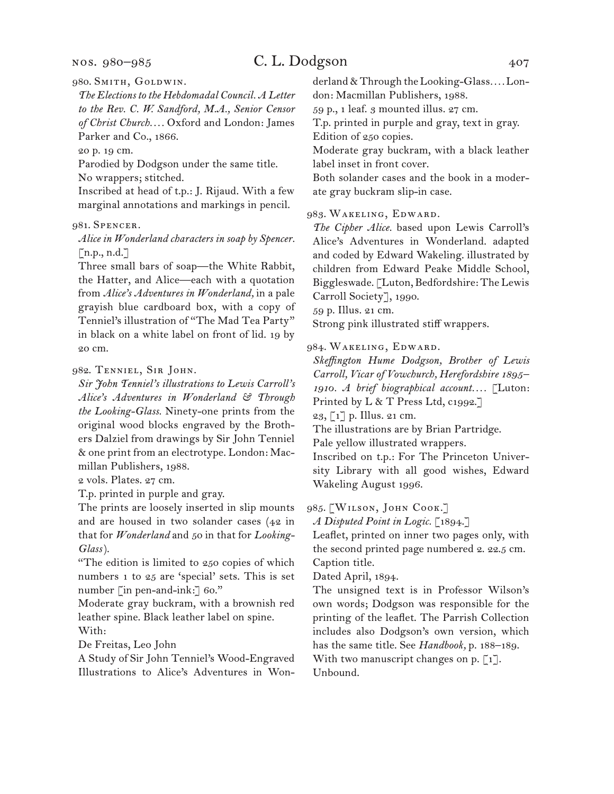nos. 980–985

## C. L. Dodgson 407

980. Smith, Goldwin.

*The Elections to the Hebdomadal Council. A Letter to the Rev. C. W. Sandford, M.A., Senior Censor of Christ Church. . . .* Oxford and London: James Parker and Co., 1866.

20 p. 19 cm.

Parodied by Dodgson under the same title. No wrappers; stitched.

Inscribed at head of t.p.: J. Rijaud. With a few marginal annotations and markings in pencil.

### 981. Spencer.

*Alice in Wonderland characters in soap by Spencer.* [n.p., n.d.]

Three small bars of soap—the White Rabbit, the Hatter, and Alice—each with a quotation from *Alice's Adventures in Wonderland,* in a pale grayish blue cardboard box, with a copy of Tenniel's illustration of "The Mad Tea Party" in black on a white label on front of lid. 19 by 20 cm.

#### 982. Tenniel, Sir John.

*Sir John Tenniel's illustrations to Lewis Carroll's Alice's Adventures in Wonderland & Through the Looking-Glass.* Ninety-one prints from the original wood blocks engraved by the Brothers Dalziel from drawings by Sir John Tenniel & one print from an electrotype. London: Macmillan Publishers, 1988.

2 vols. Plates. 27 cm.

T.p. printed in purple and gray.

The prints are loosely inserted in slip mounts and are housed in two solander cases (42 in that for *Wonderland* and 50 in that for *Looking-Glass*).

"The edition is limited to 250 copies of which numbers 1 to 25 are 'special' sets. This is set number [in pen-and-ink:] 60."

Moderate gray buckram, with a brownish red leather spine. Black leather label on spine. With:

De Freitas, Leo John

A Study of Sir John Tenniel's Wood-Engraved Illustrations to Alice's Adventures in Wonderland & Through the Looking-Glass*. . . .* London: Macmillan Publishers, 1988.

59 p., 1 leaf. 3 mounted illus. 27 cm.

T.p. printed in purple and gray, text in gray. Edition of 250 copies.

Moderate gray buckram, with a black leather label inset in front cover.

Both solander cases and the book in a moderate gray buckram slip-in case.

983. Wakeling, Edward.

*The Cipher Alice.* based upon Lewis Carroll's Alice's Adventures in Wonderland. adapted and coded by Edward Wakeling. illustrated by children from Edward Peake Middle School, Biggleswade. [Luton, Bedfordshire: The Lewis Carroll Society], 1990.

59 p. Illus. 21 cm.

Strong pink illustrated stiff wrappers.

984. Wakeling, Edward.

*Skeffington Hume Dodgson, Brother of Lewis Carroll, Vicar of Vowchurch, Herefordshire 1895– 1910. A brief biographical account. . . .* [Luton: Printed by L & T Press Ltd, c1992.]

23, [1] p. Illus. 21 cm.

The illustrations are by Brian Partridge.

Pale yellow illustrated wrappers.

Inscribed on t.p.: For The Princeton University Library with all good wishes, Edward Wakeling August 1996.

985. [WILSON, JOHN COOK.]

*A Disputed Point in Logic.* [1894.]

Leaflet, printed on inner two pages only, with the second printed page numbered 2. 22.5 cm. Caption title.

Dated April, 1894.

The unsigned text is in Professor Wilson's own words; Dodgson was responsible for the printing of the leaflet. The Parrish Collection includes also Dodgson's own version, which has the same title. See *Handbook,* p. 188–189. With two manuscript changes on p.  $\lceil 1 \rceil$ . Unbound.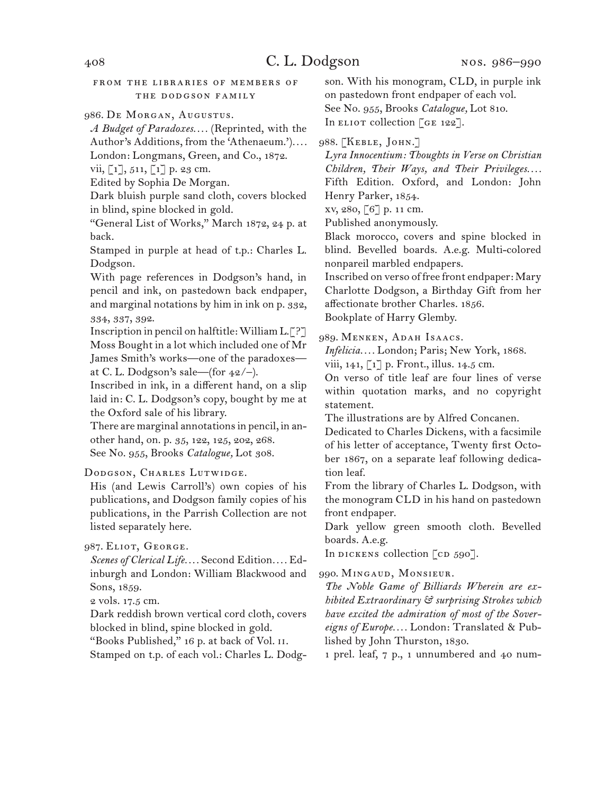#### from the libraries of members of the dodgson family

#### 986. De Morgan, Augustus.

*A Budget of Paradoxes. . . .* (Reprinted, with the Author's Additions, from the 'Athenaeum.')*. . . .* London: Longmans, Green, and Co., 1872.

vii,  $\lceil 1 \rceil$ , 511,  $\lceil 1 \rceil$  p. 23 cm.

Edited by Sophia De Morgan.

Dark bluish purple sand cloth, covers blocked in blind, spine blocked in gold.

"General List of Works," March 1872, 24 p. at back.

Stamped in purple at head of t.p.: Charles L. Dodgson.

With page references in Dodgson's hand, in pencil and ink, on pastedown back endpaper, and marginal notations by him in ink on p. 332, 334, 337, 392.

Inscription in pencil on halftitle: William L.[?] Moss Bought in a lot which included one of Mr James Smith's works—one of the paradoxes at C. L. Dodgson's sale—(for  $42/-$ ).

Inscribed in ink, in a different hand, on a slip laid in: C. L. Dodgson's copy, bought by me at the Oxford sale of his library.

There are marginal annotations in pencil, in another hand, on. p. 35, 122, 125, 202, 268. See No. 955, Brooks *Catalogue,* Lot 308.

### DODGSON, CHARLES LUTWIDGE.

His (and Lewis Carroll's) own copies of his publications, and Dodgson family copies of his publications, in the Parrish Collection are not listed separately here.

## 987. ELIOT, GEORGE.

*Scenes of Clerical Life. . . .* Second Edition*. . . .* Edinburgh and London: William Blackwood and Sons, 1859.

2 vols. 17.5 cm.

Dark reddish brown vertical cord cloth, covers blocked in blind, spine blocked in gold.

"Books Published," 16 p. at back of Vol. ii.

Stamped on t.p. of each vol.: Charles L. Dodg-

son. With his monogram, CLD, in purple ink on pastedown front endpaper of each vol. See No. 955, Brooks *Catalogue,* Lot 810. In ELIOT collection [GE 122].

988. [Keble, John.]

*Lyra Innocentium: Thoughts in Verse on Christian Children, Their Ways, and Their Privileges....* Fifth Edition. Oxford, and London: John Henry Parker, 1854.

xv, 280, [6] p. 11 cm.

Published anonymously.

Black morocco, covers and spine blocked in blind. Bevelled boards. A.e.g. Multi-colored nonpareil marbled endpapers.

Inscribed on verso of free front endpaper: Mary Charlotte Dodgson, a Birthday Gift from her affectionate brother Charles. 1856. Bookplate of Harry Glemby.

#### 989. Menken, Adah Isaacs.

*Infelicia. . . .* London; Paris; New York, 1868.

viii, 141, [1] p. Front., illus. 14.5 cm.

On verso of title leaf are four lines of verse within quotation marks, and no copyright statement.

The illustrations are by Alfred Concanen.

Dedicated to Charles Dickens, with a facsimile of his letter of acceptance, Twenty first October 1867, on a separate leaf following dedication leaf.

From the library of Charles L. Dodgson, with the monogram CLD in his hand on pastedown front endpaper.

Dark yellow green smooth cloth. Bevelled boards. A.e.g.

In dickens collection  $\lceil$  cd  $590\rceil$ .

990. Mingaud, Monsieur.

*The Noble Game of Billiards Wherein are exhibited Extraordinary & surprising Strokes which have excited the admiration of most of the Sovereigns of Europe. . . .* London: Translated & Published by John Thurston, 1830.

1 prel. leaf, 7 p., 1 unnumbered and 40 num-